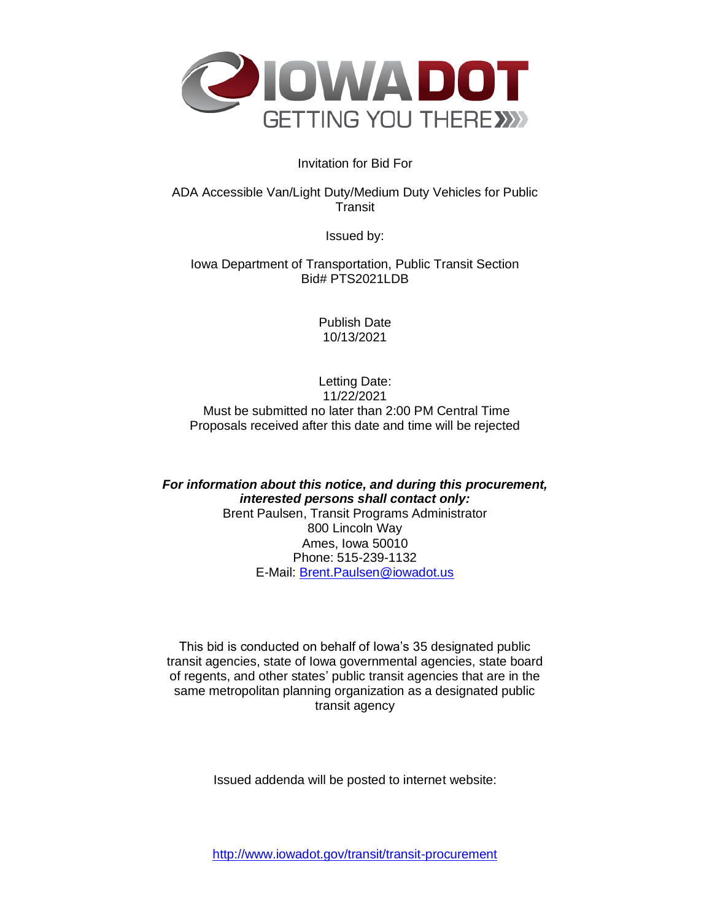

# Invitation for Bid For

ADA Accessible Van/Light Duty/Medium Duty Vehicles for Public **Transit** 

Issued by:

Iowa Department of Transportation, Public Transit Section Bid# PTS2021LDB

> Publish Date 10/13/2021

Letting Date: 11/22/2021 Must be submitted no later than 2:00 PM Central Time Proposals received after this date and time will be rejected

*For information about this notice, and during this procurement, interested persons shall contact only:* Brent Paulsen, Transit Programs Administrator 800 Lincoln Way Ames, Iowa 50010 Phone: 515-239-1132 E-Mail: [Brent.Paulsen@iowadot.us](mailto:Brent.Paulsen@iowadot.us)

This bid is conducted on behalf of Iowa's 35 designated public transit agencies, state of Iowa governmental agencies, state board of regents, and other states' public transit agencies that are in the same metropolitan planning organization as a designated public transit agency

Issued addenda will be posted to internet website: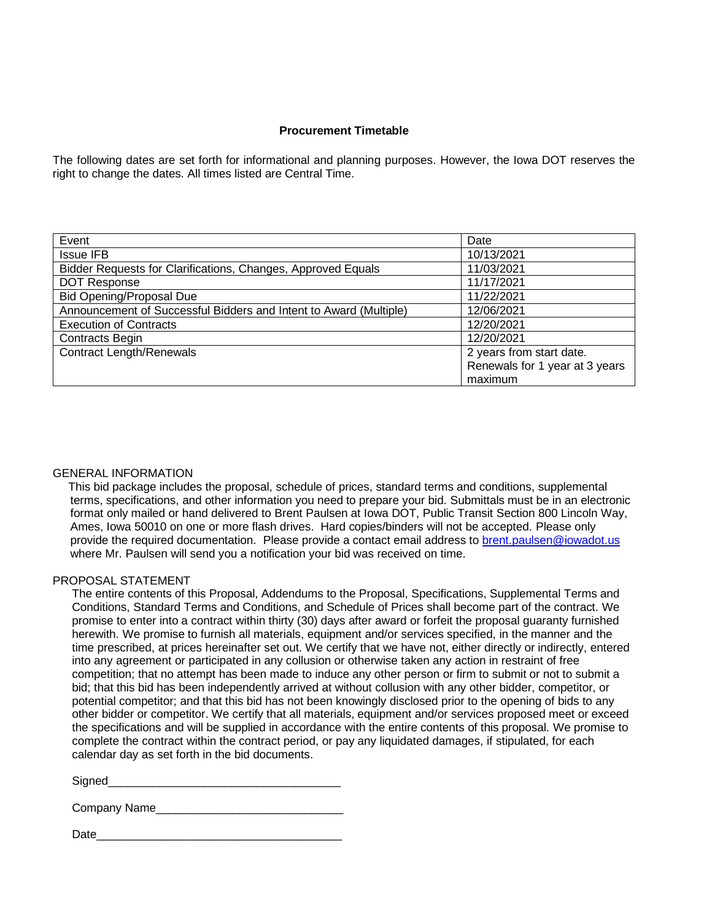### **Procurement Timetable**

The following dates are set forth for informational and planning purposes. However, the Iowa DOT reserves the right to change the dates. All times listed are Central Time.

| Event                                                             | Date                           |
|-------------------------------------------------------------------|--------------------------------|
| <b>Issue IFB</b>                                                  | 10/13/2021                     |
| Bidder Requests for Clarifications, Changes, Approved Equals      | 11/03/2021                     |
| <b>DOT Response</b>                                               | 11/17/2021                     |
| <b>Bid Opening/Proposal Due</b>                                   | 11/22/2021                     |
| Announcement of Successful Bidders and Intent to Award (Multiple) | 12/06/2021                     |
| <b>Execution of Contracts</b>                                     | 12/20/2021                     |
| <b>Contracts Begin</b>                                            | 12/20/2021                     |
| <b>Contract Length/Renewals</b>                                   | 2 years from start date.       |
|                                                                   | Renewals for 1 year at 3 years |
|                                                                   | maximum                        |

#### GENERAL INFORMATION

This bid package includes the proposal, schedule of prices, standard terms and conditions, supplemental terms, specifications, and other information you need to prepare your bid. Submittals must be in an electronic format only mailed or hand delivered to Brent Paulsen at Iowa DOT, Public Transit Section 800 Lincoln Way, Ames, Iowa 50010 on one or more flash drives. Hard copies/binders will not be accepted. Please only provide the required documentation. Please provide a contact email address to **[brent.paulsen@iowadot.us](mailto:brent.paulsen@iowadot.us)** where Mr. Paulsen will send you a notification your bid was received on time.

#### PROPOSAL STATEMENT

The entire contents of this Proposal, Addendums to the Proposal, Specifications, Supplemental Terms and Conditions, Standard Terms and Conditions, and Schedule of Prices shall become part of the contract. We promise to enter into a contract within thirty (30) days after award or forfeit the proposal guaranty furnished herewith. We promise to furnish all materials, equipment and/or services specified, in the manner and the time prescribed, at prices hereinafter set out. We certify that we have not, either directly or indirectly, entered into any agreement or participated in any collusion or otherwise taken any action in restraint of free competition; that no attempt has been made to induce any other person or firm to submit or not to submit a bid; that this bid has been independently arrived at without collusion with any other bidder, competitor, or potential competitor; and that this bid has not been knowingly disclosed prior to the opening of bids to any other bidder or competitor. We certify that all materials, equipment and/or services proposed meet or exceed the specifications and will be supplied in accordance with the entire contents of this proposal. We promise to complete the contract within the contract period, or pay any liquidated damages, if stipulated, for each calendar day as set forth in the bid documents.

| Signed |  |  |  |  |
|--------|--|--|--|--|
|        |  |  |  |  |

| Company Name_ |
|---------------|
|               |

Date\_\_\_\_\_\_\_\_\_\_\_\_\_\_\_\_\_\_\_\_\_\_\_\_\_\_\_\_\_\_\_\_\_\_\_\_\_\_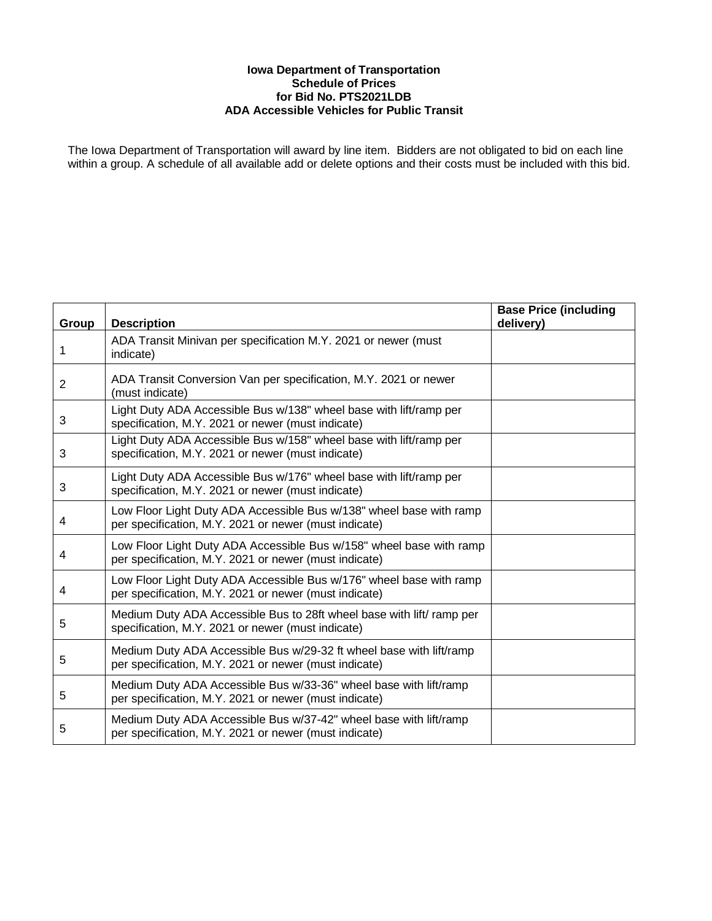### **Iowa Department of Transportation Schedule of Prices for Bid No. PTS2021LDB ADA Accessible Vehicles for Public Transit**

The Iowa Department of Transportation will award by line item. Bidders are not obligated to bid on each line within a group. A schedule of all available add or delete options and their costs must be included with this bid.

| Group | <b>Description</b>                                                                                                           | <b>Base Price (including</b><br>delivery) |
|-------|------------------------------------------------------------------------------------------------------------------------------|-------------------------------------------|
| 1     | ADA Transit Minivan per specification M.Y. 2021 or newer (must<br>indicate)                                                  |                                           |
| 2     | ADA Transit Conversion Van per specification, M.Y. 2021 or newer<br>(must indicate)                                          |                                           |
| 3     | Light Duty ADA Accessible Bus w/138" wheel base with lift/ramp per<br>specification, M.Y. 2021 or newer (must indicate)      |                                           |
| 3     | Light Duty ADA Accessible Bus w/158" wheel base with lift/ramp per<br>specification, M.Y. 2021 or newer (must indicate)      |                                           |
| 3     | Light Duty ADA Accessible Bus w/176" wheel base with lift/ramp per<br>specification, M.Y. 2021 or newer (must indicate)      |                                           |
| 4     | Low Floor Light Duty ADA Accessible Bus w/138" wheel base with ramp<br>per specification, M.Y. 2021 or newer (must indicate) |                                           |
| 4     | Low Floor Light Duty ADA Accessible Bus w/158" wheel base with ramp<br>per specification, M.Y. 2021 or newer (must indicate) |                                           |
| 4     | Low Floor Light Duty ADA Accessible Bus w/176" wheel base with ramp<br>per specification, M.Y. 2021 or newer (must indicate) |                                           |
| 5     | Medium Duty ADA Accessible Bus to 28ft wheel base with lift/ ramp per<br>specification, M.Y. 2021 or newer (must indicate)   |                                           |
| 5     | Medium Duty ADA Accessible Bus w/29-32 ft wheel base with lift/ramp<br>per specification, M.Y. 2021 or newer (must indicate) |                                           |
| 5     | Medium Duty ADA Accessible Bus w/33-36" wheel base with lift/ramp<br>per specification, M.Y. 2021 or newer (must indicate)   |                                           |
| 5     | Medium Duty ADA Accessible Bus w/37-42" wheel base with lift/ramp<br>per specification, M.Y. 2021 or newer (must indicate)   |                                           |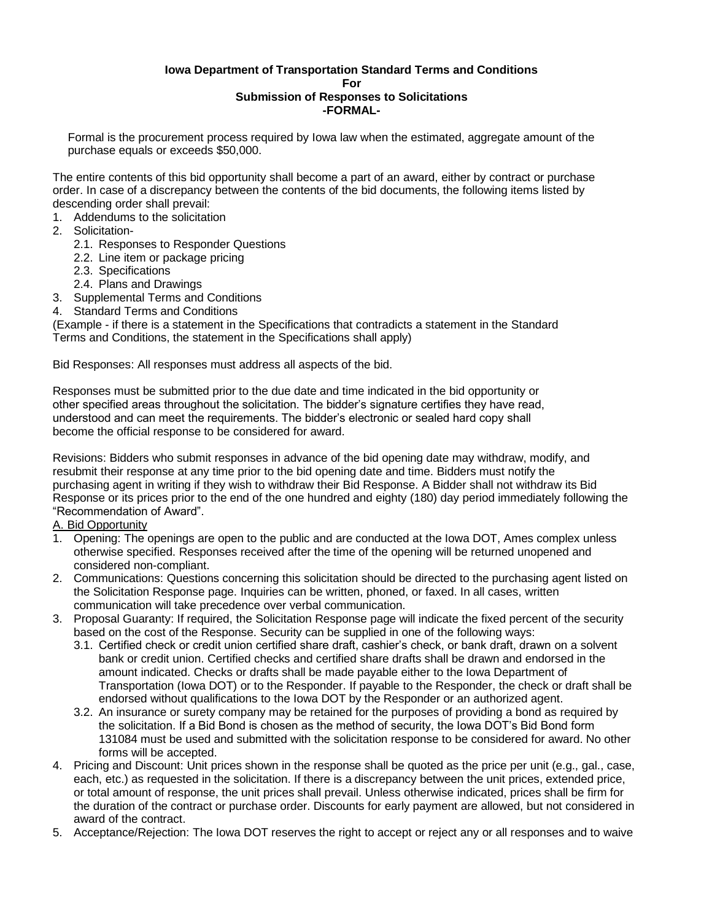#### **Iowa Department of Transportation Standard Terms and Conditions For Submission of Responses to Solicitations -FORMAL-**

Formal is the procurement process required by Iowa law when the estimated, aggregate amount of the purchase equals or exceeds \$50,000.

The entire contents of this bid opportunity shall become a part of an award, either by contract or purchase order. In case of a discrepancy between the contents of the bid documents, the following items listed by descending order shall prevail:

- 1. Addendums to the solicitation
- 2. Solicitation-
	- 2.1. Responses to Responder Questions
	- 2.2. Line item or package pricing
	- 2.3. Specifications
	- 2.4. Plans and Drawings
- 3. Supplemental Terms and Conditions
- 4. Standard Terms and Conditions

(Example - if there is a statement in the Specifications that contradicts a statement in the Standard Terms and Conditions, the statement in the Specifications shall apply)

Bid Responses: All responses must address all aspects of the bid.

Responses must be submitted prior to the due date and time indicated in the bid opportunity or other specified areas throughout the solicitation. The bidder's signature certifies they have read, understood and can meet the requirements. The bidder's electronic or sealed hard copy shall become the official response to be considered for award.

Revisions: Bidders who submit responses in advance of the bid opening date may withdraw, modify, and resubmit their response at any time prior to the bid opening date and time. Bidders must notify the purchasing agent in writing if they wish to withdraw their Bid Response. A Bidder shall not withdraw its Bid Response or its prices prior to the end of the one hundred and eighty (180) day period immediately following the "Recommendation of Award".

# A. Bid Opportunity

- 1. Opening: The openings are open to the public and are conducted at the Iowa DOT, Ames complex unless otherwise specified. Responses received after the time of the opening will be returned unopened and considered non-compliant.
- 2. Communications: Questions concerning this solicitation should be directed to the purchasing agent listed on the Solicitation Response page. Inquiries can be written, phoned, or faxed. In all cases, written communication will take precedence over verbal communication.
- 3. Proposal Guaranty: If required, the Solicitation Response page will indicate the fixed percent of the security based on the cost of the Response. Security can be supplied in one of the following ways:
	- 3.1. Certified check or credit union certified share draft, cashier's check, or bank draft, drawn on a solvent bank or credit union. Certified checks and certified share drafts shall be drawn and endorsed in the amount indicated. Checks or drafts shall be made payable either to the Iowa Department of Transportation (Iowa DOT) or to the Responder. If payable to the Responder, the check or draft shall be endorsed without qualifications to the Iowa DOT by the Responder or an authorized agent.
	- 3.2. An insurance or surety company may be retained for the purposes of providing a bond as required by the solicitation. If a Bid Bond is chosen as the method of security, the Iowa DOT's Bid Bond form 131084 must be used and submitted with the solicitation response to be considered for award. No other forms will be accepted.
- 4. Pricing and Discount: Unit prices shown in the response shall be quoted as the price per unit (e.g., gal., case, each, etc.) as requested in the solicitation. If there is a discrepancy between the unit prices, extended price, or total amount of response, the unit prices shall prevail. Unless otherwise indicated, prices shall be firm for the duration of the contract or purchase order. Discounts for early payment are allowed, but not considered in award of the contract.
- 5. Acceptance/Rejection: The Iowa DOT reserves the right to accept or reject any or all responses and to waive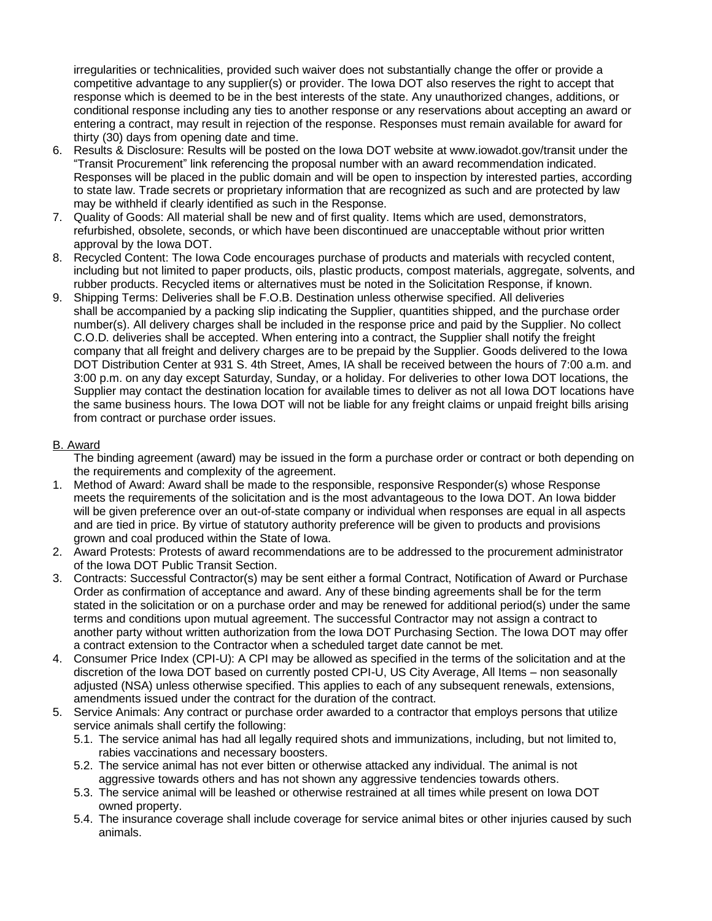irregularities or technicalities, provided such waiver does not substantially change the offer or provide a competitive advantage to any supplier(s) or provider. The Iowa DOT also reserves the right to accept that response which is deemed to be in the best interests of the state. Any unauthorized changes, additions, or conditional response including any ties to another response or any reservations about accepting an award or entering a contract, may result in rejection of the response. Responses must remain available for award for thirty (30) days from opening date and time.

- 6. Results & Disclosure: Results will be posted on the Iowa DOT website at www.iowadot.gov/transit under the "Transit Procurement" link referencing the proposal number with an award recommendation indicated. Responses will be placed in the public domain and will be open to inspection by interested parties, according to state law. Trade secrets or proprietary information that are recognized as such and are protected by law may be withheld if clearly identified as such in the Response.
- 7. Quality of Goods: All material shall be new and of first quality. Items which are used, demonstrators, refurbished, obsolete, seconds, or which have been discontinued are unacceptable without prior written approval by the Iowa DOT.
- 8. Recycled Content: The Iowa Code encourages purchase of products and materials with recycled content, including but not limited to paper products, oils, plastic products, compost materials, aggregate, solvents, and rubber products. Recycled items or alternatives must be noted in the Solicitation Response, if known.
- 9. Shipping Terms: Deliveries shall be F.O.B. Destination unless otherwise specified. All deliveries shall be accompanied by a packing slip indicating the Supplier, quantities shipped, and the purchase order number(s). All delivery charges shall be included in the response price and paid by the Supplier. No collect C.O.D. deliveries shall be accepted. When entering into a contract, the Supplier shall notify the freight company that all freight and delivery charges are to be prepaid by the Supplier. Goods delivered to the Iowa DOT Distribution Center at 931 S. 4th Street, Ames, IA shall be received between the hours of 7:00 a.m. and 3:00 p.m. on any day except Saturday, Sunday, or a holiday. For deliveries to other Iowa DOT locations, the Supplier may contact the destination location for available times to deliver as not all Iowa DOT locations have the same business hours. The Iowa DOT will not be liable for any freight claims or unpaid freight bills arising from contract or purchase order issues.

## B. Award

The binding agreement (award) may be issued in the form a purchase order or contract or both depending on the requirements and complexity of the agreement.

- 1. Method of Award: Award shall be made to the responsible, responsive Responder(s) whose Response meets the requirements of the solicitation and is the most advantageous to the Iowa DOT. An Iowa bidder will be given preference over an out-of-state company or individual when responses are equal in all aspects and are tied in price. By virtue of statutory authority preference will be given to products and provisions grown and coal produced within the State of Iowa.
- 2. Award Protests: Protests of award recommendations are to be addressed to the procurement administrator of the Iowa DOT Public Transit Section.
- 3. Contracts: Successful Contractor(s) may be sent either a formal Contract, Notification of Award or Purchase Order as confirmation of acceptance and award. Any of these binding agreements shall be for the term stated in the solicitation or on a purchase order and may be renewed for additional period(s) under the same terms and conditions upon mutual agreement. The successful Contractor may not assign a contract to another party without written authorization from the Iowa DOT Purchasing Section. The Iowa DOT may offer a contract extension to the Contractor when a scheduled target date cannot be met.
- 4. Consumer Price Index (CPI-U): A CPI may be allowed as specified in the terms of the solicitation and at the discretion of the Iowa DOT based on currently posted CPI-U, US City Average, All Items – non seasonally adjusted (NSA) unless otherwise specified. This applies to each of any subsequent renewals, extensions, amendments issued under the contract for the duration of the contract.
- 5. Service Animals: Any contract or purchase order awarded to a contractor that employs persons that utilize service animals shall certify the following:
	- 5.1. The service animal has had all legally required shots and immunizations, including, but not limited to, rabies vaccinations and necessary boosters.
	- 5.2. The service animal has not ever bitten or otherwise attacked any individual. The animal is not aggressive towards others and has not shown any aggressive tendencies towards others.
	- 5.3. The service animal will be leashed or otherwise restrained at all times while present on Iowa DOT owned property.
	- 5.4. The insurance coverage shall include coverage for service animal bites or other injuries caused by such animals.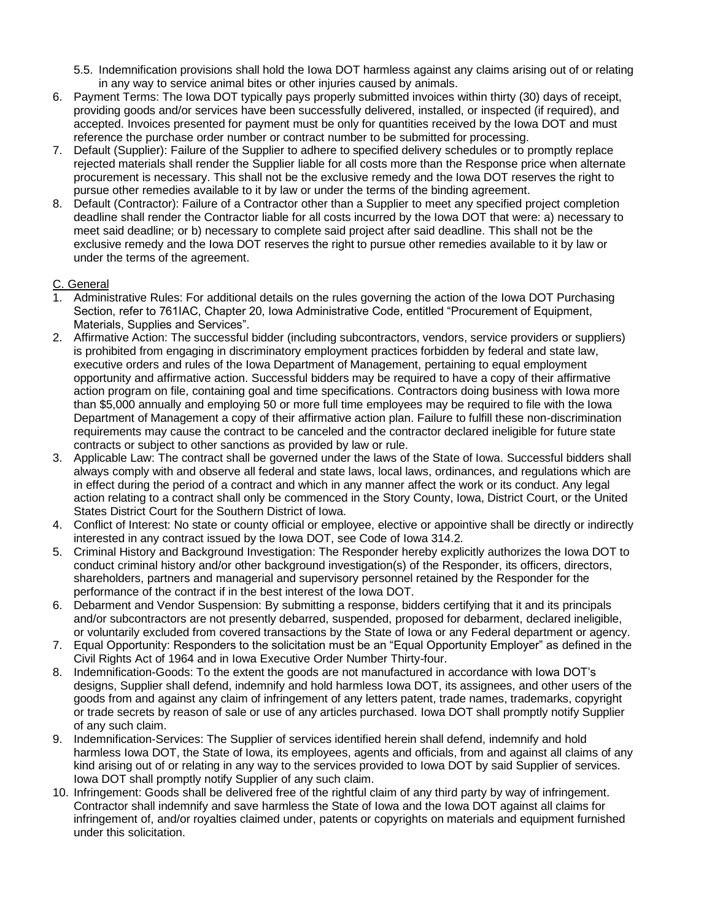- 5.5. Indemnification provisions shall hold the Iowa DOT harmless against any claims arising out of or relating in any way to service animal bites or other injuries caused by animals.
- 6. Payment Terms: The Iowa DOT typically pays properly submitted invoices within thirty (30) days of receipt, providing goods and/or services have been successfully delivered, installed, or inspected (if required), and accepted. Invoices presented for payment must be only for quantities received by the Iowa DOT and must reference the purchase order number or contract number to be submitted for processing.
- 7. Default (Supplier): Failure of the Supplier to adhere to specified delivery schedules or to promptly replace rejected materials shall render the Supplier liable for all costs more than the Response price when alternate procurement is necessary. This shall not be the exclusive remedy and the Iowa DOT reserves the right to pursue other remedies available to it by law or under the terms of the binding agreement.
- 8. Default (Contractor): Failure of a Contractor other than a Supplier to meet any specified project completion deadline shall render the Contractor liable for all costs incurred by the Iowa DOT that were: a) necessary to meet said deadline; or b) necessary to complete said project after said deadline. This shall not be the exclusive remedy and the Iowa DOT reserves the right to pursue other remedies available to it by law or under the terms of the agreement.

# C. General

- 1. Administrative Rules: For additional details on the rules governing the action of the Iowa DOT Purchasing Section, refer to 761IAC, Chapter 20, Iowa Administrative Code, entitled "Procurement of Equipment, Materials, Supplies and Services".
- 2. Affirmative Action: The successful bidder (including subcontractors, vendors, service providers or suppliers) is prohibited from engaging in discriminatory employment practices forbidden by federal and state law, executive orders and rules of the Iowa Department of Management, pertaining to equal employment opportunity and affirmative action. Successful bidders may be required to have a copy of their affirmative action program on file, containing goal and time specifications. Contractors doing business with Iowa more than \$5,000 annually and employing 50 or more full time employees may be required to file with the Iowa Department of Management a copy of their affirmative action plan. Failure to fulfill these non-discrimination requirements may cause the contract to be canceled and the contractor declared ineligible for future state contracts or subject to other sanctions as provided by law or rule.
- 3. Applicable Law: The contract shall be governed under the laws of the State of Iowa. Successful bidders shall always comply with and observe all federal and state laws, local laws, ordinances, and regulations which are in effect during the period of a contract and which in any manner affect the work or its conduct. Any legal action relating to a contract shall only be commenced in the Story County, Iowa, District Court, or the United States District Court for the Southern District of Iowa.
- 4. Conflict of Interest: No state or county official or employee, elective or appointive shall be directly or indirectly interested in any contract issued by the Iowa DOT, see Code of Iowa 314.2.
- 5. Criminal History and Background Investigation: The Responder hereby explicitly authorizes the Iowa DOT to conduct criminal history and/or other background investigation(s) of the Responder, its officers, directors, shareholders, partners and managerial and supervisory personnel retained by the Responder for the performance of the contract if in the best interest of the Iowa DOT.
- 6. Debarment and Vendor Suspension: By submitting a response, bidders certifying that it and its principals and/or subcontractors are not presently debarred, suspended, proposed for debarment, declared ineligible, or voluntarily excluded from covered transactions by the State of Iowa or any Federal department or agency.
- 7. Equal Opportunity: Responders to the solicitation must be an "Equal Opportunity Employer" as defined in the Civil Rights Act of 1964 and in Iowa Executive Order Number Thirty-four.
- 8. Indemnification-Goods: To the extent the goods are not manufactured in accordance with Iowa DOT's designs, Supplier shall defend, indemnify and hold harmless Iowa DOT, its assignees, and other users of the goods from and against any claim of infringement of any letters patent, trade names, trademarks, copyright or trade secrets by reason of sale or use of any articles purchased. Iowa DOT shall promptly notify Supplier of any such claim.
- 9. Indemnification-Services: The Supplier of services identified herein shall defend, indemnify and hold harmless Iowa DOT, the State of Iowa, its employees, agents and officials, from and against all claims of any kind arising out of or relating in any way to the services provided to Iowa DOT by said Supplier of services. Iowa DOT shall promptly notify Supplier of any such claim.
- 10. Infringement: Goods shall be delivered free of the rightful claim of any third party by way of infringement. Contractor shall indemnify and save harmless the State of Iowa and the Iowa DOT against all claims for infringement of, and/or royalties claimed under, patents or copyrights on materials and equipment furnished under this solicitation.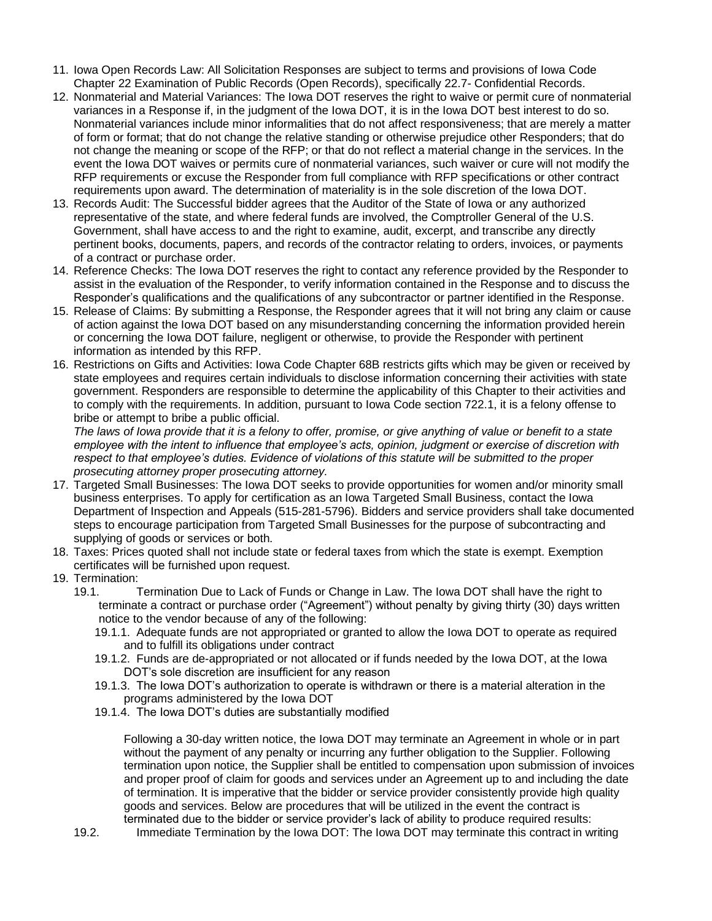- 11. Iowa Open Records Law: All Solicitation Responses are subject to terms and provisions of Iowa Code Chapter 22 Examination of Public Records (Open Records), specifically 22.7- Confidential Records.
- 12. Nonmaterial and Material Variances: The Iowa DOT reserves the right to waive or permit cure of nonmaterial variances in a Response if, in the judgment of the Iowa DOT, it is in the Iowa DOT best interest to do so. Nonmaterial variances include minor informalities that do not affect responsiveness; that are merely a matter of form or format; that do not change the relative standing or otherwise prejudice other Responders; that do not change the meaning or scope of the RFP; or that do not reflect a material change in the services. In the event the Iowa DOT waives or permits cure of nonmaterial variances, such waiver or cure will not modify the RFP requirements or excuse the Responder from full compliance with RFP specifications or other contract requirements upon award. The determination of materiality is in the sole discretion of the Iowa DOT.
- 13. Records Audit: The Successful bidder agrees that the Auditor of the State of Iowa or any authorized representative of the state, and where federal funds are involved, the Comptroller General of the U.S. Government, shall have access to and the right to examine, audit, excerpt, and transcribe any directly pertinent books, documents, papers, and records of the contractor relating to orders, invoices, or payments of a contract or purchase order.
- 14. Reference Checks: The Iowa DOT reserves the right to contact any reference provided by the Responder to assist in the evaluation of the Responder, to verify information contained in the Response and to discuss the Responder's qualifications and the qualifications of any subcontractor or partner identified in the Response.
- 15. Release of Claims: By submitting a Response, the Responder agrees that it will not bring any claim or cause of action against the Iowa DOT based on any misunderstanding concerning the information provided herein or concerning the Iowa DOT failure, negligent or otherwise, to provide the Responder with pertinent information as intended by this RFP.
- 16. Restrictions on Gifts and Activities: Iowa Code Chapter 68B restricts gifts which may be given or received by state employees and requires certain individuals to disclose information concerning their activities with state government. Responders are responsible to determine the applicability of this Chapter to their activities and to comply with the requirements. In addition, pursuant to Iowa Code section 722.1, it is a felony offense to bribe or attempt to bribe a public official.

*The laws of Iowa provide that it is a felony to offer, promise, or give anything of value or benefit to a state employee with the intent to influence that employee's acts, opinion, judgment or exercise of discretion with respect to that employee's duties. Evidence of violations of this statute will be submitted to the proper prosecuting attorney proper prosecuting attorney.*

- 17. Targeted Small Businesses: The Iowa DOT seeks to provide opportunities for women and/or minority small business enterprises. To apply for certification as an Iowa Targeted Small Business, contact the Iowa Department of Inspection and Appeals (515-281-5796). Bidders and service providers shall take documented steps to encourage participation from Targeted Small Businesses for the purpose of subcontracting and supplying of goods or services or both.
- 18. Taxes: Prices quoted shall not include state or federal taxes from which the state is exempt. Exemption certificates will be furnished upon request.
- 19. Termination:
	- 19.1. Termination Due to Lack of Funds or Change in Law. The Iowa DOT shall have the right to terminate a contract or purchase order ("Agreement") without penalty by giving thirty (30) days written notice to the vendor because of any of the following:
		- 19.1.1. Adequate funds are not appropriated or granted to allow the Iowa DOT to operate as required and to fulfill its obligations under contract
		- 19.1.2. Funds are de-appropriated or not allocated or if funds needed by the Iowa DOT, at the Iowa DOT's sole discretion are insufficient for any reason
		- 19.1.3. The Iowa DOT's authorization to operate is withdrawn or there is a material alteration in the programs administered by the Iowa DOT
		- 19.1.4. The Iowa DOT's duties are substantially modified

Following a 30-day written notice, the Iowa DOT may terminate an Agreement in whole or in part without the payment of any penalty or incurring any further obligation to the Supplier. Following termination upon notice, the Supplier shall be entitled to compensation upon submission of invoices and proper proof of claim for goods and services under an Agreement up to and including the date of termination. It is imperative that the bidder or service provider consistently provide high quality goods and services. Below are procedures that will be utilized in the event the contract is terminated due to the bidder or service provider's lack of ability to produce required results:

19.2. Immediate Termination by the Iowa DOT: The Iowa DOT may terminate this contract in writing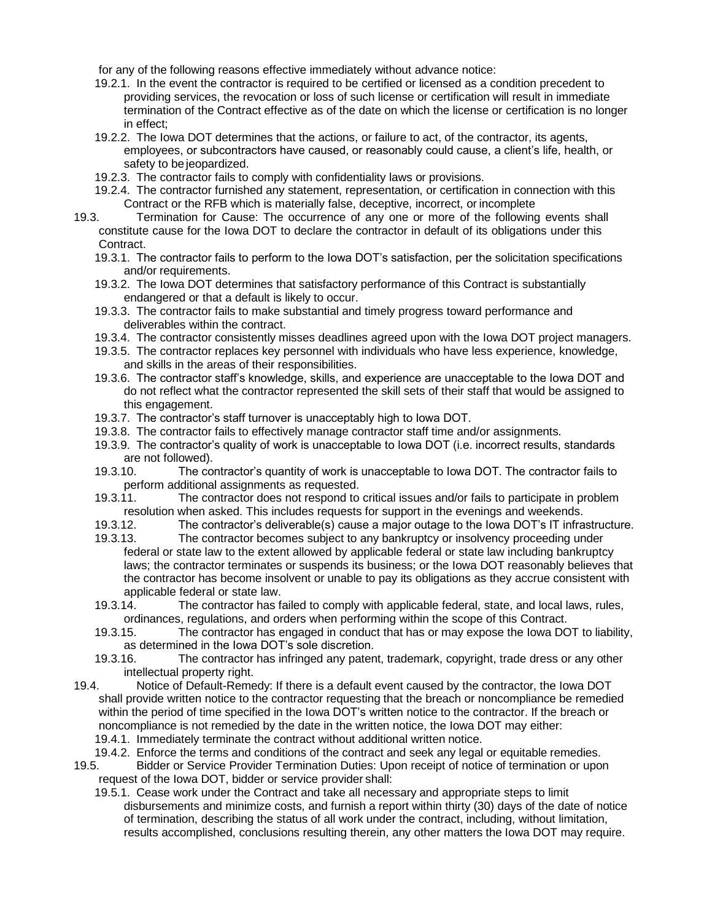for any of the following reasons effective immediately without advance notice:

- 19.2.1. In the event the contractor is required to be certified or licensed as a condition precedent to providing services, the revocation or loss of such license or certification will result in immediate termination of the Contract effective as of the date on which the license or certification is no longer in effect;
- 19.2.2. The Iowa DOT determines that the actions, or failure to act, of the contractor, its agents, employees, or subcontractors have caused, or reasonably could cause, a client's life, health, or safety to be jeopardized.
- 19.2.3. The contractor fails to comply with confidentiality laws or provisions.
- 19.2.4. The contractor furnished any statement, representation, or certification in connection with this Contract or the RFB which is materially false, deceptive, incorrect, or incomplete
- 19.3. Termination for Cause: The occurrence of any one or more of the following events shall constitute cause for the Iowa DOT to declare the contractor in default of its obligations under this Contract.
	- 19.3.1. The contractor fails to perform to the Iowa DOT's satisfaction, per the solicitation specifications and/or requirements.
	- 19.3.2. The Iowa DOT determines that satisfactory performance of this Contract is substantially endangered or that a default is likely to occur.
	- 19.3.3. The contractor fails to make substantial and timely progress toward performance and deliverables within the contract.
	- 19.3.4. The contractor consistently misses deadlines agreed upon with the Iowa DOT project managers.
	- 19.3.5. The contractor replaces key personnel with individuals who have less experience, knowledge, and skills in the areas of their responsibilities.
	- 19.3.6. The contractor staff's knowledge, skills, and experience are unacceptable to the Iowa DOT and do not reflect what the contractor represented the skill sets of their staff that would be assigned to this engagement.
	- 19.3.7. The contractor's staff turnover is unacceptably high to Iowa DOT.
	- 19.3.8. The contractor fails to effectively manage contractor staff time and/or assignments.
	- 19.3.9. The contractor's quality of work is unacceptable to Iowa DOT (i.e. incorrect results, standards are not followed).
	- 19.3.10. The contractor's quantity of work is unacceptable to Iowa DOT. The contractor fails to perform additional assignments as requested.
	- 19.3.11. The contractor does not respond to critical issues and/or fails to participate in problem resolution when asked. This includes requests for support in the evenings and weekends.
	- 19.3.12. The contractor's deliverable(s) cause a major outage to the Iowa DOT's IT infrastructure.
	- 19.3.13. The contractor becomes subject to any bankruptcy or insolvency proceeding under federal or state law to the extent allowed by applicable federal or state law including bankruptcy laws; the contractor terminates or suspends its business; or the Iowa DOT reasonably believes that the contractor has become insolvent or unable to pay its obligations as they accrue consistent with applicable federal or state law.
	- 19.3.14. The contractor has failed to comply with applicable federal, state, and local laws, rules, ordinances, regulations, and orders when performing within the scope of this Contract.
	- 19.3.15. The contractor has engaged in conduct that has or may expose the Iowa DOT to liability, as determined in the Iowa DOT's sole discretion.
	- 19.3.16. The contractor has infringed any patent, trademark, copyright, trade dress or any other intellectual property right.
- 19.4. Notice of Default-Remedy: If there is a default event caused by the contractor, the Iowa DOT shall provide written notice to the contractor requesting that the breach or noncompliance be remedied within the period of time specified in the Iowa DOT's written notice to the contractor. If the breach or noncompliance is not remedied by the date in the written notice, the Iowa DOT may either: 19.4.1. Immediately terminate the contract without additional written notice.
	- 19.4.2. Enforce the terms and conditions of the contract and seek any legal or equitable remedies.
- 19.5. Bidder or Service Provider Termination Duties: Upon receipt of notice of termination or upon request of the Iowa DOT, bidder or service provider shall:
	- 19.5.1. Cease work under the Contract and take all necessary and appropriate steps to limit disbursements and minimize costs, and furnish a report within thirty (30) days of the date of notice of termination, describing the status of all work under the contract, including, without limitation, results accomplished, conclusions resulting therein, any other matters the Iowa DOT may require.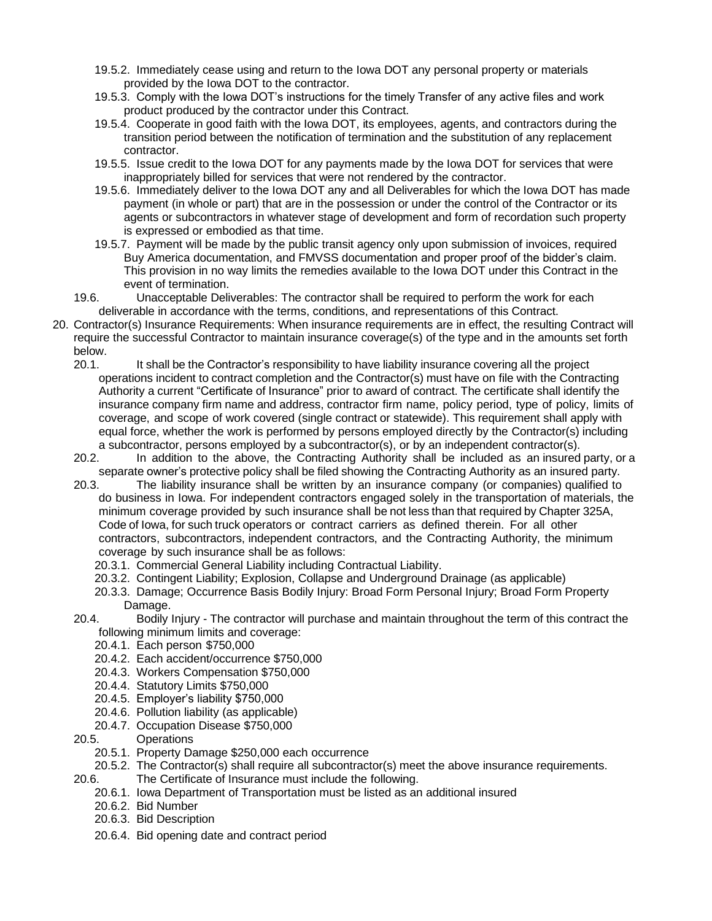- 19.5.2. Immediately cease using and return to the Iowa DOT any personal property or materials provided by the Iowa DOT to the contractor.
- 19.5.3. Comply with the Iowa DOT's instructions for the timely Transfer of any active files and work product produced by the contractor under this Contract.
- 19.5.4. Cooperate in good faith with the Iowa DOT, its employees, agents, and contractors during the transition period between the notification of termination and the substitution of any replacement contractor.
- 19.5.5. Issue credit to the Iowa DOT for any payments made by the Iowa DOT for services that were inappropriately billed for services that were not rendered by the contractor.
- 19.5.6. Immediately deliver to the Iowa DOT any and all Deliverables for which the Iowa DOT has made payment (in whole or part) that are in the possession or under the control of the Contractor or its agents or subcontractors in whatever stage of development and form of recordation such property is expressed or embodied as that time.
- 19.5.7. Payment will be made by the public transit agency only upon submission of invoices, required Buy America documentation, and FMVSS documentation and proper proof of the bidder's claim. This provision in no way limits the remedies available to the Iowa DOT under this Contract in the event of termination.
- 19.6. Unacceptable Deliverables: The contractor shall be required to perform the work for each deliverable in accordance with the terms, conditions, and representations of this Contract.
- 20. Contractor(s) Insurance Requirements: When insurance requirements are in effect, the resulting Contract will require the successful Contractor to maintain insurance coverage(s) of the type and in the amounts set forth below.
	- 20.1. It shall be the Contractor's responsibility to have liability insurance covering all the project operations incident to contract completion and the Contractor(s) must have on file with the Contracting Authority a current "Certificate of Insurance" prior to award of contract. The certificate shall identify the insurance company firm name and address, contractor firm name, policy period, type of policy, limits of coverage, and scope of work covered (single contract or statewide). This requirement shall apply with equal force, whether the work is performed by persons employed directly by the Contractor(s) including a subcontractor, persons employed by a subcontractor(s), or by an independent contractor(s).
	- 20.2. In addition to the above, the Contracting Authority shall be included as an insured party, or a separate owner's protective policy shall be filed showing the Contracting Authority as an insured party.
	- 20.3. The liability insurance shall be written by an insurance company (or companies) qualified to do business in Iowa. For independent contractors engaged solely in the transportation of materials, the minimum coverage provided by such insurance shall be not less than that required by Chapter 325A, Code of Iowa, for such truck operators or contract carriers as defined therein. For all other contractors, subcontractors, independent contractors, and the Contracting Authority, the minimum coverage by such insurance shall be as follows:
		- 20.3.1. Commercial General Liability including Contractual Liability.
		- 20.3.2. Contingent Liability; Explosion, Collapse and Underground Drainage (as applicable)
		- 20.3.3. Damage; Occurrence Basis Bodily Injury: Broad Form Personal Injury; Broad Form Property Damage.
	- 20.4. Bodily Injury The contractor will purchase and maintain throughout the term of this contract the following minimum limits and coverage:
		- 20.4.1. Each person \$750,000
		- 20.4.2. Each accident/occurrence \$750,000
		- 20.4.3. Workers Compensation \$750,000
		- 20.4.4. Statutory Limits \$750,000
		- 20.4.5. Employer's liability \$750,000
		- 20.4.6. Pollution liability (as applicable)
		- 20.4.7. Occupation Disease \$750,000
	- 20.5. Operations
		- 20.5.1. Property Damage \$250,000 each occurrence
		- 20.5.2. The Contractor(s) shall require all subcontractor(s) meet the above insurance requirements.
	- 20.6. The Certificate of Insurance must include the following.
		- 20.6.1. Iowa Department of Transportation must be listed as an additional insured
		- 20.6.2. Bid Number
		- 20.6.3. Bid Description
		- 20.6.4. Bid opening date and contract period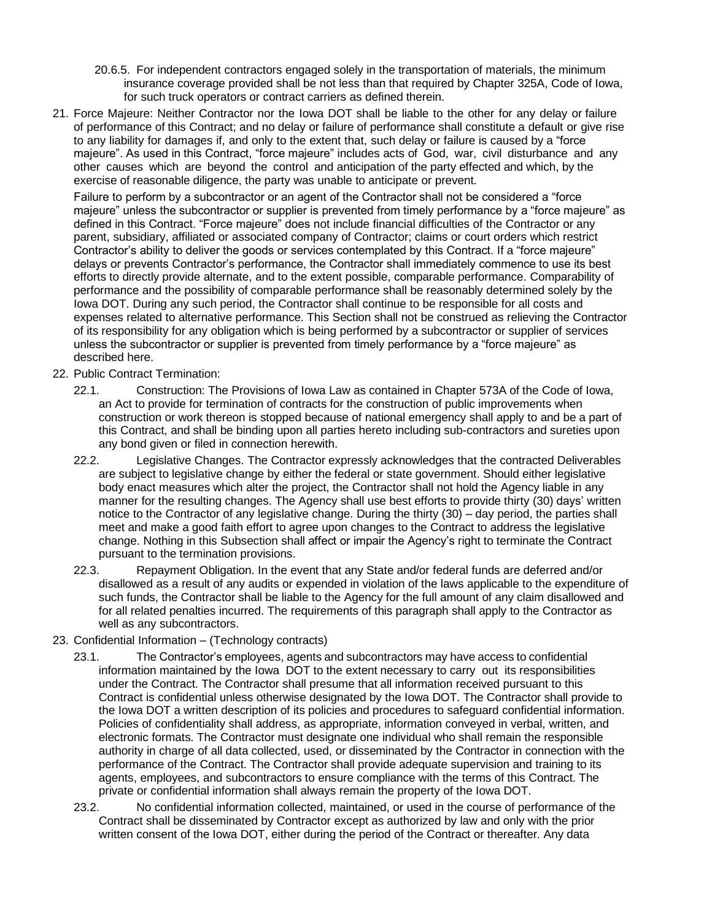- 20.6.5. For independent contractors engaged solely in the transportation of materials, the minimum insurance coverage provided shall be not less than that required by Chapter 325A, Code of Iowa, for such truck operators or contract carriers as defined therein.
- 21. Force Majeure: Neither Contractor nor the Iowa DOT shall be liable to the other for any delay or failure of performance of this Contract; and no delay or failure of performance shall constitute a default or give rise to any liability for damages if, and only to the extent that, such delay or failure is caused by a "force majeure". As used in this Contract, "force majeure" includes acts of God, war, civil disturbance and any other causes which are beyond the control and anticipation of the party effected and which, by the exercise of reasonable diligence, the party was unable to anticipate or prevent.

Failure to perform by a subcontractor or an agent of the Contractor shall not be considered a "force majeure" unless the subcontractor or supplier is prevented from timely performance by a "force majeure" as defined in this Contract. "Force majeure" does not include financial difficulties of the Contractor or any parent, subsidiary, affiliated or associated company of Contractor; claims or court orders which restrict Contractor's ability to deliver the goods or services contemplated by this Contract. If a "force majeure" delays or prevents Contractor's performance, the Contractor shall immediately commence to use its best efforts to directly provide alternate, and to the extent possible, comparable performance. Comparability of performance and the possibility of comparable performance shall be reasonably determined solely by the Iowa DOT. During any such period, the Contractor shall continue to be responsible for all costs and expenses related to alternative performance. This Section shall not be construed as relieving the Contractor of its responsibility for any obligation which is being performed by a subcontractor or supplier of services unless the subcontractor or supplier is prevented from timely performance by a "force majeure" as described here.

- 22. Public Contract Termination:
	- 22.1. Construction: The Provisions of Iowa Law as contained in Chapter 573A of the Code of Iowa, an Act to provide for termination of contracts for the construction of public improvements when construction or work thereon is stopped because of national emergency shall apply to and be a part of this Contract, and shall be binding upon all parties hereto including sub-contractors and sureties upon any bond given or filed in connection herewith.
	- 22.2. Legislative Changes. The Contractor expressly acknowledges that the contracted Deliverables are subject to legislative change by either the federal or state government. Should either legislative body enact measures which alter the project, the Contractor shall not hold the Agency liable in any manner for the resulting changes. The Agency shall use best efforts to provide thirty (30) days' written notice to the Contractor of any legislative change. During the thirty (30) – day period, the parties shall meet and make a good faith effort to agree upon changes to the Contract to address the legislative change. Nothing in this Subsection shall affect or impair the Agency's right to terminate the Contract pursuant to the termination provisions.
	- 22.3. Repayment Obligation. In the event that any State and/or federal funds are deferred and/or disallowed as a result of any audits or expended in violation of the laws applicable to the expenditure of such funds, the Contractor shall be liable to the Agency for the full amount of any claim disallowed and for all related penalties incurred. The requirements of this paragraph shall apply to the Contractor as well as any subcontractors.
- 23. Confidential Information (Technology contracts)
	- 23.1. The Contractor's employees, agents and subcontractors may have access to confidential information maintained by the Iowa DOT to the extent necessary to carry out its responsibilities under the Contract. The Contractor shall presume that all information received pursuant to this Contract is confidential unless otherwise designated by the Iowa DOT. The Contractor shall provide to the Iowa DOT a written description of its policies and procedures to safeguard confidential information. Policies of confidentiality shall address, as appropriate, information conveyed in verbal, written, and electronic formats. The Contractor must designate one individual who shall remain the responsible authority in charge of all data collected, used, or disseminated by the Contractor in connection with the performance of the Contract. The Contractor shall provide adequate supervision and training to its agents, employees, and subcontractors to ensure compliance with the terms of this Contract. The private or confidential information shall always remain the property of the Iowa DOT.
	- 23.2. No confidential information collected, maintained, or used in the course of performance of the Contract shall be disseminated by Contractor except as authorized by law and only with the prior written consent of the Iowa DOT, either during the period of the Contract or thereafter. Any data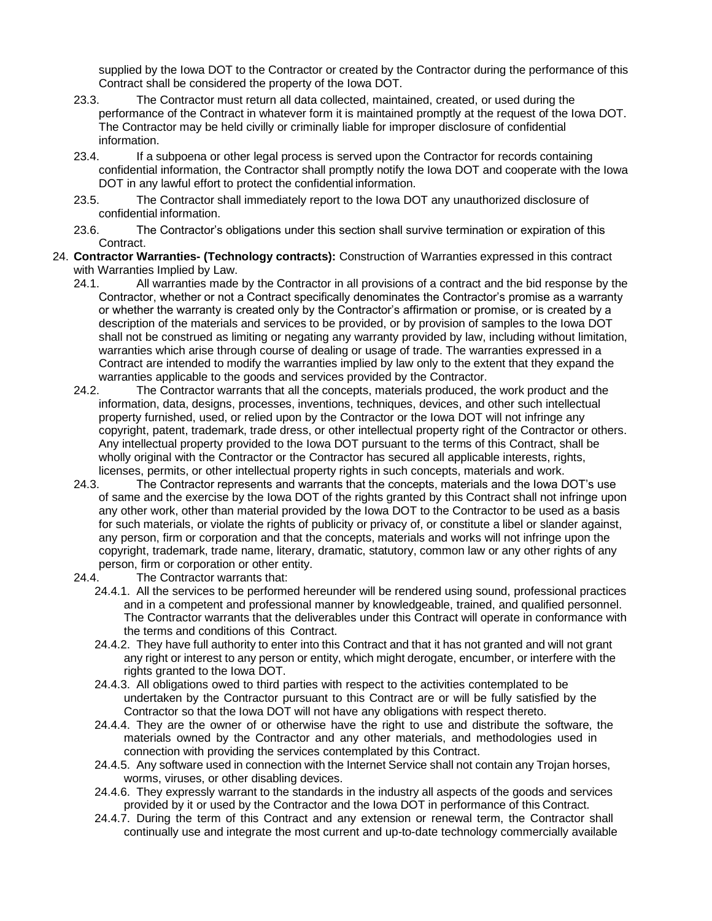supplied by the Iowa DOT to the Contractor or created by the Contractor during the performance of this Contract shall be considered the property of the Iowa DOT.

- 23.3. The Contractor must return all data collected, maintained, created, or used during the performance of the Contract in whatever form it is maintained promptly at the request of the Iowa DOT. The Contractor may be held civilly or criminally liable for improper disclosure of confidential information.
- 23.4. If a subpoena or other legal process is served upon the Contractor for records containing confidential information, the Contractor shall promptly notify the Iowa DOT and cooperate with the Iowa DOT in any lawful effort to protect the confidential information.
- 23.5. The Contractor shall immediately report to the Iowa DOT any unauthorized disclosure of confidential information.
- 23.6. The Contractor's obligations under this section shall survive termination or expiration of this Contract.
- 24. **Contractor Warranties- (Technology contracts):** Construction of Warranties expressed in this contract with Warranties Implied by Law.
	- 24.1. All warranties made by the Contractor in all provisions of a contract and the bid response by the Contractor, whether or not a Contract specifically denominates the Contractor's promise as a warranty or whether the warranty is created only by the Contractor's affirmation or promise, or is created by a description of the materials and services to be provided, or by provision of samples to the Iowa DOT shall not be construed as limiting or negating any warranty provided by law, including without limitation, warranties which arise through course of dealing or usage of trade. The warranties expressed in a Contract are intended to modify the warranties implied by law only to the extent that they expand the warranties applicable to the goods and services provided by the Contractor.
	- 24.2. The Contractor warrants that all the concepts, materials produced, the work product and the information, data, designs, processes, inventions, techniques, devices, and other such intellectual property furnished, used, or relied upon by the Contractor or the Iowa DOT will not infringe any copyright, patent, trademark, trade dress, or other intellectual property right of the Contractor or others. Any intellectual property provided to the Iowa DOT pursuant to the terms of this Contract, shall be wholly original with the Contractor or the Contractor has secured all applicable interests, rights, licenses, permits, or other intellectual property rights in such concepts, materials and work.
	- 24.3. The Contractor represents and warrants that the concepts, materials and the Iowa DOT's use of same and the exercise by the Iowa DOT of the rights granted by this Contract shall not infringe upon any other work, other than material provided by the Iowa DOT to the Contractor to be used as a basis for such materials, or violate the rights of publicity or privacy of, or constitute a libel or slander against, any person, firm or corporation and that the concepts, materials and works will not infringe upon the copyright, trademark, trade name, literary, dramatic, statutory, common law or any other rights of any person, firm or corporation or other entity.
	- 24.4. The Contractor warrants that:
		- 24.4.1. All the services to be performed hereunder will be rendered using sound, professional practices and in a competent and professional manner by knowledgeable, trained, and qualified personnel. The Contractor warrants that the deliverables under this Contract will operate in conformance with the terms and conditions of this Contract.
		- 24.4.2. They have full authority to enter into this Contract and that it has not granted and will not grant any right or interest to any person or entity, which might derogate, encumber, or interfere with the rights granted to the Iowa DOT.
		- 24.4.3. All obligations owed to third parties with respect to the activities contemplated to be undertaken by the Contractor pursuant to this Contract are or will be fully satisfied by the Contractor so that the Iowa DOT will not have any obligations with respect thereto.
		- 24.4.4. They are the owner of or otherwise have the right to use and distribute the software, the materials owned by the Contractor and any other materials, and methodologies used in connection with providing the services contemplated by this Contract.
		- 24.4.5. Any software used in connection with the Internet Service shall not contain any Trojan horses, worms, viruses, or other disabling devices.
		- 24.4.6. They expressly warrant to the standards in the industry all aspects of the goods and services provided by it or used by the Contractor and the Iowa DOT in performance of this Contract.
		- 24.4.7. During the term of this Contract and any extension or renewal term, the Contractor shall continually use and integrate the most current and up-to-date technology commercially available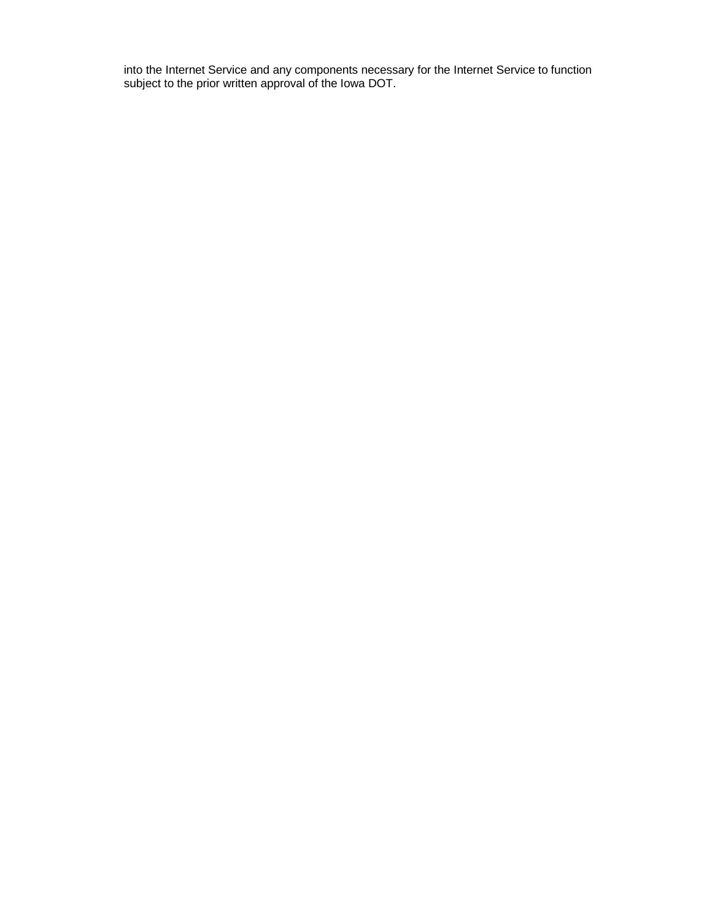into the Internet Service and any components necessary for the Internet Service to function subject to the prior written approval of the Iowa DOT.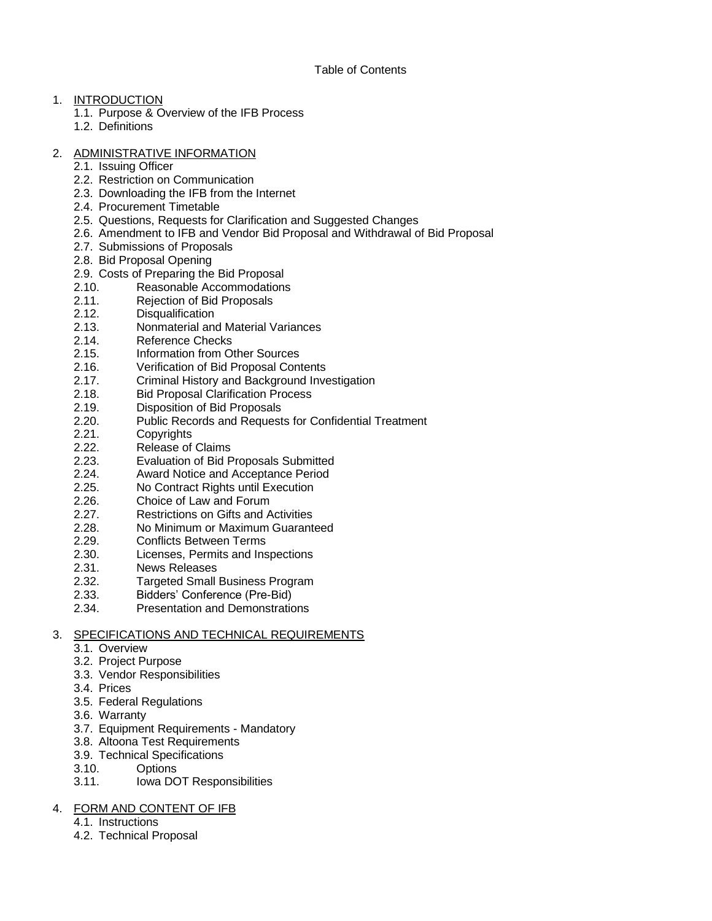# 1. INTRODUCTION

- 1.1. Purpose & Overview of the IFB Process
- 1.2. Definitions

# 2. ADMINISTRATIVE INFORMATION

- 2.1. Issuing Officer
- 2.2. Restriction on Communication
- 2.3. Downloading the IFB from the Internet
- 2.4. Procurement Timetable
- 2.5. Questions, Requests for Clarification and Suggested Changes
- 2.6. Amendment to IFB and Vendor Bid Proposal and Withdrawal of Bid Proposal
- 2.7. Submissions of Proposals
- 2.8. Bid Proposal Opening
- 2.9. Costs of Preparing the Bid Proposal<br>2.10. Reasonable Accommodations
- Reasonable Accommodations
- 2.11. Rejection of Bid Proposals
- 2.12. Disqualification
- 2.13. Nonmaterial and Material Variances
- 2.14. Reference Checks
- 2.15. Information from Other Sources
- 2.16. Verification of Bid Proposal Contents
- 2.17. Criminal History and Background Investigation
- 2.18. Bid Proposal Clarification Process
- 2.19. Disposition of Bid Proposals
- 2.20. Public Records and Requests for Confidential Treatment
- 2.21. Copyrights
- 2.22. Release of Claims
- 2.23. Evaluation of Bid Proposals Submitted
- 2.24. Award Notice and Acceptance Period
- 2.25. No Contract Rights until Execution
- 2.26. Choice of Law and Forum
- 2.27. Restrictions on Gifts and Activities
- 2.28. No Minimum or Maximum Guaranteed
- 2.29. Conflicts Between Terms
- 2.30. Licenses, Permits and Inspections
- 2.31. News Releases
- 2.32. Targeted Small Business Program
- 2.33. Bidders' Conference (Pre-Bid)
- 2.34. Presentation and Demonstrations

# 3. SPECIFICATIONS AND TECHNICAL REQUIREMENTS

- 3.1. Overview
- 3.2. Project Purpose
- 3.3. Vendor Responsibilities
- 3.4. Prices
- 3.5. Federal Regulations
- 3.6. Warranty
- 3.7. Equipment Requirements Mandatory
- 3.8. Altoona Test Requirements
- 3.9. Technical Specifications
- 3.10. Options
- 3.11. Iowa DOT Responsibilities

# 4. FORM AND CONTENT OF IFB

- 4.1. Instructions
- 4.2. Technical Proposal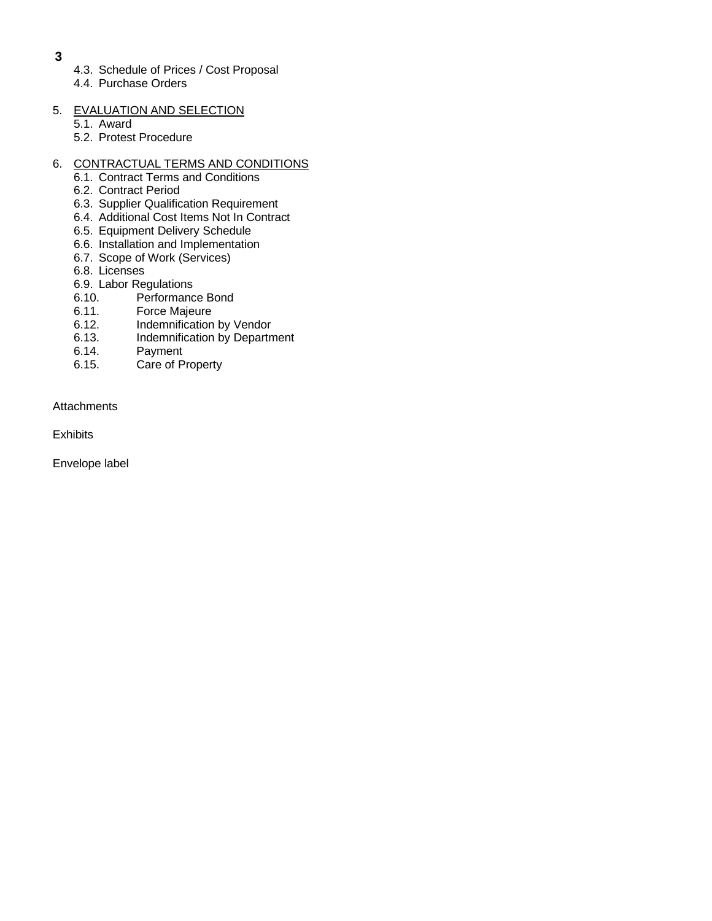- **3**
- 4.3. Schedule of Prices / Cost Proposal
- 4.4. Purchase Orders
- 5. EVALUATION AND SELECTION
	- 5.1. Award
	- 5.2. Protest Procedure

# 6. CONTRACTUAL TERMS AND CONDITIONS

- 6.1. Contract Terms and Conditions
- 6.2. Contract Period
- 6.3. Supplier Qualification Requirement
- 6.4. Additional Cost Items Not In Contract
- 6.5. Equipment Delivery Schedule
- 6.6. Installation and Implementation
- 6.7. Scope of Work (Services)
- 6.8. Licenses
- 6.9. Labor Regulations
- 6.10. Performance Bond
- 6.11. Force Majeure
- 6.12. Indemnification by Vendor
- 6.13. Indemnification by Department
- 6.14. Payment
- 6.15. Care of Property

## **Attachments**

**Exhibits** 

Envelope label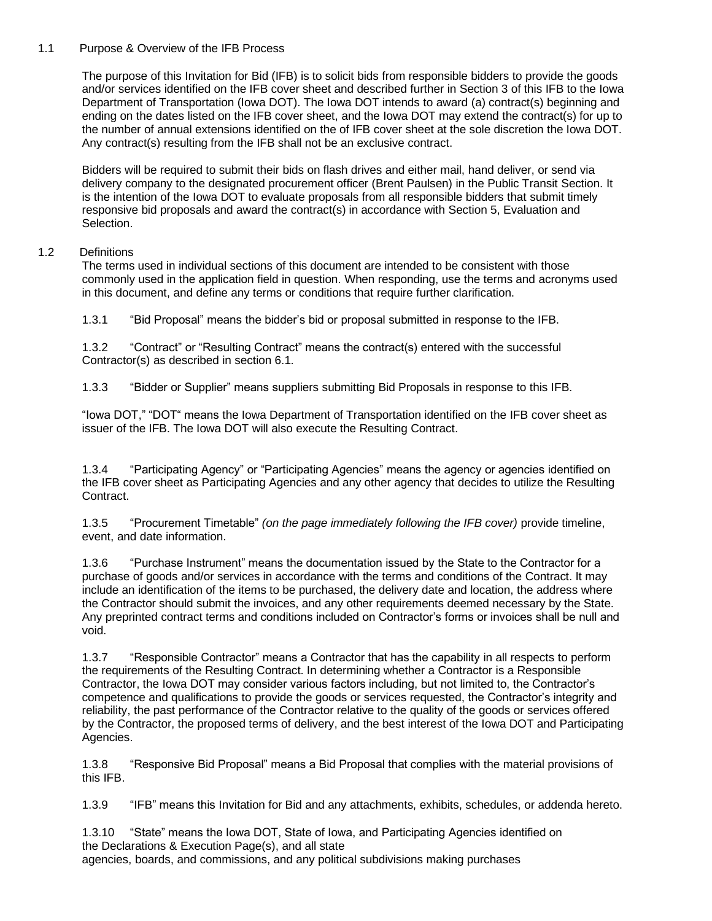# 1.1 Purpose & Overview of the IFB Process

The purpose of this Invitation for Bid (IFB) is to solicit bids from responsible bidders to provide the goods and/or services identified on the IFB cover sheet and described further in Section 3 of this IFB to the Iowa Department of Transportation (Iowa DOT). The Iowa DOT intends to award (a) contract(s) beginning and ending on the dates listed on the IFB cover sheet, and the Iowa DOT may extend the contract(s) for up to the number of annual extensions identified on the of IFB cover sheet at the sole discretion the Iowa DOT. Any contract(s) resulting from the IFB shall not be an exclusive contract.

Bidders will be required to submit their bids on flash drives and either mail, hand deliver, or send via delivery company to the designated procurement officer (Brent Paulsen) in the Public Transit Section. It is the intention of the Iowa DOT to evaluate proposals from all responsible bidders that submit timely responsive bid proposals and award the contract(s) in accordance with Section 5, Evaluation and Selection.

## 1.2 Definitions

The terms used in individual sections of this document are intended to be consistent with those commonly used in the application field in question. When responding, use the terms and acronyms used in this document, and define any terms or conditions that require further clarification.

1.3.1 "Bid Proposal" means the bidder's bid or proposal submitted in response to the IFB.

1.3.2 "Contract" or "Resulting Contract" means the contract(s) entered with the successful Contractor(s) as described in section 6.1.

1.3.3 "Bidder or Supplier" means suppliers submitting Bid Proposals in response to this IFB.

"Iowa DOT," "DOT" means the Iowa Department of Transportation identified on the IFB cover sheet as issuer of the IFB. The Iowa DOT will also execute the Resulting Contract.

1.3.4 "Participating Agency" or "Participating Agencies" means the agency or agencies identified on the IFB cover sheet as Participating Agencies and any other agency that decides to utilize the Resulting Contract.

1.3.5 "Procurement Timetable" *(on the page immediately following the IFB cover)* provide timeline, event, and date information.

1.3.6 "Purchase Instrument" means the documentation issued by the State to the Contractor for a purchase of goods and/or services in accordance with the terms and conditions of the Contract. It may include an identification of the items to be purchased, the delivery date and location, the address where the Contractor should submit the invoices, and any other requirements deemed necessary by the State. Any preprinted contract terms and conditions included on Contractor's forms or invoices shall be null and void.

1.3.7 "Responsible Contractor" means a Contractor that has the capability in all respects to perform the requirements of the Resulting Contract. In determining whether a Contractor is a Responsible Contractor, the Iowa DOT may consider various factors including, but not limited to, the Contractor's competence and qualifications to provide the goods or services requested, the Contractor's integrity and reliability, the past performance of the Contractor relative to the quality of the goods or services offered by the Contractor, the proposed terms of delivery, and the best interest of the Iowa DOT and Participating Agencies.

1.3.8 "Responsive Bid Proposal" means a Bid Proposal that complies with the material provisions of this IFB.

1.3.9 "IFB" means this Invitation for Bid and any attachments, exhibits, schedules, or addenda hereto.

1.3.10 "State" means the Iowa DOT, State of Iowa, and Participating Agencies identified on the Declarations & Execution Page(s), and all state agencies, boards, and commissions, and any political subdivisions making purchases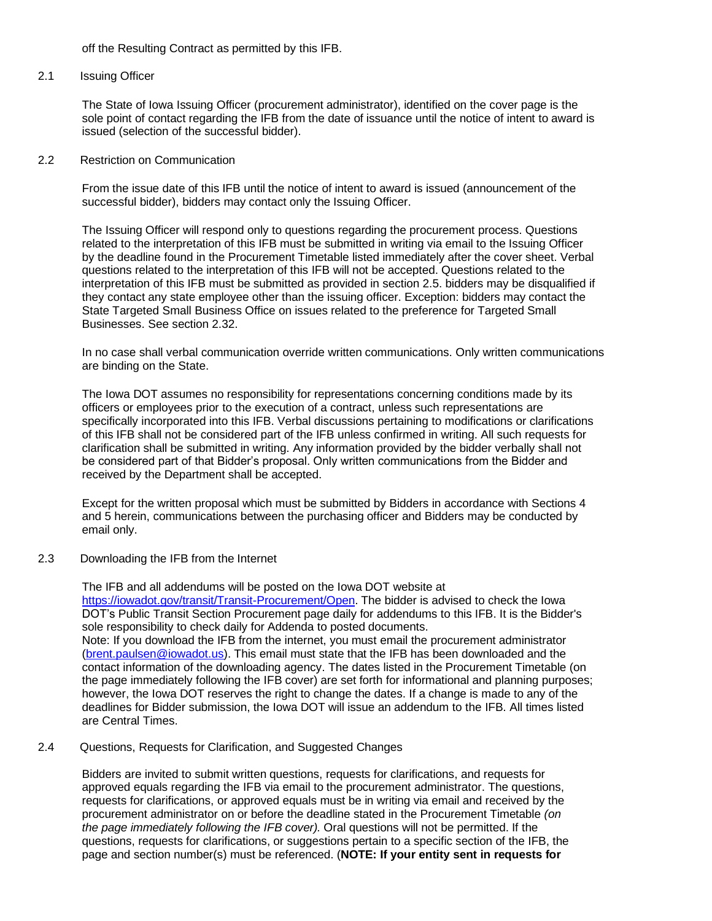off the Resulting Contract as permitted by this IFB.

#### 2.1 Issuing Officer

The State of Iowa Issuing Officer (procurement administrator), identified on the cover page is the sole point of contact regarding the IFB from the date of issuance until the notice of intent to award is issued (selection of the successful bidder).

#### 2.2 Restriction on Communication

From the issue date of this IFB until the notice of intent to award is issued (announcement of the successful bidder), bidders may contact only the Issuing Officer.

The Issuing Officer will respond only to questions regarding the procurement process. Questions related to the interpretation of this IFB must be submitted in writing via email to the Issuing Officer by the deadline found in the Procurement Timetable listed immediately after the cover sheet. Verbal questions related to the interpretation of this IFB will not be accepted. Questions related to the interpretation of this IFB must be submitted as provided in section 2.5. bidders may be disqualified if they contact any state employee other than the issuing officer. Exception: bidders may contact the State Targeted Small Business Office on issues related to the preference for Targeted Small Businesses. See section 2.32.

In no case shall verbal communication override written communications. Only written communications are binding on the State.

The Iowa DOT assumes no responsibility for representations concerning conditions made by its officers or employees prior to the execution of a contract, unless such representations are specifically incorporated into this IFB. Verbal discussions pertaining to modifications or clarifications of this IFB shall not be considered part of the IFB unless confirmed in writing. All such requests for clarification shall be submitted in writing. Any information provided by the bidder verbally shall not be considered part of that Bidder's proposal. Only written communications from the Bidder and received by the Department shall be accepted.

Except for the written proposal which must be submitted by Bidders in accordance with Sections 4 and 5 herein, communications between the purchasing officer and Bidders may be conducted by email only.

2.3 Downloading the IFB from the Internet

The IFB and all addendums will be posted on the Iowa DOT website at [https://iowadot.gov/transit/Transit-Procurement/Open.](https://iowadot.gov/transit/Transit-Procurement/Open) The bidder is advised to check the Iowa DOT's Public Transit Section Procurement page daily for addendums to this IFB. It is the Bidder's sole responsibility to check daily for Addenda to posted documents. Note: If you download the IFB from the internet, you must email the procurement administrator [\(brent.paulsen@iowadot.us\)](mailto:brent.paulsen@iowadot.us). This email must state that the IFB has been downloaded and the contact information of the downloading agency. The dates listed in the Procurement Timetable (on the page immediately following the IFB cover) are set forth for informational and planning purposes; however, the Iowa DOT reserves the right to change the dates. If a change is made to any of the deadlines for Bidder submission, the Iowa DOT will issue an addendum to the IFB. All times listed are Central Times.

# 2.4 Questions, Requests for Clarification, and Suggested Changes

Bidders are invited to submit written questions, requests for clarifications, and requests for approved equals regarding the IFB via email to the procurement administrator. The questions, requests for clarifications, or approved equals must be in writing via email and received by the procurement administrator on or before the deadline stated in the Procurement Timetable *(on the page immediately following the IFB cover).* Oral questions will not be permitted. If the questions, requests for clarifications, or suggestions pertain to a specific section of the IFB, the page and section number(s) must be referenced. (**NOTE: If your entity sent in requests for**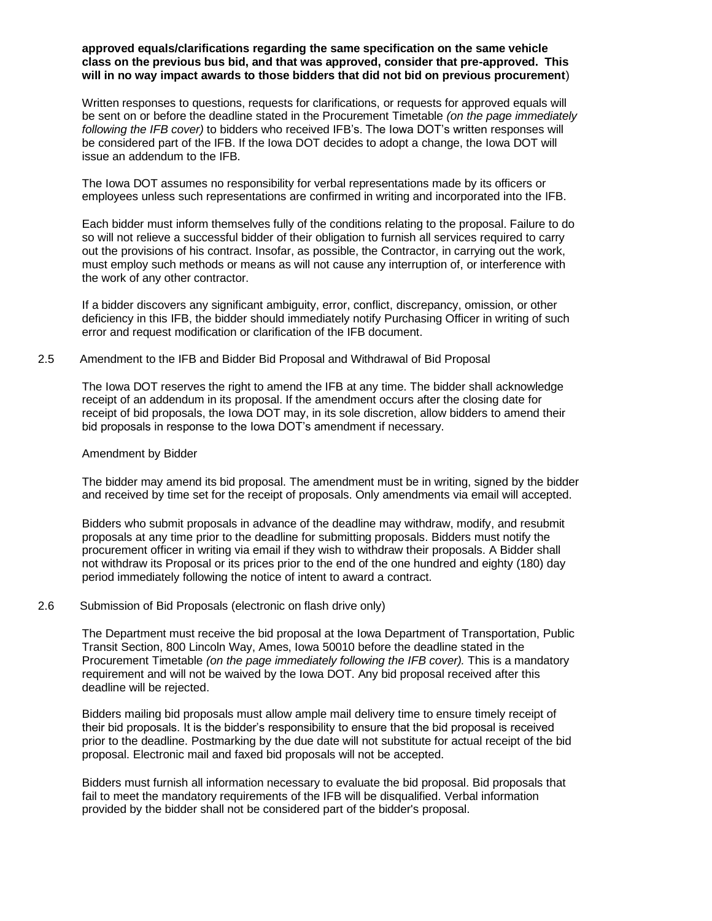#### **approved equals/clarifications regarding the same specification on the same vehicle class on the previous bus bid, and that was approved, consider that pre-approved. This will in no way impact awards to those bidders that did not bid on previous procurement**)

Written responses to questions, requests for clarifications, or requests for approved equals will be sent on or before the deadline stated in the Procurement Timetable *(on the page immediately following the IFB cover)* to bidders who received IFB's. The Iowa DOT's written responses will be considered part of the IFB. If the Iowa DOT decides to adopt a change, the Iowa DOT will issue an addendum to the IFB.

The Iowa DOT assumes no responsibility for verbal representations made by its officers or employees unless such representations are confirmed in writing and incorporated into the IFB.

Each bidder must inform themselves fully of the conditions relating to the proposal. Failure to do so will not relieve a successful bidder of their obligation to furnish all services required to carry out the provisions of his contract. Insofar, as possible, the Contractor, in carrying out the work, must employ such methods or means as will not cause any interruption of, or interference with the work of any other contractor.

If a bidder discovers any significant ambiguity, error, conflict, discrepancy, omission, or other deficiency in this IFB, the bidder should immediately notify Purchasing Officer in writing of such error and request modification or clarification of the IFB document.

#### 2.5 Amendment to the IFB and Bidder Bid Proposal and Withdrawal of Bid Proposal

The Iowa DOT reserves the right to amend the IFB at any time. The bidder shall acknowledge receipt of an addendum in its proposal. If the amendment occurs after the closing date for receipt of bid proposals, the Iowa DOT may, in its sole discretion, allow bidders to amend their bid proposals in response to the Iowa DOT's amendment if necessary.

#### Amendment by Bidder

The bidder may amend its bid proposal. The amendment must be in writing, signed by the bidder and received by time set for the receipt of proposals. Only amendments via email will accepted.

Bidders who submit proposals in advance of the deadline may withdraw, modify, and resubmit proposals at any time prior to the deadline for submitting proposals. Bidders must notify the procurement officer in writing via email if they wish to withdraw their proposals. A Bidder shall not withdraw its Proposal or its prices prior to the end of the one hundred and eighty (180) day period immediately following the notice of intent to award a contract.

#### 2.6 Submission of Bid Proposals (electronic on flash drive only)

The Department must receive the bid proposal at the Iowa Department of Transportation, Public Transit Section, 800 Lincoln Way, Ames, Iowa 50010 before the deadline stated in the Procurement Timetable *(on the page immediately following the IFB cover).* This is a mandatory requirement and will not be waived by the Iowa DOT. Any bid proposal received after this deadline will be rejected.

Bidders mailing bid proposals must allow ample mail delivery time to ensure timely receipt of their bid proposals. It is the bidder's responsibility to ensure that the bid proposal is received prior to the deadline. Postmarking by the due date will not substitute for actual receipt of the bid proposal. Electronic mail and faxed bid proposals will not be accepted.

Bidders must furnish all information necessary to evaluate the bid proposal. Bid proposals that fail to meet the mandatory requirements of the IFB will be disqualified. Verbal information provided by the bidder shall not be considered part of the bidder's proposal.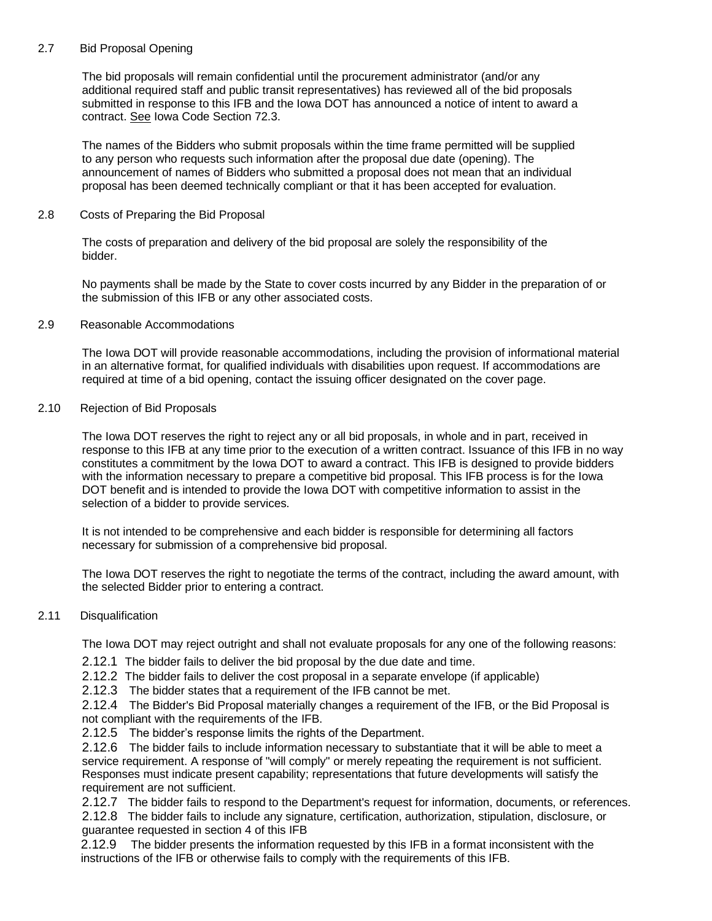# 2.7 Bid Proposal Opening

The bid proposals will remain confidential until the procurement administrator (and/or any additional required staff and public transit representatives) has reviewed all of the bid proposals submitted in response to this IFB and the Iowa DOT has announced a notice of intent to award a contract. See Iowa Code Section 72.3.

The names of the Bidders who submit proposals within the time frame permitted will be supplied to any person who requests such information after the proposal due date (opening). The announcement of names of Bidders who submitted a proposal does not mean that an individual proposal has been deemed technically compliant or that it has been accepted for evaluation.

### 2.8 Costs of Preparing the Bid Proposal

The costs of preparation and delivery of the bid proposal are solely the responsibility of the bidder.

No payments shall be made by the State to cover costs incurred by any Bidder in the preparation of or the submission of this IFB or any other associated costs.

#### 2.9 Reasonable Accommodations

The Iowa DOT will provide reasonable accommodations, including the provision of informational material in an alternative format, for qualified individuals with disabilities upon request. If accommodations are required at time of a bid opening, contact the issuing officer designated on the cover page.

## 2.10 Rejection of Bid Proposals

The Iowa DOT reserves the right to reject any or all bid proposals, in whole and in part, received in response to this IFB at any time prior to the execution of a written contract. Issuance of this IFB in no way constitutes a commitment by the Iowa DOT to award a contract. This IFB is designed to provide bidders with the information necessary to prepare a competitive bid proposal. This IFB process is for the Iowa DOT benefit and is intended to provide the Iowa DOT with competitive information to assist in the selection of a bidder to provide services.

It is not intended to be comprehensive and each bidder is responsible for determining all factors necessary for submission of a comprehensive bid proposal.

The Iowa DOT reserves the right to negotiate the terms of the contract, including the award amount, with the selected Bidder prior to entering a contract.

#### 2.11 Disqualification

The Iowa DOT may reject outright and shall not evaluate proposals for any one of the following reasons:

2.12.1 The bidder fails to deliver the bid proposal by the due date and time.

2.12.2 The bidder fails to deliver the cost proposal in a separate envelope (if applicable)

2.12.3 The bidder states that a requirement of the IFB cannot be met.

2.12.4 The Bidder's Bid Proposal materially changes a requirement of the IFB, or the Bid Proposal is not compliant with the requirements of the IFB.

2.12.5 The bidder's response limits the rights of the Department.

2.12.6 The bidder fails to include information necessary to substantiate that it will be able to meet a service requirement. A response of "will comply" or merely repeating the requirement is not sufficient. Responses must indicate present capability; representations that future developments will satisfy the requirement are not sufficient.

2.12.7 The bidder fails to respond to the Department's request for information, documents, or references. 2.12.8 The bidder fails to include any signature, certification, authorization, stipulation, disclosure, or guarantee requested in section 4 of this IFB

2.12.9 The bidder presents the information requested by this IFB in a format inconsistent with the instructions of the IFB or otherwise fails to comply with the requirements of this IFB.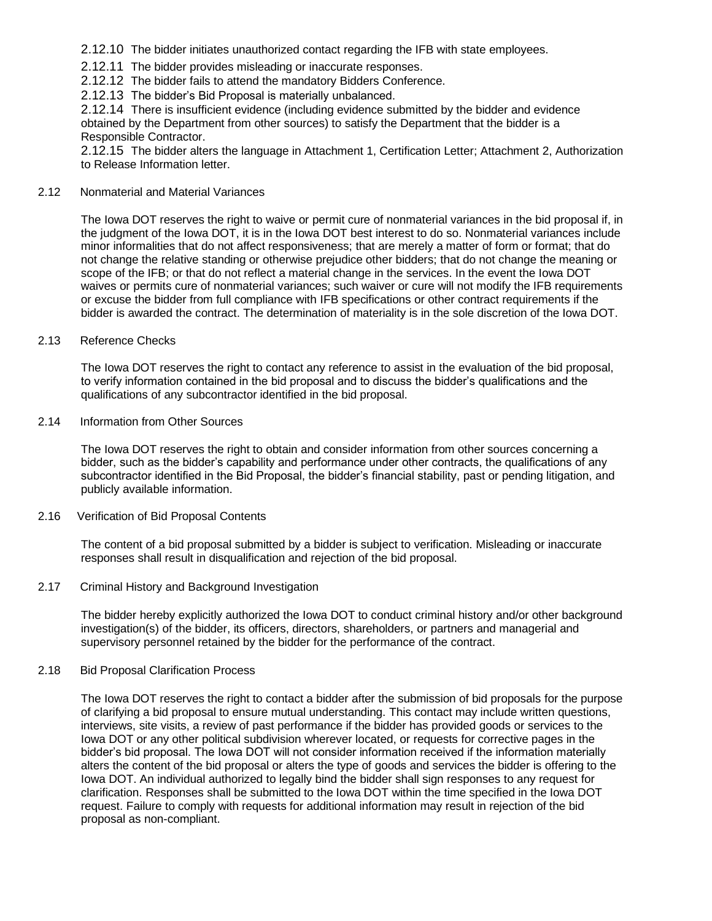- 2.12.10 The bidder initiates unauthorized contact regarding the IFB with state employees.
- 2.12.11 The bidder provides misleading or inaccurate responses.
- 2.12.12 The bidder fails to attend the mandatory Bidders Conference.
- 2.12.13 The bidder's Bid Proposal is materially unbalanced.

2.12.14 There is insufficient evidence (including evidence submitted by the bidder and evidence obtained by the Department from other sources) to satisfy the Department that the bidder is a Responsible Contractor.

2.12.15 The bidder alters the language in Attachment 1, Certification Letter; Attachment 2, Authorization to Release Information letter.

## 2.12 Nonmaterial and Material Variances

The Iowa DOT reserves the right to waive or permit cure of nonmaterial variances in the bid proposal if, in the judgment of the Iowa DOT, it is in the Iowa DOT best interest to do so. Nonmaterial variances include minor informalities that do not affect responsiveness; that are merely a matter of form or format; that do not change the relative standing or otherwise prejudice other bidders; that do not change the meaning or scope of the IFB; or that do not reflect a material change in the services. In the event the Iowa DOT waives or permits cure of nonmaterial variances; such waiver or cure will not modify the IFB requirements or excuse the bidder from full compliance with IFB specifications or other contract requirements if the bidder is awarded the contract. The determination of materiality is in the sole discretion of the Iowa DOT.

#### 2.13 Reference Checks

The Iowa DOT reserves the right to contact any reference to assist in the evaluation of the bid proposal, to verify information contained in the bid proposal and to discuss the bidder's qualifications and the qualifications of any subcontractor identified in the bid proposal.

### 2.14 Information from Other Sources

The Iowa DOT reserves the right to obtain and consider information from other sources concerning a bidder, such as the bidder's capability and performance under other contracts, the qualifications of any subcontractor identified in the Bid Proposal, the bidder's financial stability, past or pending litigation, and publicly available information.

#### 2.16 Verification of Bid Proposal Contents

The content of a bid proposal submitted by a bidder is subject to verification. Misleading or inaccurate responses shall result in disqualification and rejection of the bid proposal.

#### 2.17 Criminal History and Background Investigation

The bidder hereby explicitly authorized the Iowa DOT to conduct criminal history and/or other background investigation(s) of the bidder, its officers, directors, shareholders, or partners and managerial and supervisory personnel retained by the bidder for the performance of the contract.

#### 2.18 Bid Proposal Clarification Process

The Iowa DOT reserves the right to contact a bidder after the submission of bid proposals for the purpose of clarifying a bid proposal to ensure mutual understanding. This contact may include written questions, interviews, site visits, a review of past performance if the bidder has provided goods or services to the Iowa DOT or any other political subdivision wherever located, or requests for corrective pages in the bidder's bid proposal. The Iowa DOT will not consider information received if the information materially alters the content of the bid proposal or alters the type of goods and services the bidder is offering to the Iowa DOT. An individual authorized to legally bind the bidder shall sign responses to any request for clarification. Responses shall be submitted to the Iowa DOT within the time specified in the Iowa DOT request. Failure to comply with requests for additional information may result in rejection of the bid proposal as non-compliant.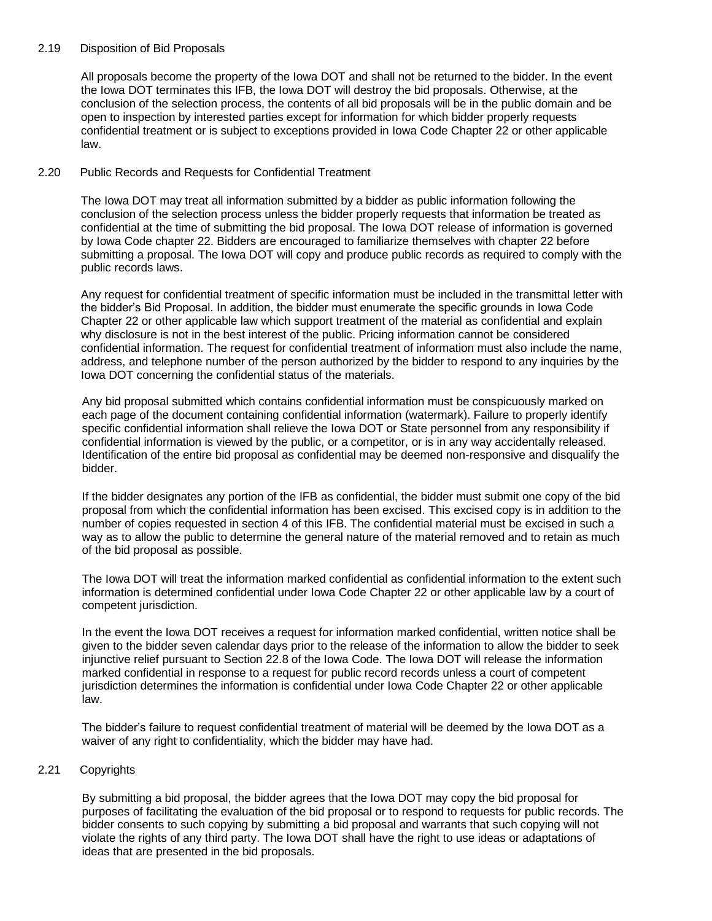### 2.19 Disposition of Bid Proposals

All proposals become the property of the Iowa DOT and shall not be returned to the bidder. In the event the Iowa DOT terminates this IFB, the Iowa DOT will destroy the bid proposals. Otherwise, at the conclusion of the selection process, the contents of all bid proposals will be in the public domain and be open to inspection by interested parties except for information for which bidder properly requests confidential treatment or is subject to exceptions provided in Iowa Code Chapter 22 or other applicable law.

# 2.20 Public Records and Requests for Confidential Treatment

The Iowa DOT may treat all information submitted by a bidder as public information following the conclusion of the selection process unless the bidder properly requests that information be treated as confidential at the time of submitting the bid proposal. The Iowa DOT release of information is governed by Iowa Code chapter 22. Bidders are encouraged to familiarize themselves with chapter 22 before submitting a proposal. The Iowa DOT will copy and produce public records as required to comply with the public records laws.

Any request for confidential treatment of specific information must be included in the transmittal letter with the bidder's Bid Proposal. In addition, the bidder must enumerate the specific grounds in Iowa Code Chapter 22 or other applicable law which support treatment of the material as confidential and explain why disclosure is not in the best interest of the public. Pricing information cannot be considered confidential information. The request for confidential treatment of information must also include the name, address, and telephone number of the person authorized by the bidder to respond to any inquiries by the Iowa DOT concerning the confidential status of the materials.

Any bid proposal submitted which contains confidential information must be conspicuously marked on each page of the document containing confidential information (watermark). Failure to properly identify specific confidential information shall relieve the Iowa DOT or State personnel from any responsibility if confidential information is viewed by the public, or a competitor, or is in any way accidentally released. Identification of the entire bid proposal as confidential may be deemed non-responsive and disqualify the bidder.

If the bidder designates any portion of the IFB as confidential, the bidder must submit one copy of the bid proposal from which the confidential information has been excised. This excised copy is in addition to the number of copies requested in section 4 of this IFB. The confidential material must be excised in such a way as to allow the public to determine the general nature of the material removed and to retain as much of the bid proposal as possible.

The Iowa DOT will treat the information marked confidential as confidential information to the extent such information is determined confidential under Iowa Code Chapter 22 or other applicable law by a court of competent jurisdiction.

In the event the Iowa DOT receives a request for information marked confidential, written notice shall be given to the bidder seven calendar days prior to the release of the information to allow the bidder to seek injunctive relief pursuant to Section 22.8 of the Iowa Code. The Iowa DOT will release the information marked confidential in response to a request for public record records unless a court of competent jurisdiction determines the information is confidential under Iowa Code Chapter 22 or other applicable law.

The bidder's failure to request confidential treatment of material will be deemed by the Iowa DOT as a waiver of any right to confidentiality, which the bidder may have had.

#### 2.21 Copyrights

By submitting a bid proposal, the bidder agrees that the Iowa DOT may copy the bid proposal for purposes of facilitating the evaluation of the bid proposal or to respond to requests for public records. The bidder consents to such copying by submitting a bid proposal and warrants that such copying will not violate the rights of any third party. The Iowa DOT shall have the right to use ideas or adaptations of ideas that are presented in the bid proposals.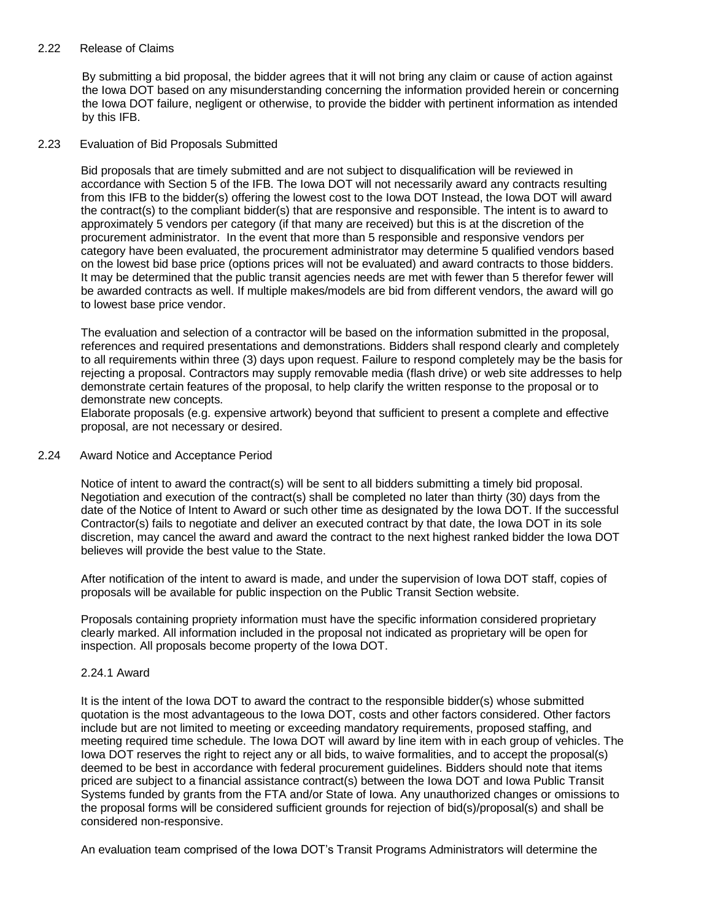#### 2.22 Release of Claims

By submitting a bid proposal, the bidder agrees that it will not bring any claim or cause of action against the Iowa DOT based on any misunderstanding concerning the information provided herein or concerning the Iowa DOT failure, negligent or otherwise, to provide the bidder with pertinent information as intended by this IFB.

#### 2.23 Evaluation of Bid Proposals Submitted

Bid proposals that are timely submitted and are not subject to disqualification will be reviewed in accordance with Section 5 of the IFB. The Iowa DOT will not necessarily award any contracts resulting from this IFB to the bidder(s) offering the lowest cost to the Iowa DOT Instead, the Iowa DOT will award the contract(s) to the compliant bidder(s) that are responsive and responsible. The intent is to award to approximately 5 vendors per category (if that many are received) but this is at the discretion of the procurement administrator. In the event that more than 5 responsible and responsive vendors per category have been evaluated, the procurement administrator may determine 5 qualified vendors based on the lowest bid base price (options prices will not be evaluated) and award contracts to those bidders. It may be determined that the public transit agencies needs are met with fewer than 5 therefor fewer will be awarded contracts as well. If multiple makes/models are bid from different vendors, the award will go to lowest base price vendor.

The evaluation and selection of a contractor will be based on the information submitted in the proposal, references and required presentations and demonstrations. Bidders shall respond clearly and completely to all requirements within three (3) days upon request. Failure to respond completely may be the basis for rejecting a proposal. Contractors may supply removable media (flash drive) or web site addresses to help demonstrate certain features of the proposal, to help clarify the written response to the proposal or to demonstrate new concepts.

Elaborate proposals (e.g. expensive artwork) beyond that sufficient to present a complete and effective proposal, are not necessary or desired.

#### 2.24 Award Notice and Acceptance Period

Notice of intent to award the contract(s) will be sent to all bidders submitting a timely bid proposal. Negotiation and execution of the contract(s) shall be completed no later than thirty (30) days from the date of the Notice of Intent to Award or such other time as designated by the Iowa DOT. If the successful Contractor(s) fails to negotiate and deliver an executed contract by that date, the Iowa DOT in its sole discretion, may cancel the award and award the contract to the next highest ranked bidder the Iowa DOT believes will provide the best value to the State.

After notification of the intent to award is made, and under the supervision of Iowa DOT staff, copies of proposals will be available for public inspection on the Public Transit Section website.

Proposals containing propriety information must have the specific information considered proprietary clearly marked. All information included in the proposal not indicated as proprietary will be open for inspection. All proposals become property of the Iowa DOT.

#### 2.24.1 Award

It is the intent of the Iowa DOT to award the contract to the responsible bidder(s) whose submitted quotation is the most advantageous to the Iowa DOT, costs and other factors considered. Other factors include but are not limited to meeting or exceeding mandatory requirements, proposed staffing, and meeting required time schedule. The Iowa DOT will award by line item with in each group of vehicles. The Iowa DOT reserves the right to reject any or all bids, to waive formalities, and to accept the proposal(s) deemed to be best in accordance with federal procurement guidelines. Bidders should note that items priced are subject to a financial assistance contract(s) between the Iowa DOT and Iowa Public Transit Systems funded by grants from the FTA and/or State of Iowa. Any unauthorized changes or omissions to the proposal forms will be considered sufficient grounds for rejection of bid(s)/proposal(s) and shall be considered non-responsive.

An evaluation team comprised of the Iowa DOT's Transit Programs Administrators will determine the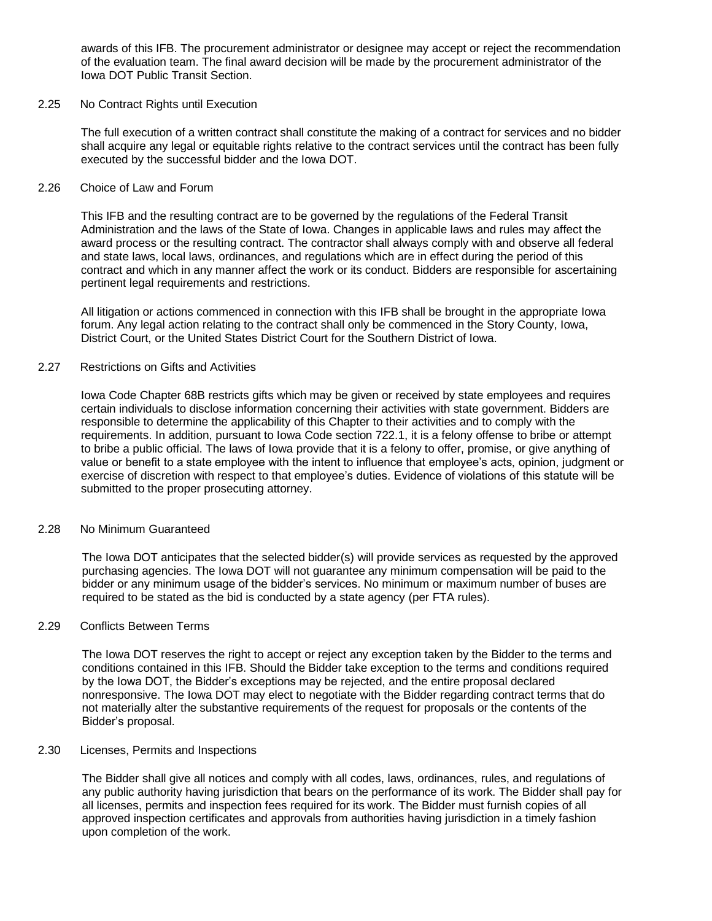awards of this IFB. The procurement administrator or designee may accept or reject the recommendation of the evaluation team. The final award decision will be made by the procurement administrator of the Iowa DOT Public Transit Section.

#### 2.25 No Contract Rights until Execution

The full execution of a written contract shall constitute the making of a contract for services and no bidder shall acquire any legal or equitable rights relative to the contract services until the contract has been fully executed by the successful bidder and the Iowa DOT.

#### 2.26 Choice of Law and Forum

This IFB and the resulting contract are to be governed by the regulations of the Federal Transit Administration and the laws of the State of Iowa. Changes in applicable laws and rules may affect the award process or the resulting contract. The contractor shall always comply with and observe all federal and state laws, local laws, ordinances, and regulations which are in effect during the period of this contract and which in any manner affect the work or its conduct. Bidders are responsible for ascertaining pertinent legal requirements and restrictions.

All litigation or actions commenced in connection with this IFB shall be brought in the appropriate Iowa forum. Any legal action relating to the contract shall only be commenced in the Story County, Iowa, District Court, or the United States District Court for the Southern District of Iowa.

#### 2.27 Restrictions on Gifts and Activities

Iowa Code Chapter 68B restricts gifts which may be given or received by state employees and requires certain individuals to disclose information concerning their activities with state government. Bidders are responsible to determine the applicability of this Chapter to their activities and to comply with the requirements. In addition, pursuant to Iowa Code section 722.1, it is a felony offense to bribe or attempt to bribe a public official. The laws of Iowa provide that it is a felony to offer, promise, or give anything of value or benefit to a state employee with the intent to influence that employee's acts, opinion, judgment or exercise of discretion with respect to that employee's duties. Evidence of violations of this statute will be submitted to the proper prosecuting attorney.

#### 2.28 No Minimum Guaranteed

The Iowa DOT anticipates that the selected bidder(s) will provide services as requested by the approved purchasing agencies. The Iowa DOT will not guarantee any minimum compensation will be paid to the bidder or any minimum usage of the bidder's services. No minimum or maximum number of buses are required to be stated as the bid is conducted by a state agency (per FTA rules).

#### 2.29 Conflicts Between Terms

The Iowa DOT reserves the right to accept or reject any exception taken by the Bidder to the terms and conditions contained in this IFB. Should the Bidder take exception to the terms and conditions required by the Iowa DOT, the Bidder's exceptions may be rejected, and the entire proposal declared nonresponsive. The Iowa DOT may elect to negotiate with the Bidder regarding contract terms that do not materially alter the substantive requirements of the request for proposals or the contents of the Bidder's proposal.

#### 2.30 Licenses, Permits and Inspections

The Bidder shall give all notices and comply with all codes, laws, ordinances, rules, and regulations of any public authority having jurisdiction that bears on the performance of its work. The Bidder shall pay for all licenses, permits and inspection fees required for its work. The Bidder must furnish copies of all approved inspection certificates and approvals from authorities having jurisdiction in a timely fashion upon completion of the work.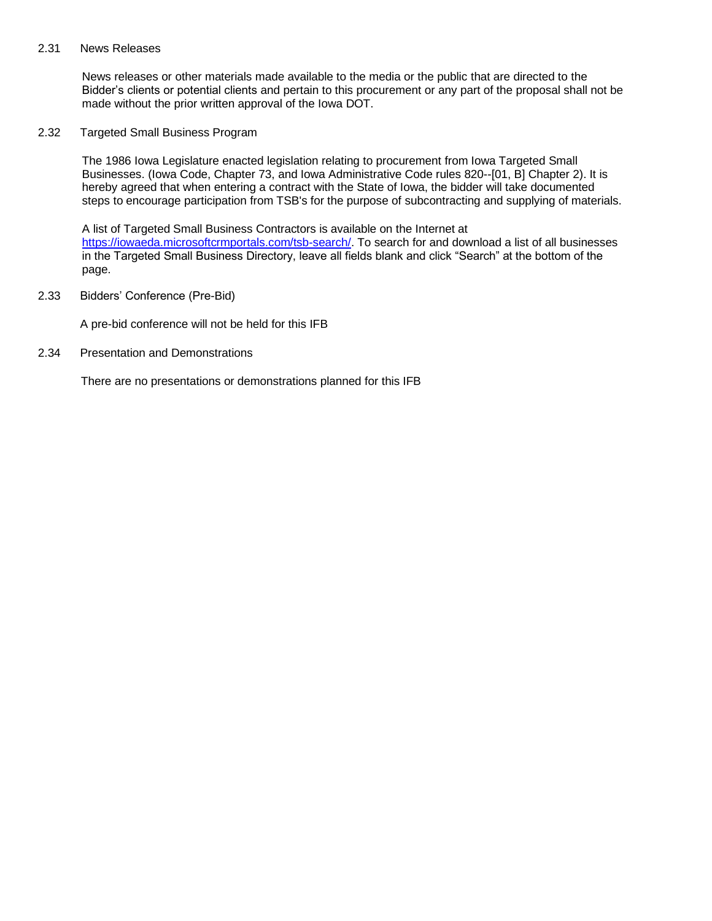#### 2.31 News Releases

News releases or other materials made available to the media or the public that are directed to the Bidder's clients or potential clients and pertain to this procurement or any part of the proposal shall not be made without the prior written approval of the Iowa DOT.

2.32 Targeted Small Business Program

The 1986 Iowa Legislature enacted legislation relating to procurement from Iowa Targeted Small Businesses. (Iowa Code, Chapter 73, and Iowa Administrative Code rules 820--[01, B] Chapter 2). It is hereby agreed that when entering a contract with the State of Iowa, the bidder will take documented steps to encourage participation from TSB's for the purpose of subcontracting and supplying of materials.

A list of Targeted Small Business Contractors is available on the Internet at [https://iowaeda.microsoftcrmportals.com/tsb-search/.](https://iowaeda.microsoftcrmportals.com/tsb-search/) To search for and download a list of all businesses in the Targeted Small Business Directory, leave all fields blank and click "Search" at the bottom of the page.

2.33 Bidders' Conference (Pre-Bid)

A pre-bid conference will not be held for this IFB

2.34 Presentation and Demonstrations

There are no presentations or demonstrations planned for this IFB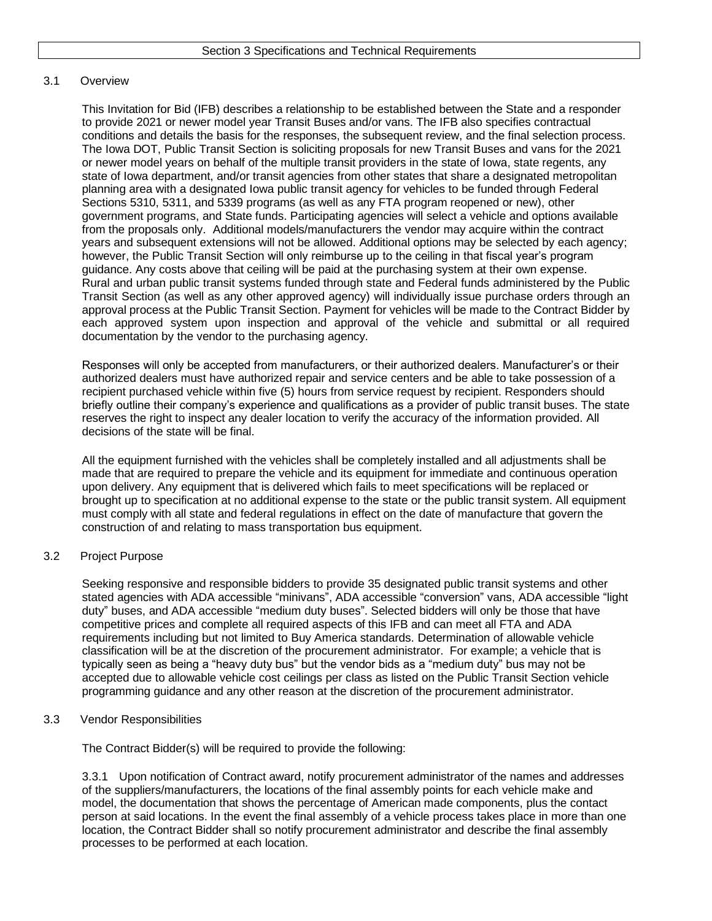### 3.1 Overview

This Invitation for Bid (IFB) describes a relationship to be established between the State and a responder to provide 2021 or newer model year Transit Buses and/or vans. The IFB also specifies contractual conditions and details the basis for the responses, the subsequent review, and the final selection process. The Iowa DOT, Public Transit Section is soliciting proposals for new Transit Buses and vans for the 2021 or newer model years on behalf of the multiple transit providers in the state of Iowa, state regents, any state of Iowa department, and/or transit agencies from other states that share a designated metropolitan planning area with a designated Iowa public transit agency for vehicles to be funded through Federal Sections 5310, 5311, and 5339 programs (as well as any FTA program reopened or new), other government programs, and State funds. Participating agencies will select a vehicle and options available from the proposals only. Additional models/manufacturers the vendor may acquire within the contract years and subsequent extensions will not be allowed. Additional options may be selected by each agency; however, the Public Transit Section will only reimburse up to the ceiling in that fiscal year's program guidance. Any costs above that ceiling will be paid at the purchasing system at their own expense. Rural and urban public transit systems funded through state and Federal funds administered by the Public Transit Section (as well as any other approved agency) will individually issue purchase orders through an approval process at the Public Transit Section. Payment for vehicles will be made to the Contract Bidder by each approved system upon inspection and approval of the vehicle and submittal or all required documentation by the vendor to the purchasing agency.

Responses will only be accepted from manufacturers, or their authorized dealers. Manufacturer's or their authorized dealers must have authorized repair and service centers and be able to take possession of a recipient purchased vehicle within five (5) hours from service request by recipient. Responders should briefly outline their company's experience and qualifications as a provider of public transit buses. The state reserves the right to inspect any dealer location to verify the accuracy of the information provided. All decisions of the state will be final.

All the equipment furnished with the vehicles shall be completely installed and all adjustments shall be made that are required to prepare the vehicle and its equipment for immediate and continuous operation upon delivery. Any equipment that is delivered which fails to meet specifications will be replaced or brought up to specification at no additional expense to the state or the public transit system. All equipment must comply with all state and federal regulations in effect on the date of manufacture that govern the construction of and relating to mass transportation bus equipment.

## 3.2 Project Purpose

Seeking responsive and responsible bidders to provide 35 designated public transit systems and other stated agencies with ADA accessible "minivans", ADA accessible "conversion" vans, ADA accessible "light duty" buses, and ADA accessible "medium duty buses". Selected bidders will only be those that have competitive prices and complete all required aspects of this IFB and can meet all FTA and ADA requirements including but not limited to Buy America standards. Determination of allowable vehicle classification will be at the discretion of the procurement administrator. For example; a vehicle that is typically seen as being a "heavy duty bus" but the vendor bids as a "medium duty" bus may not be accepted due to allowable vehicle cost ceilings per class as listed on the Public Transit Section vehicle programming guidance and any other reason at the discretion of the procurement administrator.

#### 3.3 Vendor Responsibilities

The Contract Bidder(s) will be required to provide the following:

3.3.1 Upon notification of Contract award, notify procurement administrator of the names and addresses of the suppliers/manufacturers, the locations of the final assembly points for each vehicle make and model, the documentation that shows the percentage of American made components, plus the contact person at said locations. In the event the final assembly of a vehicle process takes place in more than one location, the Contract Bidder shall so notify procurement administrator and describe the final assembly processes to be performed at each location.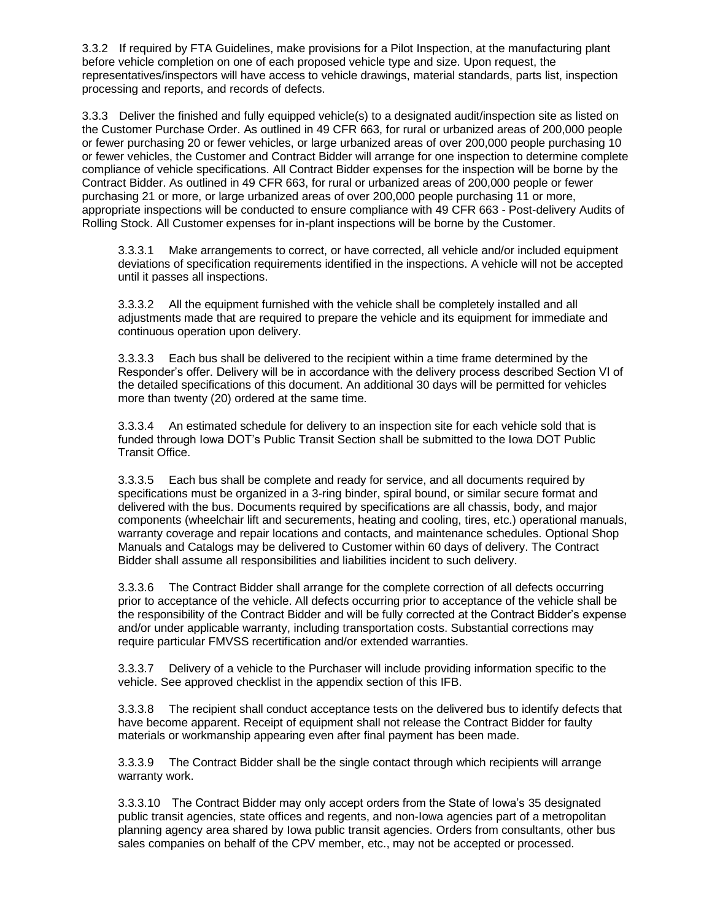3.3.2 If required by FTA Guidelines, make provisions for a Pilot Inspection, at the manufacturing plant before vehicle completion on one of each proposed vehicle type and size. Upon request, the representatives/inspectors will have access to vehicle drawings, material standards, parts list, inspection processing and reports, and records of defects.

3.3.3 Deliver the finished and fully equipped vehicle(s) to a designated audit/inspection site as listed on the Customer Purchase Order. As outlined in 49 CFR 663, for rural or urbanized areas of 200,000 people or fewer purchasing 20 or fewer vehicles, or large urbanized areas of over 200,000 people purchasing 10 or fewer vehicles, the Customer and Contract Bidder will arrange for one inspection to determine complete compliance of vehicle specifications. All Contract Bidder expenses for the inspection will be borne by the Contract Bidder. As outlined in 49 CFR 663, for rural or urbanized areas of 200,000 people or fewer purchasing 21 or more, or large urbanized areas of over 200,000 people purchasing 11 or more, appropriate inspections will be conducted to ensure compliance with 49 CFR 663 - Post-delivery Audits of Rolling Stock. All Customer expenses for in-plant inspections will be borne by the Customer.

3.3.3.1 Make arrangements to correct, or have corrected, all vehicle and/or included equipment deviations of specification requirements identified in the inspections. A vehicle will not be accepted until it passes all inspections.

3.3.3.2 All the equipment furnished with the vehicle shall be completely installed and all adjustments made that are required to prepare the vehicle and its equipment for immediate and continuous operation upon delivery.

3.3.3.3 Each bus shall be delivered to the recipient within a time frame determined by the Responder's offer. Delivery will be in accordance with the delivery process described Section VI of the detailed specifications of this document. An additional 30 days will be permitted for vehicles more than twenty (20) ordered at the same time.

3.3.3.4 An estimated schedule for delivery to an inspection site for each vehicle sold that is funded through Iowa DOT's Public Transit Section shall be submitted to the Iowa DOT Public Transit Office.

3.3.3.5 Each bus shall be complete and ready for service, and all documents required by specifications must be organized in a 3-ring binder, spiral bound, or similar secure format and delivered with the bus. Documents required by specifications are all chassis, body, and major components (wheelchair lift and securements, heating and cooling, tires, etc.) operational manuals, warranty coverage and repair locations and contacts, and maintenance schedules. Optional Shop Manuals and Catalogs may be delivered to Customer within 60 days of delivery. The Contract Bidder shall assume all responsibilities and liabilities incident to such delivery.

3.3.3.6 The Contract Bidder shall arrange for the complete correction of all defects occurring prior to acceptance of the vehicle. All defects occurring prior to acceptance of the vehicle shall be the responsibility of the Contract Bidder and will be fully corrected at the Contract Bidder's expense and/or under applicable warranty, including transportation costs. Substantial corrections may require particular FMVSS recertification and/or extended warranties.

3.3.3.7 Delivery of a vehicle to the Purchaser will include providing information specific to the vehicle. See approved checklist in the appendix section of this IFB.

3.3.3.8 The recipient shall conduct acceptance tests on the delivered bus to identify defects that have become apparent. Receipt of equipment shall not release the Contract Bidder for faulty materials or workmanship appearing even after final payment has been made.

3.3.3.9 The Contract Bidder shall be the single contact through which recipients will arrange warranty work.

3.3.3.10 The Contract Bidder may only accept orders from the State of Iowa's 35 designated public transit agencies, state offices and regents, and non-Iowa agencies part of a metropolitan planning agency area shared by Iowa public transit agencies. Orders from consultants, other bus sales companies on behalf of the CPV member, etc., may not be accepted or processed.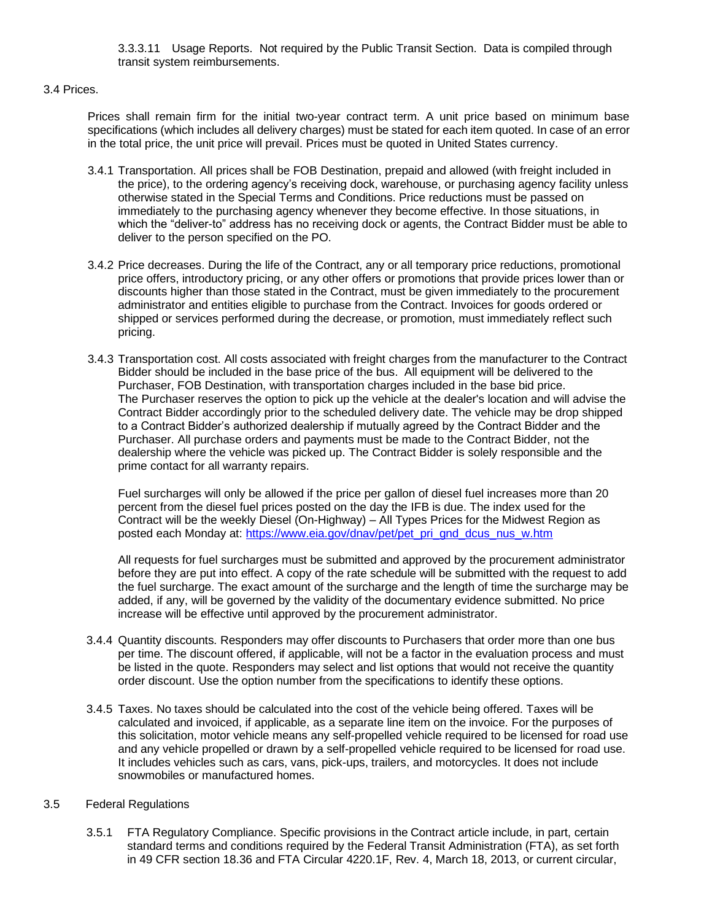3.3.3.11 Usage Reports. Not required by the Public Transit Section. Data is compiled through transit system reimbursements.

#### 3.4 Prices.

Prices shall remain firm for the initial two-year contract term. A unit price based on minimum base specifications (which includes all delivery charges) must be stated for each item quoted. In case of an error in the total price, the unit price will prevail. Prices must be quoted in United States currency.

- 3.4.1 Transportation. All prices shall be FOB Destination, prepaid and allowed (with freight included in the price), to the ordering agency's receiving dock, warehouse, or purchasing agency facility unless otherwise stated in the Special Terms and Conditions. Price reductions must be passed on immediately to the purchasing agency whenever they become effective. In those situations, in which the "deliver-to" address has no receiving dock or agents, the Contract Bidder must be able to deliver to the person specified on the PO.
- 3.4.2 Price decreases. During the life of the Contract, any or all temporary price reductions, promotional price offers, introductory pricing, or any other offers or promotions that provide prices lower than or discounts higher than those stated in the Contract, must be given immediately to the procurement administrator and entities eligible to purchase from the Contract. Invoices for goods ordered or shipped or services performed during the decrease, or promotion, must immediately reflect such pricing.
- 3.4.3 Transportation cost. All costs associated with freight charges from the manufacturer to the Contract Bidder should be included in the base price of the bus. All equipment will be delivered to the Purchaser, FOB Destination, with transportation charges included in the base bid price. The Purchaser reserves the option to pick up the vehicle at the dealer's location and will advise the Contract Bidder accordingly prior to the scheduled delivery date. The vehicle may be drop shipped to a Contract Bidder's authorized dealership if mutually agreed by the Contract Bidder and the Purchaser. All purchase orders and payments must be made to the Contract Bidder, not the dealership where the vehicle was picked up. The Contract Bidder is solely responsible and the prime contact for all warranty repairs.

Fuel surcharges will only be allowed if the price per gallon of diesel fuel increases more than 20 percent from the diesel fuel prices posted on the day the IFB is due. The index used for the Contract will be the weekly Diesel (On-Highway) – All Types Prices for the Midwest Region as posted each Monday at: [https://www.eia.gov/dnav/pet/pet\\_pri\\_gnd\\_dcus\\_nus\\_w.htm](https://www.eia.gov/dnav/pet/pet_pri_gnd_dcus_nus_w.htm)

All requests for fuel surcharges must be submitted and approved by the procurement administrator before they are put into effect. A copy of the rate schedule will be submitted with the request to add the fuel surcharge. The exact amount of the surcharge and the length of time the surcharge may be added, if any, will be governed by the validity of the documentary evidence submitted. No price increase will be effective until approved by the procurement administrator.

- 3.4.4 Quantity discounts. Responders may offer discounts to Purchasers that order more than one bus per time. The discount offered, if applicable, will not be a factor in the evaluation process and must be listed in the quote. Responders may select and list options that would not receive the quantity order discount. Use the option number from the specifications to identify these options.
- 3.4.5 Taxes. No taxes should be calculated into the cost of the vehicle being offered. Taxes will be calculated and invoiced, if applicable, as a separate line item on the invoice. For the purposes of this solicitation, motor vehicle means any self-propelled vehicle required to be licensed for road use and any vehicle propelled or drawn by a self-propelled vehicle required to be licensed for road use. It includes vehicles such as cars, vans, pick-ups, trailers, and motorcycles. It does not include snowmobiles or manufactured homes.

#### 3.5 Federal Regulations

3.5.1 FTA Regulatory Compliance. Specific provisions in the Contract article include, in part, certain standard terms and conditions required by the Federal Transit Administration (FTA), as set forth in 49 CFR section 18.36 and FTA Circular 4220.1F, Rev. 4, March 18, 2013, or current circular,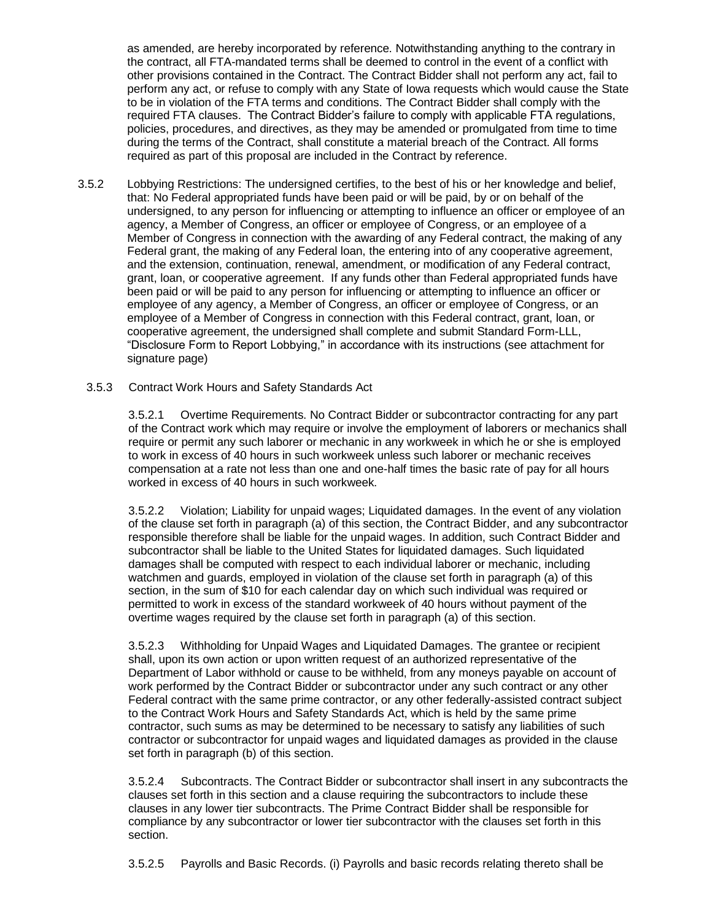as amended, are hereby incorporated by reference. Notwithstanding anything to the contrary in the contract, all FTA-mandated terms shall be deemed to control in the event of a conflict with other provisions contained in the Contract. The Contract Bidder shall not perform any act, fail to perform any act, or refuse to comply with any State of Iowa requests which would cause the State to be in violation of the FTA terms and conditions. The Contract Bidder shall comply with the required FTA clauses. The Contract Bidder's failure to comply with applicable FTA regulations, policies, procedures, and directives, as they may be amended or promulgated from time to time during the terms of the Contract, shall constitute a material breach of the Contract. All forms required as part of this proposal are included in the Contract by reference.

- 3.5.2 Lobbying Restrictions: The undersigned certifies, to the best of his or her knowledge and belief, that: No Federal appropriated funds have been paid or will be paid, by or on behalf of the undersigned, to any person for influencing or attempting to influence an officer or employee of an agency, a Member of Congress, an officer or employee of Congress, or an employee of a Member of Congress in connection with the awarding of any Federal contract, the making of any Federal grant, the making of any Federal loan, the entering into of any cooperative agreement, and the extension, continuation, renewal, amendment, or modification of any Federal contract, grant, loan, or cooperative agreement. If any funds other than Federal appropriated funds have been paid or will be paid to any person for influencing or attempting to influence an officer or employee of any agency, a Member of Congress, an officer or employee of Congress, or an employee of a Member of Congress in connection with this Federal contract, grant, loan, or cooperative agreement, the undersigned shall complete and submit Standard Form-LLL, "Disclosure Form to Report Lobbying," in accordance with its instructions (see attachment for signature page)
	- 3.5.3 Contract Work Hours and Safety Standards Act

3.5.2.1 Overtime Requirements. No Contract Bidder or subcontractor contracting for any part of the Contract work which may require or involve the employment of laborers or mechanics shall require or permit any such laborer or mechanic in any workweek in which he or she is employed to work in excess of 40 hours in such workweek unless such laborer or mechanic receives compensation at a rate not less than one and one-half times the basic rate of pay for all hours worked in excess of 40 hours in such workweek.

3.5.2.2 Violation; Liability for unpaid wages; Liquidated damages. In the event of any violation of the clause set forth in paragraph (a) of this section, the Contract Bidder, and any subcontractor responsible therefore shall be liable for the unpaid wages. In addition, such Contract Bidder and subcontractor shall be liable to the United States for liquidated damages. Such liquidated damages shall be computed with respect to each individual laborer or mechanic, including watchmen and guards, employed in violation of the clause set forth in paragraph (a) of this section, in the sum of \$10 for each calendar day on which such individual was required or permitted to work in excess of the standard workweek of 40 hours without payment of the overtime wages required by the clause set forth in paragraph (a) of this section.

3.5.2.3 Withholding for Unpaid Wages and Liquidated Damages. The grantee or recipient shall, upon its own action or upon written request of an authorized representative of the Department of Labor withhold or cause to be withheld, from any moneys payable on account of work performed by the Contract Bidder or subcontractor under any such contract or any other Federal contract with the same prime contractor, or any other federally-assisted contract subject to the Contract Work Hours and Safety Standards Act, which is held by the same prime contractor, such sums as may be determined to be necessary to satisfy any liabilities of such contractor or subcontractor for unpaid wages and liquidated damages as provided in the clause set forth in paragraph (b) of this section.

3.5.2.4 Subcontracts. The Contract Bidder or subcontractor shall insert in any subcontracts the clauses set forth in this section and a clause requiring the subcontractors to include these clauses in any lower tier subcontracts. The Prime Contract Bidder shall be responsible for compliance by any subcontractor or lower tier subcontractor with the clauses set forth in this section.

3.5.2.5 Payrolls and Basic Records. (i) Payrolls and basic records relating thereto shall be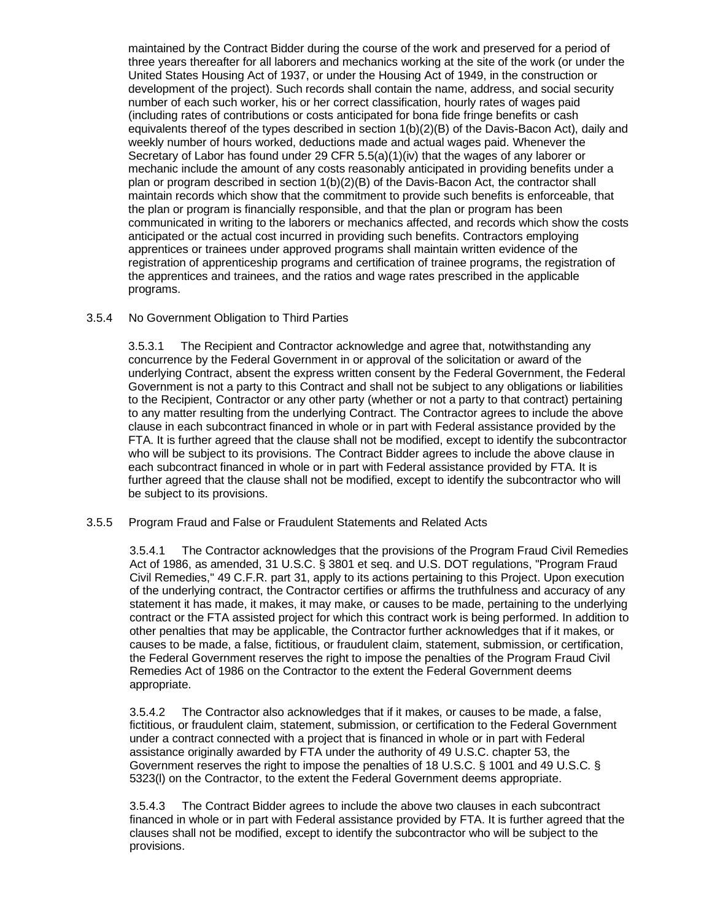maintained by the Contract Bidder during the course of the work and preserved for a period of three years thereafter for all laborers and mechanics working at the site of the work (or under the United States Housing Act of 1937, or under the Housing Act of 1949, in the construction or development of the project). Such records shall contain the name, address, and social security number of each such worker, his or her correct classification, hourly rates of wages paid (including rates of contributions or costs anticipated for bona fide fringe benefits or cash equivalents thereof of the types described in section  $1(b)(2)(B)$  of the Davis-Bacon Act), daily and weekly number of hours worked, deductions made and actual wages paid. Whenever the Secretary of Labor has found under 29 CFR  $5.5(a)(1)(iv)$  that the wages of any laborer or mechanic include the amount of any costs reasonably anticipated in providing benefits under a plan or program described in section 1(b)(2)(B) of the Davis-Bacon Act, the contractor shall maintain records which show that the commitment to provide such benefits is enforceable, that the plan or program is financially responsible, and that the plan or program has been communicated in writing to the laborers or mechanics affected, and records which show the costs anticipated or the actual cost incurred in providing such benefits. Contractors employing apprentices or trainees under approved programs shall maintain written evidence of the registration of apprenticeship programs and certification of trainee programs, the registration of the apprentices and trainees, and the ratios and wage rates prescribed in the applicable programs.

## 3.5.4 No Government Obligation to Third Parties

3.5.3.1 The Recipient and Contractor acknowledge and agree that, notwithstanding any concurrence by the Federal Government in or approval of the solicitation or award of the underlying Contract, absent the express written consent by the Federal Government, the Federal Government is not a party to this Contract and shall not be subject to any obligations or liabilities to the Recipient, Contractor or any other party (whether or not a party to that contract) pertaining to any matter resulting from the underlying Contract. The Contractor agrees to include the above clause in each subcontract financed in whole or in part with Federal assistance provided by the FTA. It is further agreed that the clause shall not be modified, except to identify the subcontractor who will be subject to its provisions. The Contract Bidder agrees to include the above clause in each subcontract financed in whole or in part with Federal assistance provided by FTA. It is further agreed that the clause shall not be modified, except to identify the subcontractor who will be subject to its provisions.

#### 3.5.5 Program Fraud and False or Fraudulent Statements and Related Acts

3.5.4.1 The Contractor acknowledges that the provisions of the Program Fraud Civil Remedies Act of 1986, as amended, 31 U.S.C. § 3801 et seq. and U.S. DOT regulations, "Program Fraud Civil Remedies," 49 C.F.R. part 31, apply to its actions pertaining to this Project. Upon execution of the underlying contract, the Contractor certifies or affirms the truthfulness and accuracy of any statement it has made, it makes, it may make, or causes to be made, pertaining to the underlying contract or the FTA assisted project for which this contract work is being performed. In addition to other penalties that may be applicable, the Contractor further acknowledges that if it makes, or causes to be made, a false, fictitious, or fraudulent claim, statement, submission, or certification, the Federal Government reserves the right to impose the penalties of the Program Fraud Civil Remedies Act of 1986 on the Contractor to the extent the Federal Government deems appropriate.

3.5.4.2 The Contractor also acknowledges that if it makes, or causes to be made, a false, fictitious, or fraudulent claim, statement, submission, or certification to the Federal Government under a contract connected with a project that is financed in whole or in part with Federal assistance originally awarded by FTA under the authority of 49 U.S.C. chapter 53, the Government reserves the right to impose the penalties of 18 U.S.C. § 1001 and 49 U.S.C. § 5323(l) on the Contractor, to the extent the Federal Government deems appropriate.

3.5.4.3 The Contract Bidder agrees to include the above two clauses in each subcontract financed in whole or in part with Federal assistance provided by FTA. It is further agreed that the clauses shall not be modified, except to identify the subcontractor who will be subject to the provisions.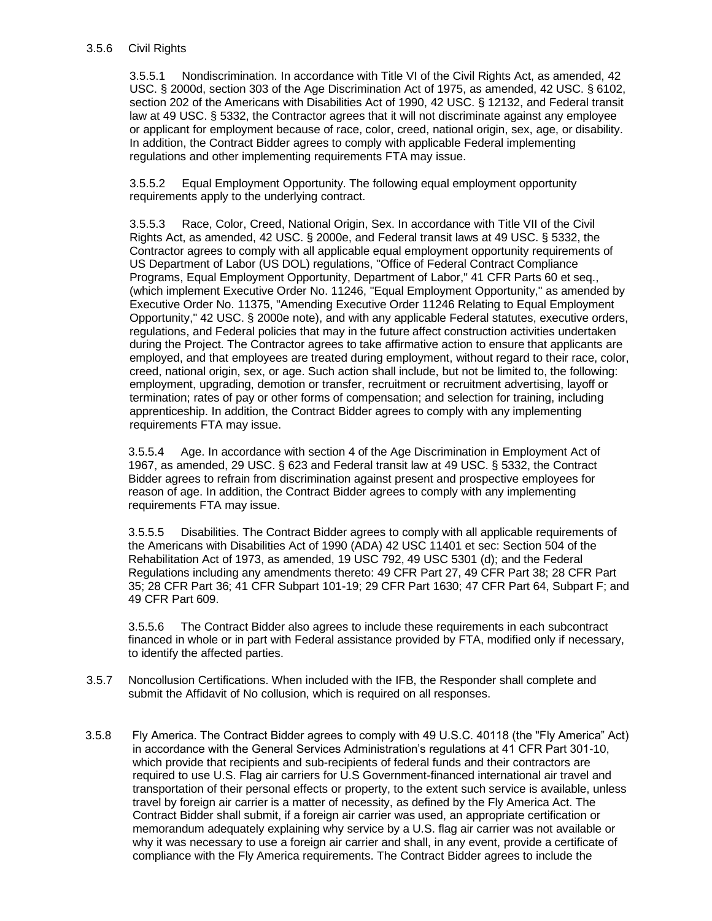#### 3.5.6 Civil Rights

3.5.5.1 Nondiscrimination. In accordance with Title VI of the Civil Rights Act, as amended, 42 USC. § 2000d, section 303 of the Age Discrimination Act of 1975, as amended, 42 USC. § 6102, section 202 of the Americans with Disabilities Act of 1990, 42 USC. § 12132, and Federal transit law at 49 USC. § 5332, the Contractor agrees that it will not discriminate against any employee or applicant for employment because of race, color, creed, national origin, sex, age, or disability. In addition, the Contract Bidder agrees to comply with applicable Federal implementing regulations and other implementing requirements FTA may issue.

3.5.5.2 Equal Employment Opportunity. The following equal employment opportunity requirements apply to the underlying contract.

3.5.5.3 Race, Color, Creed, National Origin, Sex. In accordance with Title VII of the Civil Rights Act, as amended, 42 USC. § 2000e, and Federal transit laws at 49 USC. § 5332, the Contractor agrees to comply with all applicable equal employment opportunity requirements of US Department of Labor (US DOL) regulations, "Office of Federal Contract Compliance Programs, Equal Employment Opportunity, Department of Labor," 41 CFR Parts 60 et seq., (which implement Executive Order No. 11246, "Equal Employment Opportunity," as amended by Executive Order No. 11375, "Amending Executive Order 11246 Relating to Equal Employment Opportunity," 42 USC. § 2000e note), and with any applicable Federal statutes, executive orders, regulations, and Federal policies that may in the future affect construction activities undertaken during the Project. The Contractor agrees to take affirmative action to ensure that applicants are employed, and that employees are treated during employment, without regard to their race, color, creed, national origin, sex, or age. Such action shall include, but not be limited to, the following: employment, upgrading, demotion or transfer, recruitment or recruitment advertising, layoff or termination; rates of pay or other forms of compensation; and selection for training, including apprenticeship. In addition, the Contract Bidder agrees to comply with any implementing requirements FTA may issue.

3.5.5.4 Age. In accordance with section 4 of the Age Discrimination in Employment Act of 1967, as amended, 29 USC. § 623 and Federal transit law at 49 USC. § 5332, the Contract Bidder agrees to refrain from discrimination against present and prospective employees for reason of age. In addition, the Contract Bidder agrees to comply with any implementing requirements FTA may issue.

3.5.5.5 Disabilities. The Contract Bidder agrees to comply with all applicable requirements of the Americans with Disabilities Act of 1990 (ADA) 42 USC 11401 et sec: Section 504 of the Rehabilitation Act of 1973, as amended, 19 USC 792, 49 USC 5301 (d); and the Federal Regulations including any amendments thereto: 49 CFR Part 27, 49 CFR Part 38; 28 CFR Part 35; 28 CFR Part 36; 41 CFR Subpart 101-19; 29 CFR Part 1630; 47 CFR Part 64, Subpart F; and 49 CFR Part 609.

3.5.5.6 The Contract Bidder also agrees to include these requirements in each subcontract financed in whole or in part with Federal assistance provided by FTA, modified only if necessary, to identify the affected parties.

- 3.5.7 Noncollusion Certifications. When included with the IFB, the Responder shall complete and submit the Affidavit of No collusion, which is required on all responses.
- 3.5.8 Fly America. The Contract Bidder agrees to comply with 49 U.S.C. 40118 (the "Fly America" Act) in accordance with the General Services Administration's regulations at 41 CFR Part 301-10, which provide that recipients and sub-recipients of federal funds and their contractors are required to use U.S. Flag air carriers for U.S Government-financed international air travel and transportation of their personal effects or property, to the extent such service is available, unless travel by foreign air carrier is a matter of necessity, as defined by the Fly America Act. The Contract Bidder shall submit, if a foreign air carrier was used, an appropriate certification or memorandum adequately explaining why service by a U.S. flag air carrier was not available or why it was necessary to use a foreign air carrier and shall, in any event, provide a certificate of compliance with the Fly America requirements. The Contract Bidder agrees to include the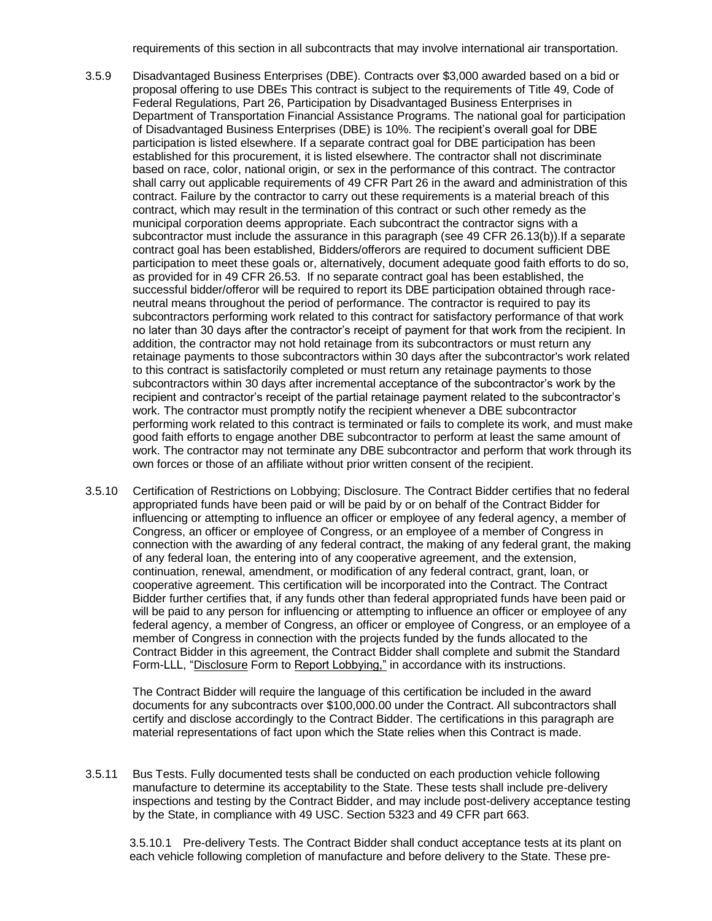requirements of this section in all subcontracts that may involve international air transportation.

- 3.5.9 Disadvantaged Business Enterprises (DBE). Contracts over \$3,000 awarded based on a bid or proposal offering to use DBEs This contract is subject to the requirements of Title 49, Code of Federal Regulations, Part 26, Participation by Disadvantaged Business Enterprises in Department of Transportation Financial Assistance Programs. The national goal for participation of Disadvantaged Business Enterprises (DBE) is 10%. The recipient's overall goal for DBE participation is listed elsewhere. If a separate contract goal for DBE participation has been established for this procurement, it is listed elsewhere. The contractor shall not discriminate based on race, color, national origin, or sex in the performance of this contract. The contractor shall carry out applicable requirements of 49 CFR Part 26 in the award and administration of this contract. Failure by the contractor to carry out these requirements is a material breach of this contract, which may result in the termination of this contract or such other remedy as the municipal corporation deems appropriate. Each subcontract the contractor signs with a subcontractor must include the assurance in this paragraph (see 49 CFR 26.13(b)). If a separate contract goal has been established, Bidders/offerors are required to document sufficient DBE participation to meet these goals or, alternatively, document adequate good faith efforts to do so, as provided for in 49 CFR 26.53. If no separate contract goal has been established, the successful bidder/offeror will be required to report its DBE participation obtained through raceneutral means throughout the period of performance. The contractor is required to pay its subcontractors performing work related to this contract for satisfactory performance of that work no later than 30 days after the contractor's receipt of payment for that work from the recipient. In addition, the contractor may not hold retainage from its subcontractors or must return any retainage payments to those subcontractors within 30 days after the subcontractor's work related to this contract is satisfactorily completed or must return any retainage payments to those subcontractors within 30 days after incremental acceptance of the subcontractor's work by the recipient and contractor's receipt of the partial retainage payment related to the subcontractor's work. The contractor must promptly notify the recipient whenever a DBE subcontractor performing work related to this contract is terminated or fails to complete its work, and must make good faith efforts to engage another DBE subcontractor to perform at least the same amount of work. The contractor may not terminate any DBE subcontractor and perform that work through its own forces or those of an affiliate without prior written consent of the recipient.
- 3.5.10 Certification of Restrictions on Lobbying; Disclosure. The Contract Bidder certifies that no federal appropriated funds have been paid or will be paid by or on behalf of the Contract Bidder for influencing or attempting to influence an officer or employee of any federal agency, a member of Congress, an officer or employee of Congress, or an employee of a member of Congress in connection with the awarding of any federal contract, the making of any federal grant, the making of any federal loan, the entering into of any cooperative agreement, and the extension, continuation, renewal, amendment, or modification of any federal contract, grant, loan, or cooperative agreement. This certification will be incorporated into the Contract. The Contract Bidder further certifies that, if any funds other than federal appropriated funds have been paid or will be paid to any person for influencing or attempting to influence an officer or employee of any federal agency, a member of Congress, an officer or employee of Congress, or an employee of a member of Congress in connection with the projects funded by the funds allocated to the Contract Bidder in this agreement, the Contract Bidder shall complete and submit the Standard Form-LLL, "Disclosure Form to Report Lobbying," in accordance with its instructions.

The Contract Bidder will require the language of this certification be included in the award documents for any subcontracts over \$100,000.00 under the Contract. All subcontractors shall certify and disclose accordingly to the Contract Bidder. The certifications in this paragraph are material representations of fact upon which the State relies when this Contract is made.

3.5.11 Bus Tests. Fully documented tests shall be conducted on each production vehicle following manufacture to determine its acceptability to the State. These tests shall include pre-delivery inspections and testing by the Contract Bidder, and may include post-delivery acceptance testing by the State, in compliance with 49 USC. Section 5323 and 49 CFR part 663.

3.5.10.1 Pre-delivery Tests. The Contract Bidder shall conduct acceptance tests at its plant on each vehicle following completion of manufacture and before delivery to the State. These pre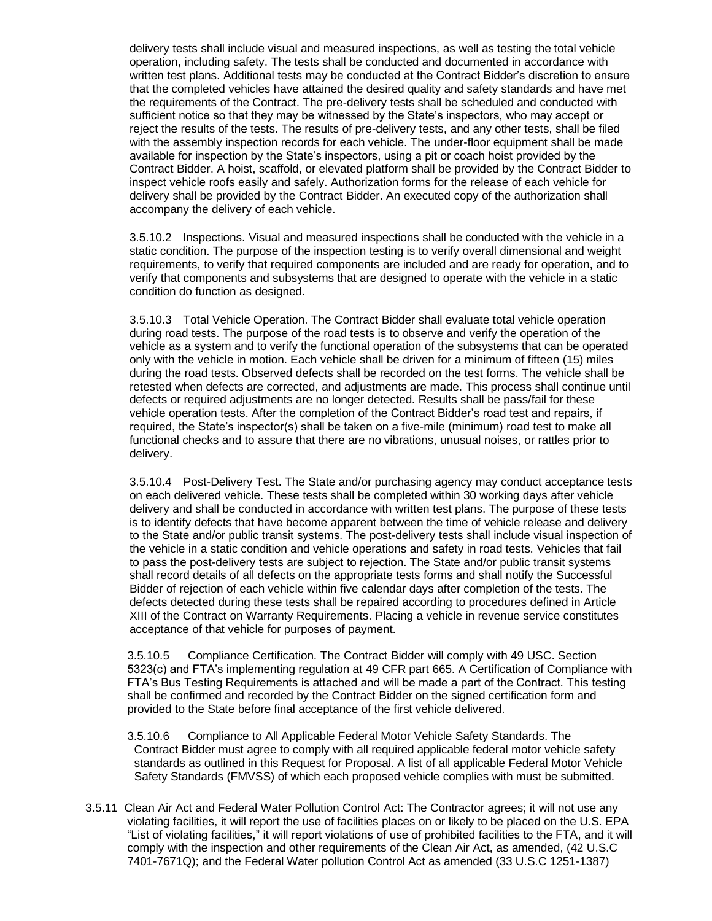delivery tests shall include visual and measured inspections, as well as testing the total vehicle operation, including safety. The tests shall be conducted and documented in accordance with written test plans. Additional tests may be conducted at the Contract Bidder's discretion to ensure that the completed vehicles have attained the desired quality and safety standards and have met the requirements of the Contract. The pre-delivery tests shall be scheduled and conducted with sufficient notice so that they may be witnessed by the State's inspectors, who may accept or reject the results of the tests. The results of pre-delivery tests, and any other tests, shall be filed with the assembly inspection records for each vehicle. The under-floor equipment shall be made available for inspection by the State's inspectors, using a pit or coach hoist provided by the Contract Bidder. A hoist, scaffold, or elevated platform shall be provided by the Contract Bidder to inspect vehicle roofs easily and safely. Authorization forms for the release of each vehicle for delivery shall be provided by the Contract Bidder. An executed copy of the authorization shall accompany the delivery of each vehicle.

3.5.10.2 Inspections. Visual and measured inspections shall be conducted with the vehicle in a static condition. The purpose of the inspection testing is to verify overall dimensional and weight requirements, to verify that required components are included and are ready for operation, and to verify that components and subsystems that are designed to operate with the vehicle in a static condition do function as designed.

3.5.10.3 Total Vehicle Operation. The Contract Bidder shall evaluate total vehicle operation during road tests. The purpose of the road tests is to observe and verify the operation of the vehicle as a system and to verify the functional operation of the subsystems that can be operated only with the vehicle in motion. Each vehicle shall be driven for a minimum of fifteen (15) miles during the road tests. Observed defects shall be recorded on the test forms. The vehicle shall be retested when defects are corrected, and adjustments are made. This process shall continue until defects or required adjustments are no longer detected. Results shall be pass/fail for these vehicle operation tests. After the completion of the Contract Bidder's road test and repairs, if required, the State's inspector(s) shall be taken on a five-mile (minimum) road test to make all functional checks and to assure that there are no vibrations, unusual noises, or rattles prior to delivery.

3.5.10.4 Post-Delivery Test. The State and/or purchasing agency may conduct acceptance tests on each delivered vehicle. These tests shall be completed within 30 working days after vehicle delivery and shall be conducted in accordance with written test plans. The purpose of these tests is to identify defects that have become apparent between the time of vehicle release and delivery to the State and/or public transit systems. The post-delivery tests shall include visual inspection of the vehicle in a static condition and vehicle operations and safety in road tests. Vehicles that fail to pass the post-delivery tests are subject to rejection. The State and/or public transit systems shall record details of all defects on the appropriate tests forms and shall notify the Successful Bidder of rejection of each vehicle within five calendar days after completion of the tests. The defects detected during these tests shall be repaired according to procedures defined in Article XIII of the Contract on Warranty Requirements. Placing a vehicle in revenue service constitutes acceptance of that vehicle for purposes of payment.

3.5.10.5 Compliance Certification. The Contract Bidder will comply with 49 USC. Section 5323(c) and FTA's implementing regulation at 49 CFR part 665. A Certification of Compliance with FTA's Bus Testing Requirements is attached and will be made a part of the Contract. This testing shall be confirmed and recorded by the Contract Bidder on the signed certification form and provided to the State before final acceptance of the first vehicle delivered.

3.5.10.6 Compliance to All Applicable Federal Motor Vehicle Safety Standards. The Contract Bidder must agree to comply with all required applicable federal motor vehicle safety standards as outlined in this Request for Proposal. A list of all applicable Federal Motor Vehicle Safety Standards (FMVSS) of which each proposed vehicle complies with must be submitted.

3.5.11 Clean Air Act and Federal Water Pollution Control Act: The Contractor agrees; it will not use any violating facilities, it will report the use of facilities places on or likely to be placed on the U.S. EPA "List of violating facilities," it will report violations of use of prohibited facilities to the FTA, and it will comply with the inspection and other requirements of the Clean Air Act, as amended, (42 U.S.C 7401-7671Q); and the Federal Water pollution Control Act as amended (33 U.S.C 1251-1387)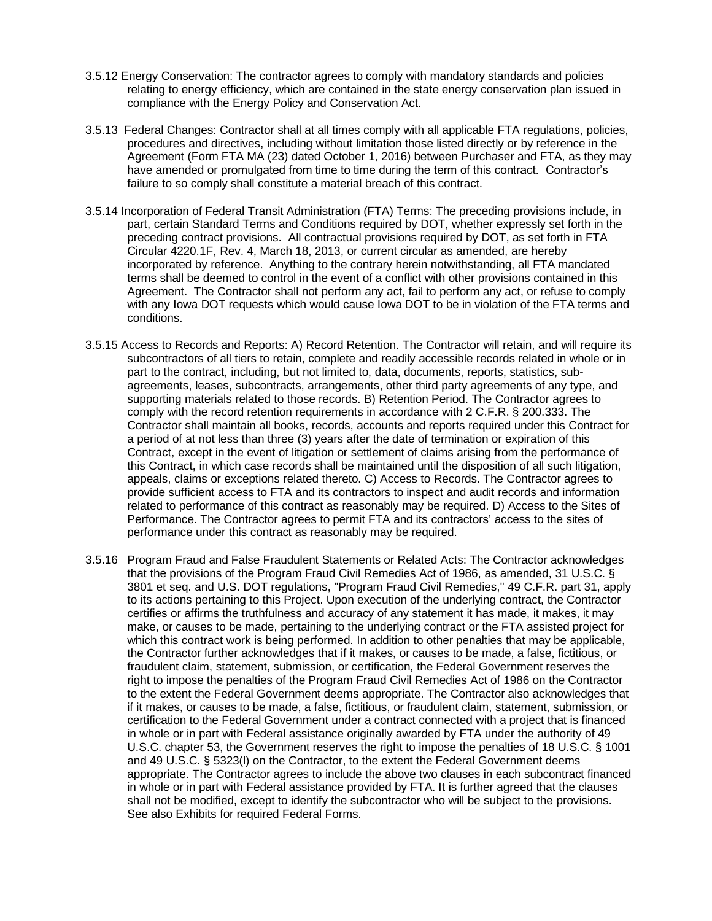- 3.5.12 Energy Conservation: The contractor agrees to comply with mandatory standards and policies relating to energy efficiency, which are contained in the state energy conservation plan issued in compliance with the Energy Policy and Conservation Act.
- 3.5.13 Federal Changes: Contractor shall at all times comply with all applicable FTA regulations, policies, procedures and directives, including without limitation those listed directly or by reference in the Agreement (Form FTA MA (23) dated October 1, 2016) between Purchaser and FTA, as they may have amended or promulgated from time to time during the term of this contract. Contractor's failure to so comply shall constitute a material breach of this contract.
- 3.5.14 Incorporation of Federal Transit Administration (FTA) Terms: The preceding provisions include, in part, certain Standard Terms and Conditions required by DOT, whether expressly set forth in the preceding contract provisions. All contractual provisions required by DOT, as set forth in FTA Circular 4220.1F, Rev. 4, March 18, 2013, or current circular as amended, are hereby incorporated by reference. Anything to the contrary herein notwithstanding, all FTA mandated terms shall be deemed to control in the event of a conflict with other provisions contained in this Agreement. The Contractor shall not perform any act, fail to perform any act, or refuse to comply with any Iowa DOT requests which would cause Iowa DOT to be in violation of the FTA terms and conditions.
- 3.5.15 Access to Records and Reports: A) Record Retention. The Contractor will retain, and will require its subcontractors of all tiers to retain, complete and readily accessible records related in whole or in part to the contract, including, but not limited to, data, documents, reports, statistics, subagreements, leases, subcontracts, arrangements, other third party agreements of any type, and supporting materials related to those records. B) Retention Period. The Contractor agrees to comply with the record retention requirements in accordance with 2 C.F.R. § 200.333. The Contractor shall maintain all books, records, accounts and reports required under this Contract for a period of at not less than three (3) years after the date of termination or expiration of this Contract, except in the event of litigation or settlement of claims arising from the performance of this Contract, in which case records shall be maintained until the disposition of all such litigation, appeals, claims or exceptions related thereto. C) Access to Records. The Contractor agrees to provide sufficient access to FTA and its contractors to inspect and audit records and information related to performance of this contract as reasonably may be required. D) Access to the Sites of Performance. The Contractor agrees to permit FTA and its contractors' access to the sites of performance under this contract as reasonably may be required.
- 3.5.16 Program Fraud and False Fraudulent Statements or Related Acts: The Contractor acknowledges that the provisions of the Program Fraud Civil Remedies Act of 1986, as amended, 31 U.S.C. § 3801 et seq. and U.S. DOT regulations, "Program Fraud Civil Remedies," 49 C.F.R. part 31, apply to its actions pertaining to this Project. Upon execution of the underlying contract, the Contractor certifies or affirms the truthfulness and accuracy of any statement it has made, it makes, it may make, or causes to be made, pertaining to the underlying contract or the FTA assisted project for which this contract work is being performed. In addition to other penalties that may be applicable, the Contractor further acknowledges that if it makes, or causes to be made, a false, fictitious, or fraudulent claim, statement, submission, or certification, the Federal Government reserves the right to impose the penalties of the Program Fraud Civil Remedies Act of 1986 on the Contractor to the extent the Federal Government deems appropriate. The Contractor also acknowledges that if it makes, or causes to be made, a false, fictitious, or fraudulent claim, statement, submission, or certification to the Federal Government under a contract connected with a project that is financed in whole or in part with Federal assistance originally awarded by FTA under the authority of 49 U.S.C. chapter 53, the Government reserves the right to impose the penalties of 18 U.S.C. § 1001 and 49 U.S.C. § 5323(l) on the Contractor, to the extent the Federal Government deems appropriate. The Contractor agrees to include the above two clauses in each subcontract financed in whole or in part with Federal assistance provided by FTA. It is further agreed that the clauses shall not be modified, except to identify the subcontractor who will be subject to the provisions. See also Exhibits for required Federal Forms.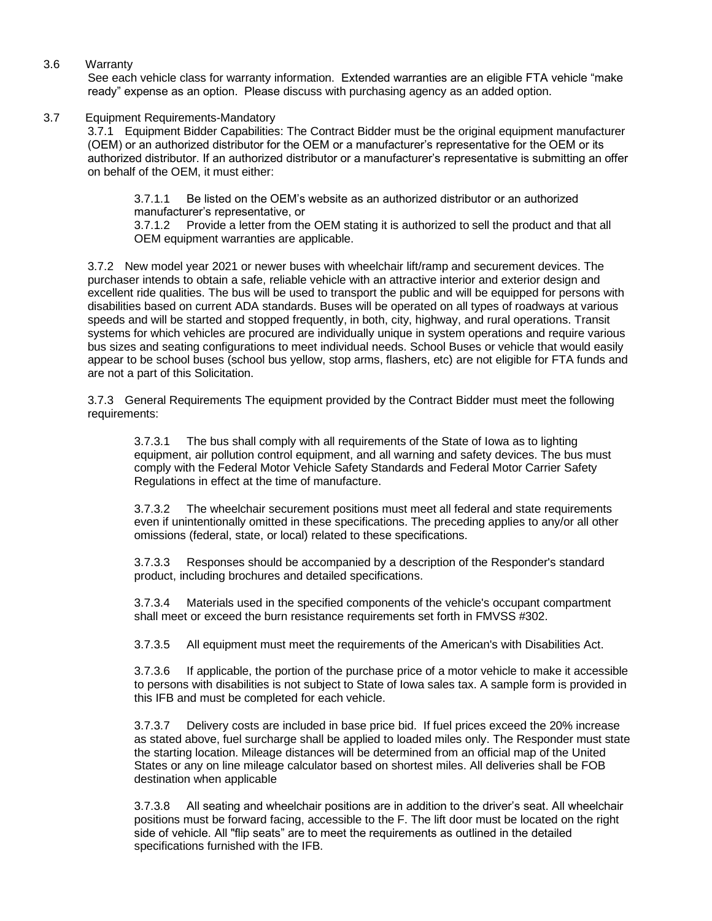3.6 Warranty

See each vehicle class for warranty information. Extended warranties are an eligible FTA vehicle "make ready" expense as an option. Please discuss with purchasing agency as an added option.

3.7 Equipment Requirements-Mandatory

3.7.1 Equipment Bidder Capabilities: The Contract Bidder must be the original equipment manufacturer (OEM) or an authorized distributor for the OEM or a manufacturer's representative for the OEM or its authorized distributor. If an authorized distributor or a manufacturer's representative is submitting an offer on behalf of the OEM, it must either:

3.7.1.1 Be listed on the OEM's website as an authorized distributor or an authorized manufacturer's representative, or

3.7.1.2 Provide a letter from the OEM stating it is authorized to sell the product and that all OEM equipment warranties are applicable.

3.7.2 New model year 2021 or newer buses with wheelchair lift/ramp and securement devices. The purchaser intends to obtain a safe, reliable vehicle with an attractive interior and exterior design and excellent ride qualities. The bus will be used to transport the public and will be equipped for persons with disabilities based on current ADA standards. Buses will be operated on all types of roadways at various speeds and will be started and stopped frequently, in both, city, highway, and rural operations. Transit systems for which vehicles are procured are individually unique in system operations and require various bus sizes and seating configurations to meet individual needs. School Buses or vehicle that would easily appear to be school buses (school bus yellow, stop arms, flashers, etc) are not eligible for FTA funds and are not a part of this Solicitation.

3.7.3 General Requirements The equipment provided by the Contract Bidder must meet the following requirements:

3.7.3.1 The bus shall comply with all requirements of the State of Iowa as to lighting equipment, air pollution control equipment, and all warning and safety devices. The bus must comply with the Federal Motor Vehicle Safety Standards and Federal Motor Carrier Safety Regulations in effect at the time of manufacture.

3.7.3.2 The wheelchair securement positions must meet all federal and state requirements even if unintentionally omitted in these specifications. The preceding applies to any/or all other omissions (federal, state, or local) related to these specifications.

3.7.3.3 Responses should be accompanied by a description of the Responder's standard product, including brochures and detailed specifications.

3.7.3.4 Materials used in the specified components of the vehicle's occupant compartment shall meet or exceed the burn resistance requirements set forth in FMVSS #302.

3.7.3.5 All equipment must meet the requirements of the American's with Disabilities Act.

3.7.3.6 If applicable, the portion of the purchase price of a motor vehicle to make it accessible to persons with disabilities is not subject to State of Iowa sales tax. A sample form is provided in this IFB and must be completed for each vehicle.

3.7.3.7 Delivery costs are included in base price bid. If fuel prices exceed the 20% increase as stated above, fuel surcharge shall be applied to loaded miles only. The Responder must state the starting location. Mileage distances will be determined from an official map of the United States or any on line mileage calculator based on shortest miles. All deliveries shall be FOB destination when applicable

3.7.3.8 All seating and wheelchair positions are in addition to the driver's seat. All wheelchair positions must be forward facing, accessible to the F. The lift door must be located on the right side of vehicle. All "flip seats" are to meet the requirements as outlined in the detailed specifications furnished with the IFB.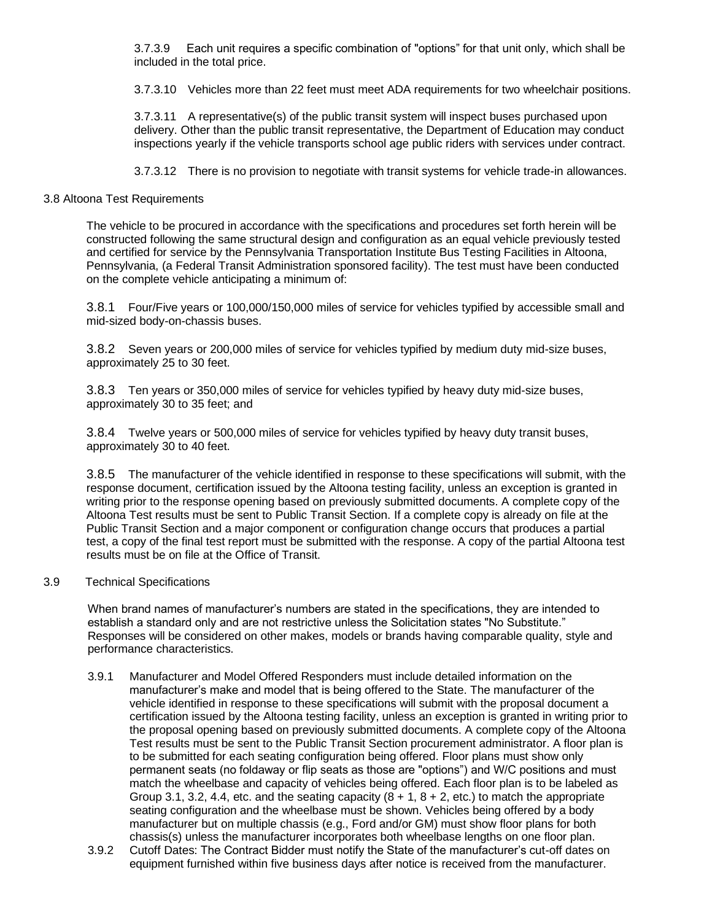3.7.3.9 Each unit requires a specific combination of "options" for that unit only, which shall be included in the total price.

3.7.3.10 Vehicles more than 22 feet must meet ADA requirements for two wheelchair positions.

3.7.3.11 A representative(s) of the public transit system will inspect buses purchased upon delivery. Other than the public transit representative, the Department of Education may conduct inspections yearly if the vehicle transports school age public riders with services under contract.

3.7.3.12 There is no provision to negotiate with transit systems for vehicle trade-in allowances.

## 3.8 Altoona Test Requirements

The vehicle to be procured in accordance with the specifications and procedures set forth herein will be constructed following the same structural design and configuration as an equal vehicle previously tested and certified for service by the Pennsylvania Transportation Institute Bus Testing Facilities in Altoona, Pennsylvania, (a Federal Transit Administration sponsored facility). The test must have been conducted on the complete vehicle anticipating a minimum of:

3.8.1 Four/Five years or 100,000/150,000 miles of service for vehicles typified by accessible small and mid-sized body-on-chassis buses.

3.8.2 Seven years or 200,000 miles of service for vehicles typified by medium duty mid-size buses, approximately 25 to 30 feet.

3.8.3 Ten years or 350,000 miles of service for vehicles typified by heavy duty mid-size buses, approximately 30 to 35 feet; and

3.8.4 Twelve years or 500,000 miles of service for vehicles typified by heavy duty transit buses, approximately 30 to 40 feet.

3.8.5 The manufacturer of the vehicle identified in response to these specifications will submit, with the response document, certification issued by the Altoona testing facility, unless an exception is granted in writing prior to the response opening based on previously submitted documents. A complete copy of the Altoona Test results must be sent to Public Transit Section. If a complete copy is already on file at the Public Transit Section and a major component or configuration change occurs that produces a partial test, a copy of the final test report must be submitted with the response. A copy of the partial Altoona test results must be on file at the Office of Transit.

### 3.9 Technical Specifications

When brand names of manufacturer's numbers are stated in the specifications, they are intended to establish a standard only and are not restrictive unless the Solicitation states "No Substitute." Responses will be considered on other makes, models or brands having comparable quality, style and performance characteristics.

- 3.9.1 Manufacturer and Model Offered Responders must include detailed information on the manufacturer's make and model that is being offered to the State. The manufacturer of the vehicle identified in response to these specifications will submit with the proposal document a certification issued by the Altoona testing facility, unless an exception is granted in writing prior to the proposal opening based on previously submitted documents. A complete copy of the Altoona Test results must be sent to the Public Transit Section procurement administrator. A floor plan is to be submitted for each seating configuration being offered. Floor plans must show only permanent seats (no foldaway or flip seats as those are "options") and W/C positions and must match the wheelbase and capacity of vehicles being offered. Each floor plan is to be labeled as Group 3.1, 3.2, 4.4, etc. and the seating capacity  $(8 + 1, 8 + 2, \text{ etc.})$  to match the appropriate seating configuration and the wheelbase must be shown. Vehicles being offered by a body manufacturer but on multiple chassis (e.g., Ford and/or GM) must show floor plans for both chassis(s) unless the manufacturer incorporates both wheelbase lengths on one floor plan.
- 3.9.2 Cutoff Dates: The Contract Bidder must notify the State of the manufacturer's cut-off dates on equipment furnished within five business days after notice is received from the manufacturer.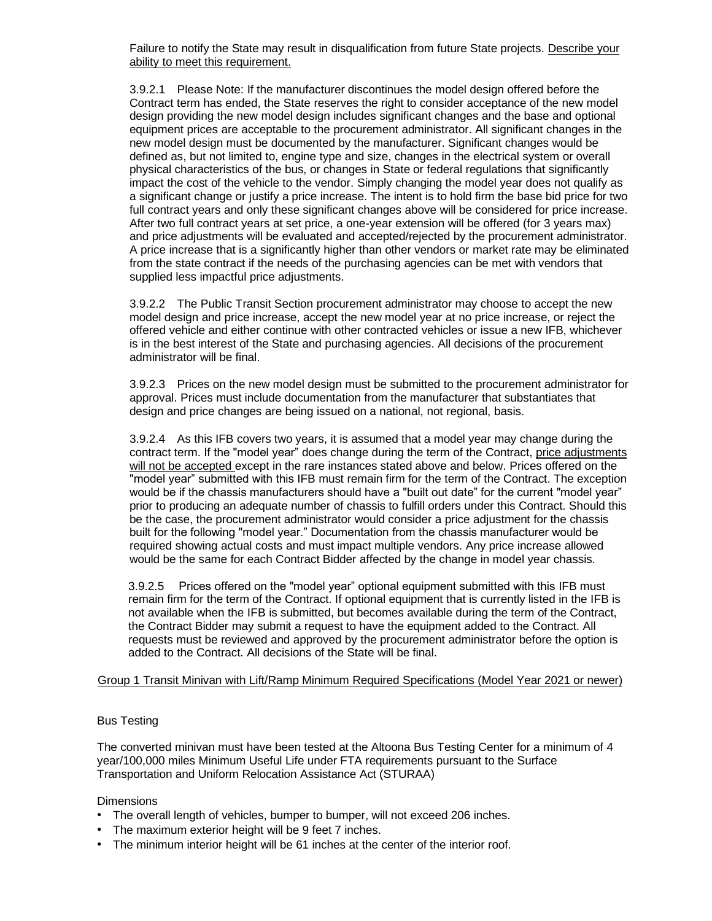Failure to notify the State may result in disqualification from future State projects. Describe your ability to meet this requirement.

3.9.2.1 Please Note: If the manufacturer discontinues the model design offered before the Contract term has ended, the State reserves the right to consider acceptance of the new model design providing the new model design includes significant changes and the base and optional equipment prices are acceptable to the procurement administrator. All significant changes in the new model design must be documented by the manufacturer. Significant changes would be defined as, but not limited to, engine type and size, changes in the electrical system or overall physical characteristics of the bus, or changes in State or federal regulations that significantly impact the cost of the vehicle to the vendor. Simply changing the model year does not qualify as a significant change or justify a price increase. The intent is to hold firm the base bid price for two full contract years and only these significant changes above will be considered for price increase. After two full contract years at set price, a one-year extension will be offered (for 3 years max) and price adjustments will be evaluated and accepted/rejected by the procurement administrator. A price increase that is a significantly higher than other vendors or market rate may be eliminated from the state contract if the needs of the purchasing agencies can be met with vendors that supplied less impactful price adjustments.

3.9.2.2 The Public Transit Section procurement administrator may choose to accept the new model design and price increase, accept the new model year at no price increase, or reject the offered vehicle and either continue with other contracted vehicles or issue a new IFB, whichever is in the best interest of the State and purchasing agencies. All decisions of the procurement administrator will be final.

3.9.2.3 Prices on the new model design must be submitted to the procurement administrator for approval. Prices must include documentation from the manufacturer that substantiates that design and price changes are being issued on a national, not regional, basis.

3.9.2.4 As this IFB covers two years, it is assumed that a model year may change during the contract term. If the "model year" does change during the term of the Contract, price adjustments will not be accepted except in the rare instances stated above and below. Prices offered on the "model year" submitted with this IFB must remain firm for the term of the Contract. The exception would be if the chassis manufacturers should have a "built out date" for the current "model year" prior to producing an adequate number of chassis to fulfill orders under this Contract. Should this be the case, the procurement administrator would consider a price adjustment for the chassis built for the following "model year." Documentation from the chassis manufacturer would be required showing actual costs and must impact multiple vendors. Any price increase allowed would be the same for each Contract Bidder affected by the change in model year chassis.

3.9.2.5 Prices offered on the "model year" optional equipment submitted with this IFB must remain firm for the term of the Contract. If optional equipment that is currently listed in the IFB is not available when the IFB is submitted, but becomes available during the term of the Contract, the Contract Bidder may submit a request to have the equipment added to the Contract. All requests must be reviewed and approved by the procurement administrator before the option is added to the Contract. All decisions of the State will be final.

#### Group 1 Transit Minivan with Lift/Ramp Minimum Required Specifications (Model Year 2021 or newer)

#### Bus Testing

The converted minivan must have been tested at the Altoona Bus Testing Center for a minimum of 4 year/100,000 miles Minimum Useful Life under FTA requirements pursuant to the Surface Transportation and Uniform Relocation Assistance Act (STURAA)

#### **Dimensions**

- The overall length of vehicles, bumper to bumper, will not exceed 206 inches.
- The maximum exterior height will be 9 feet 7 inches.
- The minimum interior height will be 61 inches at the center of the interior roof.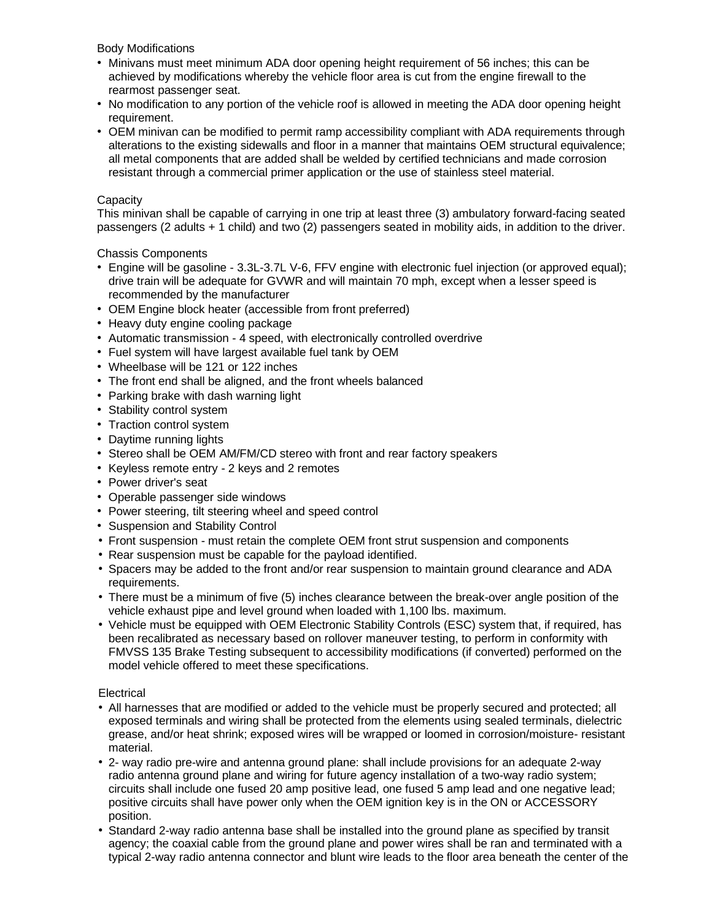Body Modifications

- Minivans must meet minimum ADA door opening height requirement of 56 inches; this can be achieved by modifications whereby the vehicle floor area is cut from the engine firewall to the rearmost passenger seat.
- No modification to any portion of the vehicle roof is allowed in meeting the ADA door opening height requirement.
- OEM minivan can be modified to permit ramp accessibility compliant with ADA requirements through alterations to the existing sidewalls and floor in a manner that maintains OEM structural equivalence; all metal components that are added shall be welded by certified technicians and made corrosion resistant through a commercial primer application or the use of stainless steel material.

## **Capacity**

This minivan shall be capable of carrying in one trip at least three (3) ambulatory forward-facing seated passengers (2 adults + 1 child) and two (2) passengers seated in mobility aids, in addition to the driver.

Chassis Components

- Engine will be gasoline 3.3L-3.7L V-6, FFV engine with electronic fuel injection (or approved equal); drive train will be adequate for GVWR and will maintain 70 mph, except when a lesser speed is recommended by the manufacturer
- OEM Engine block heater (accessible from front preferred)
- Heavy duty engine cooling package
- Automatic transmission 4 speed, with electronically controlled overdrive
- Fuel system will have largest available fuel tank by OEM
- Wheelbase will be 121 or 122 inches
- The front end shall be aligned, and the front wheels balanced
- Parking brake with dash warning light
- Stability control system
- Traction control system
- Daytime running lights
- Stereo shall be OEM AM/FM/CD stereo with front and rear factory speakers
- Keyless remote entry 2 keys and 2 remotes
- Power driver's seat
- Operable passenger side windows
- Power steering, tilt steering wheel and speed control
- Suspension and Stability Control
- Front suspension must retain the complete OEM front strut suspension and components
- Rear suspension must be capable for the payload identified.
- Spacers may be added to the front and/or rear suspension to maintain ground clearance and ADA requirements.
- There must be a minimum of five (5) inches clearance between the break-over angle position of the vehicle exhaust pipe and level ground when loaded with 1,100 lbs. maximum.
- Vehicle must be equipped with OEM Electronic Stability Controls (ESC) system that, if required, has been recalibrated as necessary based on rollover maneuver testing, to perform in conformity with FMVSS 135 Brake Testing subsequent to accessibility modifications (if converted) performed on the model vehicle offered to meet these specifications.

#### **Electrical**

- All harnesses that are modified or added to the vehicle must be properly secured and protected; all exposed terminals and wiring shall be protected from the elements using sealed terminals, dielectric grease, and/or heat shrink; exposed wires will be wrapped or loomed in corrosion/moisture- resistant material.
- 2- way radio pre-wire and antenna ground plane: shall include provisions for an adequate 2-way radio antenna ground plane and wiring for future agency installation of a two-way radio system; circuits shall include one fused 20 amp positive lead, one fused 5 amp lead and one negative lead; positive circuits shall have power only when the OEM ignition key is in the ON or ACCESSORY position.
- Standard 2-way radio antenna base shall be installed into the ground plane as specified by transit agency; the coaxial cable from the ground plane and power wires shall be ran and terminated with a typical 2-way radio antenna connector and blunt wire leads to the floor area beneath the center of the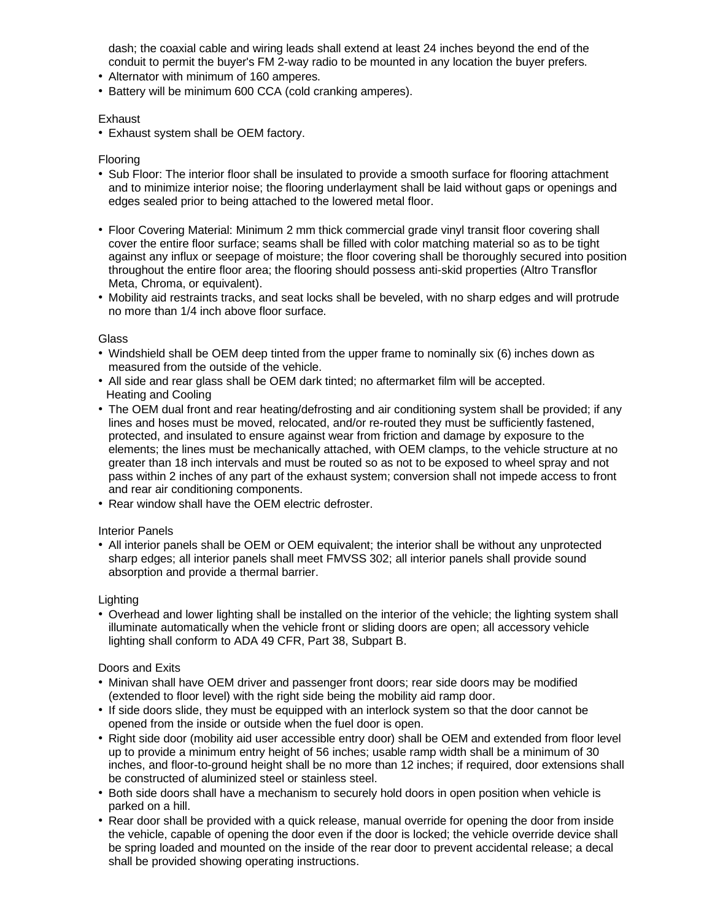dash; the coaxial cable and wiring leads shall extend at least 24 inches beyond the end of the conduit to permit the buyer's FM 2-way radio to be mounted in any location the buyer prefers.

- Alternator with minimum of 160 amperes.
- Battery will be minimum 600 CCA (cold cranking amperes).

### **Exhaust**

• Exhaust system shall be OEM factory.

## Flooring

- Sub Floor: The interior floor shall be insulated to provide a smooth surface for flooring attachment and to minimize interior noise; the flooring underlayment shall be laid without gaps or openings and edges sealed prior to being attached to the lowered metal floor.
- Floor Covering Material: Minimum 2 mm thick commercial grade vinyl transit floor covering shall cover the entire floor surface; seams shall be filled with color matching material so as to be tight against any influx or seepage of moisture; the floor covering shall be thoroughly secured into position throughout the entire floor area; the flooring should possess anti-skid properties (Altro Transflor Meta, Chroma, or equivalent).
- Mobility aid restraints tracks, and seat locks shall be beveled, with no sharp edges and will protrude no more than 1/4 inch above floor surface.

### **Glass**

- Windshield shall be OEM deep tinted from the upper frame to nominally six (6) inches down as measured from the outside of the vehicle.
- All side and rear glass shall be OEM dark tinted; no aftermarket film will be accepted. Heating and Cooling
- The OEM dual front and rear heating/defrosting and air conditioning system shall be provided; if any lines and hoses must be moved, relocated, and/or re-routed they must be sufficiently fastened, protected, and insulated to ensure against wear from friction and damage by exposure to the elements; the lines must be mechanically attached, with OEM clamps, to the vehicle structure at no greater than 18 inch intervals and must be routed so as not to be exposed to wheel spray and not pass within 2 inches of any part of the exhaust system; conversion shall not impede access to front and rear air conditioning components.
- Rear window shall have the OEM electric defroster.

### Interior Panels

• All interior panels shall be OEM or OEM equivalent; the interior shall be without any unprotected sharp edges; all interior panels shall meet FMVSS 302; all interior panels shall provide sound absorption and provide a thermal barrier.

### Lighting

• Overhead and lower lighting shall be installed on the interior of the vehicle; the lighting system shall illuminate automatically when the vehicle front or sliding doors are open; all accessory vehicle lighting shall conform to ADA 49 CFR, Part 38, Subpart B.

### Doors and Exits

- Minivan shall have OEM driver and passenger front doors; rear side doors may be modified (extended to floor level) with the right side being the mobility aid ramp door.
- If side doors slide, they must be equipped with an interlock system so that the door cannot be opened from the inside or outside when the fuel door is open.
- Right side door (mobility aid user accessible entry door) shall be OEM and extended from floor level up to provide a minimum entry height of 56 inches; usable ramp width shall be a minimum of 30 inches, and floor-to-ground height shall be no more than 12 inches; if required, door extensions shall be constructed of aluminized steel or stainless steel.
- Both side doors shall have a mechanism to securely hold doors in open position when vehicle is parked on a hill.
- Rear door shall be provided with a quick release, manual override for opening the door from inside the vehicle, capable of opening the door even if the door is locked; the vehicle override device shall be spring loaded and mounted on the inside of the rear door to prevent accidental release; a decal shall be provided showing operating instructions.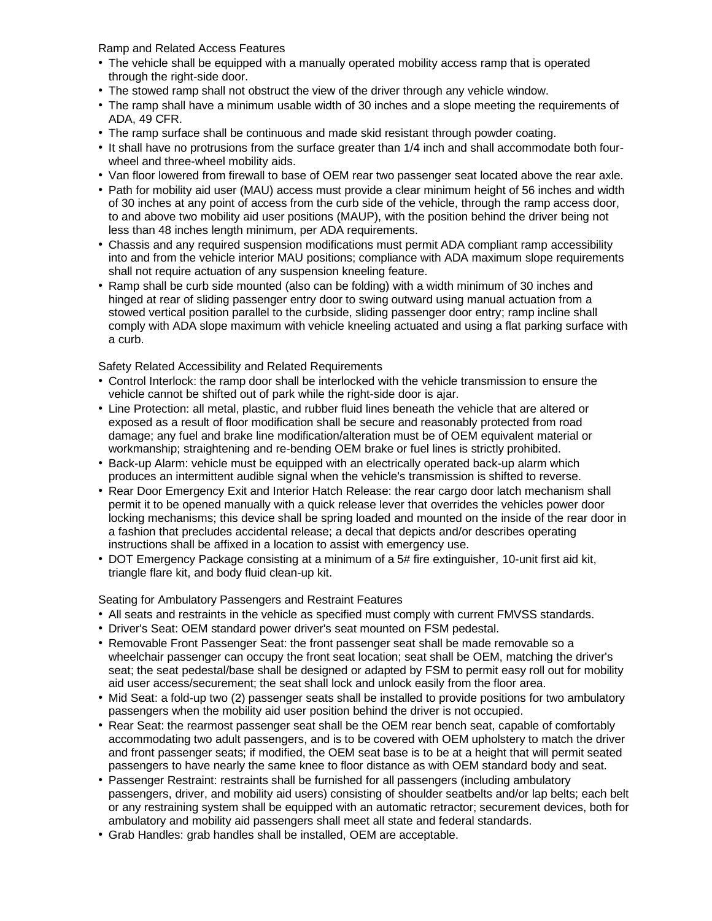Ramp and Related Access Features

- The vehicle shall be equipped with a manually operated mobility access ramp that is operated through the right-side door.
- The stowed ramp shall not obstruct the view of the driver through any vehicle window.
- The ramp shall have a minimum usable width of 30 inches and a slope meeting the requirements of ADA, 49 CFR.
- The ramp surface shall be continuous and made skid resistant through powder coating.
- It shall have no protrusions from the surface greater than 1/4 inch and shall accommodate both fourwheel and three-wheel mobility aids.
- Van floor lowered from firewall to base of OEM rear two passenger seat located above the rear axle.
- Path for mobility aid user (MAU) access must provide a clear minimum height of 56 inches and width of 30 inches at any point of access from the curb side of the vehicle, through the ramp access door, to and above two mobility aid user positions (MAUP), with the position behind the driver being not less than 48 inches length minimum, per ADA requirements.
- Chassis and any required suspension modifications must permit ADA compliant ramp accessibility into and from the vehicle interior MAU positions; compliance with ADA maximum slope requirements shall not require actuation of any suspension kneeling feature.
- Ramp shall be curb side mounted (also can be folding) with a width minimum of 30 inches and hinged at rear of sliding passenger entry door to swing outward using manual actuation from a stowed vertical position parallel to the curbside, sliding passenger door entry; ramp incline shall comply with ADA slope maximum with vehicle kneeling actuated and using a flat parking surface with a curb.

Safety Related Accessibility and Related Requirements

- Control Interlock: the ramp door shall be interlocked with the vehicle transmission to ensure the vehicle cannot be shifted out of park while the right-side door is ajar.
- Line Protection: all metal, plastic, and rubber fluid lines beneath the vehicle that are altered or exposed as a result of floor modification shall be secure and reasonably protected from road damage; any fuel and brake line modification/alteration must be of OEM equivalent material or workmanship; straightening and re-bending OEM brake or fuel lines is strictly prohibited.
- Back-up Alarm: vehicle must be equipped with an electrically operated back-up alarm which produces an intermittent audible signal when the vehicle's transmission is shifted to reverse.
- Rear Door Emergency Exit and Interior Hatch Release: the rear cargo door latch mechanism shall permit it to be opened manually with a quick release lever that overrides the vehicles power door locking mechanisms; this device shall be spring loaded and mounted on the inside of the rear door in a fashion that precludes accidental release; a decal that depicts and/or describes operating instructions shall be affixed in a location to assist with emergency use.
- DOT Emergency Package consisting at a minimum of a 5# fire extinguisher, 10-unit first aid kit, triangle flare kit, and body fluid clean-up kit.

Seating for Ambulatory Passengers and Restraint Features

- All seats and restraints in the vehicle as specified must comply with current FMVSS standards.
- Driver's Seat: OEM standard power driver's seat mounted on FSM pedestal.
- Removable Front Passenger Seat: the front passenger seat shall be made removable so a wheelchair passenger can occupy the front seat location; seat shall be OEM, matching the driver's seat; the seat pedestal/base shall be designed or adapted by FSM to permit easy roll out for mobility aid user access/securement; the seat shall lock and unlock easily from the floor area.
- Mid Seat: a fold-up two (2) passenger seats shall be installed to provide positions for two ambulatory passengers when the mobility aid user position behind the driver is not occupied.
- Rear Seat: the rearmost passenger seat shall be the OEM rear bench seat, capable of comfortably accommodating two adult passengers, and is to be covered with OEM upholstery to match the driver and front passenger seats; if modified, the OEM seat base is to be at a height that will permit seated passengers to have nearly the same knee to floor distance as with OEM standard body and seat.
- Passenger Restraint: restraints shall be furnished for all passengers (including ambulatory passengers, driver, and mobility aid users) consisting of shoulder seatbelts and/or lap belts; each belt or any restraining system shall be equipped with an automatic retractor; securement devices, both for ambulatory and mobility aid passengers shall meet all state and federal standards.
- Grab Handles: grab handles shall be installed, OEM are acceptable.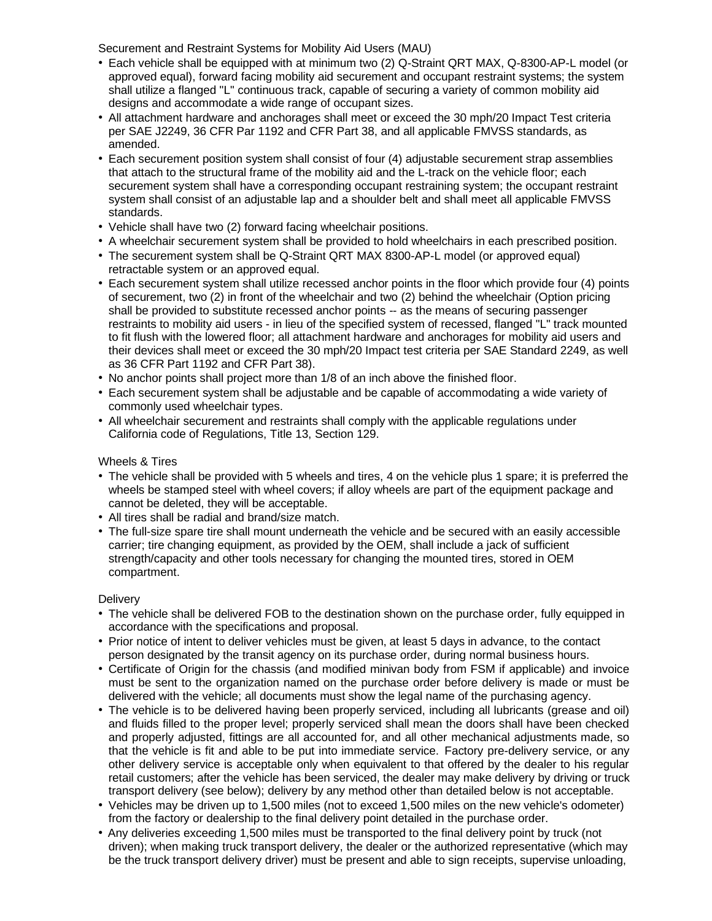Securement and Restraint Systems for Mobility Aid Users (MAU)

- Each vehicle shall be equipped with at minimum two (2) Q-Straint QRT MAX, Q-8300-AP-L model (or approved equal), forward facing mobility aid securement and occupant restraint systems; the system shall utilize a flanged "L" continuous track, capable of securing a variety of common mobility aid designs and accommodate a wide range of occupant sizes.
- All attachment hardware and anchorages shall meet or exceed the 30 mph/20 Impact Test criteria per SAE J2249, 36 CFR Par 1192 and CFR Part 38, and all applicable FMVSS standards, as amended.
- Each securement position system shall consist of four (4) adjustable securement strap assemblies that attach to the structural frame of the mobility aid and the L-track on the vehicle floor; each securement system shall have a corresponding occupant restraining system; the occupant restraint system shall consist of an adjustable lap and a shoulder belt and shall meet all applicable FMVSS standards.
- Vehicle shall have two (2) forward facing wheelchair positions.
- A wheelchair securement system shall be provided to hold wheelchairs in each prescribed position.
- The securement system shall be Q-Straint QRT MAX 8300-AP-L model (or approved equal) retractable system or an approved equal.
- Each securement system shall utilize recessed anchor points in the floor which provide four (4) points of securement, two (2) in front of the wheelchair and two (2) behind the wheelchair (Option pricing shall be provided to substitute recessed anchor points -- as the means of securing passenger restraints to mobility aid users - in lieu of the specified system of recessed, flanged "L" track mounted to fit flush with the lowered floor; all attachment hardware and anchorages for mobility aid users and their devices shall meet or exceed the 30 mph/20 Impact test criteria per SAE Standard 2249, as well as 36 CFR Part 1192 and CFR Part 38).
- No anchor points shall project more than 1/8 of an inch above the finished floor.
- Each securement system shall be adjustable and be capable of accommodating a wide variety of commonly used wheelchair types.
- All wheelchair securement and restraints shall comply with the applicable regulations under California code of Regulations, Title 13, Section 129.

### Wheels & Tires

- The vehicle shall be provided with 5 wheels and tires, 4 on the vehicle plus 1 spare; it is preferred the wheels be stamped steel with wheel covers; if alloy wheels are part of the equipment package and cannot be deleted, they will be acceptable.
- All tires shall be radial and brand/size match.
- The full-size spare tire shall mount underneath the vehicle and be secured with an easily accessible carrier; tire changing equipment, as provided by the OEM, shall include a jack of sufficient strength/capacity and other tools necessary for changing the mounted tires, stored in OEM compartment.

### **Delivery**

- The vehicle shall be delivered FOB to the destination shown on the purchase order, fully equipped in accordance with the specifications and proposal.
- Prior notice of intent to deliver vehicles must be given, at least 5 days in advance, to the contact person designated by the transit agency on its purchase order, during normal business hours.
- Certificate of Origin for the chassis (and modified minivan body from FSM if applicable) and invoice must be sent to the organization named on the purchase order before delivery is made or must be delivered with the vehicle; all documents must show the legal name of the purchasing agency.
- The vehicle is to be delivered having been properly serviced, including all lubricants (grease and oil) and fluids filled to the proper level; properly serviced shall mean the doors shall have been checked and properly adjusted, fittings are all accounted for, and all other mechanical adjustments made, so that the vehicle is fit and able to be put into immediate service. Factory pre-delivery service, or any other delivery service is acceptable only when equivalent to that offered by the dealer to his regular retail customers; after the vehicle has been serviced, the dealer may make delivery by driving or truck transport delivery (see below); delivery by any method other than detailed below is not acceptable.
- Vehicles may be driven up to 1,500 miles (not to exceed 1,500 miles on the new vehicle's odometer) from the factory or dealership to the final delivery point detailed in the purchase order.
- Any deliveries exceeding 1,500 miles must be transported to the final delivery point by truck (not driven); when making truck transport delivery, the dealer or the authorized representative (which may be the truck transport delivery driver) must be present and able to sign receipts, supervise unloading,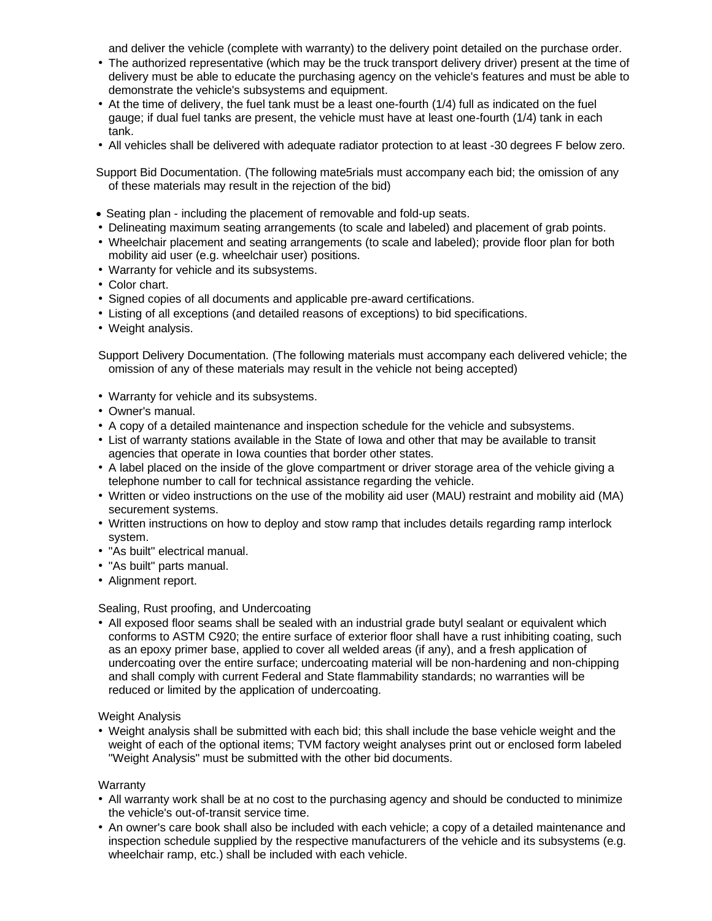and deliver the vehicle (complete with warranty) to the delivery point detailed on the purchase order.

- The authorized representative (which may be the truck transport delivery driver) present at the time of delivery must be able to educate the purchasing agency on the vehicle's features and must be able to demonstrate the vehicle's subsystems and equipment.
- At the time of delivery, the fuel tank must be a least one-fourth (1/4) full as indicated on the fuel gauge; if dual fuel tanks are present, the vehicle must have at least one-fourth (1/4) tank in each tank.
- All vehicles shall be delivered with adequate radiator protection to at least -30 degrees F below zero.
- Support Bid Documentation. (The following mate5rials must accompany each bid; the omission of any of these materials may result in the rejection of the bid)
- Seating plan including the placement of removable and fold-up seats.
- Delineating maximum seating arrangements (to scale and labeled) and placement of grab points.
- Wheelchair placement and seating arrangements (to scale and labeled); provide floor plan for both mobility aid user (e.g. wheelchair user) positions.
- Warranty for vehicle and its subsystems.
- Color chart.
- Signed copies of all documents and applicable pre-award certifications.
- Listing of all exceptions (and detailed reasons of exceptions) to bid specifications.
- Weight analysis.

Support Delivery Documentation. (The following materials must accompany each delivered vehicle; the omission of any of these materials may result in the vehicle not being accepted)

- Warranty for vehicle and its subsystems.
- Owner's manual.
- A copy of a detailed maintenance and inspection schedule for the vehicle and subsystems.
- List of warranty stations available in the State of Iowa and other that may be available to transit agencies that operate in Iowa counties that border other states.
- A label placed on the inside of the glove compartment or driver storage area of the vehicle giving a telephone number to call for technical assistance regarding the vehicle.
- Written or video instructions on the use of the mobility aid user (MAU) restraint and mobility aid (MA) securement systems.
- Written instructions on how to deploy and stow ramp that includes details regarding ramp interlock system.
- "As built" electrical manual.
- "As built" parts manual.
- Alignment report.

### Sealing, Rust proofing, and Undercoating

• All exposed floor seams shall be sealed with an industrial grade butyl sealant or equivalent which conforms to ASTM C920; the entire surface of exterior floor shall have a rust inhibiting coating, such as an epoxy primer base, applied to cover all welded areas (if any), and a fresh application of undercoating over the entire surface; undercoating material will be non-hardening and non-chipping and shall comply with current Federal and State flammability standards; no warranties will be reduced or limited by the application of undercoating.

Weight Analysis

• Weight analysis shall be submitted with each bid; this shall include the base vehicle weight and the weight of each of the optional items; TVM factory weight analyses print out or enclosed form labeled "Weight Analysis" must be submitted with the other bid documents.

Warranty

- All warranty work shall be at no cost to the purchasing agency and should be conducted to minimize the vehicle's out-of-transit service time.
- An owner's care book shall also be included with each vehicle; a copy of a detailed maintenance and inspection schedule supplied by the respective manufacturers of the vehicle and its subsystems (e.g. wheelchair ramp, etc.) shall be included with each vehicle.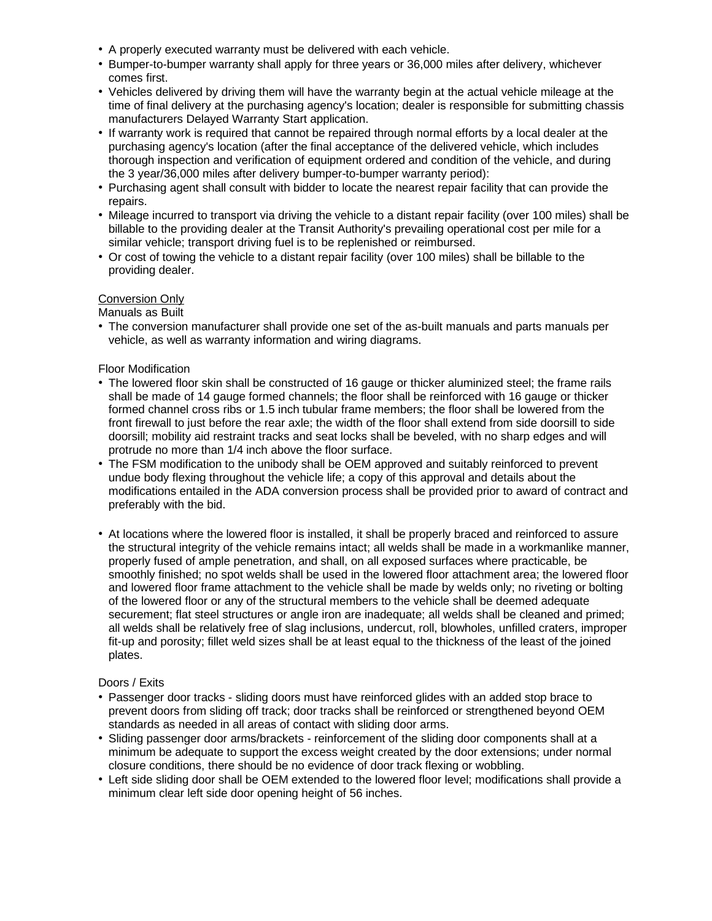- A properly executed warranty must be delivered with each vehicle.
- Bumper-to-bumper warranty shall apply for three years or 36,000 miles after delivery, whichever comes first.
- Vehicles delivered by driving them will have the warranty begin at the actual vehicle mileage at the time of final delivery at the purchasing agency's location; dealer is responsible for submitting chassis manufacturers Delayed Warranty Start application.
- If warranty work is required that cannot be repaired through normal efforts by a local dealer at the purchasing agency's location (after the final acceptance of the delivered vehicle, which includes thorough inspection and verification of equipment ordered and condition of the vehicle, and during the 3 year/36,000 miles after delivery bumper-to-bumper warranty period):
- Purchasing agent shall consult with bidder to locate the nearest repair facility that can provide the repairs.
- Mileage incurred to transport via driving the vehicle to a distant repair facility (over 100 miles) shall be billable to the providing dealer at the Transit Authority's prevailing operational cost per mile for a similar vehicle; transport driving fuel is to be replenished or reimbursed.
- Or cost of towing the vehicle to a distant repair facility (over 100 miles) shall be billable to the providing dealer.

# Conversion Only

Manuals as Built

• The conversion manufacturer shall provide one set of the as-built manuals and parts manuals per vehicle, as well as warranty information and wiring diagrams.

# Floor Modification

- The lowered floor skin shall be constructed of 16 gauge or thicker aluminized steel; the frame rails shall be made of 14 gauge formed channels; the floor shall be reinforced with 16 gauge or thicker formed channel cross ribs or 1.5 inch tubular frame members; the floor shall be lowered from the front firewall to just before the rear axle; the width of the floor shall extend from side doorsill to side doorsill; mobility aid restraint tracks and seat locks shall be beveled, with no sharp edges and will protrude no more than 1/4 inch above the floor surface.
- The FSM modification to the unibody shall be OEM approved and suitably reinforced to prevent undue body flexing throughout the vehicle life; a copy of this approval and details about the modifications entailed in the ADA conversion process shall be provided prior to award of contract and preferably with the bid.
- At locations where the lowered floor is installed, it shall be properly braced and reinforced to assure the structural integrity of the vehicle remains intact; all welds shall be made in a workmanlike manner, properly fused of ample penetration, and shall, on all exposed surfaces where practicable, be smoothly finished; no spot welds shall be used in the lowered floor attachment area; the lowered floor and lowered floor frame attachment to the vehicle shall be made by welds only; no riveting or bolting of the lowered floor or any of the structural members to the vehicle shall be deemed adequate securement; flat steel structures or angle iron are inadequate; all welds shall be cleaned and primed; all welds shall be relatively free of slag inclusions, undercut, roll, blowholes, unfilled craters, improper fit-up and porosity; fillet weld sizes shall be at least equal to the thickness of the least of the joined plates.

### Doors / Exits

- Passenger door tracks sliding doors must have reinforced glides with an added stop brace to prevent doors from sliding off track; door tracks shall be reinforced or strengthened beyond OEM standards as needed in all areas of contact with sliding door arms.
- Sliding passenger door arms/brackets reinforcement of the sliding door components shall at a minimum be adequate to support the excess weight created by the door extensions; under normal closure conditions, there should be no evidence of door track flexing or wobbling.
- Left side sliding door shall be OEM extended to the lowered floor level; modifications shall provide a minimum clear left side door opening height of 56 inches.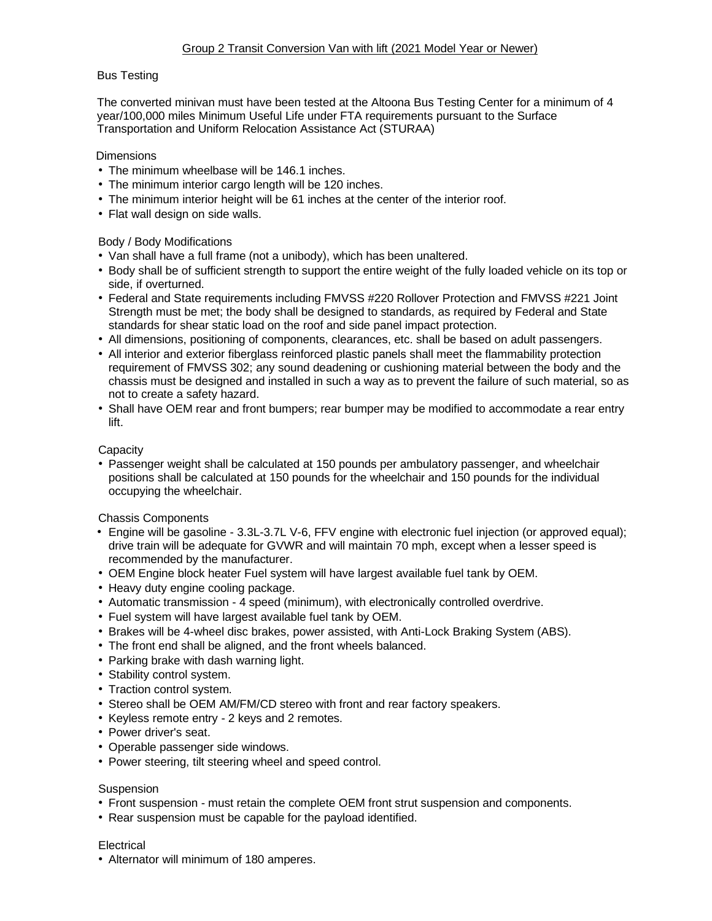# Bus Testing

The converted minivan must have been tested at the Altoona Bus Testing Center for a minimum of 4 year/100,000 miles Minimum Useful Life under FTA requirements pursuant to the Surface Transportation and Uniform Relocation Assistance Act (STURAA)

### **Dimensions**

- The minimum wheelbase will be 146.1 inches.
- The minimum interior cargo length will be 120 inches.
- The minimum interior height will be 61 inches at the center of the interior roof.
- Flat wall design on side walls.

# Body / Body Modifications

- Van shall have a full frame (not a unibody), which has been unaltered.
- Body shall be of sufficient strength to support the entire weight of the fully loaded vehicle on its top or side, if overturned.
- Federal and State requirements including FMVSS #220 Rollover Protection and FMVSS #221 Joint Strength must be met; the body shall be designed to standards, as required by Federal and State standards for shear static load on the roof and side panel impact protection.
- All dimensions, positioning of components, clearances, etc. shall be based on adult passengers.
- All interior and exterior fiberglass reinforced plastic panels shall meet the flammability protection requirement of FMVSS 302; any sound deadening or cushioning material between the body and the chassis must be designed and installed in such a way as to prevent the failure of such material, so as not to create a safety hazard.
- Shall have OEM rear and front bumpers; rear bumper may be modified to accommodate a rear entry lift.

# **Capacity**

• Passenger weight shall be calculated at 150 pounds per ambulatory passenger, and wheelchair positions shall be calculated at 150 pounds for the wheelchair and 150 pounds for the individual occupying the wheelchair.

### Chassis Components

- Engine will be gasoline 3.3L-3.7L V-6, FFV engine with electronic fuel injection (or approved equal); drive train will be adequate for GVWR and will maintain 70 mph, except when a lesser speed is recommended by the manufacturer.
- OEM Engine block heater Fuel system will have largest available fuel tank by OEM.
- Heavy duty engine cooling package.
- Automatic transmission 4 speed (minimum), with electronically controlled overdrive.
- Fuel system will have largest available fuel tank by OEM.
- Brakes will be 4-wheel disc brakes, power assisted, with Anti-Lock Braking System (ABS).
- The front end shall be aligned, and the front wheels balanced.
- Parking brake with dash warning light.
- Stability control system.
- Traction control system.
- Stereo shall be OEM AM/FM/CD stereo with front and rear factory speakers.
- Keyless remote entry 2 keys and 2 remotes.
- Power driver's seat.
- Operable passenger side windows.
- Power steering, tilt steering wheel and speed control.

### **Suspension**

- Front suspension must retain the complete OEM front strut suspension and components.
- Rear suspension must be capable for the payload identified.

### **Electrical**

• Alternator will minimum of 180 amperes.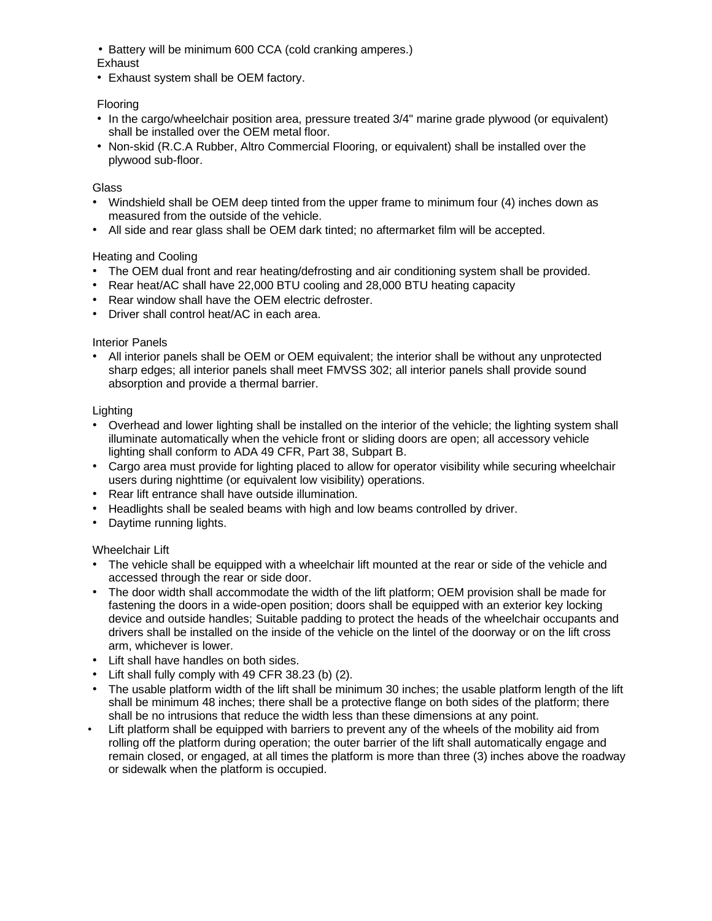• Battery will be minimum 600 CCA (cold cranking amperes.)

# Exhaust<sup>1</sup>

• Exhaust system shall be OEM factory.

# Flooring

- In the cargo/wheelchair position area, pressure treated 3/4" marine grade plywood (or equivalent) shall be installed over the OEM metal floor.
- Non-skid (R.C.A Rubber, Altro Commercial Flooring, or equivalent) shall be installed over the plywood sub-floor.

# **Glass**

- Windshield shall be OEM deep tinted from the upper frame to minimum four (4) inches down as measured from the outside of the vehicle.
- All side and rear glass shall be OEM dark tinted; no aftermarket film will be accepted.

# Heating and Cooling

- The OEM dual front and rear heating/defrosting and air conditioning system shall be provided.
- Rear heat/AC shall have 22,000 BTU cooling and 28,000 BTU heating capacity
- Rear window shall have the OEM electric defroster.
- Driver shall control heat/AC in each area.

# Interior Panels

• All interior panels shall be OEM or OEM equivalent; the interior shall be without any unprotected sharp edges; all interior panels shall meet FMVSS 302; all interior panels shall provide sound absorption and provide a thermal barrier.

# **Lighting**

- Overhead and lower lighting shall be installed on the interior of the vehicle; the lighting system shall illuminate automatically when the vehicle front or sliding doors are open; all accessory vehicle lighting shall conform to ADA 49 CFR, Part 38, Subpart B.
- Cargo area must provide for lighting placed to allow for operator visibility while securing wheelchair users during nighttime (or equivalent low visibility) operations.
- Rear lift entrance shall have outside illumination.
- Headlights shall be sealed beams with high and low beams controlled by driver.
- Daytime running lights.

# Wheelchair Lift

- The vehicle shall be equipped with a wheelchair lift mounted at the rear or side of the vehicle and accessed through the rear or side door.
- The door width shall accommodate the width of the lift platform; OEM provision shall be made for fastening the doors in a wide-open position; doors shall be equipped with an exterior key locking device and outside handles; Suitable padding to protect the heads of the wheelchair occupants and drivers shall be installed on the inside of the vehicle on the lintel of the doorway or on the lift cross arm, whichever is lower.
- Lift shall have handles on both sides.
- Lift shall fully comply with 49 CFR 38.23 (b) (2).
- The usable platform width of the lift shall be minimum 30 inches; the usable platform length of the lift shall be minimum 48 inches; there shall be a protective flange on both sides of the platform; there shall be no intrusions that reduce the width less than these dimensions at any point.
- Lift platform shall be equipped with barriers to prevent any of the wheels of the mobility aid from rolling off the platform during operation; the outer barrier of the lift shall automatically engage and remain closed, or engaged, at all times the platform is more than three (3) inches above the roadway or sidewalk when the platform is occupied.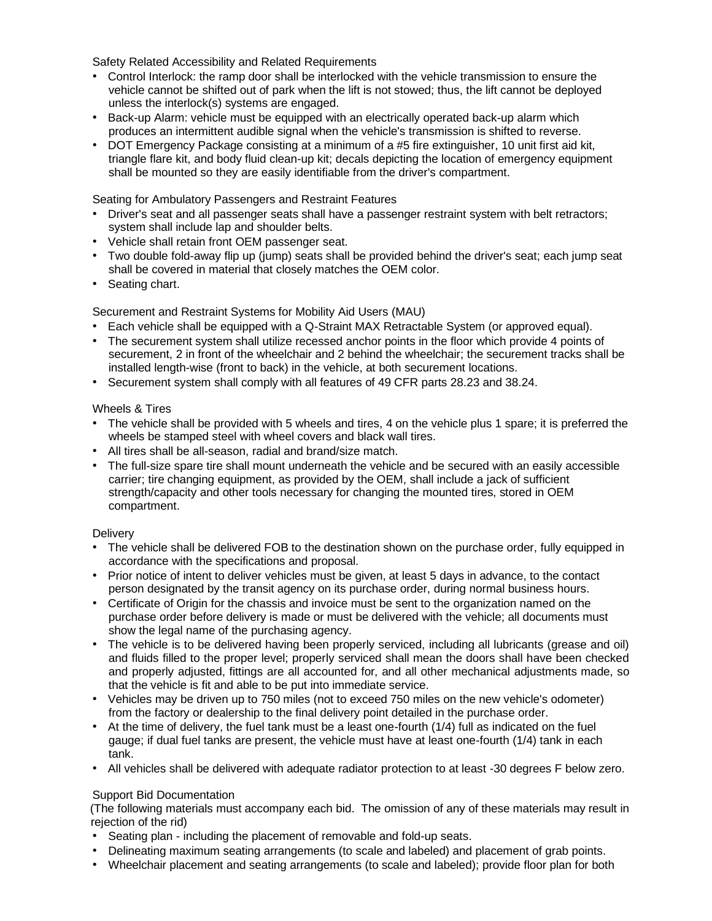Safety Related Accessibility and Related Requirements

- Control Interlock: the ramp door shall be interlocked with the vehicle transmission to ensure the vehicle cannot be shifted out of park when the lift is not stowed; thus, the lift cannot be deployed unless the interlock(s) systems are engaged.
- Back-up Alarm: vehicle must be equipped with an electrically operated back-up alarm which produces an intermittent audible signal when the vehicle's transmission is shifted to reverse.
- DOT Emergency Package consisting at a minimum of a #5 fire extinguisher, 10 unit first aid kit, triangle flare kit, and body fluid clean-up kit; decals depicting the location of emergency equipment shall be mounted so they are easily identifiable from the driver's compartment.

Seating for Ambulatory Passengers and Restraint Features

- Driver's seat and all passenger seats shall have a passenger restraint system with belt retractors; system shall include lap and shoulder belts.
- Vehicle shall retain front OEM passenger seat.
- Two double fold-away flip up (jump) seats shall be provided behind the driver's seat; each jump seat shall be covered in material that closely matches the OEM color.
- Seating chart.

Securement and Restraint Systems for Mobility Aid Users (MAU)

- Each vehicle shall be equipped with a Q-Straint MAX Retractable System (or approved equal).
- The securement system shall utilize recessed anchor points in the floor which provide 4 points of securement, 2 in front of the wheelchair and 2 behind the wheelchair; the securement tracks shall be installed length-wise (front to back) in the vehicle, at both securement locations.
- Securement system shall comply with all features of 49 CFR parts 28.23 and 38.24.

### Wheels & Tires

- The vehicle shall be provided with 5 wheels and tires, 4 on the vehicle plus 1 spare; it is preferred the wheels be stamped steel with wheel covers and black wall tires.
- All tires shall be all-season, radial and brand/size match.
- The full-size spare tire shall mount underneath the vehicle and be secured with an easily accessible carrier; tire changing equipment, as provided by the OEM, shall include a jack of sufficient strength/capacity and other tools necessary for changing the mounted tires, stored in OEM compartment.

### **Delivery**

- The vehicle shall be delivered FOB to the destination shown on the purchase order, fully equipped in accordance with the specifications and proposal.
- Prior notice of intent to deliver vehicles must be given, at least 5 days in advance, to the contact person designated by the transit agency on its purchase order, during normal business hours.
- Certificate of Origin for the chassis and invoice must be sent to the organization named on the purchase order before delivery is made or must be delivered with the vehicle; all documents must show the legal name of the purchasing agency.
- The vehicle is to be delivered having been properly serviced, including all lubricants (grease and oil) and fluids filled to the proper level; properly serviced shall mean the doors shall have been checked and properly adjusted, fittings are all accounted for, and all other mechanical adjustments made, so that the vehicle is fit and able to be put into immediate service.
- Vehicles may be driven up to 750 miles (not to exceed 750 miles on the new vehicle's odometer) from the factory or dealership to the final delivery point detailed in the purchase order.
- At the time of delivery, the fuel tank must be a least one-fourth (1/4) full as indicated on the fuel gauge; if dual fuel tanks are present, the vehicle must have at least one-fourth (1/4) tank in each tank.
- All vehicles shall be delivered with adequate radiator protection to at least -30 degrees F below zero.

# Support Bid Documentation

(The following materials must accompany each bid. The omission of any of these materials may result in rejection of the rid)

- Seating plan including the placement of removable and fold-up seats.
- Delineating maximum seating arrangements (to scale and labeled) and placement of grab points.
- Wheelchair placement and seating arrangements (to scale and labeled); provide floor plan for both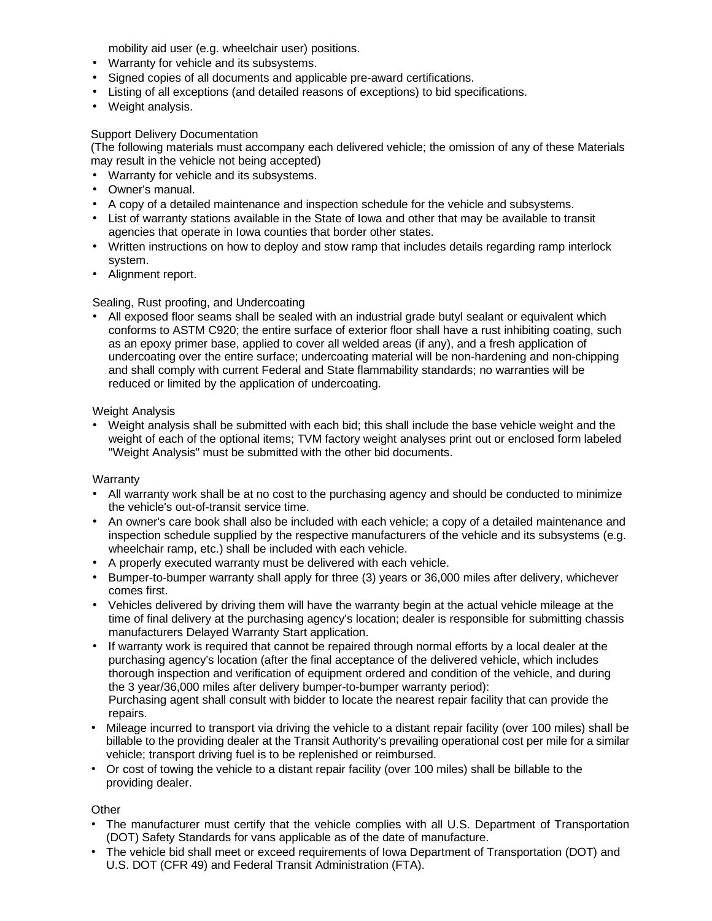mobility aid user (e.g. wheelchair user) positions.

- Warranty for vehicle and its subsystems.
- Signed copies of all documents and applicable pre-award certifications.
- Listing of all exceptions (and detailed reasons of exceptions) to bid specifications.
- Weight analysis.

# Support Delivery Documentation

(The following materials must accompany each delivered vehicle; the omission of any of these Materials may result in the vehicle not being accepted)

- Warranty for vehicle and its subsystems.
- Owner's manual.
- A copy of a detailed maintenance and inspection schedule for the vehicle and subsystems.
- List of warranty stations available in the State of Iowa and other that may be available to transit agencies that operate in Iowa counties that border other states.
- Written instructions on how to deploy and stow ramp that includes details regarding ramp interlock system.
- Alignment report.

# Sealing, Rust proofing, and Undercoating

• All exposed floor seams shall be sealed with an industrial grade butyl sealant or equivalent which conforms to ASTM C920; the entire surface of exterior floor shall have a rust inhibiting coating, such as an epoxy primer base, applied to cover all welded areas (if any), and a fresh application of undercoating over the entire surface; undercoating material will be non-hardening and non-chipping and shall comply with current Federal and State flammability standards; no warranties will be reduced or limited by the application of undercoating.

# Weight Analysis

• Weight analysis shall be submitted with each bid; this shall include the base vehicle weight and the weight of each of the optional items; TVM factory weight analyses print out or enclosed form labeled "Weight Analysis" must be submitted with the other bid documents.

### **Warranty**

- All warranty work shall be at no cost to the purchasing agency and should be conducted to minimize the vehicle's out-of-transit service time.
- An owner's care book shall also be included with each vehicle; a copy of a detailed maintenance and inspection schedule supplied by the respective manufacturers of the vehicle and its subsystems (e.g. wheelchair ramp, etc.) shall be included with each vehicle.
- A properly executed warranty must be delivered with each vehicle.
- Bumper-to-bumper warranty shall apply for three (3) years or 36,000 miles after delivery, whichever comes first.
- Vehicles delivered by driving them will have the warranty begin at the actual vehicle mileage at the time of final delivery at the purchasing agency's location; dealer is responsible for submitting chassis manufacturers Delayed Warranty Start application.
- If warranty work is required that cannot be repaired through normal efforts by a local dealer at the purchasing agency's location (after the final acceptance of the delivered vehicle, which includes thorough inspection and verification of equipment ordered and condition of the vehicle, and during the 3 year/36,000 miles after delivery bumper-to-bumper warranty period): Purchasing agent shall consult with bidder to locate the nearest repair facility that can provide the repairs.
- Mileage incurred to transport via driving the vehicle to a distant repair facility (over 100 miles) shall be billable to the providing dealer at the Transit Authority's prevailing operational cost per mile for a similar vehicle; transport driving fuel is to be replenished or reimbursed.
- Or cost of towing the vehicle to a distant repair facility (over 100 miles) shall be billable to the providing dealer.

# **Other**

- The manufacturer must certify that the vehicle complies with all U.S. Department of Transportation (DOT) Safety Standards for vans applicable as of the date of manufacture.
- The vehicle bid shall meet or exceed requirements of Iowa Department of Transportation (DOT) and U.S. DOT (CFR 49) and Federal Transit Administration (FTA).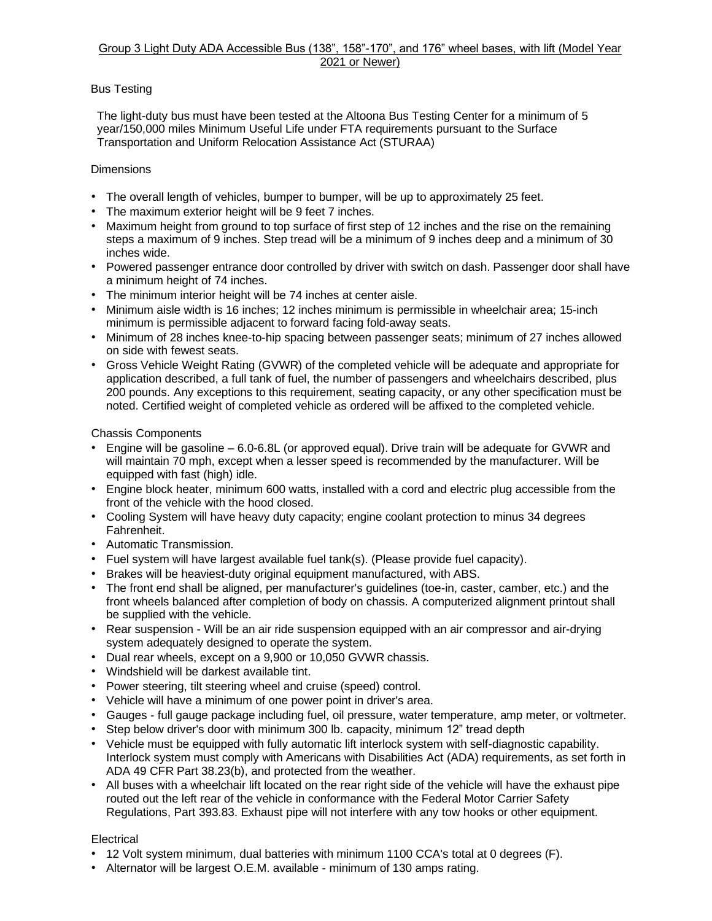### Group 3 Light Duty ADA Accessible Bus (138", 158"-170", and 176" wheel bases, with lift (Model Year 2021 or Newer)

# Bus Testing

The light-duty bus must have been tested at the Altoona Bus Testing Center for a minimum of 5 year/150,000 miles Minimum Useful Life under FTA requirements pursuant to the Surface Transportation and Uniform Relocation Assistance Act (STURAA)

# **Dimensions**

- The overall length of vehicles, bumper to bumper, will be up to approximately 25 feet.
- The maximum exterior height will be 9 feet 7 inches.
- Maximum height from ground to top surface of first step of 12 inches and the rise on the remaining steps a maximum of 9 inches. Step tread will be a minimum of 9 inches deep and a minimum of 30 inches wide.
- Powered passenger entrance door controlled by driver with switch on dash. Passenger door shall have a minimum height of 74 inches.
- The minimum interior height will be 74 inches at center aisle.
- Minimum aisle width is 16 inches; 12 inches minimum is permissible in wheelchair area; 15-inch minimum is permissible adjacent to forward facing fold-away seats.
- Minimum of 28 inches knee-to-hip spacing between passenger seats; minimum of 27 inches allowed on side with fewest seats.
- Gross Vehicle Weight Rating (GVWR) of the completed vehicle will be adequate and appropriate for application described, a full tank of fuel, the number of passengers and wheelchairs described, plus 200 pounds. Any exceptions to this requirement, seating capacity, or any other specification must be noted. Certified weight of completed vehicle as ordered will be affixed to the completed vehicle.

Chassis Components

- Engine will be gasoline 6.0-6.8L (or approved equal). Drive train will be adequate for GVWR and will maintain 70 mph, except when a lesser speed is recommended by the manufacturer. Will be equipped with fast (high) idle.
- Engine block heater, minimum 600 watts, installed with a cord and electric plug accessible from the front of the vehicle with the hood closed.
- Cooling System will have heavy duty capacity; engine coolant protection to minus 34 degrees Fahrenheit.
- Automatic Transmission.
- Fuel system will have largest available fuel tank(s). (Please provide fuel capacity).
- Brakes will be heaviest-duty original equipment manufactured, with ABS.
- The front end shall be aligned, per manufacturer's guidelines (toe-in, caster, camber, etc.) and the front wheels balanced after completion of body on chassis. A computerized alignment printout shall be supplied with the vehicle.
- Rear suspension Will be an air ride suspension equipped with an air compressor and air-drying system adequately designed to operate the system.
- Dual rear wheels, except on a 9,900 or 10,050 GVWR chassis.
- Windshield will be darkest available tint.
- Power steering, tilt steering wheel and cruise (speed) control.
- Vehicle will have a minimum of one power point in driver's area.
- Gauges full gauge package including fuel, oil pressure, water temperature, amp meter, or voltmeter.
- Step below driver's door with minimum 300 lb. capacity, minimum 12" tread depth
- Vehicle must be equipped with fully automatic lift interlock system with self-diagnostic capability. Interlock system must comply with Americans with Disabilities Act (ADA) requirements, as set forth in ADA 49 CFR Part 38.23(b), and protected from the weather.
- All buses with a wheelchair lift located on the rear right side of the vehicle will have the exhaust pipe routed out the left rear of the vehicle in conformance with the Federal Motor Carrier Safety Regulations, Part 393.83. Exhaust pipe will not interfere with any tow hooks or other equipment.

# **Electrical**

- 12 Volt system minimum, dual batteries with minimum 1100 CCA's total at 0 degrees (F).
- Alternator will be largest O.E.M. available minimum of 130 amps rating.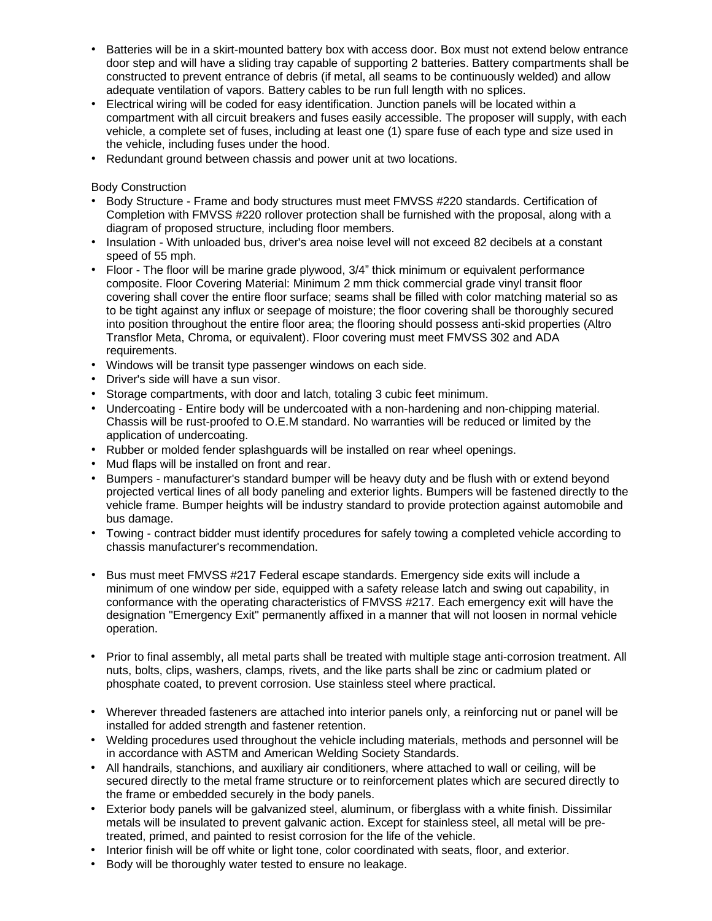- Batteries will be in a skirt-mounted battery box with access door. Box must not extend below entrance door step and will have a sliding tray capable of supporting 2 batteries. Battery compartments shall be constructed to prevent entrance of debris (if metal, all seams to be continuously welded) and allow adequate ventilation of vapors. Battery cables to be run full length with no splices.
- Electrical wiring will be coded for easy identification. Junction panels will be located within a compartment with all circuit breakers and fuses easily accessible. The proposer will supply, with each vehicle, a complete set of fuses, including at least one (1) spare fuse of each type and size used in the vehicle, including fuses under the hood.
- Redundant ground between chassis and power unit at two locations.

Body Construction

- Body Structure Frame and body structures must meet FMVSS #220 standards. Certification of Completion with FMVSS #220 rollover protection shall be furnished with the proposal, along with a diagram of proposed structure, including floor members.
- Insulation With unloaded bus, driver's area noise level will not exceed 82 decibels at a constant speed of 55 mph.
- Floor The floor will be marine grade plywood, 3/4" thick minimum or equivalent performance composite. Floor Covering Material: Minimum 2 mm thick commercial grade vinyl transit floor covering shall cover the entire floor surface; seams shall be filled with color matching material so as to be tight against any influx or seepage of moisture; the floor covering shall be thoroughly secured into position throughout the entire floor area; the flooring should possess anti-skid properties (Altro Transflor Meta, Chroma, or equivalent). Floor covering must meet FMVSS 302 and ADA requirements.
- Windows will be transit type passenger windows on each side.
- Driver's side will have a sun visor.
- Storage compartments, with door and latch, totaling 3 cubic feet minimum.
- Undercoating Entire body will be undercoated with a non-hardening and non-chipping material. Chassis will be rust-proofed to O.E.M standard. No warranties will be reduced or limited by the application of undercoating.
- Rubber or molded fender splashguards will be installed on rear wheel openings.
- Mud flaps will be installed on front and rear.
- Bumpers manufacturer's standard bumper will be heavy duty and be flush with or extend beyond projected vertical lines of all body paneling and exterior lights. Bumpers will be fastened directly to the vehicle frame. Bumper heights will be industry standard to provide protection against automobile and bus damage.
- Towing contract bidder must identify procedures for safely towing a completed vehicle according to chassis manufacturer's recommendation.
- Bus must meet FMVSS #217 Federal escape standards. Emergency side exits will include a minimum of one window per side, equipped with a safety release latch and swing out capability, in conformance with the operating characteristics of FMVSS #217. Each emergency exit will have the designation "Emergency Exit" permanently affixed in a manner that will not loosen in normal vehicle operation.
- Prior to final assembly, all metal parts shall be treated with multiple stage anti-corrosion treatment. All nuts, bolts, clips, washers, clamps, rivets, and the like parts shall be zinc or cadmium plated or phosphate coated, to prevent corrosion. Use stainless steel where practical.
- Wherever threaded fasteners are attached into interior panels only, a reinforcing nut or panel will be installed for added strength and fastener retention.
- Welding procedures used throughout the vehicle including materials, methods and personnel will be in accordance with ASTM and American Welding Society Standards.
- All handrails, stanchions, and auxiliary air conditioners, where attached to wall or ceiling, will be secured directly to the metal frame structure or to reinforcement plates which are secured directly to the frame or embedded securely in the body panels.
- Exterior body panels will be galvanized steel, aluminum, or fiberglass with a white finish. Dissimilar metals will be insulated to prevent galvanic action. Except for stainless steel, all metal will be pretreated, primed, and painted to resist corrosion for the life of the vehicle.
- Interior finish will be off white or light tone, color coordinated with seats, floor, and exterior.
- Body will be thoroughly water tested to ensure no leakage.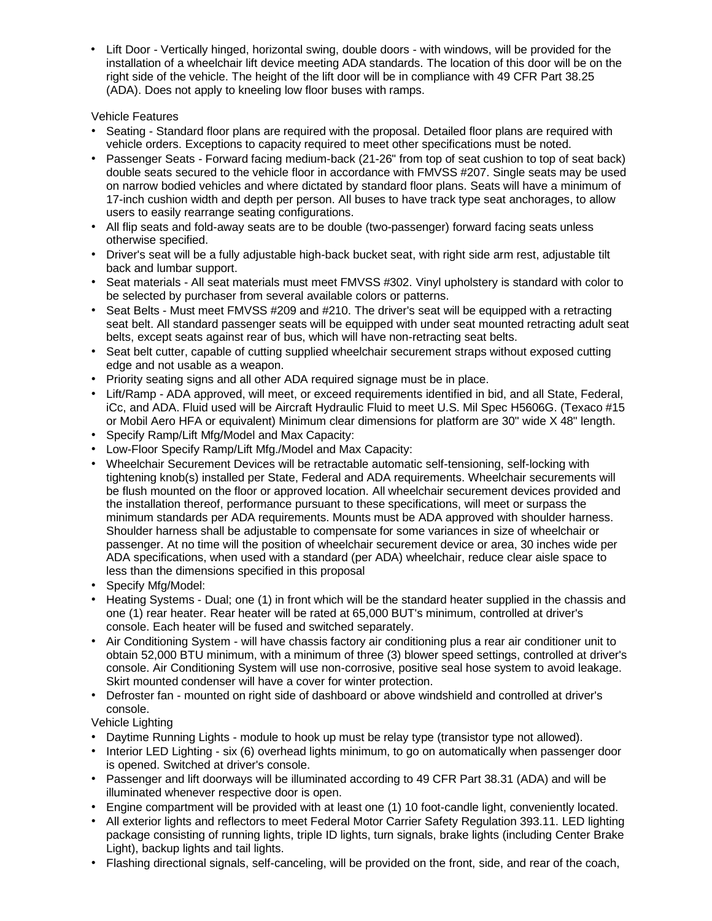• Lift Door - Vertically hinged, horizontal swing, double doors - with windows, will be provided for the installation of a wheelchair lift device meeting ADA standards. The location of this door will be on the right side of the vehicle. The height of the lift door will be in compliance with 49 CFR Part 38.25 (ADA). Does not apply to kneeling low floor buses with ramps.

# Vehicle Features

- Seating Standard floor plans are required with the proposal. Detailed floor plans are required with vehicle orders. Exceptions to capacity required to meet other specifications must be noted.
- Passenger Seats Forward facing medium-back (21-26" from top of seat cushion to top of seat back) double seats secured to the vehicle floor in accordance with FMVSS #207. Single seats may be used on narrow bodied vehicles and where dictated by standard floor plans. Seats will have a minimum of 17-inch cushion width and depth per person. All buses to have track type seat anchorages, to allow users to easily rearrange seating configurations.
- All flip seats and fold-away seats are to be double (two-passenger) forward facing seats unless otherwise specified.
- Driver's seat will be a fully adjustable high-back bucket seat, with right side arm rest, adjustable tilt back and lumbar support.
- Seat materials All seat materials must meet FMVSS #302. Vinyl upholstery is standard with color to be selected by purchaser from several available colors or patterns.
- Seat Belts Must meet FMVSS #209 and #210. The driver's seat will be equipped with a retracting seat belt. All standard passenger seats will be equipped with under seat mounted retracting adult seat belts, except seats against rear of bus, which will have non-retracting seat belts.
- Seat belt cutter, capable of cutting supplied wheelchair securement straps without exposed cutting edge and not usable as a weapon.
- Priority seating signs and all other ADA required signage must be in place.
- Lift/Ramp ADA approved, will meet, or exceed requirements identified in bid, and all State, Federal, iCc, and ADA. Fluid used will be Aircraft Hydraulic Fluid to meet U.S. Mil Spec H5606G. (Texaco #15 or Mobil Aero HFA or equivalent) Minimum clear dimensions for platform are 30" wide X 48" length.
- Specify Ramp/Lift Mfg/Model and Max Capacity:
- Low-Floor Specify Ramp/Lift Mfg./Model and Max Capacity:
- Wheelchair Securement Devices will be retractable automatic self-tensioning, self-locking with tightening knob(s) installed per State, Federal and ADA requirements. Wheelchair securements will be flush mounted on the floor or approved location. All wheelchair securement devices provided and the installation thereof, performance pursuant to these specifications, will meet or surpass the minimum standards per ADA requirements. Mounts must be ADA approved with shoulder harness. Shoulder harness shall be adjustable to compensate for some variances in size of wheelchair or passenger. At no time will the position of wheelchair securement device or area, 30 inches wide per ADA specifications, when used with a standard (per ADA) wheelchair, reduce clear aisle space to less than the dimensions specified in this proposal
- Specify Mfg/Model:
- Heating Systems Dual; one (1) in front which will be the standard heater supplied in the chassis and one (1) rear heater. Rear heater will be rated at 65,000 BUT's minimum, controlled at driver's console. Each heater will be fused and switched separately.
- Air Conditioning System will have chassis factory air conditioning plus a rear air conditioner unit to obtain 52,000 BTU minimum, with a minimum of three (3) blower speed settings, controlled at driver's console. Air Conditioning System will use non-corrosive, positive seal hose system to avoid leakage. Skirt mounted condenser will have a cover for winter protection.
- Defroster fan mounted on right side of dashboard or above windshield and controlled at driver's console.

Vehicle Lighting

- Daytime Running Lights module to hook up must be relay type (transistor type not allowed).
- Interior LED Lighting six (6) overhead lights minimum, to go on automatically when passenger door is opened. Switched at driver's console.
- Passenger and lift doorways will be illuminated according to 49 CFR Part 38.31 (ADA) and will be illuminated whenever respective door is open.
- Engine compartment will be provided with at least one (1) 10 foot-candle light, conveniently located.
- All exterior lights and reflectors to meet Federal Motor Carrier Safety Regulation 393.11. LED lighting package consisting of running lights, triple ID lights, turn signals, brake lights (including Center Brake Light), backup lights and tail lights.
- Flashing directional signals, self-canceling, will be provided on the front, side, and rear of the coach,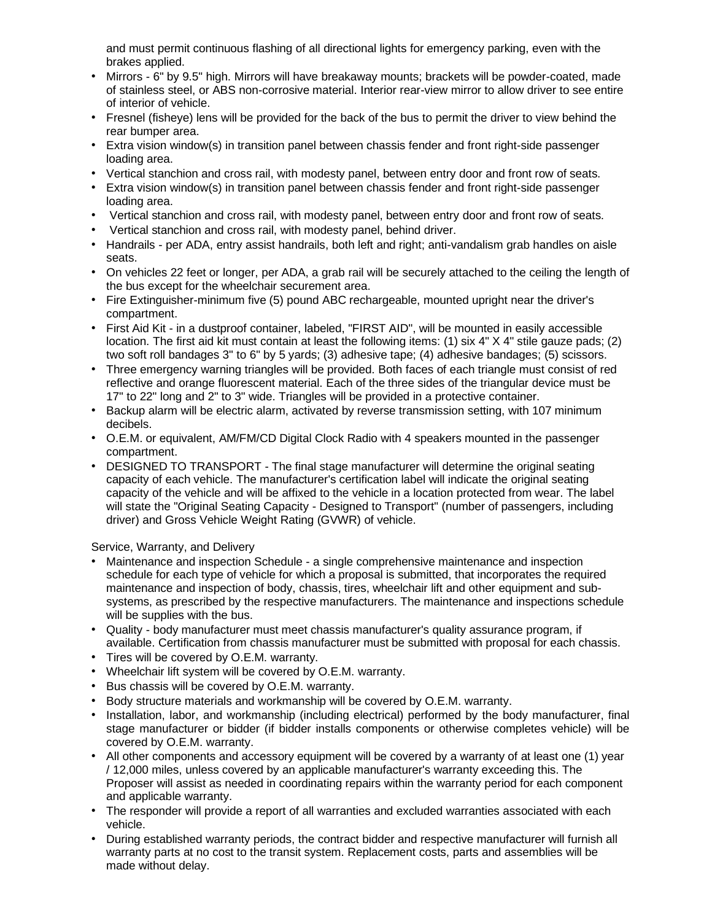and must permit continuous flashing of all directional lights for emergency parking, even with the brakes applied.

- Mirrors 6" by 9.5" high. Mirrors will have breakaway mounts; brackets will be powder-coated, made of stainless steel, or ABS non-corrosive material. Interior rear-view mirror to allow driver to see entire of interior of vehicle.
- Fresnel (fisheye) lens will be provided for the back of the bus to permit the driver to view behind the rear bumper area.
- Extra vision window(s) in transition panel between chassis fender and front right-side passenger loading area.
- Vertical stanchion and cross rail, with modesty panel, between entry door and front row of seats.
- Extra vision window(s) in transition panel between chassis fender and front right-side passenger loading area.
- Vertical stanchion and cross rail, with modesty panel, between entry door and front row of seats.
- Vertical stanchion and cross rail, with modesty panel, behind driver.
- Handrails per ADA, entry assist handrails, both left and right; anti-vandalism grab handles on aisle seats.
- On vehicles 22 feet or longer, per ADA, a grab rail will be securely attached to the ceiling the length of the bus except for the wheelchair securement area.
- Fire Extinguisher-minimum five (5) pound ABC rechargeable, mounted upright near the driver's compartment.
- First Aid Kit in a dustproof container, labeled, "FIRST AID", will be mounted in easily accessible location. The first aid kit must contain at least the following items: (1) six 4" X 4" stile gauze pads; (2) two soft roll bandages 3" to 6" by 5 yards; (3) adhesive tape; (4) adhesive bandages; (5) scissors.
- Three emergency warning triangles will be provided. Both faces of each triangle must consist of red reflective and orange fluorescent material. Each of the three sides of the triangular device must be 17" to 22" long and 2" to 3" wide. Triangles will be provided in a protective container.
- Backup alarm will be electric alarm, activated by reverse transmission setting, with 107 minimum decibels.
- O.E.M. or equivalent, AM/FM/CD Digital Clock Radio with 4 speakers mounted in the passenger compartment.
- DESIGNED TO TRANSPORT The final stage manufacturer will determine the original seating capacity of each vehicle. The manufacturer's certification label will indicate the original seating capacity of the vehicle and will be affixed to the vehicle in a location protected from wear. The label will state the "Original Seating Capacity - Designed to Transport" (number of passengers, including driver) and Gross Vehicle Weight Rating (GVWR) of vehicle.

Service, Warranty, and Delivery

- Maintenance and inspection Schedule a single comprehensive maintenance and inspection schedule for each type of vehicle for which a proposal is submitted, that incorporates the required maintenance and inspection of body, chassis, tires, wheelchair lift and other equipment and subsystems, as prescribed by the respective manufacturers. The maintenance and inspections schedule will be supplies with the bus.
- Quality body manufacturer must meet chassis manufacturer's quality assurance program, if available. Certification from chassis manufacturer must be submitted with proposal for each chassis.
- Tires will be covered by O.E.M. warranty.
- Wheelchair lift system will be covered by O.E.M. warranty.
- Bus chassis will be covered by O.E.M. warranty.
- Body structure materials and workmanship will be covered by O.E.M. warranty.
- Installation, labor, and workmanship (including electrical) performed by the body manufacturer, final stage manufacturer or bidder (if bidder installs components or otherwise completes vehicle) will be covered by O.E.M. warranty.
- All other components and accessory equipment will be covered by a warranty of at least one (1) year / 12,000 miles, unless covered by an applicable manufacturer's warranty exceeding this. The Proposer will assist as needed in coordinating repairs within the warranty period for each component and applicable warranty.
- The responder will provide a report of all warranties and excluded warranties associated with each vehicle.
- During established warranty periods, the contract bidder and respective manufacturer will furnish all warranty parts at no cost to the transit system. Replacement costs, parts and assemblies will be made without delay.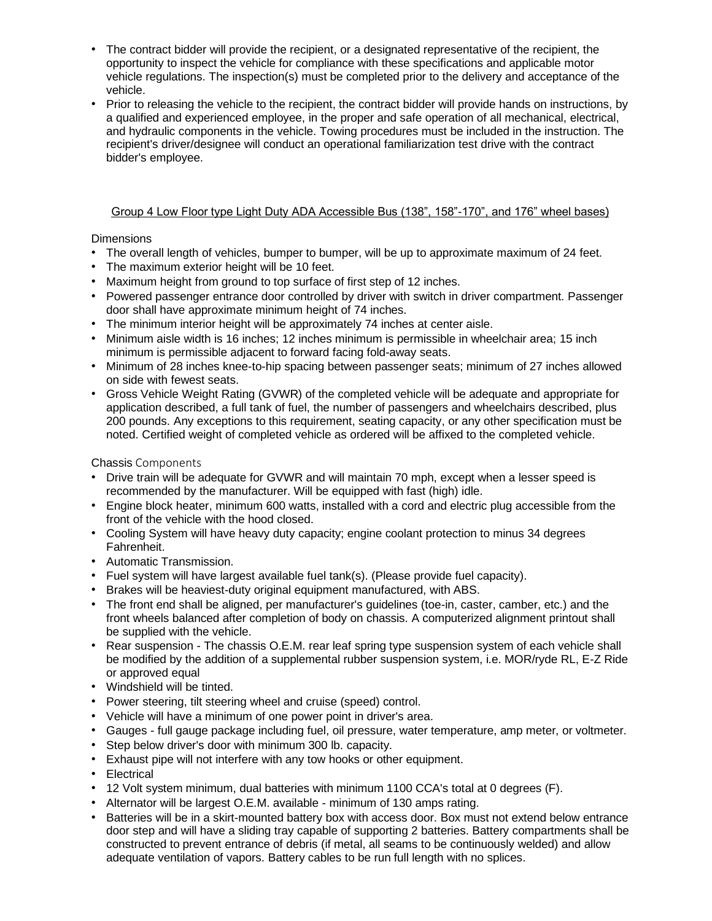- The contract bidder will provide the recipient, or a designated representative of the recipient, the opportunity to inspect the vehicle for compliance with these specifications and applicable motor vehicle regulations. The inspection(s) must be completed prior to the delivery and acceptance of the vehicle.
- Prior to releasing the vehicle to the recipient, the contract bidder will provide hands on instructions, by a qualified and experienced employee, in the proper and safe operation of all mechanical, electrical, and hydraulic components in the vehicle. Towing procedures must be included in the instruction. The recipient's driver/designee will conduct an operational familiarization test drive with the contract bidder's employee.

# Group 4 Low Floor type Light Duty ADA Accessible Bus (138", 158"-170", and 176" wheel bases)

# **Dimensions**

- The overall length of vehicles, bumper to bumper, will be up to approximate maximum of 24 feet.
- The maximum exterior height will be 10 feet.
- Maximum height from ground to top surface of first step of 12 inches.
- Powered passenger entrance door controlled by driver with switch in driver compartment. Passenger door shall have approximate minimum height of 74 inches.
- The minimum interior height will be approximately 74 inches at center aisle.
- Minimum aisle width is 16 inches; 12 inches minimum is permissible in wheelchair area; 15 inch minimum is permissible adjacent to forward facing fold-away seats.
- Minimum of 28 inches knee-to-hip spacing between passenger seats; minimum of 27 inches allowed on side with fewest seats.
- Gross Vehicle Weight Rating (GVWR) of the completed vehicle will be adequate and appropriate for application described, a full tank of fuel, the number of passengers and wheelchairs described, plus 200 pounds. Any exceptions to this requirement, seating capacity, or any other specification must be noted. Certified weight of completed vehicle as ordered will be affixed to the completed vehicle.

# Chassis Components

- Drive train will be adequate for GVWR and will maintain 70 mph, except when a lesser speed is recommended by the manufacturer. Will be equipped with fast (high) idle.
- Engine block heater, minimum 600 watts, installed with a cord and electric plug accessible from the front of the vehicle with the hood closed.
- Cooling System will have heavy duty capacity; engine coolant protection to minus 34 degrees Fahrenheit.
- Automatic Transmission.
- Fuel system will have largest available fuel tank(s). (Please provide fuel capacity).
- Brakes will be heaviest-duty original equipment manufactured, with ABS.
- The front end shall be aligned, per manufacturer's guidelines (toe-in, caster, camber, etc.) and the front wheels balanced after completion of body on chassis. A computerized alignment printout shall be supplied with the vehicle.
- Rear suspension The chassis O.E.M. rear leaf spring type suspension system of each vehicle shall be modified by the addition of a supplemental rubber suspension system, i.e. MOR/ryde RL, E-Z Ride or approved equal
- Windshield will be tinted.
- Power steering, tilt steering wheel and cruise (speed) control.
- Vehicle will have a minimum of one power point in driver's area.
- Gauges full gauge package including fuel, oil pressure, water temperature, amp meter, or voltmeter.
- Step below driver's door with minimum 300 lb. capacity.
- Exhaust pipe will not interfere with any tow hooks or other equipment.
- **Electrical**
- 12 Volt system minimum, dual batteries with minimum 1100 CCA's total at 0 degrees (F).
- Alternator will be largest O.E.M. available minimum of 130 amps rating.
- Batteries will be in a skirt-mounted battery box with access door. Box must not extend below entrance door step and will have a sliding tray capable of supporting 2 batteries. Battery compartments shall be constructed to prevent entrance of debris (if metal, all seams to be continuously welded) and allow adequate ventilation of vapors. Battery cables to be run full length with no splices.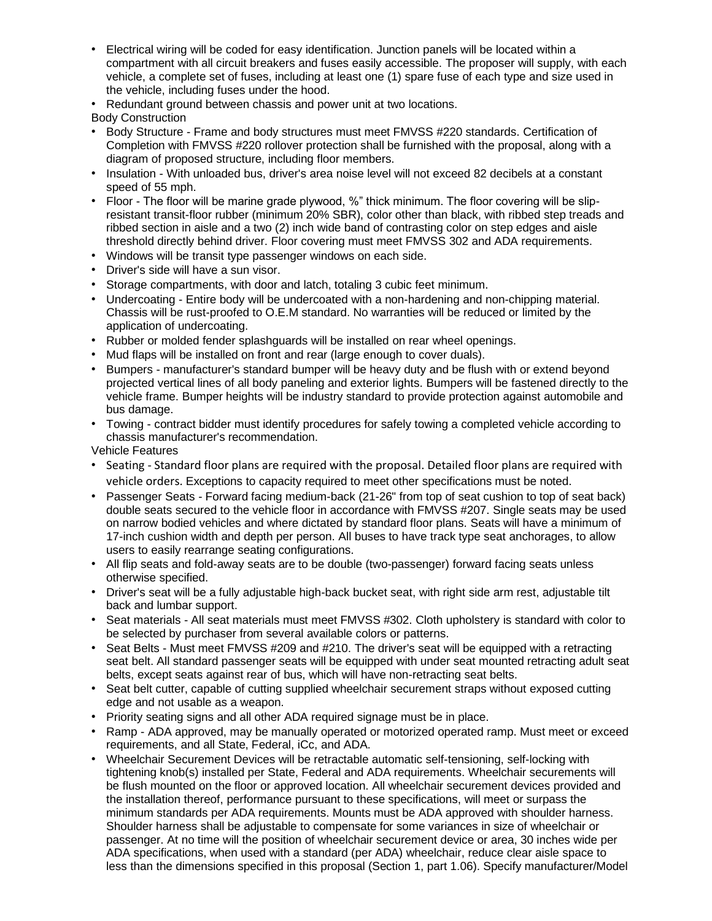- Electrical wiring will be coded for easy identification. Junction panels will be located within a compartment with all circuit breakers and fuses easily accessible. The proposer will supply, with each vehicle, a complete set of fuses, including at least one (1) spare fuse of each type and size used in the vehicle, including fuses under the hood.
- Redundant ground between chassis and power unit at two locations.

Body Construction

- Body Structure Frame and body structures must meet FMVSS #220 standards. Certification of Completion with FMVSS #220 rollover protection shall be furnished with the proposal, along with a diagram of proposed structure, including floor members.
- Insulation With unloaded bus, driver's area noise level will not exceed 82 decibels at a constant speed of 55 mph.
- Floor The floor will be marine grade plywood, %" thick minimum. The floor covering will be slipresistant transit-floor rubber (minimum 20% SBR), color other than black, with ribbed step treads and ribbed section in aisle and a two (2) inch wide band of contrasting color on step edges and aisle threshold directly behind driver. Floor covering must meet FMVSS 302 and ADA requirements.
- Windows will be transit type passenger windows on each side.
- Driver's side will have a sun visor.
- Storage compartments, with door and latch, totaling 3 cubic feet minimum.
- Undercoating Entire body will be undercoated with a non-hardening and non-chipping material. Chassis will be rust-proofed to O.E.M standard. No warranties will be reduced or limited by the application of undercoating.
- Rubber or molded fender splashguards will be installed on rear wheel openings.
- Mud flaps will be installed on front and rear (large enough to cover duals).
- Bumpers manufacturer's standard bumper will be heavy duty and be flush with or extend beyond projected vertical lines of all body paneling and exterior lights. Bumpers will be fastened directly to the vehicle frame. Bumper heights will be industry standard to provide protection against automobile and bus damage.
- Towing contract bidder must identify procedures for safely towing a completed vehicle according to chassis manufacturer's recommendation.

Vehicle Features

- Seating Standard floor plans are required with the proposal. Detailed floor plans are required with vehicle orders. Exceptions to capacity required to meet other specifications must be noted.
- Passenger Seats Forward facing medium-back (21-26" from top of seat cushion to top of seat back) double seats secured to the vehicle floor in accordance with FMVSS #207. Single seats may be used on narrow bodied vehicles and where dictated by standard floor plans. Seats will have a minimum of 17-inch cushion width and depth per person. All buses to have track type seat anchorages, to allow users to easily rearrange seating configurations.
- All flip seats and fold-away seats are to be double (two-passenger) forward facing seats unless otherwise specified.
- Driver's seat will be a fully adjustable high-back bucket seat, with right side arm rest, adjustable tilt back and lumbar support.
- Seat materials All seat materials must meet FMVSS #302. Cloth upholstery is standard with color to be selected by purchaser from several available colors or patterns.
- Seat Belts Must meet FMVSS #209 and #210. The driver's seat will be equipped with a retracting seat belt. All standard passenger seats will be equipped with under seat mounted retracting adult seat belts, except seats against rear of bus, which will have non-retracting seat belts.
- Seat belt cutter, capable of cutting supplied wheelchair securement straps without exposed cutting edge and not usable as a weapon.
- Priority seating signs and all other ADA required signage must be in place.
- Ramp ADA approved, may be manually operated or motorized operated ramp. Must meet or exceed requirements, and all State, Federal, iCc, and ADA.
- Wheelchair Securement Devices will be retractable automatic self-tensioning, self-locking with tightening knob(s) installed per State, Federal and ADA requirements. Wheelchair securements will be flush mounted on the floor or approved location. All wheelchair securement devices provided and the installation thereof, performance pursuant to these specifications, will meet or surpass the minimum standards per ADA requirements. Mounts must be ADA approved with shoulder harness. Shoulder harness shall be adjustable to compensate for some variances in size of wheelchair or passenger. At no time will the position of wheelchair securement device or area, 30 inches wide per ADA specifications, when used with a standard (per ADA) wheelchair, reduce clear aisle space to less than the dimensions specified in this proposal (Section 1, part 1.06). Specify manufacturer/Model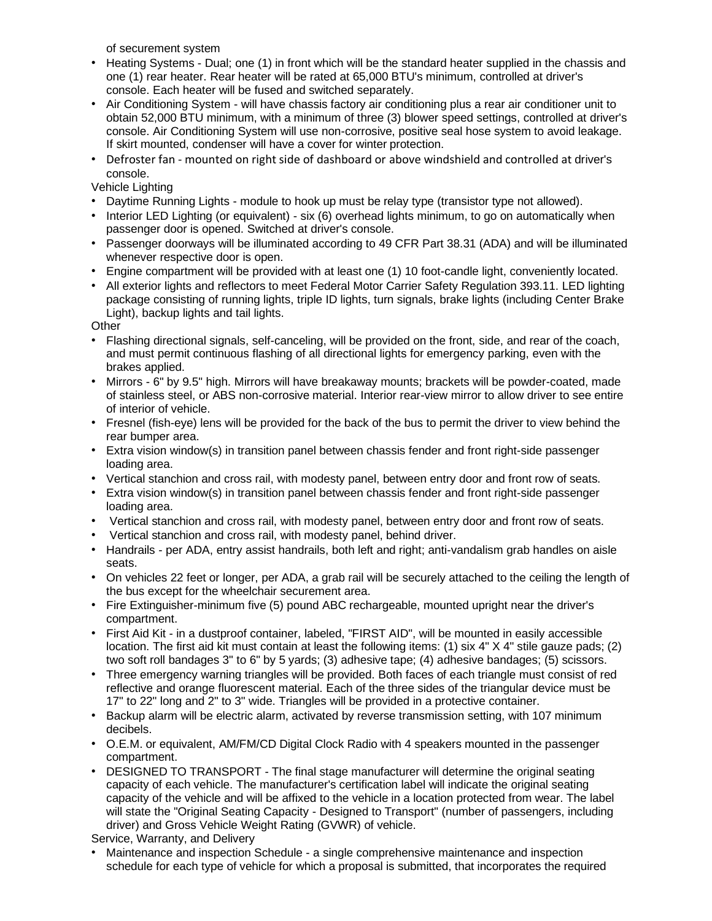of securement system

- Heating Systems Dual; one (1) in front which will be the standard heater supplied in the chassis and one (1) rear heater. Rear heater will be rated at 65,000 BTU's minimum, controlled at driver's console. Each heater will be fused and switched separately.
- Air Conditioning System will have chassis factory air conditioning plus a rear air conditioner unit to obtain 52,000 BTU minimum, with a minimum of three (3) blower speed settings, controlled at driver's console. Air Conditioning System will use non-corrosive, positive seal hose system to avoid leakage. If skirt mounted, condenser will have a cover for winter protection.
- Defroster fan mounted on right side of dashboard or above windshield and controlled at driver's console.

Vehicle Lighting

- Daytime Running Lights module to hook up must be relay type (transistor type not allowed).
- Interior LED Lighting (or equivalent) six (6) overhead lights minimum, to go on automatically when passenger door is opened. Switched at driver's console.
- Passenger doorways will be illuminated according to 49 CFR Part 38.31 (ADA) and will be illuminated whenever respective door is open.
- Engine compartment will be provided with at least one (1) 10 foot-candle light, conveniently located.
- All exterior lights and reflectors to meet Federal Motor Carrier Safety Regulation 393.11. LED lighting package consisting of running lights, triple ID lights, turn signals, brake lights (including Center Brake Light), backup lights and tail lights.

**Other** 

- Flashing directional signals, self-canceling, will be provided on the front, side, and rear of the coach, and must permit continuous flashing of all directional lights for emergency parking, even with the brakes applied.
- Mirrors 6" by 9.5" high. Mirrors will have breakaway mounts; brackets will be powder-coated, made of stainless steel, or ABS non-corrosive material. Interior rear-view mirror to allow driver to see entire of interior of vehicle.
- Fresnel (fish-eye) lens will be provided for the back of the bus to permit the driver to view behind the rear bumper area.
- Extra vision window(s) in transition panel between chassis fender and front right-side passenger loading area.
- Vertical stanchion and cross rail, with modesty panel, between entry door and front row of seats.
- Extra vision window(s) in transition panel between chassis fender and front right-side passenger loading area.
- Vertical stanchion and cross rail, with modesty panel, between entry door and front row of seats.
- Vertical stanchion and cross rail, with modesty panel, behind driver.
- Handrails per ADA, entry assist handrails, both left and right; anti-vandalism grab handles on aisle seats.
- On vehicles 22 feet or longer, per ADA, a grab rail will be securely attached to the ceiling the length of the bus except for the wheelchair securement area.
- Fire Extinguisher-minimum five (5) pound ABC rechargeable, mounted upright near the driver's compartment.
- First Aid Kit in a dustproof container, labeled, "FIRST AID", will be mounted in easily accessible location. The first aid kit must contain at least the following items: (1) six 4" X 4" stile gauze pads; (2) two soft roll bandages 3" to 6" by 5 yards; (3) adhesive tape; (4) adhesive bandages; (5) scissors.
- Three emergency warning triangles will be provided. Both faces of each triangle must consist of red reflective and orange fluorescent material. Each of the three sides of the triangular device must be 17" to 22" long and 2" to 3" wide. Triangles will be provided in a protective container.
- Backup alarm will be electric alarm, activated by reverse transmission setting, with 107 minimum decibels.
- O.E.M. or equivalent, AM/FM/CD Digital Clock Radio with 4 speakers mounted in the passenger compartment.
- DESIGNED TO TRANSPORT The final stage manufacturer will determine the original seating capacity of each vehicle. The manufacturer's certification label will indicate the original seating capacity of the vehicle and will be affixed to the vehicle in a location protected from wear. The label will state the "Original Seating Capacity - Designed to Transport" (number of passengers, including driver) and Gross Vehicle Weight Rating (GVWR) of vehicle.

Service, Warranty, and Delivery

• Maintenance and inspection Schedule - a single comprehensive maintenance and inspection schedule for each type of vehicle for which a proposal is submitted, that incorporates the required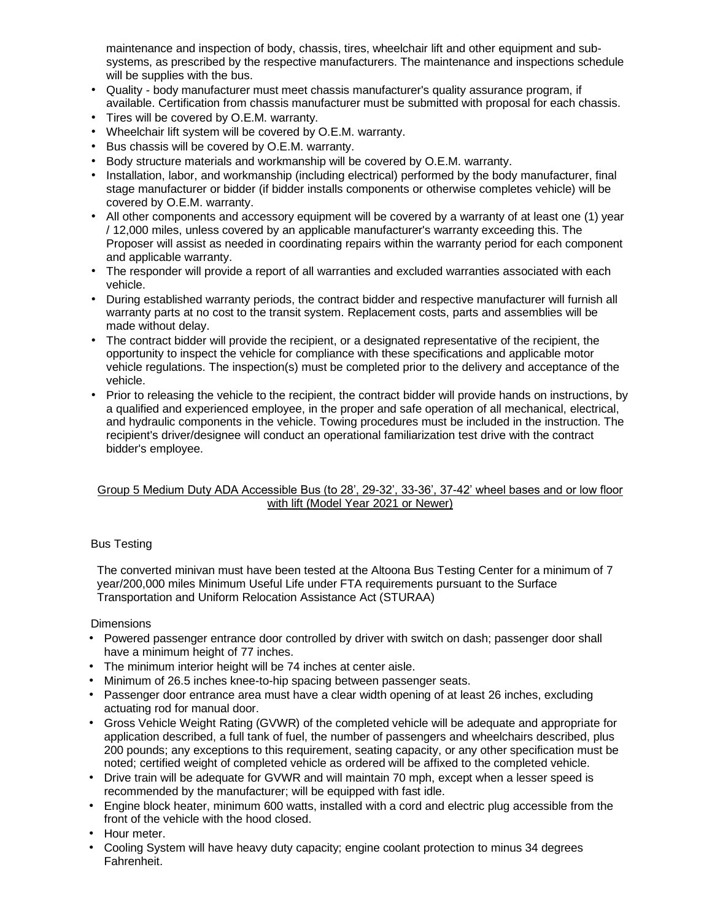maintenance and inspection of body, chassis, tires, wheelchair lift and other equipment and subsystems, as prescribed by the respective manufacturers. The maintenance and inspections schedule will be supplies with the bus.

- Quality body manufacturer must meet chassis manufacturer's quality assurance program, if available. Certification from chassis manufacturer must be submitted with proposal for each chassis.
- Tires will be covered by O.E.M. warranty.
- Wheelchair lift system will be covered by O.E.M. warranty.
- Bus chassis will be covered by O.E.M. warranty.
- Body structure materials and workmanship will be covered by O.E.M. warranty.
- Installation, labor, and workmanship (including electrical) performed by the body manufacturer, final stage manufacturer or bidder (if bidder installs components or otherwise completes vehicle) will be covered by O.E.M. warranty.
- All other components and accessory equipment will be covered by a warranty of at least one (1) year / 12,000 miles, unless covered by an applicable manufacturer's warranty exceeding this. The Proposer will assist as needed in coordinating repairs within the warranty period for each component and applicable warranty.
- The responder will provide a report of all warranties and excluded warranties associated with each vehicle.
- During established warranty periods, the contract bidder and respective manufacturer will furnish all warranty parts at no cost to the transit system. Replacement costs, parts and assemblies will be made without delay.
- The contract bidder will provide the recipient, or a designated representative of the recipient, the opportunity to inspect the vehicle for compliance with these specifications and applicable motor vehicle regulations. The inspection(s) must be completed prior to the delivery and acceptance of the vehicle.
- Prior to releasing the vehicle to the recipient, the contract bidder will provide hands on instructions, by a qualified and experienced employee, in the proper and safe operation of all mechanical, electrical, and hydraulic components in the vehicle. Towing procedures must be included in the instruction. The recipient's driver/designee will conduct an operational familiarization test drive with the contract bidder's employee.

# Group 5 Medium Duty ADA Accessible Bus (to 28', 29-32', 33-36', 37-42' wheel bases and or low floor with lift (Model Year 2021 or Newer)

### Bus Testing

The converted minivan must have been tested at the Altoona Bus Testing Center for a minimum of 7 year/200,000 miles Minimum Useful Life under FTA requirements pursuant to the Surface Transportation and Uniform Relocation Assistance Act (STURAA)

### **Dimensions**

- Powered passenger entrance door controlled by driver with switch on dash; passenger door shall have a minimum height of 77 inches.
- The minimum interior height will be 74 inches at center aisle.
- Minimum of 26.5 inches knee-to-hip spacing between passenger seats.
- Passenger door entrance area must have a clear width opening of at least 26 inches, excluding actuating rod for manual door.
- Gross Vehicle Weight Rating (GVWR) of the completed vehicle will be adequate and appropriate for application described, a full tank of fuel, the number of passengers and wheelchairs described, plus 200 pounds; any exceptions to this requirement, seating capacity, or any other specification must be noted; certified weight of completed vehicle as ordered will be affixed to the completed vehicle.
- Drive train will be adequate for GVWR and will maintain 70 mph, except when a lesser speed is recommended by the manufacturer; will be equipped with fast idle.
- Engine block heater, minimum 600 watts, installed with a cord and electric plug accessible from the front of the vehicle with the hood closed.
- Hour meter.
- Cooling System will have heavy duty capacity; engine coolant protection to minus 34 degrees Fahrenheit.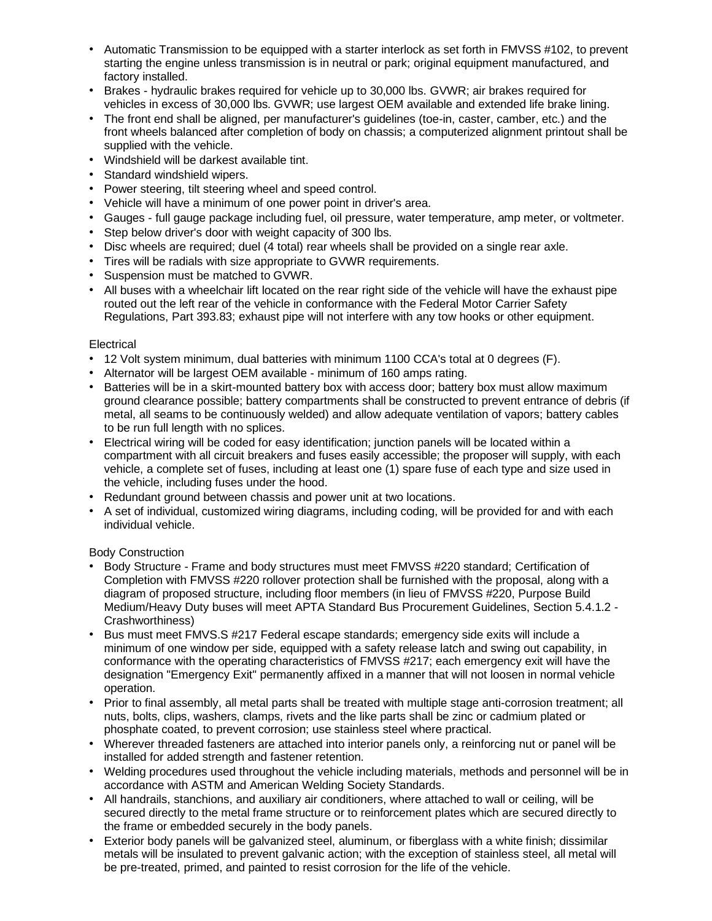- Automatic Transmission to be equipped with a starter interlock as set forth in FMVSS #102, to prevent starting the engine unless transmission is in neutral or park; original equipment manufactured, and factory installed.
- Brakes hydraulic brakes required for vehicle up to 30,000 lbs. GVWR; air brakes required for vehicles in excess of 30,000 lbs. GVWR; use largest OEM available and extended life brake lining.
- The front end shall be aligned, per manufacturer's guidelines (toe-in, caster, camber, etc.) and the front wheels balanced after completion of body on chassis; a computerized alignment printout shall be supplied with the vehicle.
- Windshield will be darkest available tint.
- Standard windshield wipers.
- Power steering, tilt steering wheel and speed control.
- Vehicle will have a minimum of one power point in driver's area.
- Gauges full gauge package including fuel, oil pressure, water temperature, amp meter, or voltmeter.
- Step below driver's door with weight capacity of 300 lbs.
- Disc wheels are required; duel (4 total) rear wheels shall be provided on a single rear axle.
- Tires will be radials with size appropriate to GVWR requirements.
- Suspension must be matched to GVWR.
- All buses with a wheelchair lift located on the rear right side of the vehicle will have the exhaust pipe routed out the left rear of the vehicle in conformance with the Federal Motor Carrier Safety Regulations, Part 393.83; exhaust pipe will not interfere with any tow hooks or other equipment.

# **Electrical**

- 12 Volt system minimum, dual batteries with minimum 1100 CCA's total at 0 degrees (F).
- Alternator will be largest OEM available minimum of 160 amps rating.
- Batteries will be in a skirt-mounted battery box with access door; battery box must allow maximum ground clearance possible; battery compartments shall be constructed to prevent entrance of debris (if metal, all seams to be continuously welded) and allow adequate ventilation of vapors; battery cables to be run full length with no splices.
- Electrical wiring will be coded for easy identification; junction panels will be located within a compartment with all circuit breakers and fuses easily accessible; the proposer will supply, with each vehicle, a complete set of fuses, including at least one (1) spare fuse of each type and size used in the vehicle, including fuses under the hood.
- Redundant ground between chassis and power unit at two locations.
- A set of individual, customized wiring diagrams, including coding, will be provided for and with each individual vehicle.

# Body Construction

- Body Structure Frame and body structures must meet FMVSS #220 standard; Certification of Completion with FMVSS #220 rollover protection shall be furnished with the proposal, along with a diagram of proposed structure, including floor members (in lieu of FMVSS #220, Purpose Build Medium/Heavy Duty buses will meet APTA Standard Bus Procurement Guidelines, Section 5.4.1.2 - Crashworthiness)
- Bus must meet FMVS.S #217 Federal escape standards; emergency side exits will include a minimum of one window per side, equipped with a safety release latch and swing out capability, in conformance with the operating characteristics of FMVSS #217; each emergency exit will have the designation "Emergency Exit" permanently affixed in a manner that will not loosen in normal vehicle operation.
- Prior to final assembly, all metal parts shall be treated with multiple stage anti-corrosion treatment; all nuts, bolts, clips, washers, clamps, rivets and the like parts shall be zinc or cadmium plated or phosphate coated, to prevent corrosion; use stainless steel where practical.
- Wherever threaded fasteners are attached into interior panels only, a reinforcing nut or panel will be installed for added strength and fastener retention.
- Welding procedures used throughout the vehicle including materials, methods and personnel will be in accordance with ASTM and American Welding Society Standards.
- All handrails, stanchions, and auxiliary air conditioners, where attached to wall or ceiling, will be secured directly to the metal frame structure or to reinforcement plates which are secured directly to the frame or embedded securely in the body panels.
- Exterior body panels will be galvanized steel, aluminum, or fiberglass with a white finish; dissimilar metals will be insulated to prevent galvanic action; with the exception of stainless steel, all metal will be pre-treated, primed, and painted to resist corrosion for the life of the vehicle.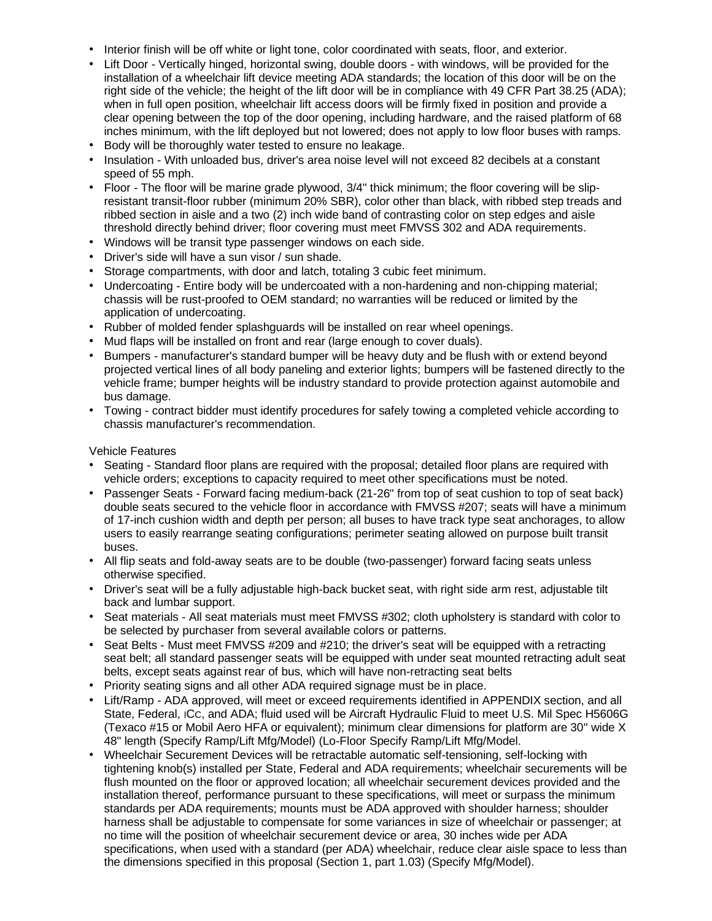- Interior finish will be off white or light tone, color coordinated with seats, floor, and exterior.
- Lift Door Vertically hinged, horizontal swing, double doors with windows, will be provided for the installation of a wheelchair lift device meeting ADA standards; the location of this door will be on the right side of the vehicle; the height of the lift door will be in compliance with 49 CFR Part 38.25 (ADA); when in full open position, wheelchair lift access doors will be firmly fixed in position and provide a clear opening between the top of the door opening, including hardware, and the raised platform of 68 inches minimum, with the lift deployed but not lowered; does not apply to low floor buses with ramps.
- Body will be thoroughly water tested to ensure no leakage.
- Insulation With unloaded bus, driver's area noise level will not exceed 82 decibels at a constant speed of 55 mph.
- Floor The floor will be marine grade plywood, 3/4" thick minimum; the floor covering will be slipresistant transit-floor rubber (minimum 20% SBR), color other than black, with ribbed step treads and ribbed section in aisle and a two (2) inch wide band of contrasting color on step edges and aisle threshold directly behind driver; floor covering must meet FMVSS 302 and ADA requirements.
- Windows will be transit type passenger windows on each side.
- Driver's side will have a sun visor / sun shade.
- Storage compartments, with door and latch, totaling 3 cubic feet minimum.
- Undercoating Entire body will be undercoated with a non-hardening and non-chipping material; chassis will be rust-proofed to OEM standard; no warranties will be reduced or limited by the application of undercoating.
- Rubber of molded fender splashguards will be installed on rear wheel openings.
- Mud flaps will be installed on front and rear (large enough to cover duals).
- Bumpers manufacturer's standard bumper will be heavy duty and be flush with or extend beyond projected vertical lines of all body paneling and exterior lights; bumpers will be fastened directly to the vehicle frame; bumper heights will be industry standard to provide protection against automobile and bus damage.
- Towing contract bidder must identify procedures for safely towing a completed vehicle according to chassis manufacturer's recommendation.

Vehicle Features

- Seating Standard floor plans are required with the proposal; detailed floor plans are required with vehicle orders; exceptions to capacity required to meet other specifications must be noted.
- Passenger Seats Forward facing medium-back (21-26" from top of seat cushion to top of seat back) double seats secured to the vehicle floor in accordance with FMVSS #207; seats will have a minimum of 17-inch cushion width and depth per person; all buses to have track type seat anchorages, to allow users to easily rearrange seating configurations; perimeter seating allowed on purpose built transit buses.
- All flip seats and fold-away seats are to be double (two-passenger) forward facing seats unless otherwise specified.
- Driver's seat will be a fully adjustable high-back bucket seat, with right side arm rest, adjustable tilt back and lumbar support.
- Seat materials All seat materials must meet FMVSS #302; cloth upholstery is standard with color to be selected by purchaser from several available colors or patterns.
- Seat Belts Must meet FMVSS #209 and #210; the driver's seat will be equipped with a retracting seat belt; all standard passenger seats will be equipped with under seat mounted retracting adult seat belts, except seats against rear of bus, which will have non-retracting seat belts
- Priority seating signs and all other ADA required signage must be in place.
- Lift/Ramp ADA approved, will meet or exceed requirements identified in APPENDIX section, and all State, Federal, ICC, and ADA; fluid used will be Aircraft Hydraulic Fluid to meet U.S. Mil Spec H5606G (Texaco #15 or Mobil Aero HFA or equivalent); minimum clear dimensions for platform are 30" wide X 48" length (Specify Ramp/Lift Mfg/Model) (Lo-Floor Specify Ramp/Lift Mfg/Model.
- Wheelchair Securement Devices will be retractable automatic self-tensioning, self-locking with tightening knob(s) installed per State, Federal and ADA requirements; wheelchair securements will be flush mounted on the floor or approved location; all wheelchair securement devices provided and the installation thereof, performance pursuant to these specifications, will meet or surpass the minimum standards per ADA requirements; mounts must be ADA approved with shoulder harness; shoulder harness shall be adjustable to compensate for some variances in size of wheelchair or passenger; at no time will the position of wheelchair securement device or area, 30 inches wide per ADA specifications, when used with a standard (per ADA) wheelchair, reduce clear aisle space to less than the dimensions specified in this proposal (Section 1, part 1.03) (Specify Mfg/Model).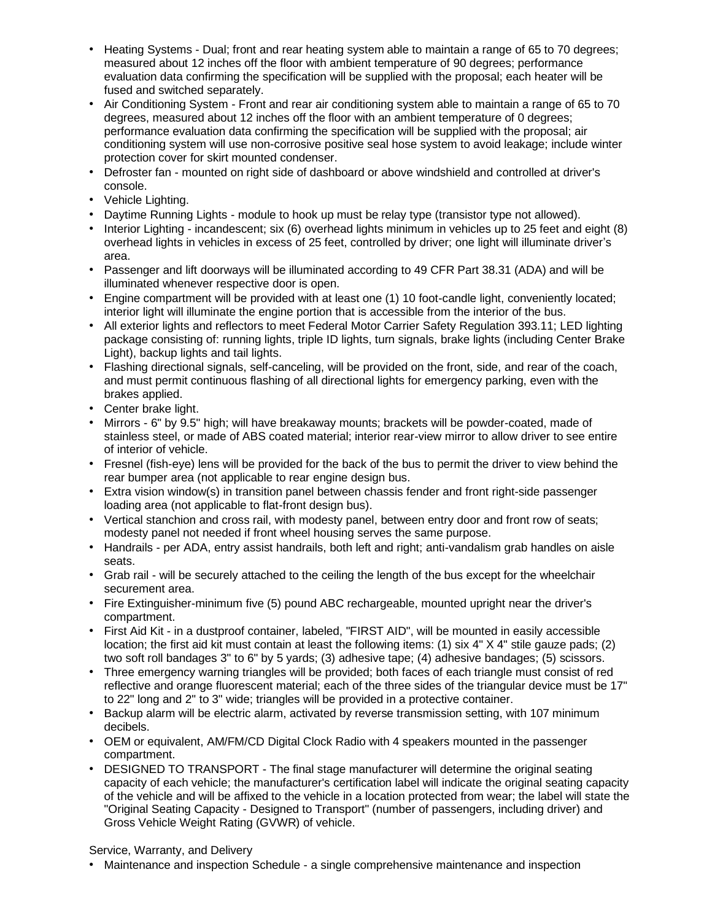- Heating Systems Dual; front and rear heating system able to maintain a range of 65 to 70 degrees; measured about 12 inches off the floor with ambient temperature of 90 degrees; performance evaluation data confirming the specification will be supplied with the proposal; each heater will be fused and switched separately.
- Air Conditioning System Front and rear air conditioning system able to maintain a range of 65 to 70 degrees, measured about 12 inches off the floor with an ambient temperature of 0 degrees; performance evaluation data confirming the specification will be supplied with the proposal; air conditioning system will use non-corrosive positive seal hose system to avoid leakage; include winter protection cover for skirt mounted condenser.
- Defroster fan mounted on right side of dashboard or above windshield and controlled at driver's console.
- Vehicle Lighting.
- Daytime Running Lights module to hook up must be relay type (transistor type not allowed).
- Interior Lighting incandescent; six (6) overhead lights minimum in vehicles up to 25 feet and eight (8) overhead lights in vehicles in excess of 25 feet, controlled by driver; one light will illuminate driver's area.
- Passenger and lift doorways will be illuminated according to 49 CFR Part 38.31 (ADA) and will be illuminated whenever respective door is open.
- Engine compartment will be provided with at least one (1) 10 foot-candle light, conveniently located; interior light will illuminate the engine portion that is accessible from the interior of the bus.
- All exterior lights and reflectors to meet Federal Motor Carrier Safety Regulation 393.11; LED lighting package consisting of: running lights, triple ID lights, turn signals, brake lights (including Center Brake Light), backup lights and tail lights.
- Flashing directional signals, self-canceling, will be provided on the front, side, and rear of the coach, and must permit continuous flashing of all directional lights for emergency parking, even with the brakes applied.
- Center brake light.
- Mirrors 6" by 9.5" high; will have breakaway mounts; brackets will be powder-coated, made of stainless steel, or made of ABS coated material; interior rear-view mirror to allow driver to see entire of interior of vehicle.
- Fresnel (fish-eye) lens will be provided for the back of the bus to permit the driver to view behind the rear bumper area (not applicable to rear engine design bus.
- Extra vision window(s) in transition panel between chassis fender and front right-side passenger loading area (not applicable to flat-front design bus).
- Vertical stanchion and cross rail, with modesty panel, between entry door and front row of seats; modesty panel not needed if front wheel housing serves the same purpose.
- Handrails per ADA, entry assist handrails, both left and right; anti-vandalism grab handles on aisle seats.
- Grab rail will be securely attached to the ceiling the length of the bus except for the wheelchair securement area.
- Fire Extinguisher-minimum five (5) pound ABC rechargeable, mounted upright near the driver's compartment.
- First Aid Kit in a dustproof container, labeled, "FIRST AID", will be mounted in easily accessible location; the first aid kit must contain at least the following items: (1) six 4" X 4" stile gauze pads; (2) two soft roll bandages 3" to 6" by 5 yards; (3) adhesive tape; (4) adhesive bandages; (5) scissors.
- Three emergency warning triangles will be provided; both faces of each triangle must consist of red reflective and orange fluorescent material; each of the three sides of the triangular device must be 17" to 22" long and 2" to 3" wide; triangles will be provided in a protective container.
- Backup alarm will be electric alarm, activated by reverse transmission setting, with 107 minimum decibels.
- OEM or equivalent, AM/FM/CD Digital Clock Radio with 4 speakers mounted in the passenger compartment.
- DESIGNED TO TRANSPORT The final stage manufacturer will determine the original seating capacity of each vehicle; the manufacturer's certification label will indicate the original seating capacity of the vehicle and will be affixed to the vehicle in a location protected from wear; the label will state the "Original Seating Capacity - Designed to Transport" (number of passengers, including driver) and Gross Vehicle Weight Rating (GVWR) of vehicle.

Service, Warranty, and Delivery

• Maintenance and inspection Schedule - a single comprehensive maintenance and inspection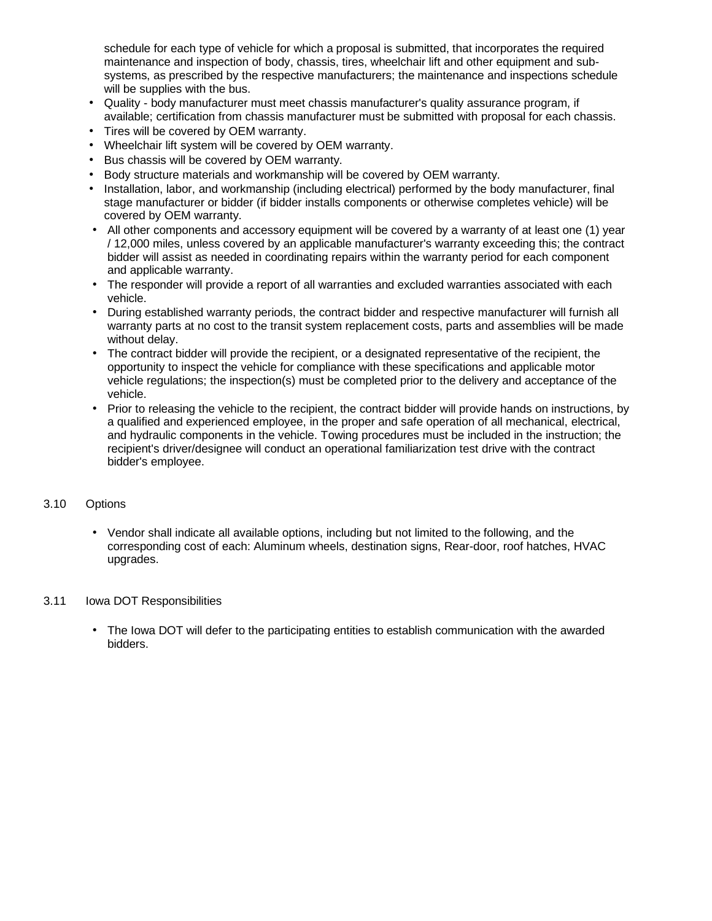schedule for each type of vehicle for which a proposal is submitted, that incorporates the required maintenance and inspection of body, chassis, tires, wheelchair lift and other equipment and subsystems, as prescribed by the respective manufacturers; the maintenance and inspections schedule will be supplies with the bus.

- Quality body manufacturer must meet chassis manufacturer's quality assurance program, if available; certification from chassis manufacturer must be submitted with proposal for each chassis.
- Tires will be covered by OEM warranty.
- Wheelchair lift system will be covered by OEM warranty.
- Bus chassis will be covered by OEM warranty.
- Body structure materials and workmanship will be covered by OEM warranty.
- Installation, labor, and workmanship (including electrical) performed by the body manufacturer, final stage manufacturer or bidder (if bidder installs components or otherwise completes vehicle) will be covered by OEM warranty.
- All other components and accessory equipment will be covered by a warranty of at least one (1) year / 12,000 miles, unless covered by an applicable manufacturer's warranty exceeding this; the contract bidder will assist as needed in coordinating repairs within the warranty period for each component and applicable warranty.
- The responder will provide a report of all warranties and excluded warranties associated with each vehicle.
- During established warranty periods, the contract bidder and respective manufacturer will furnish all warranty parts at no cost to the transit system replacement costs, parts and assemblies will be made without delay.
- The contract bidder will provide the recipient, or a designated representative of the recipient, the opportunity to inspect the vehicle for compliance with these specifications and applicable motor vehicle regulations; the inspection(s) must be completed prior to the delivery and acceptance of the vehicle.
- Prior to releasing the vehicle to the recipient, the contract bidder will provide hands on instructions, by a qualified and experienced employee, in the proper and safe operation of all mechanical, electrical, and hydraulic components in the vehicle. Towing procedures must be included in the instruction; the recipient's driver/designee will conduct an operational familiarization test drive with the contract bidder's employee.

### 3.10 Options

• Vendor shall indicate all available options, including but not limited to the following, and the corresponding cost of each: Aluminum wheels, destination signs, Rear-door, roof hatches, HVAC upgrades.

### 3.11 Iowa DOT Responsibilities

• The Iowa DOT will defer to the participating entities to establish communication with the awarded bidders.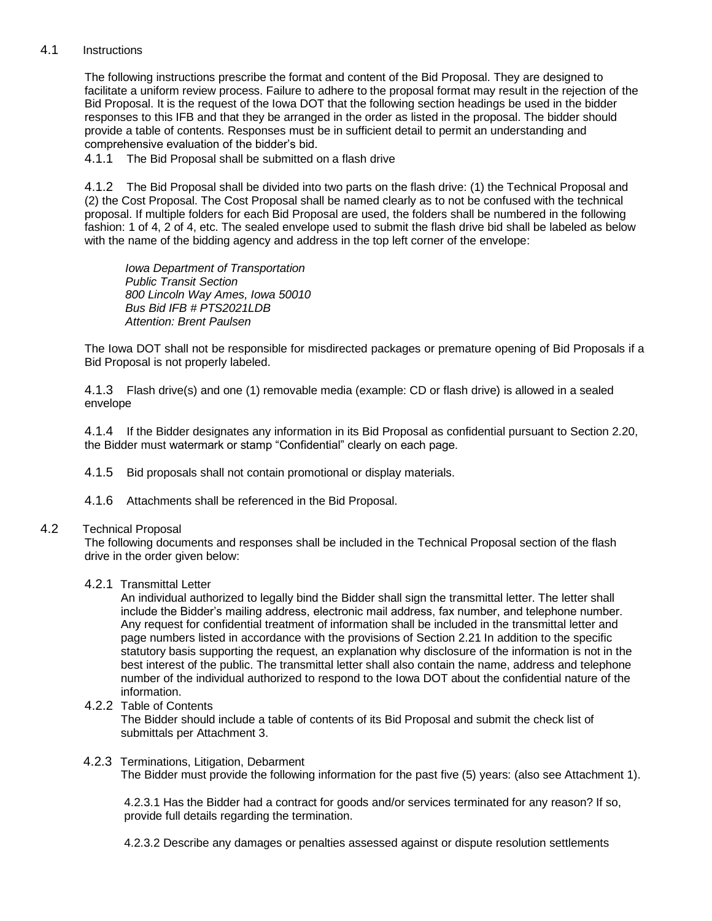# 4.1 Instructions

The following instructions prescribe the format and content of the Bid Proposal. They are designed to facilitate a uniform review process. Failure to adhere to the proposal format may result in the rejection of the Bid Proposal. It is the request of the Iowa DOT that the following section headings be used in the bidder responses to this IFB and that they be arranged in the order as listed in the proposal. The bidder should provide a table of contents. Responses must be in sufficient detail to permit an understanding and comprehensive evaluation of the bidder's bid.

4.1.1 The Bid Proposal shall be submitted on a flash drive

4.1.2 The Bid Proposal shall be divided into two parts on the flash drive: (1) the Technical Proposal and (2) the Cost Proposal. The Cost Proposal shall be named clearly as to not be confused with the technical proposal. If multiple folders for each Bid Proposal are used, the folders shall be numbered in the following fashion: 1 of 4, 2 of 4, etc. The sealed envelope used to submit the flash drive bid shall be labeled as below with the name of the bidding agency and address in the top left corner of the envelope:

*Iowa Department of Transportation Public Transit Section 800 Lincoln Way Ames, Iowa 50010 Bus Bid IFB # PTS2021LDB Attention: Brent Paulsen*

The Iowa DOT shall not be responsible for misdirected packages or premature opening of Bid Proposals if a Bid Proposal is not properly labeled.

4.1.3 Flash drive(s) and one (1) removable media (example: CD or flash drive) is allowed in a sealed envelope

4.1.4 If the Bidder designates any information in its Bid Proposal as confidential pursuant to Section 2.20, the Bidder must watermark or stamp "Confidential" clearly on each page.

4.1.5 Bid proposals shall not contain promotional or display materials.

4.1.6 Attachments shall be referenced in the Bid Proposal.

### 4.2 Technical Proposal

The following documents and responses shall be included in the Technical Proposal section of the flash drive in the order given below:

### 4.2.1 Transmittal Letter

An individual authorized to legally bind the Bidder shall sign the transmittal letter. The letter shall include the Bidder's mailing address, electronic mail address, fax number, and telephone number. Any request for confidential treatment of information shall be included in the transmittal letter and page numbers listed in accordance with the provisions of Section 2.21 In addition to the specific statutory basis supporting the request, an explanation why disclosure of the information is not in the best interest of the public. The transmittal letter shall also contain the name, address and telephone number of the individual authorized to respond to the Iowa DOT about the confidential nature of the information.

4.2.2 Table of Contents

The Bidder should include a table of contents of its Bid Proposal and submit the check list of submittals per Attachment 3.

#### 4.2.3 Terminations, Litigation, Debarment The Bidder must provide the following information for the past five (5) years: (also see Attachment 1).

4.2.3.1 Has the Bidder had a contract for goods and/or services terminated for any reason? If so, provide full details regarding the termination.

4.2.3.2 Describe any damages or penalties assessed against or dispute resolution settlements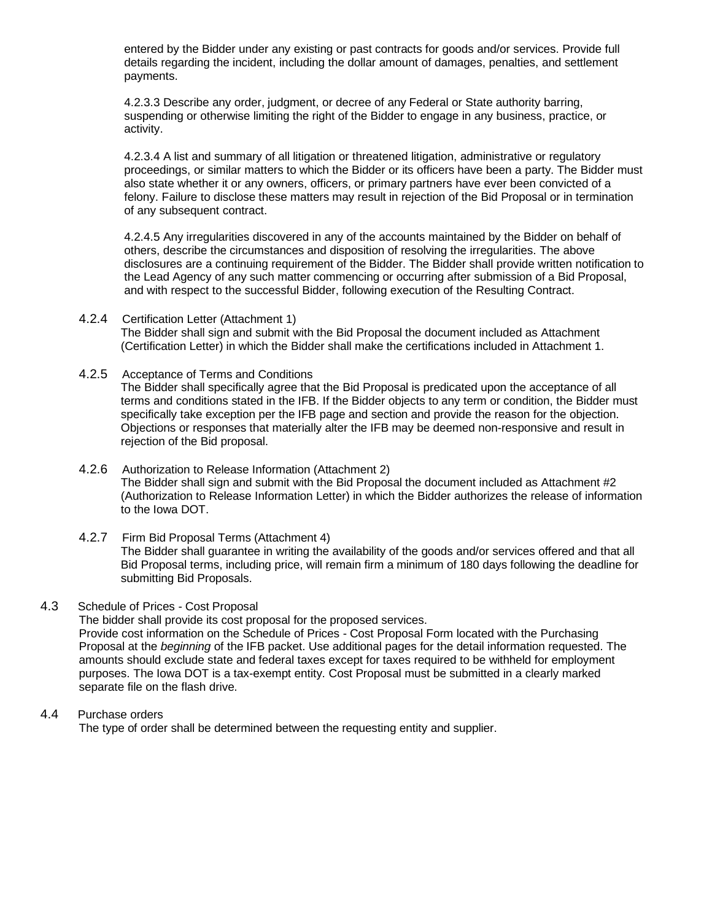entered by the Bidder under any existing or past contracts for goods and/or services. Provide full details regarding the incident, including the dollar amount of damages, penalties, and settlement payments.

4.2.3.3 Describe any order, judgment, or decree of any Federal or State authority barring, suspending or otherwise limiting the right of the Bidder to engage in any business, practice, or activity.

4.2.3.4 A list and summary of all litigation or threatened litigation, administrative or regulatory proceedings, or similar matters to which the Bidder or its officers have been a party. The Bidder must also state whether it or any owners, officers, or primary partners have ever been convicted of a felony. Failure to disclose these matters may result in rejection of the Bid Proposal or in termination of any subsequent contract.

4.2.4.5 Any irregularities discovered in any of the accounts maintained by the Bidder on behalf of others, describe the circumstances and disposition of resolving the irregularities. The above disclosures are a continuing requirement of the Bidder. The Bidder shall provide written notification to the Lead Agency of any such matter commencing or occurring after submission of a Bid Proposal, and with respect to the successful Bidder, following execution of the Resulting Contract.

- 4.2.4 Certification Letter (Attachment 1) The Bidder shall sign and submit with the Bid Proposal the document included as Attachment (Certification Letter) in which the Bidder shall make the certifications included in Attachment 1.
- 4.2.5 Acceptance of Terms and Conditions The Bidder shall specifically agree that the Bid Proposal is predicated upon the acceptance of all terms and conditions stated in the IFB. If the Bidder objects to any term or condition, the Bidder must specifically take exception per the IFB page and section and provide the reason for the objection. Objections or responses that materially alter the IFB may be deemed non-responsive and result in rejection of the Bid proposal.
- 4.2.6 Authorization to Release Information (Attachment 2) The Bidder shall sign and submit with the Bid Proposal the document included as Attachment #2 (Authorization to Release Information Letter) in which the Bidder authorizes the release of information to the Iowa DOT.
- 4.2.7 Firm Bid Proposal Terms (Attachment 4) The Bidder shall guarantee in writing the availability of the goods and/or services offered and that all Bid Proposal terms, including price, will remain firm a minimum of 180 days following the deadline for submitting Bid Proposals.

### 4.3 Schedule of Prices - Cost Proposal

The bidder shall provide its cost proposal for the proposed services.

Provide cost information on the Schedule of Prices - Cost Proposal Form located with the Purchasing Proposal at the *beginning* of the IFB packet. Use additional pages for the detail information requested. The amounts should exclude state and federal taxes except for taxes required to be withheld for employment purposes. The Iowa DOT is a tax-exempt entity. Cost Proposal must be submitted in a clearly marked separate file on the flash drive.

### 4.4 Purchase orders

The type of order shall be determined between the requesting entity and supplier.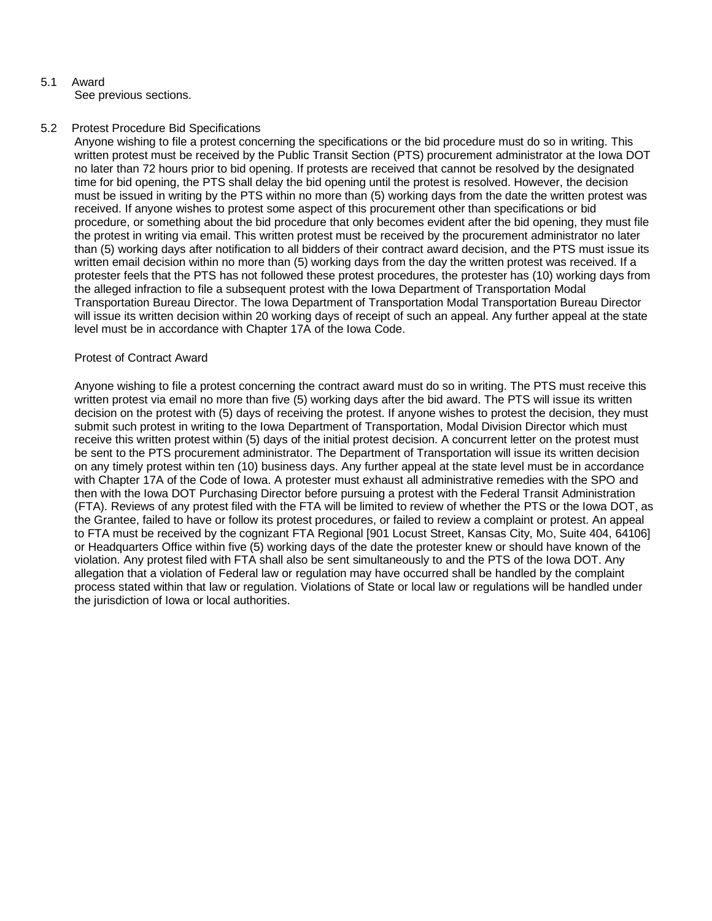# 5.1 Award

See previous sections.

# 5.2 Protest Procedure Bid Specifications

Anyone wishing to file a protest concerning the specifications or the bid procedure must do so in writing. This written protest must be received by the Public Transit Section (PTS) procurement administrator at the Iowa DOT no later than 72 hours prior to bid opening. If protests are received that cannot be resolved by the designated time for bid opening, the PTS shall delay the bid opening until the protest is resolved. However, the decision must be issued in writing by the PTS within no more than (5) working days from the date the written protest was received. If anyone wishes to protest some aspect of this procurement other than specifications or bid procedure, or something about the bid procedure that only becomes evident after the bid opening, they must file the protest in writing via email. This written protest must be received by the procurement administrator no later than (5) working days after notification to all bidders of their contract award decision, and the PTS must issue its written email decision within no more than (5) working days from the day the written protest was received. If a protester feels that the PTS has not followed these protest procedures, the protester has (10) working days from the alleged infraction to file a subsequent protest with the Iowa Department of Transportation Modal Transportation Bureau Director. The Iowa Department of Transportation Modal Transportation Bureau Director will issue its written decision within 20 working days of receipt of such an appeal. Any further appeal at the state level must be in accordance with Chapter 17A of the Iowa Code.

# Protest of Contract Award

Anyone wishing to file a protest concerning the contract award must do so in writing. The PTS must receive this written protest via email no more than five (5) working days after the bid award. The PTS will issue its written decision on the protest with (5) days of receiving the protest. If anyone wishes to protest the decision, they must submit such protest in writing to the Iowa Department of Transportation, Modal Division Director which must receive this written protest within (5) days of the initial protest decision. A concurrent letter on the protest must be sent to the PTS procurement administrator. The Department of Transportation will issue its written decision on any timely protest within ten (10) business days. Any further appeal at the state level must be in accordance with Chapter 17A of the Code of Iowa. A protester must exhaust all administrative remedies with the SPO and then with the Iowa DOT Purchasing Director before pursuing a protest with the Federal Transit Administration (FTA). Reviews of any protest filed with the FTA will be limited to review of whether the PTS or the Iowa DOT, as the Grantee, failed to have or follow its protest procedures, or failed to review a complaint or protest. An appeal to FTA must be received by the cognizant FTA Regional [901 Locust Street, Kansas City, MO, Suite 404, 64106] or Headquarters Office within five (5) working days of the date the protester knew or should have known of the violation. Any protest filed with FTA shall also be sent simultaneously to and the PTS of the Iowa DOT. Any allegation that a violation of Federal law or regulation may have occurred shall be handled by the complaint process stated within that law or regulation. Violations of State or local law or regulations will be handled under the jurisdiction of Iowa or local authorities.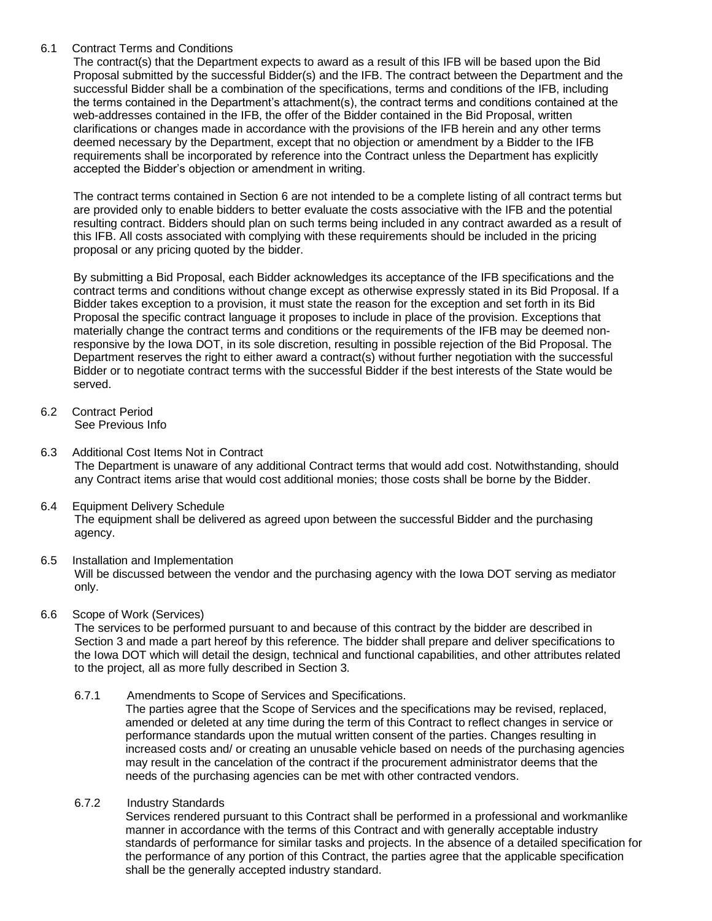# 6.1 Contract Terms and Conditions

The contract(s) that the Department expects to award as a result of this IFB will be based upon the Bid Proposal submitted by the successful Bidder(s) and the IFB. The contract between the Department and the successful Bidder shall be a combination of the specifications, terms and conditions of the IFB, including the terms contained in the Department's attachment(s), the contract terms and conditions contained at the web-addresses contained in the IFB, the offer of the Bidder contained in the Bid Proposal, written clarifications or changes made in accordance with the provisions of the IFB herein and any other terms deemed necessary by the Department, except that no objection or amendment by a Bidder to the IFB requirements shall be incorporated by reference into the Contract unless the Department has explicitly accepted the Bidder's objection or amendment in writing.

The contract terms contained in Section 6 are not intended to be a complete listing of all contract terms but are provided only to enable bidders to better evaluate the costs associative with the IFB and the potential resulting contract. Bidders should plan on such terms being included in any contract awarded as a result of this IFB. All costs associated with complying with these requirements should be included in the pricing proposal or any pricing quoted by the bidder.

By submitting a Bid Proposal, each Bidder acknowledges its acceptance of the IFB specifications and the contract terms and conditions without change except as otherwise expressly stated in its Bid Proposal. If a Bidder takes exception to a provision, it must state the reason for the exception and set forth in its Bid Proposal the specific contract language it proposes to include in place of the provision. Exceptions that materially change the contract terms and conditions or the requirements of the IFB may be deemed nonresponsive by the Iowa DOT, in its sole discretion, resulting in possible rejection of the Bid Proposal. The Department reserves the right to either award a contract(s) without further negotiation with the successful Bidder or to negotiate contract terms with the successful Bidder if the best interests of the State would be served.

- 6.2 Contract Period See Previous Info
- 6.3 Additional Cost Items Not in Contract The Department is unaware of any additional Contract terms that would add cost. Notwithstanding, should any Contract items arise that would cost additional monies; those costs shall be borne by the Bidder.
- 6.4 Equipment Delivery Schedule The equipment shall be delivered as agreed upon between the successful Bidder and the purchasing agency.
- 6.5 Installation and Implementation Will be discussed between the vendor and the purchasing agency with the Iowa DOT serving as mediator only.
- 6.6 Scope of Work (Services)

The services to be performed pursuant to and because of this contract by the bidder are described in Section 3 and made a part hereof by this reference. The bidder shall prepare and deliver specifications to the Iowa DOT which will detail the design, technical and functional capabilities, and other attributes related to the project, all as more fully described in Section 3.

6.7.1 Amendments to Scope of Services and Specifications.

The parties agree that the Scope of Services and the specifications may be revised, replaced, amended or deleted at any time during the term of this Contract to reflect changes in service or performance standards upon the mutual written consent of the parties. Changes resulting in increased costs and/ or creating an unusable vehicle based on needs of the purchasing agencies may result in the cancelation of the contract if the procurement administrator deems that the needs of the purchasing agencies can be met with other contracted vendors.

6.7.2 Industry Standards

Services rendered pursuant to this Contract shall be performed in a professional and workmanlike manner in accordance with the terms of this Contract and with generally acceptable industry standards of performance for similar tasks and projects. In the absence of a detailed specification for the performance of any portion of this Contract, the parties agree that the applicable specification shall be the generally accepted industry standard.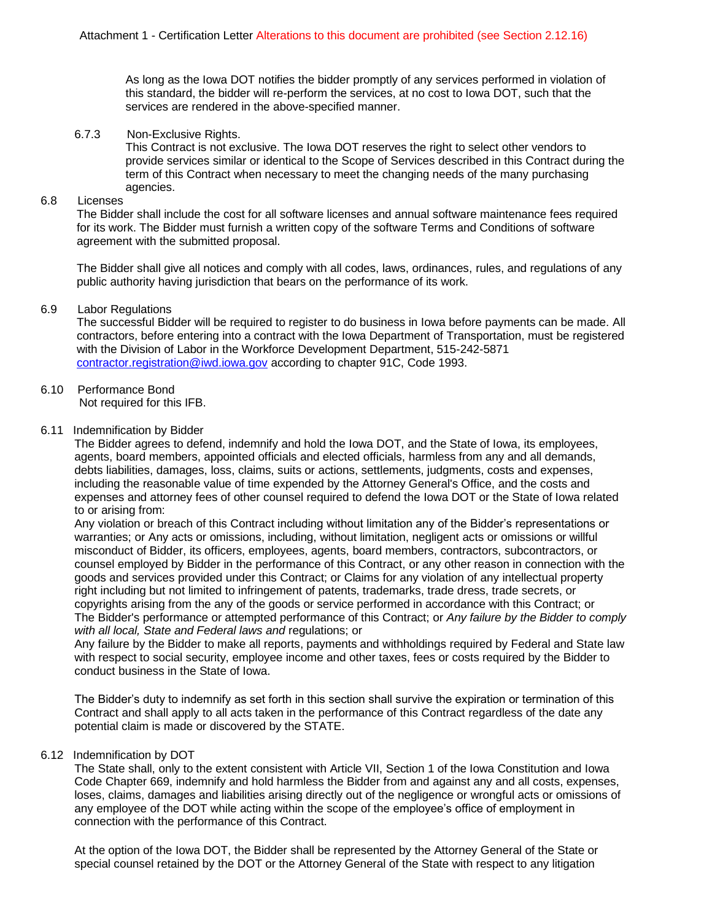As long as the Iowa DOT notifies the bidder promptly of any services performed in violation of this standard, the bidder will re-perform the services, at no cost to Iowa DOT, such that the services are rendered in the above-specified manner.

### 6.7.3 Non-Exclusive Rights.

This Contract is not exclusive. The Iowa DOT reserves the right to select other vendors to provide services similar or identical to the Scope of Services described in this Contract during the term of this Contract when necessary to meet the changing needs of the many purchasing agencies.

#### 6.8 Licenses

The Bidder shall include the cost for all software licenses and annual software maintenance fees required for its work. The Bidder must furnish a written copy of the software Terms and Conditions of software agreement with the submitted proposal.

The Bidder shall give all notices and comply with all codes, laws, ordinances, rules, and regulations of any public authority having jurisdiction that bears on the performance of its work.

### 6.9 Labor Regulations

The successful Bidder will be required to register to do business in Iowa before payments can be made. All contractors, before entering into a contract with the Iowa Department of Transportation, must be registered with the Division of Labor in the Workforce Development Department, 515-242-5871 [contractor.registration@iwd.iowa.gov](mailto:contractor.registration@iwd.iowa.gov) according to chapter 91C, Code 1993.

## 6.10 Performance Bond

Not required for this IFB.

### 6.11 Indemnification by Bidder

The Bidder agrees to defend, indemnify and hold the Iowa DOT, and the State of Iowa, its employees, agents, board members, appointed officials and elected officials, harmless from any and all demands, debts liabilities, damages, loss, claims, suits or actions, settlements, judgments, costs and expenses, including the reasonable value of time expended by the Attorney General's Office, and the costs and expenses and attorney fees of other counsel required to defend the Iowa DOT or the State of Iowa related to or arising from:

Any violation or breach of this Contract including without limitation any of the Bidder's representations or warranties; or Any acts or omissions, including, without limitation, negligent acts or omissions or willful misconduct of Bidder, its officers, employees, agents, board members, contractors, subcontractors, or counsel employed by Bidder in the performance of this Contract, or any other reason in connection with the goods and services provided under this Contract; or Claims for any violation of any intellectual property right including but not limited to infringement of patents, trademarks, trade dress, trade secrets, or copyrights arising from the any of the goods or service performed in accordance with this Contract; or The Bidder's performance or attempted performance of this Contract; or *Any failure by the Bidder to comply with all local, State and Federal laws and* regulations; or

Any failure by the Bidder to make all reports, payments and withholdings required by Federal and State law with respect to social security, employee income and other taxes, fees or costs required by the Bidder to conduct business in the State of Iowa.

The Bidder's duty to indemnify as set forth in this section shall survive the expiration or termination of this Contract and shall apply to all acts taken in the performance of this Contract regardless of the date any potential claim is made or discovered by the STATE.

### 6.12 Indemnification by DOT

The State shall, only to the extent consistent with Article VII, Section 1 of the Iowa Constitution and Iowa Code Chapter 669, indemnify and hold harmless the Bidder from and against any and all costs, expenses, loses, claims, damages and liabilities arising directly out of the negligence or wrongful acts or omissions of any employee of the DOT while acting within the scope of the employee's office of employment in connection with the performance of this Contract.

At the option of the Iowa DOT, the Bidder shall be represented by the Attorney General of the State or special counsel retained by the DOT or the Attorney General of the State with respect to any litigation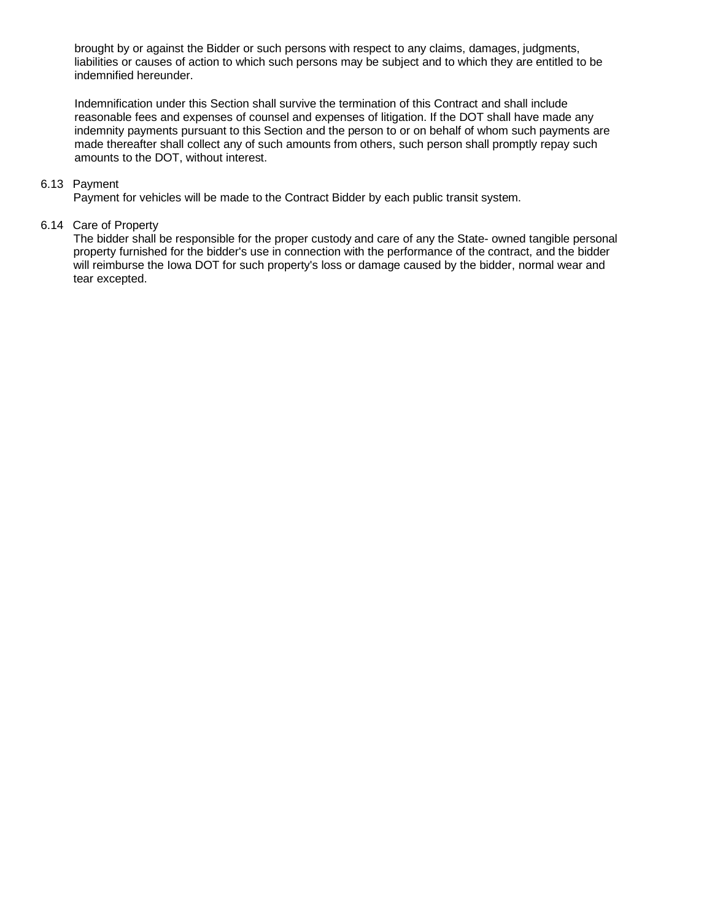brought by or against the Bidder or such persons with respect to any claims, damages, judgments, liabilities or causes of action to which such persons may be subject and to which they are entitled to be indemnified hereunder.

Indemnification under this Section shall survive the termination of this Contract and shall include reasonable fees and expenses of counsel and expenses of litigation. If the DOT shall have made any indemnity payments pursuant to this Section and the person to or on behalf of whom such payments are made thereafter shall collect any of such amounts from others, such person shall promptly repay such amounts to the DOT, without interest.

## 6.13 Payment

Payment for vehicles will be made to the Contract Bidder by each public transit system.

### 6.14 Care of Property

The bidder shall be responsible for the proper custody and care of any the State- owned tangible personal property furnished for the bidder's use in connection with the performance of the contract, and the bidder will reimburse the Iowa DOT for such property's loss or damage caused by the bidder, normal wear and tear excepted.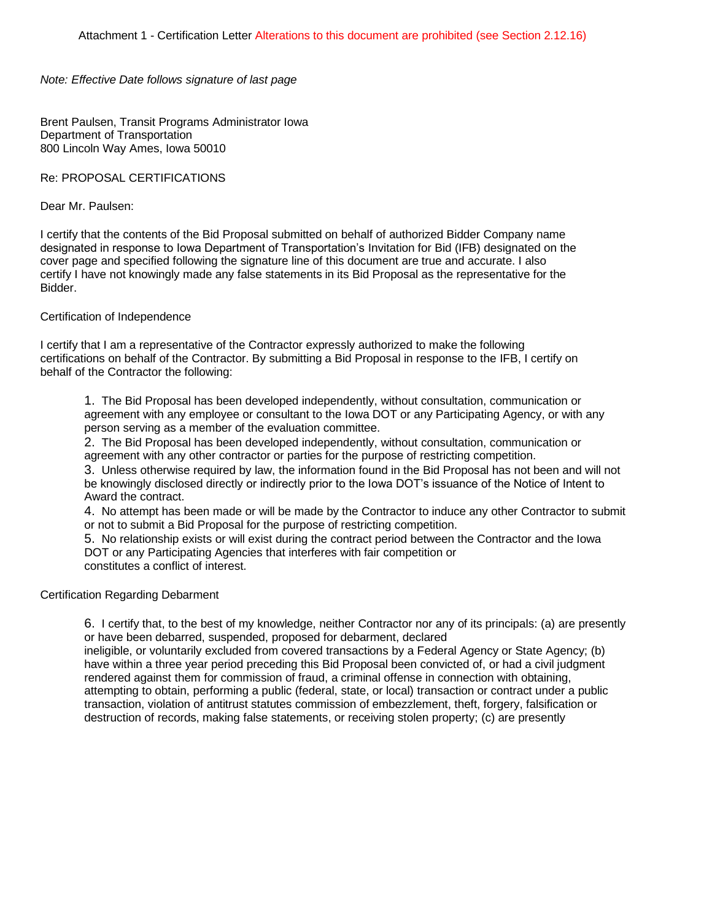*Note: Effective Date follows signature of last page*

Brent Paulsen, Transit Programs Administrator Iowa Department of Transportation 800 Lincoln Way Ames, Iowa 50010

Re: PROPOSAL CERTIFICATIONS

Dear Mr. Paulsen:

I certify that the contents of the Bid Proposal submitted on behalf of authorized Bidder Company name designated in response to Iowa Department of Transportation's Invitation for Bid (IFB) designated on the cover page and specified following the signature line of this document are true and accurate. I also certify I have not knowingly made any false statements in its Bid Proposal as the representative for the Bidder.

Certification of Independence

I certify that I am a representative of the Contractor expressly authorized to make the following certifications on behalf of the Contractor. By submitting a Bid Proposal in response to the IFB, I certify on behalf of the Contractor the following:

1. The Bid Proposal has been developed independently, without consultation, communication or agreement with any employee or consultant to the Iowa DOT or any Participating Agency, or with any person serving as a member of the evaluation committee.

2. The Bid Proposal has been developed independently, without consultation, communication or agreement with any other contractor or parties for the purpose of restricting competition.

3. Unless otherwise required by law, the information found in the Bid Proposal has not been and will not be knowingly disclosed directly or indirectly prior to the Iowa DOT's issuance of the Notice of Intent to Award the contract.

4. No attempt has been made or will be made by the Contractor to induce any other Contractor to submit or not to submit a Bid Proposal for the purpose of restricting competition.

5. No relationship exists or will exist during the contract period between the Contractor and the Iowa DOT or any Participating Agencies that interferes with fair competition or constitutes a conflict of interest.

Certification Regarding Debarment

6. I certify that, to the best of my knowledge, neither Contractor nor any of its principals: (a) are presently or have been debarred, suspended, proposed for debarment, declared

ineligible, or voluntarily excluded from covered transactions by a Federal Agency or State Agency; (b) have within a three year period preceding this Bid Proposal been convicted of, or had a civil judgment rendered against them for commission of fraud, a criminal offense in connection with obtaining, attempting to obtain, performing a public (federal, state, or local) transaction or contract under a public transaction, violation of antitrust statutes commission of embezzlement, theft, forgery, falsification or destruction of records, making false statements, or receiving stolen property; (c) are presently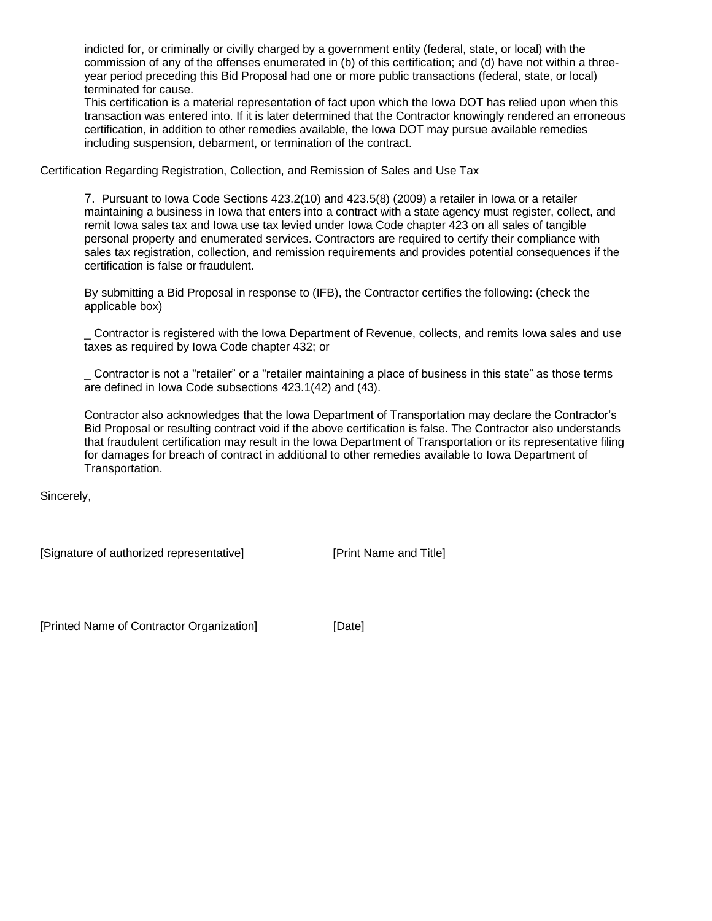indicted for, or criminally or civilly charged by a government entity (federal, state, or local) with the commission of any of the offenses enumerated in (b) of this certification; and (d) have not within a threeyear period preceding this Bid Proposal had one or more public transactions (federal, state, or local) terminated for cause.

This certification is a material representation of fact upon which the Iowa DOT has relied upon when this transaction was entered into. If it is later determined that the Contractor knowingly rendered an erroneous certification, in addition to other remedies available, the Iowa DOT may pursue available remedies including suspension, debarment, or termination of the contract.

Certification Regarding Registration, Collection, and Remission of Sales and Use Tax

7. Pursuant to Iowa Code Sections 423.2(10) and 423.5(8) (2009) a retailer in Iowa or a retailer maintaining a business in Iowa that enters into a contract with a state agency must register, collect, and remit Iowa sales tax and Iowa use tax levied under Iowa Code chapter 423 on all sales of tangible personal property and enumerated services. Contractors are required to certify their compliance with sales tax registration, collection, and remission requirements and provides potential consequences if the certification is false or fraudulent.

By submitting a Bid Proposal in response to (IFB), the Contractor certifies the following: (check the applicable box)

\_ Contractor is registered with the Iowa Department of Revenue, collects, and remits Iowa sales and use taxes as required by Iowa Code chapter 432; or

\_ Contractor is not a "retailer" or a "retailer maintaining a place of business in this state" as those terms are defined in Iowa Code subsections 423.1(42) and (43).

Contractor also acknowledges that the Iowa Department of Transportation may declare the Contractor's Bid Proposal or resulting contract void if the above certification is false. The Contractor also understands that fraudulent certification may result in the Iowa Department of Transportation or its representative filing for damages for breach of contract in additional to other remedies available to Iowa Department of Transportation.

Sincerely,

[Signature of authorized representative] [Print Name and Title]

[Printed Name of Contractor Organization] [Date]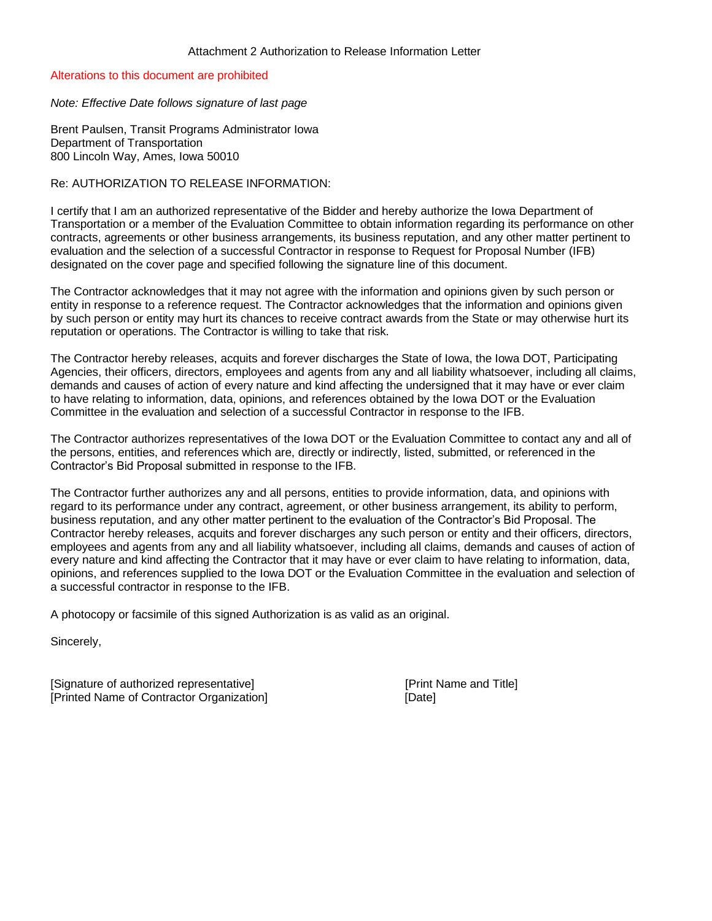Alterations to this document are prohibited

*Note: Effective Date follows signature of last page*

Brent Paulsen, Transit Programs Administrator Iowa Department of Transportation 800 Lincoln Way, Ames, Iowa 50010

### Re: AUTHORIZATION TO RELEASE INFORMATION:

I certify that I am an authorized representative of the Bidder and hereby authorize the Iowa Department of Transportation or a member of the Evaluation Committee to obtain information regarding its performance on other contracts, agreements or other business arrangements, its business reputation, and any other matter pertinent to evaluation and the selection of a successful Contractor in response to Request for Proposal Number (IFB) designated on the cover page and specified following the signature line of this document.

The Contractor acknowledges that it may not agree with the information and opinions given by such person or entity in response to a reference request. The Contractor acknowledges that the information and opinions given by such person or entity may hurt its chances to receive contract awards from the State or may otherwise hurt its reputation or operations. The Contractor is willing to take that risk.

The Contractor hereby releases, acquits and forever discharges the State of Iowa, the Iowa DOT, Participating Agencies, their officers, directors, employees and agents from any and all liability whatsoever, including all claims, demands and causes of action of every nature and kind affecting the undersigned that it may have or ever claim to have relating to information, data, opinions, and references obtained by the Iowa DOT or the Evaluation Committee in the evaluation and selection of a successful Contractor in response to the IFB.

The Contractor authorizes representatives of the Iowa DOT or the Evaluation Committee to contact any and all of the persons, entities, and references which are, directly or indirectly, listed, submitted, or referenced in the Contractor's Bid Proposal submitted in response to the IFB.

The Contractor further authorizes any and all persons, entities to provide information, data, and opinions with regard to its performance under any contract, agreement, or other business arrangement, its ability to perform, business reputation, and any other matter pertinent to the evaluation of the Contractor's Bid Proposal. The Contractor hereby releases, acquits and forever discharges any such person or entity and their officers, directors, employees and agents from any and all liability whatsoever, including all claims, demands and causes of action of every nature and kind affecting the Contractor that it may have or ever claim to have relating to information, data, opinions, and references supplied to the Iowa DOT or the Evaluation Committee in the evaluation and selection of a successful contractor in response to the IFB.

A photocopy or facsimile of this signed Authorization is as valid as an original.

Sincerely,

[Signature of authorized representative] [Print Name and Title] [Printed Name of Contractor Organization] [Date]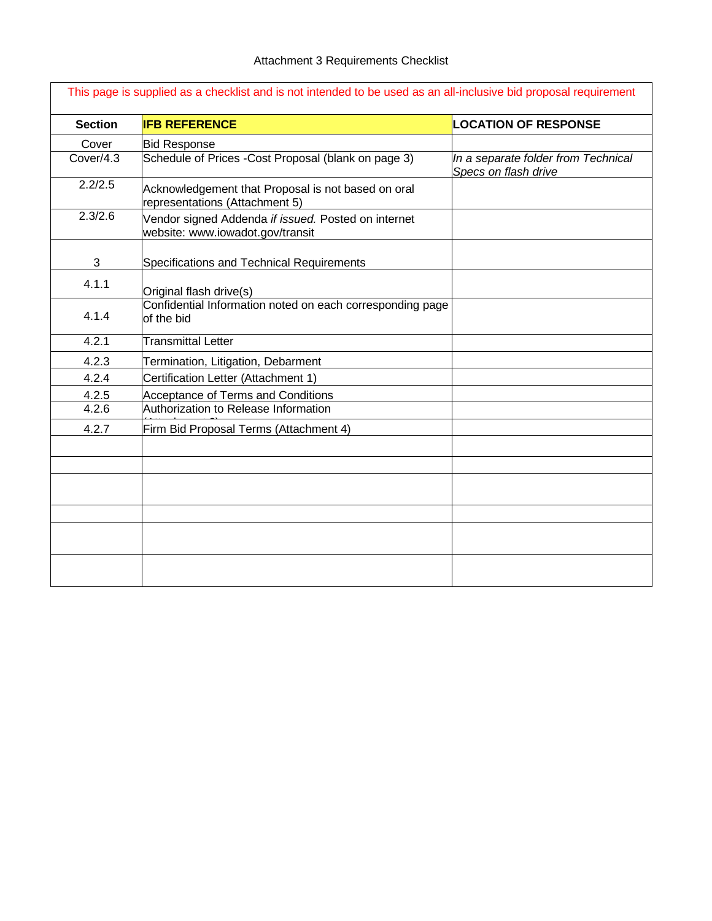| <b>Section</b> | <b>IFB REFERENCE</b>                                                                    | <b>LOCATION OF RESPONSE</b>                                 |
|----------------|-----------------------------------------------------------------------------------------|-------------------------------------------------------------|
| Cover          | <b>Bid Response</b>                                                                     |                                                             |
| Cover/4.3      | Schedule of Prices - Cost Proposal (blank on page 3)                                    | In a separate folder from Technical<br>Specs on flash drive |
| 2.2/2.5        | Acknowledgement that Proposal is not based on oral<br>representations (Attachment 5)    |                                                             |
| 2.3/2.6        | Vendor signed Addenda if issued. Posted on internet<br>website: www.iowadot.gov/transit |                                                             |
| $\mathfrak{S}$ | Specifications and Technical Requirements                                               |                                                             |
| 4.1.1          | Original flash drive(s)                                                                 |                                                             |
| 4.1.4          | Confidential Information noted on each corresponding page<br>of the bid                 |                                                             |
| 4.2.1          | <b>Transmittal Letter</b>                                                               |                                                             |
| 4.2.3          | Termination, Litigation, Debarment                                                      |                                                             |
| 4.2.4          | Certification Letter (Attachment 1)                                                     |                                                             |
| 4.2.5          | Acceptance of Terms and Conditions                                                      |                                                             |
| 4.2.6          | Authorization to Release Information                                                    |                                                             |
| 4.2.7          | Firm Bid Proposal Terms (Attachment 4)                                                  |                                                             |
|                |                                                                                         |                                                             |
|                |                                                                                         |                                                             |
|                |                                                                                         |                                                             |
|                |                                                                                         |                                                             |
|                |                                                                                         |                                                             |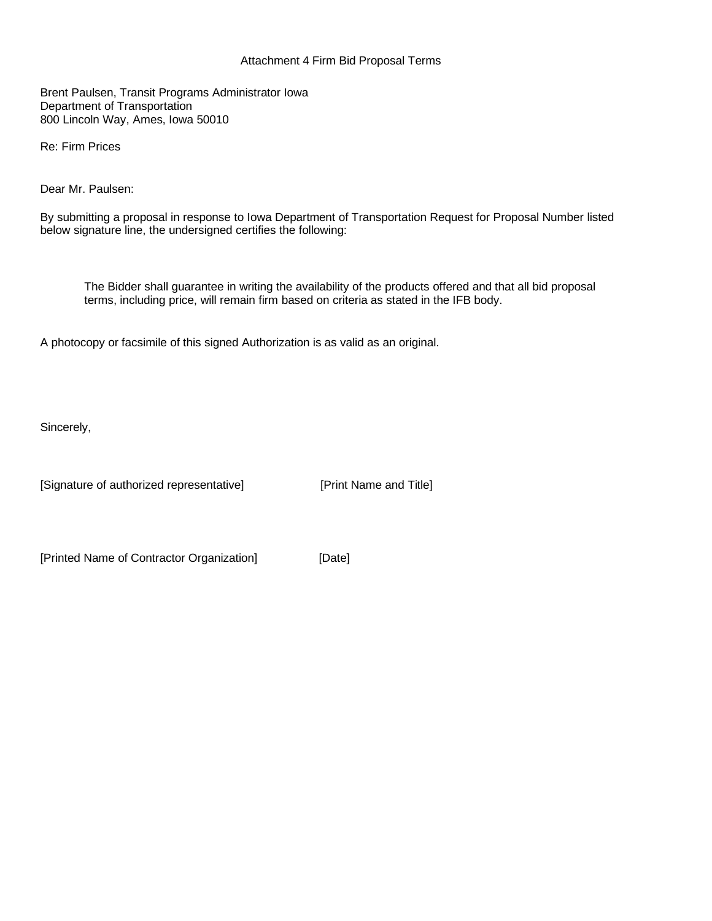## Attachment 4 Firm Bid Proposal Terms

Brent Paulsen, Transit Programs Administrator Iowa Department of Transportation 800 Lincoln Way, Ames, Iowa 50010

Re: Firm Prices

Dear Mr. Paulsen:

By submitting a proposal in response to Iowa Department of Transportation Request for Proposal Number listed below signature line, the undersigned certifies the following:

The Bidder shall guarantee in writing the availability of the products offered and that all bid proposal terms, including price, will remain firm based on criteria as stated in the IFB body.

A photocopy or facsimile of this signed Authorization is as valid as an original.

Sincerely,

[Signature of authorized representative] [Print Name and Title]

[Printed Name of Contractor Organization] [Date]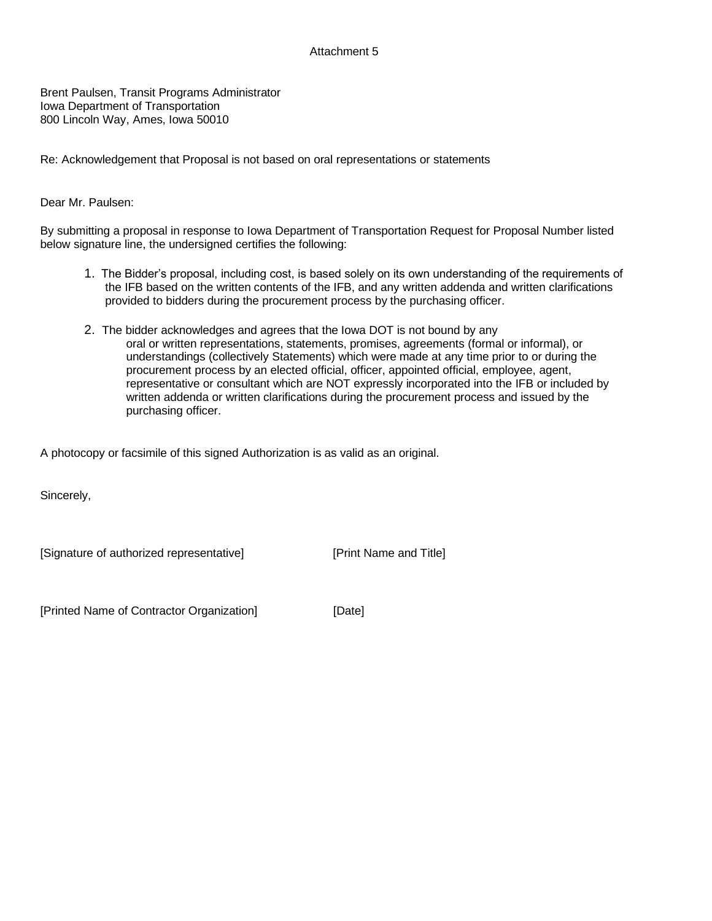# Attachment 5

Brent Paulsen, Transit Programs Administrator Iowa Department of Transportation 800 Lincoln Way, Ames, Iowa 50010

Re: Acknowledgement that Proposal is not based on oral representations or statements

### Dear Mr. Paulsen:

By submitting a proposal in response to Iowa Department of Transportation Request for Proposal Number listed below signature line, the undersigned certifies the following:

- 1. The Bidder's proposal, including cost, is based solely on its own understanding of the requirements of the IFB based on the written contents of the IFB, and any written addenda and written clarifications provided to bidders during the procurement process by the purchasing officer.
- 2. The bidder acknowledges and agrees that the Iowa DOT is not bound by any oral or written representations, statements, promises, agreements (formal or informal), or understandings (collectively Statements) which were made at any time prior to or during the procurement process by an elected official, officer, appointed official, employee, agent, representative or consultant which are NOT expressly incorporated into the IFB or included by written addenda or written clarifications during the procurement process and issued by the purchasing officer.

A photocopy or facsimile of this signed Authorization is as valid as an original.

Sincerely,

[Signature of authorized representative] [Print Name and Title]

[Printed Name of Contractor Organization] [Date]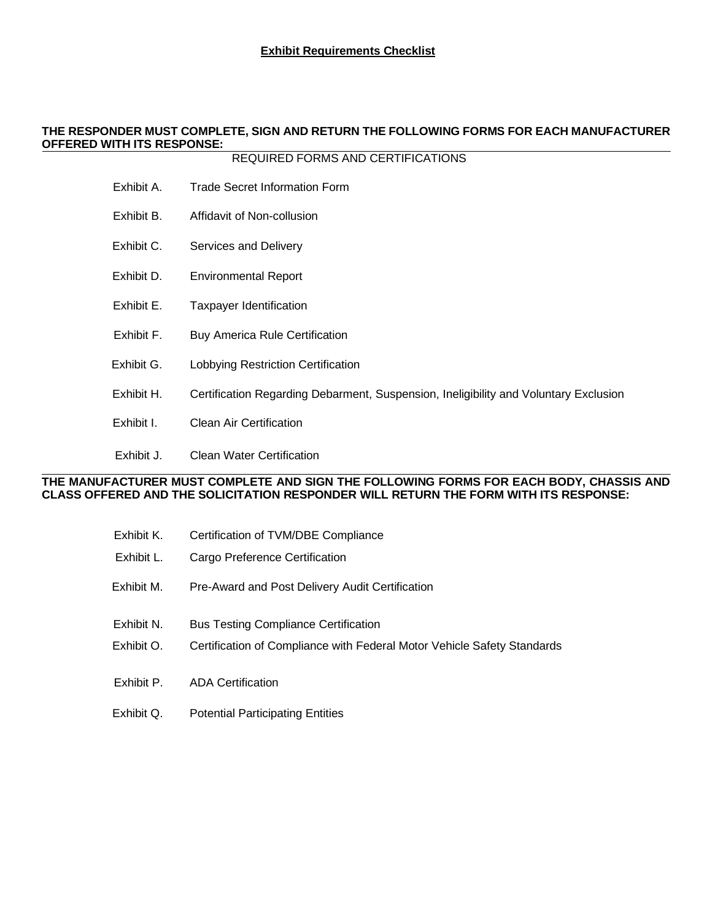## **THE RESPONDER MUST COMPLETE, SIGN AND RETURN THE FOLLOWING FORMS FOR EACH MANUFACTURER OFFERED WITH ITS RESPONSE:**

## REQUIRED FORMS AND CERTIFICATIONS

- Exhibit A. Trade Secret Information Form
- Exhibit B. Affidavit of Non-collusion
- Exhibit C. Services and Delivery
- Exhibit D. Environmental Report
- Exhibit E. Taxpayer Identification
- Exhibit F. Buy America Rule Certification
- Exhibit G. Lobbying Restriction Certification
- Exhibit H. Certification Regarding Debarment, Suspension, Ineligibility and Voluntary Exclusion
- Exhibit I. Clean Air Certification
- Exhibit J. Clean Water Certification

## **THE MANUFACTURER MUST COMPLETE AND SIGN THE FOLLOWING FORMS FOR EACH BODY, CHASSIS AND CLASS OFFERED AND THE SOLICITATION RESPONDER WILL RETURN THE FORM WITH ITS RESPONSE:**

| Exhibit K. | Certification of TVM/DBE Compliance                                     |
|------------|-------------------------------------------------------------------------|
| Exhibit L. | Cargo Preference Certification                                          |
| Exhibit M. | Pre-Award and Post Delivery Audit Certification                         |
| Exhibit N. | <b>Bus Testing Compliance Certification</b>                             |
| Exhibit O. | Certification of Compliance with Federal Motor Vehicle Safety Standards |
| Exhibit P. | <b>ADA Certification</b>                                                |
| Exhibit Q. | <b>Potential Participating Entities</b>                                 |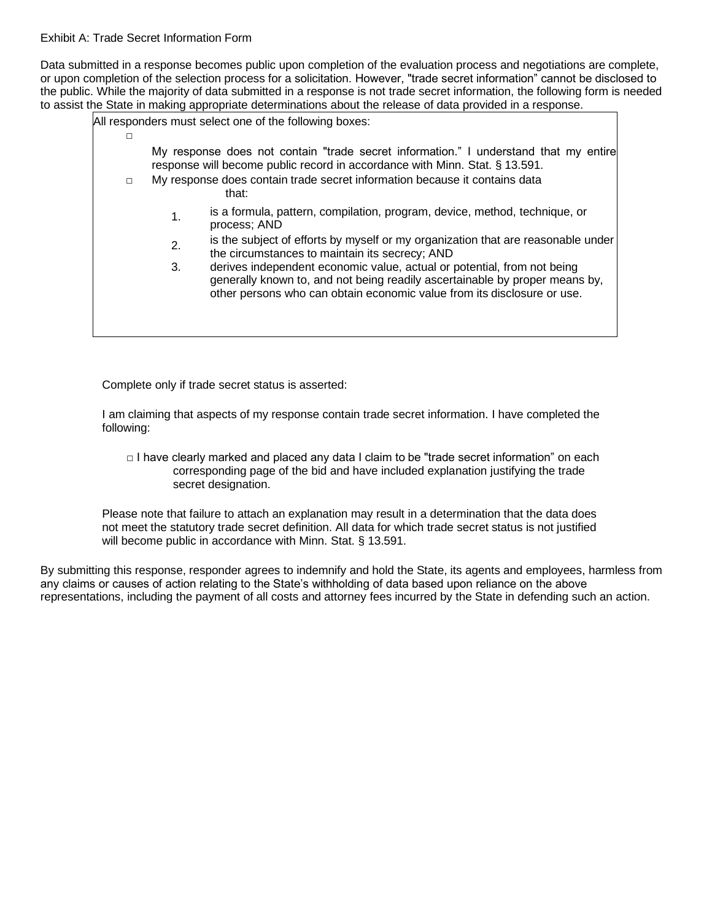Exhibit A: Trade Secret Information Form

Data submitted in a response becomes public upon completion of the evaluation process and negotiations are complete, or upon completion of the selection process for a solicitation. However, "trade secret information" cannot be disclosed to the public. While the majority of data submitted in a response is not trade secret information, the following form is needed to assist the State in making appropriate determinations about the release of data provided in a response.

| - סיימולים ומיים של ה<br>All responders must select one of the following boxes: |    |                                                                                                                                                                                                                                   |  |
|---------------------------------------------------------------------------------|----|-----------------------------------------------------------------------------------------------------------------------------------------------------------------------------------------------------------------------------------|--|
|                                                                                 |    |                                                                                                                                                                                                                                   |  |
|                                                                                 |    | My response does not contain "trade secret information." I understand that my entire<br>response will become public record in accordance with Minn. Stat. § 13.591.                                                               |  |
| $\Box$                                                                          |    | My response does contain trade secret information because it contains data<br>that:                                                                                                                                               |  |
|                                                                                 | 1. | is a formula, pattern, compilation, program, device, method, technique, or<br>process; AND                                                                                                                                        |  |
|                                                                                 | 2. | is the subject of efforts by myself or my organization that are reasonable under<br>the circumstances to maintain its secrecy; AND                                                                                                |  |
|                                                                                 | 3. | derives independent economic value, actual or potential, from not being<br>generally known to, and not being readily ascertainable by proper means by,<br>other persons who can obtain economic value from its disclosure or use. |  |
|                                                                                 |    |                                                                                                                                                                                                                                   |  |

Complete only if trade secret status is asserted:

I am claiming that aspects of my response contain trade secret information. I have completed the following:

 $\Box$  I have clearly marked and placed any data I claim to be "trade secret information" on each corresponding page of the bid and have included explanation justifying the trade secret designation.

Please note that failure to attach an explanation may result in a determination that the data does not meet the statutory trade secret definition. All data for which trade secret status is not justified will become public in accordance with Minn. Stat. § 13.591.

By submitting this response, responder agrees to indemnify and hold the State, its agents and employees, harmless from any claims or causes of action relating to the State's withholding of data based upon reliance on the above representations, including the payment of all costs and attorney fees incurred by the State in defending such an action.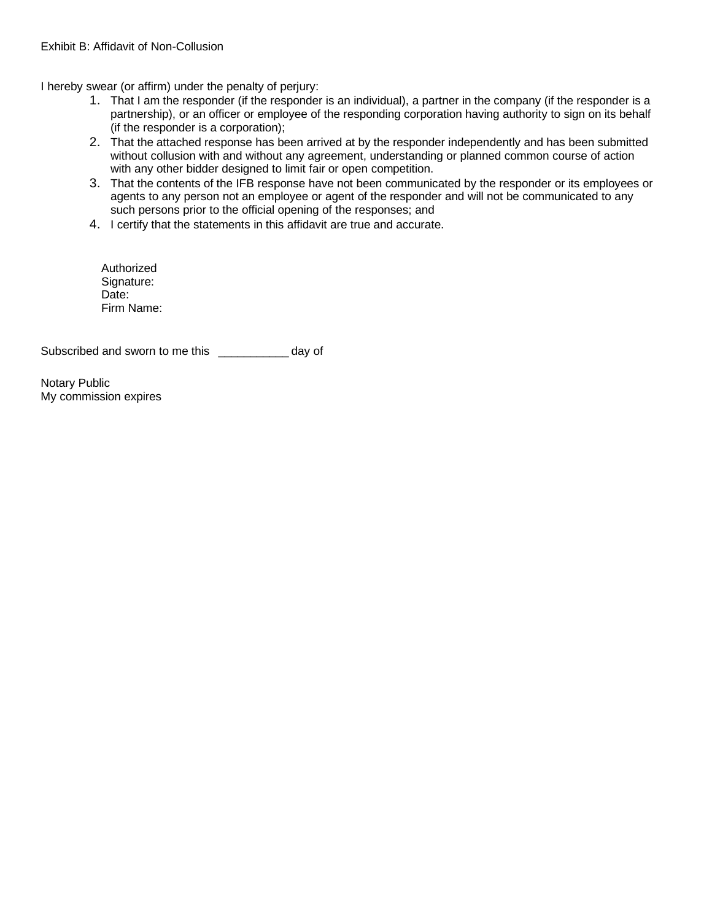I hereby swear (or affirm) under the penalty of perjury:

- 1. That I am the responder (if the responder is an individual), a partner in the company (if the responder is a partnership), or an officer or employee of the responding corporation having authority to sign on its behalf (if the responder is a corporation);
- 2. That the attached response has been arrived at by the responder independently and has been submitted without collusion with and without any agreement, understanding or planned common course of action with any other bidder designed to limit fair or open competition.
- 3. That the contents of the IFB response have not been communicated by the responder or its employees or agents to any person not an employee or agent of the responder and will not be communicated to any such persons prior to the official opening of the responses; and
- 4. I certify that the statements in this affidavit are true and accurate.

Authorized Signature: Date: Firm Name:

Subscribed and sworn to me this \_\_\_\_\_\_\_\_\_\_\_ day of

Notary Public My commission expires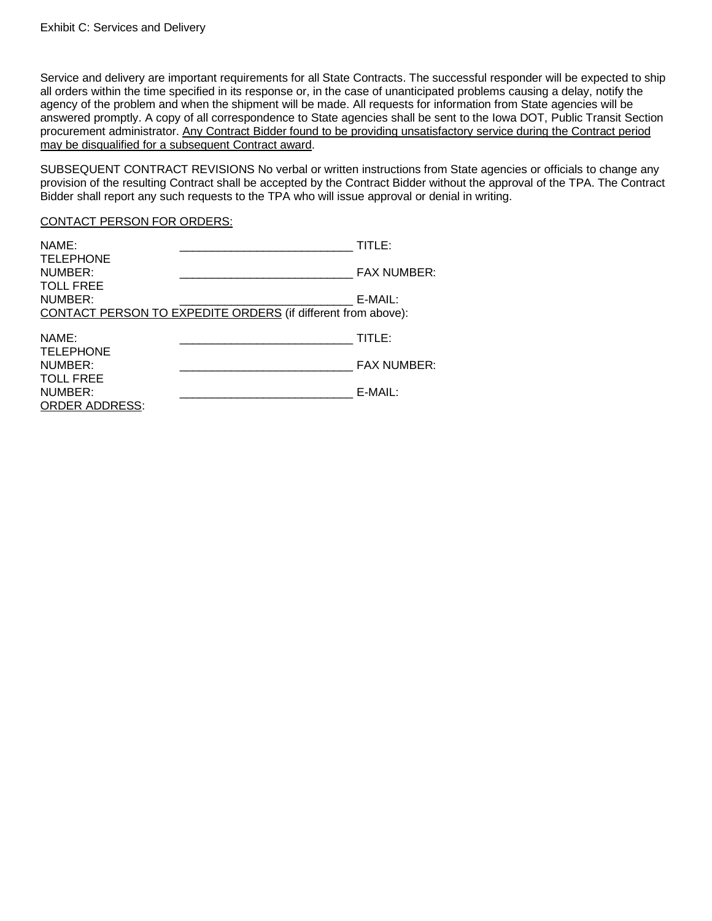Service and delivery are important requirements for all State Contracts. The successful responder will be expected to ship all orders within the time specified in its response or, in the case of unanticipated problems causing a delay, notify the agency of the problem and when the shipment will be made. All requests for information from State agencies will be answered promptly. A copy of all correspondence to State agencies shall be sent to the Iowa DOT, Public Transit Section procurement administrator. Any Contract Bidder found to be providing unsatisfactory service during the Contract period may be disqualified for a subsequent Contract award.

SUBSEQUENT CONTRACT REVISIONS No verbal or written instructions from State agencies or officials to change any provision of the resulting Contract shall be accepted by the Contract Bidder without the approval of the TPA. The Contract Bidder shall report any such requests to the TPA who will issue approval or denial in writing.

#### CONTACT PERSON FOR ORDERS:

| NAME:<br><b>TELEPHONE</b>                            | TITLE:                                                                  |
|------------------------------------------------------|-------------------------------------------------------------------------|
| NUMBER:                                              | <b>FAX NUMBER:</b>                                                      |
| <b>TOLL FREE</b><br>NUMBER:                          | E-MAIL:<br>CONTACT PERSON TO EXPEDITE ORDERS (if different from above): |
| NAME:                                                | TITLE:                                                                  |
| <b>TELEPHONE</b><br>NUMBER:                          | <b>FAX NUMBER:</b>                                                      |
| <b>TOLL FREE</b><br>NUMBER:<br><b>ORDER ADDRESS:</b> | E-MAIL:                                                                 |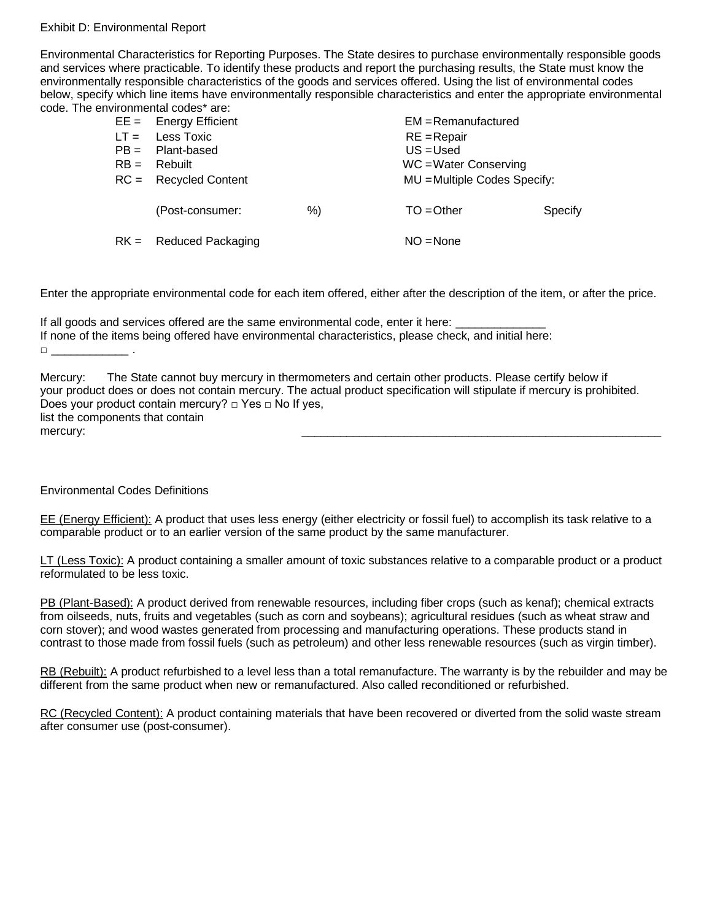#### Exhibit D: Environmental Report

Environmental Characteristics for Reporting Purposes. The State desires to purchase environmentally responsible goods and services where practicable. To identify these products and report the purchasing results, the State must know the environmentally responsible characteristics of the goods and services offered. Using the list of environmental codes below, specify which line items have environmentally responsible characteristics and enter the appropriate environmental code. The environmental codes\* are:

| $RB =$ | $EE =$ Energy Efficient<br>$LT =$ Less Toxic<br>$PB =$ Plant-based<br>Rebuilt<br>$RC =$ Recycled Content |    | $EM =$ Remanufactured<br>$RE = Repair$<br>$US = Used$<br>WC = Water Conserving<br>MU = Multiple Codes Specify: |         |
|--------|----------------------------------------------------------------------------------------------------------|----|----------------------------------------------------------------------------------------------------------------|---------|
|        | (Post-consumer:                                                                                          | %) | $TO = Other$                                                                                                   | Specify |
|        | $RK =$ Reduced Packaging                                                                                 |    | $NO = None$                                                                                                    |         |

Enter the appropriate environmental code for each item offered, either after the description of the item, or after the price.

If all goods and services offered are the same environmental code, enter it here: If none of the items being offered have environmental characteristics, please check, and initial here:  $\Box$ 

Mercury: The State cannot buy mercury in thermometers and certain other products. Please certify below if your product does or does not contain mercury. The actual product specification will stipulate if mercury is prohibited. Does your product contain mercury?  $\Box$  Yes  $\Box$  No If yes, list the components that contain mercury: \_\_\_\_\_\_\_\_\_\_\_\_\_\_\_\_\_\_\_\_\_\_\_\_\_\_\_\_\_\_\_\_\_\_\_\_\_\_\_\_\_\_\_\_\_\_\_\_\_\_\_\_\_\_\_\_

## Environmental Codes Definitions

EE (Energy Efficient): A product that uses less energy (either electricity or fossil fuel) to accomplish its task relative to a comparable product or to an earlier version of the same product by the same manufacturer.

LT (Less Toxic): A product containing a smaller amount of toxic substances relative to a comparable product or a product reformulated to be less toxic.

PB (Plant-Based): A product derived from renewable resources, including fiber crops (such as kenaf); chemical extracts from oilseeds, nuts, fruits and vegetables (such as corn and soybeans); agricultural residues (such as wheat straw and corn stover); and wood wastes generated from processing and manufacturing operations. These products stand in contrast to those made from fossil fuels (such as petroleum) and other less renewable resources (such as virgin timber).

RB (Rebuilt): A product refurbished to a level less than a total remanufacture. The warranty is by the rebuilder and may be different from the same product when new or remanufactured. Also called reconditioned or refurbished.

RC (Recycled Content): A product containing materials that have been recovered or diverted from the solid waste stream after consumer use (post-consumer).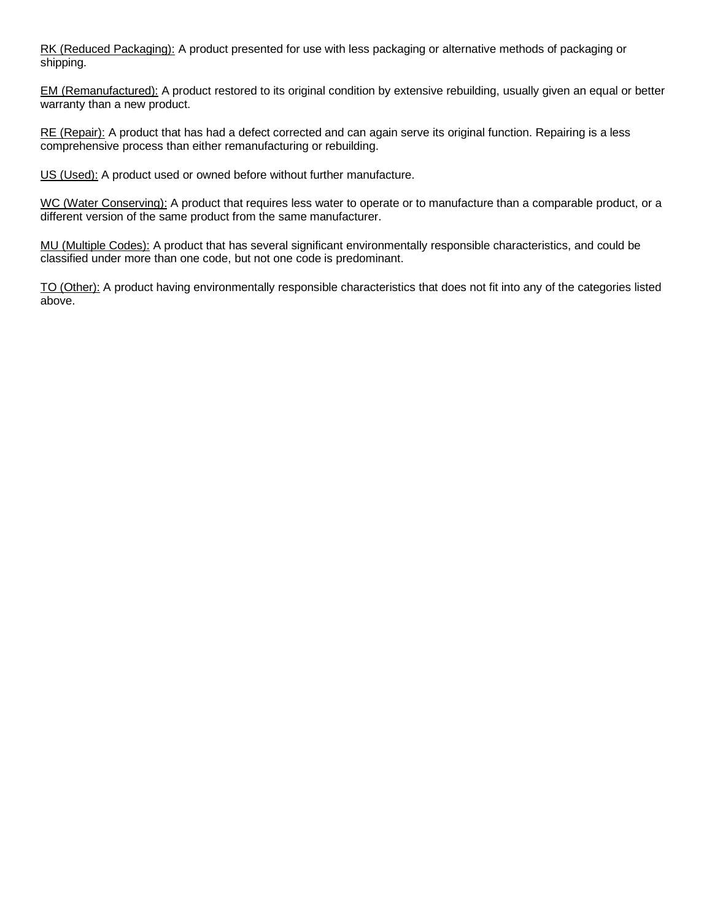RK (Reduced Packaging): A product presented for use with less packaging or alternative methods of packaging or shipping.

EM (Remanufactured): A product restored to its original condition by extensive rebuilding, usually given an equal or better warranty than a new product.

RE (Repair): A product that has had a defect corrected and can again serve its original function. Repairing is a less comprehensive process than either remanufacturing or rebuilding.

US (Used): A product used or owned before without further manufacture.

WC (Water Conserving): A product that requires less water to operate or to manufacture than a comparable product, or a different version of the same product from the same manufacturer.

MU (Multiple Codes): A product that has several significant environmentally responsible characteristics, and could be classified under more than one code, but not one code is predominant.

TO (Other): A product having environmentally responsible characteristics that does not fit into any of the categories listed above.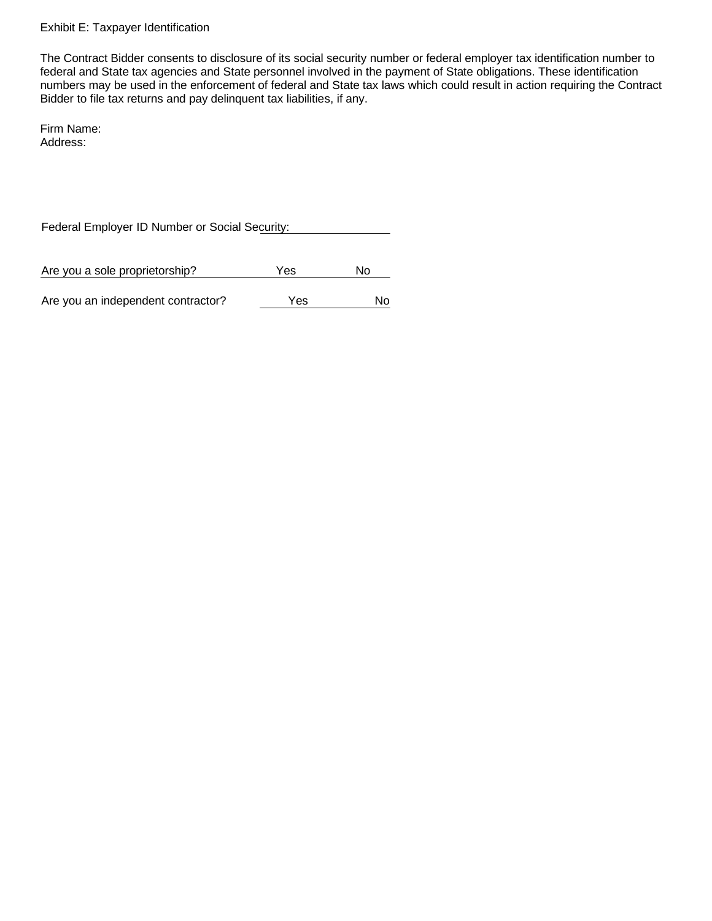#### Exhibit E: Taxpayer Identification

The Contract Bidder consents to disclosure of its social security number or federal employer tax identification number to federal and State tax agencies and State personnel involved in the payment of State obligations. These identification numbers may be used in the enforcement of federal and State tax laws which could result in action requiring the Contract Bidder to file tax returns and pay delinquent tax liabilities, if any.

Firm Name: Address:

Federal Employer ID Number or Social Security:

Are you a sole proprietorship? The Yes No

Are you an independent contractor? The Yes No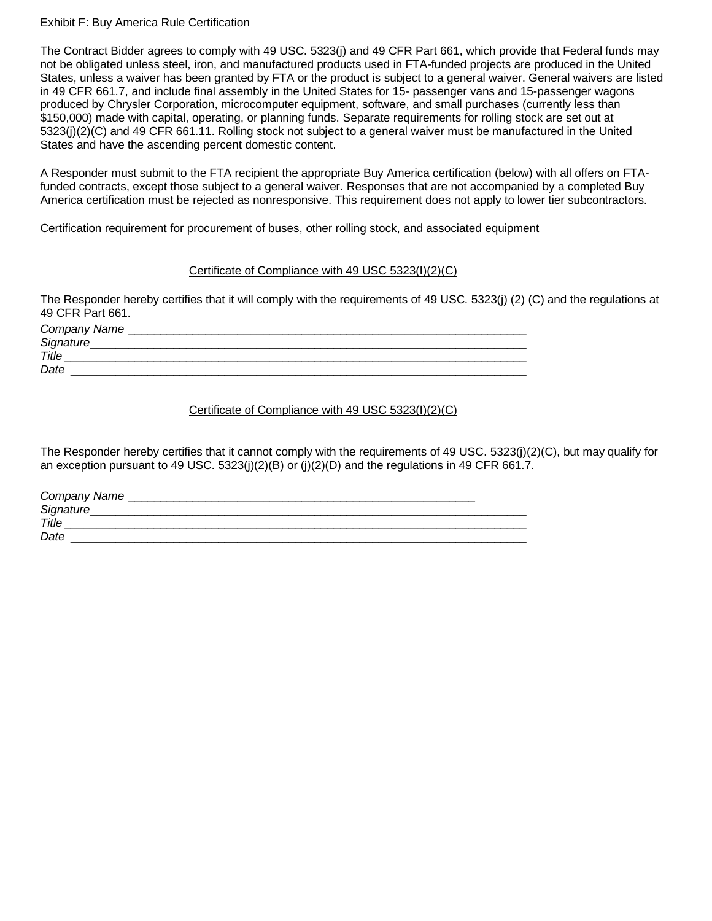#### Exhibit F: Buy America Rule Certification

The Contract Bidder agrees to comply with 49 USC. 5323(j) and 49 CFR Part 661, which provide that Federal funds may not be obligated unless steel, iron, and manufactured products used in FTA-funded projects are produced in the United States, unless a waiver has been granted by FTA or the product is subject to a general waiver. General waivers are listed in 49 CFR 661.7, and include final assembly in the United States for 15- passenger vans and 15-passenger wagons produced by Chrysler Corporation, microcomputer equipment, software, and small purchases (currently less than \$150,000) made with capital, operating, or planning funds. Separate requirements for rolling stock are set out at 5323(j)(2)(C) and 49 CFR 661.11. Rolling stock not subject to a general waiver must be manufactured in the United States and have the ascending percent domestic content.

A Responder must submit to the FTA recipient the appropriate Buy America certification (below) with all offers on FTAfunded contracts, except those subject to a general waiver. Responses that are not accompanied by a completed Buy America certification must be rejected as nonresponsive. This requirement does not apply to lower tier subcontractors.

Certification requirement for procurement of buses, other rolling stock, and associated equipment

#### Certificate of Compliance with 49 USC 5323(I)(2)(C)

The Responder hereby certifies that it will comply with the requirements of 49 USC. 5323(j) (2) (C) and the regulations at 49 CFR Part 661.

| Company Name |  |
|--------------|--|
| Signature_   |  |
| Title        |  |
| Date         |  |

## Certificate of Compliance with 49 USC 5323(I)(2)(C)

The Responder hereby certifies that it cannot comply with the requirements of 49 USC. 5323(j)(2)(C), but may qualify for an exception pursuant to 49 USC.  $5323(j)(2)(B)$  or  $(j)(2)(D)$  and the regulations in 49 CFR 661.7.

| Company Name |  |
|--------------|--|
| Signature_   |  |
| Title        |  |
| Date         |  |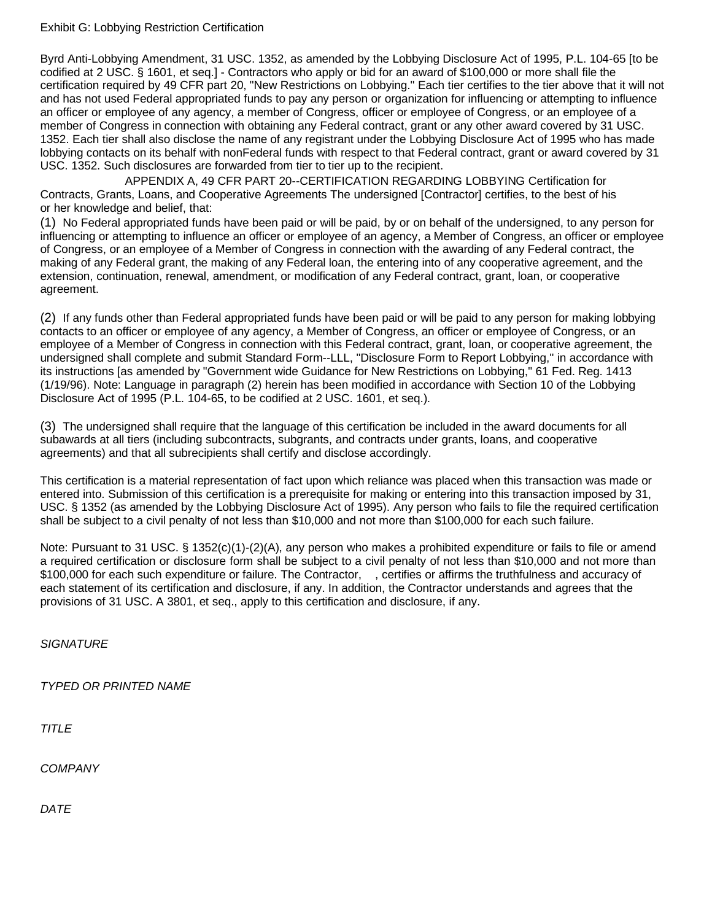#### Exhibit G: Lobbying Restriction Certification

Byrd Anti-Lobbying Amendment, 31 USC. 1352, as amended by the Lobbying Disclosure Act of 1995, P.L. 104-65 [to be codified at 2 USC. § 1601, et seq.] - Contractors who apply or bid for an award of \$100,000 or more shall file the certification required by 49 CFR part 20, "New Restrictions on Lobbying." Each tier certifies to the tier above that it will not and has not used Federal appropriated funds to pay any person or organization for influencing or attempting to influence an officer or employee of any agency, a member of Congress, officer or employee of Congress, or an employee of a member of Congress in connection with obtaining any Federal contract, grant or any other award covered by 31 USC. 1352. Each tier shall also disclose the name of any registrant under the Lobbying Disclosure Act of 1995 who has made lobbying contacts on its behalf with nonFederal funds with respect to that Federal contract, grant or award covered by 31 USC. 1352. Such disclosures are forwarded from tier to tier up to the recipient.

APPENDIX A, 49 CFR PART 20--CERTIFICATION REGARDING LOBBYING Certification for Contracts, Grants, Loans, and Cooperative Agreements The undersigned [Contractor] certifies, to the best of his or her knowledge and belief, that:

(1) No Federal appropriated funds have been paid or will be paid, by or on behalf of the undersigned, to any person for influencing or attempting to influence an officer or employee of an agency, a Member of Congress, an officer or employee of Congress, or an employee of a Member of Congress in connection with the awarding of any Federal contract, the making of any Federal grant, the making of any Federal loan, the entering into of any cooperative agreement, and the extension, continuation, renewal, amendment, or modification of any Federal contract, grant, loan, or cooperative agreement.

(2) If any funds other than Federal appropriated funds have been paid or will be paid to any person for making lobbying contacts to an officer or employee of any agency, a Member of Congress, an officer or employee of Congress, or an employee of a Member of Congress in connection with this Federal contract, grant, loan, or cooperative agreement, the undersigned shall complete and submit Standard Form--LLL, "Disclosure Form to Report Lobbying," in accordance with its instructions [as amended by "Government wide Guidance for New Restrictions on Lobbying," 61 Fed. Reg. 1413 (1/19/96). Note: Language in paragraph (2) herein has been modified in accordance with Section 10 of the Lobbying Disclosure Act of 1995 (P.L. 104-65, to be codified at 2 USC. 1601, et seq.).

(3) The undersigned shall require that the language of this certification be included in the award documents for all subawards at all tiers (including subcontracts, subgrants, and contracts under grants, loans, and cooperative agreements) and that all subrecipients shall certify and disclose accordingly.

This certification is a material representation of fact upon which reliance was placed when this transaction was made or entered into. Submission of this certification is a prerequisite for making or entering into this transaction imposed by 31, USC. § 1352 (as amended by the Lobbying Disclosure Act of 1995). Any person who fails to file the required certification shall be subject to a civil penalty of not less than \$10,000 and not more than \$100,000 for each such failure.

Note: Pursuant to 31 USC. § 1352(c)(1)-(2)(A), any person who makes a prohibited expenditure or fails to file or amend a required certification or disclosure form shall be subject to a civil penalty of not less than \$10,000 and not more than \$100,000 for each such expenditure or failure. The Contractor, , certifies or affirms the truthfulness and accuracy of each statement of its certification and disclosure, if any. In addition, the Contractor understands and agrees that the provisions of 31 USC. A 3801, et seq., apply to this certification and disclosure, if any.

*SIGNATURE*

*TYPED OR PRINTED NAME*

*TITLE*

*COMPANY*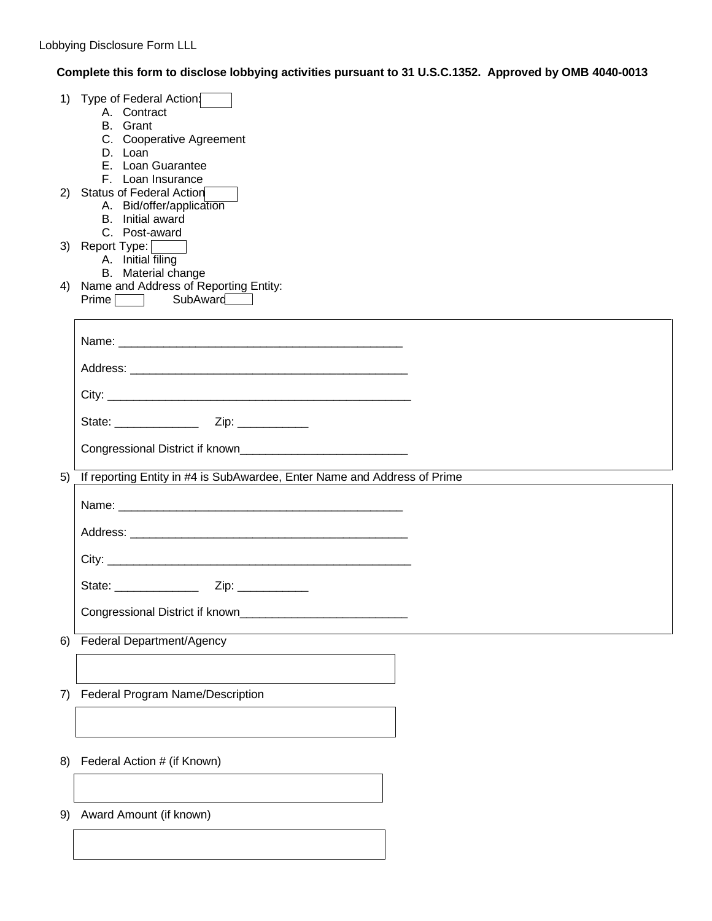## **Complete this form to disclose lobbying activities pursuant to 31 U.S.C.1352. Approved by OMB 4040-0013**

|    | 1) Type of Federal Action:<br>A. Contract<br>B. Grant<br>C. Cooperative Agreement<br>D. Loan<br>E. Loan Guarantee<br>F. Loan Insurance |
|----|----------------------------------------------------------------------------------------------------------------------------------------|
|    | 2) Status of Federal Action<br>A. Bid/offer/application<br>B. Initial award<br>C. Post-award                                           |
|    | 3) Report Type:    <br>A. Initial filing                                                                                               |
|    | B. Material change<br>4) Name and Address of Reporting Entity:<br>Prime SubAward                                                       |
|    |                                                                                                                                        |
|    |                                                                                                                                        |
|    |                                                                                                                                        |
|    |                                                                                                                                        |
|    |                                                                                                                                        |
| 5) | If reporting Entity in #4 is SubAwardee, Enter Name and Address of Prime                                                               |
|    |                                                                                                                                        |
|    |                                                                                                                                        |
|    |                                                                                                                                        |
|    |                                                                                                                                        |
|    | Congressional District if known                                                                                                        |
| 6) | Federal Department/Agency                                                                                                              |
|    |                                                                                                                                        |
| 7) | Federal Program Name/Description                                                                                                       |
|    |                                                                                                                                        |
| 8) | Federal Action # (if Known)                                                                                                            |
|    |                                                                                                                                        |
| 9) | Award Amount (if known)                                                                                                                |
|    |                                                                                                                                        |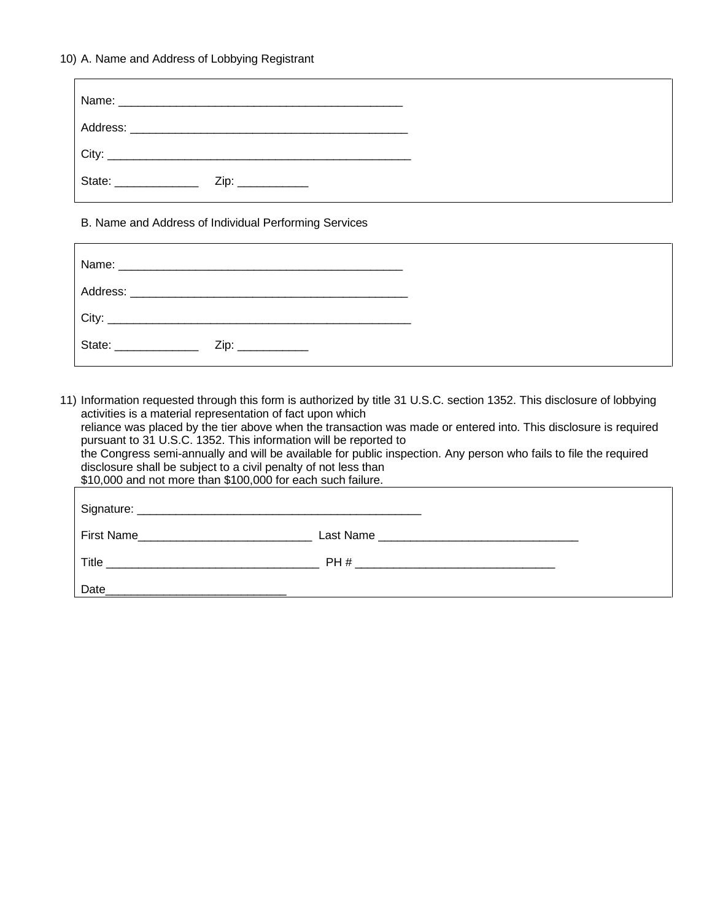#### 10) A. Name and Address of Lobbying Registrant

| $\overline{\phantom{a}}$ City:                              |  |
|-------------------------------------------------------------|--|
| State: <u>______________________</u><br>Zip: ______________ |  |

B. Name and Address of Individual Performing Services

| City:                                |  |
|--------------------------------------|--|
| State: <u>______________________</u> |  |

11) Information requested through this form is authorized by title 31 U.S.C. section 1352. This disclosure of lobbying activities is a material representation of fact upon which reliance was placed by the tier above when the transaction was made or entered into. This disclosure is required pursuant to 31 U.S.C. 1352. This information will be reported to the Congress semi-annually and will be available for public inspection. Any person who fails to file the required disclosure shall be subject to a civil penalty of not less than \$10,000 and not more than \$100,000 for each such failure. Signature: **Example 2018** First Name\_\_\_\_\_\_\_\_\_\_\_\_\_\_\_\_\_\_\_\_\_\_\_\_\_\_\_ Last Name \_\_\_\_\_\_\_\_\_\_\_\_\_\_\_\_\_\_\_\_\_\_\_\_\_\_\_\_\_\_\_ Title \_\_\_\_\_\_\_\_\_\_\_\_\_\_\_\_\_\_\_\_\_\_\_\_\_\_\_\_\_\_\_\_\_ PH # \_\_\_\_\_\_\_\_\_\_\_\_\_\_\_\_\_\_\_\_\_\_\_\_\_\_\_\_\_\_\_ Date\_\_\_\_\_\_\_\_\_\_\_\_\_\_\_\_\_\_\_\_\_\_\_\_\_\_\_\_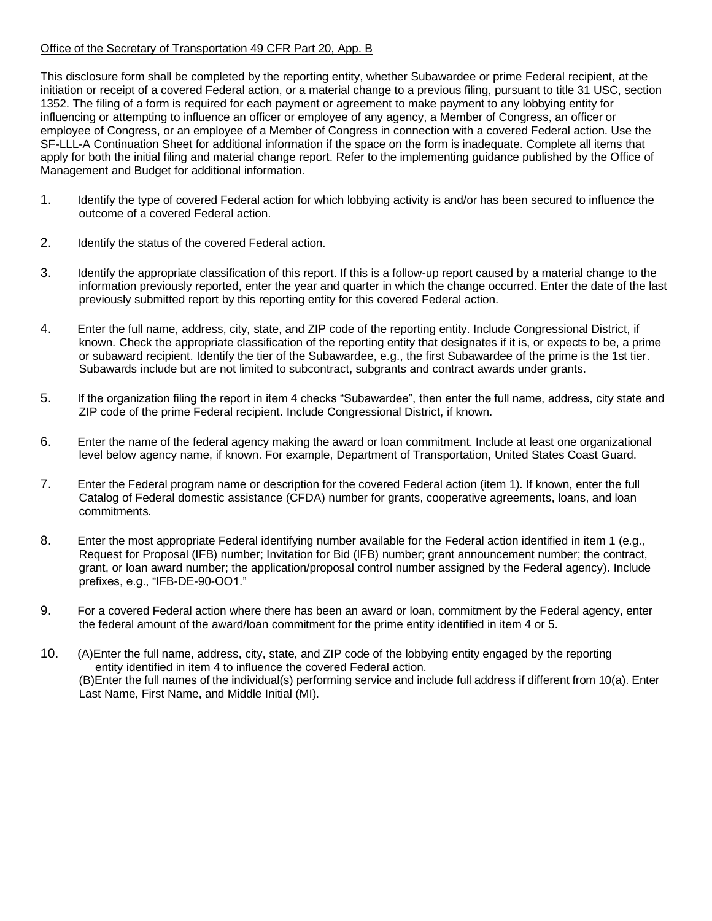## Office of the Secretary of Transportation 49 CFR Part 20, App. B

This disclosure form shall be completed by the reporting entity, whether Subawardee or prime Federal recipient, at the initiation or receipt of a covered Federal action, or a material change to a previous filing, pursuant to title 31 USC, section 1352. The filing of a form is required for each payment or agreement to make payment to any lobbying entity for influencing or attempting to influence an officer or employee of any agency, a Member of Congress, an officer or employee of Congress, or an employee of a Member of Congress in connection with a covered Federal action. Use the SF-LLL-A Continuation Sheet for additional information if the space on the form is inadequate. Complete all items that apply for both the initial filing and material change report. Refer to the implementing guidance published by the Office of Management and Budget for additional information.

- 1. Identify the type of covered Federal action for which lobbying activity is and/or has been secured to influence the outcome of a covered Federal action.
- 2. Identify the status of the covered Federal action.
- 3. Identify the appropriate classification of this report. If this is a follow-up report caused by a material change to the information previously reported, enter the year and quarter in which the change occurred. Enter the date of the last previously submitted report by this reporting entity for this covered Federal action.
- 4. Enter the full name, address, city, state, and ZIP code of the reporting entity. Include Congressional District, if known. Check the appropriate classification of the reporting entity that designates if it is, or expects to be, a prime or subaward recipient. Identify the tier of the Subawardee, e.g., the first Subawardee of the prime is the 1st tier. Subawards include but are not limited to subcontract, subgrants and contract awards under grants.
- 5. If the organization filing the report in item 4 checks "Subawardee", then enter the full name, address, city state and ZIP code of the prime Federal recipient. Include Congressional District, if known.
- 6. Enter the name of the federal agency making the award or loan commitment. Include at least one organizational level below agency name, if known. For example, Department of Transportation, United States Coast Guard.
- 7. Enter the Federal program name or description for the covered Federal action (item 1). If known, enter the full Catalog of Federal domestic assistance (CFDA) number for grants, cooperative agreements, loans, and loan commitments.
- 8. Enter the most appropriate Federal identifying number available for the Federal action identified in item 1 (e.g., Request for Proposal (IFB) number; Invitation for Bid (IFB) number; grant announcement number; the contract, grant, or loan award number; the application/proposal control number assigned by the Federal agency). Include prefixes, e.g., "IFB-DE-90-OO1."
- 9. For a covered Federal action where there has been an award or loan, commitment by the Federal agency, enter the federal amount of the award/loan commitment for the prime entity identified in item 4 or 5.
- 10. (A)Enter the full name, address, city, state, and ZIP code of the lobbying entity engaged by the reporting entity identified in item 4 to influence the covered Federal action. (B)Enter the full names of the individual(s) performing service and include full address if different from 10(a). Enter Last Name, First Name, and Middle Initial (MI).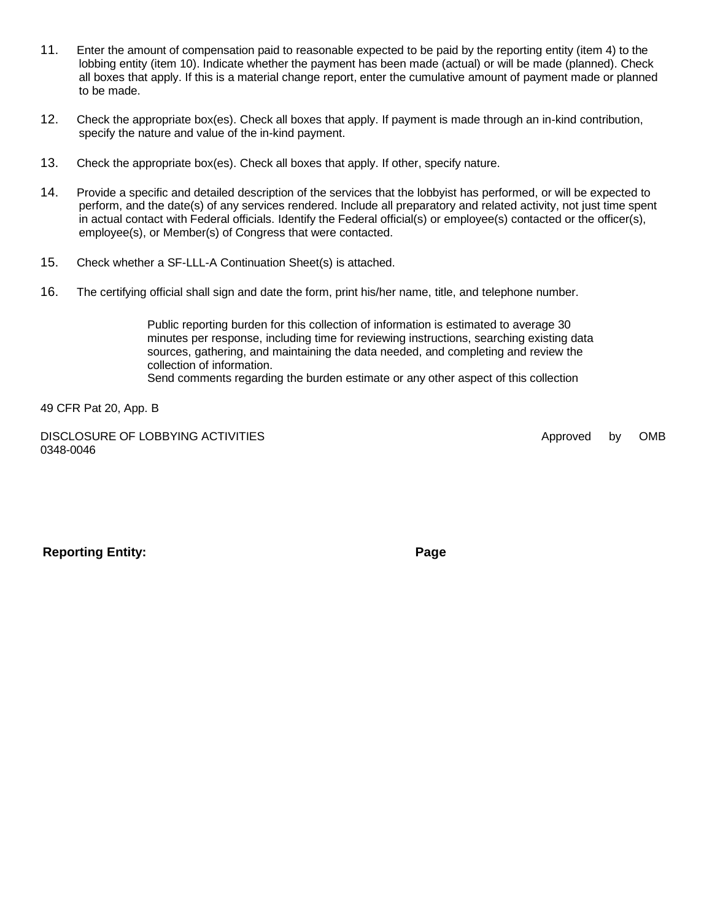- 11. Enter the amount of compensation paid to reasonable expected to be paid by the reporting entity (item 4) to the lobbing entity (item 10). Indicate whether the payment has been made (actual) or will be made (planned). Check all boxes that apply. If this is a material change report, enter the cumulative amount of payment made or planned to be made.
- 12. Check the appropriate box(es). Check all boxes that apply. If payment is made through an in-kind contribution, specify the nature and value of the in-kind payment.
- 13. Check the appropriate box(es). Check all boxes that apply. If other, specify nature.
- 14. Provide a specific and detailed description of the services that the lobbyist has performed, or will be expected to perform, and the date(s) of any services rendered. Include all preparatory and related activity, not just time spent in actual contact with Federal officials. Identify the Federal official(s) or employee(s) contacted or the officer(s), employee(s), or Member(s) of Congress that were contacted.
- 15. Check whether a SF-LLL-A Continuation Sheet(s) is attached.
- 16. The certifying official shall sign and date the form, print his/her name, title, and telephone number.

Public reporting burden for this collection of information is estimated to average 30 minutes per response, including time for reviewing instructions, searching existing data sources, gathering, and maintaining the data needed, and completing and review the collection of information. Send comments regarding the burden estimate or any other aspect of this collection

49 CFR Pat 20, App. B

DISCLOSURE OF LOBBYING ACTIVITIES **Approved** by OMB 0348-0046

**Reporting Entity: Page**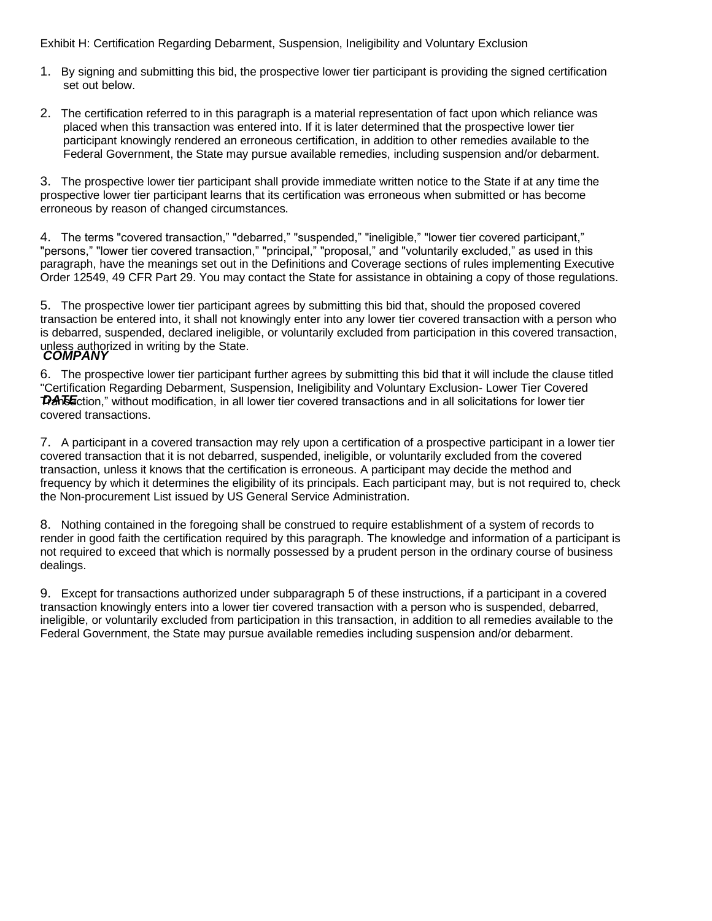Exhibit H: Certification Regarding Debarment, Suspension, Ineligibility and Voluntary Exclusion

- 1. By signing and submitting this bid, the prospective lower tier participant is providing the signed certification set out below.
- 2. The certification referred to in this paragraph is a material representation of fact upon which reliance was placed when this transaction was entered into. If it is later determined that the prospective lower tier participant knowingly rendered an erroneous certification, in addition to other remedies available to the Federal Government, the State may pursue available remedies, including suspension and/or debarment.

3. The prospective lower tier participant shall provide immediate written notice to the State if at any time the prospective lower tier participant learns that its certification was erroneous when submitted or has become erroneous by reason of changed circumstances.

4. The terms "covered transaction," "debarred," "suspended," "ineligible," "lower tier covered participant," "persons," "lower tier covered transaction," "principal," "proposal," and "voluntarily excluded," as used in this paragraph, have the meanings set out in the Definitions and Coverage sections of rules implementing Executive Order 12549, 49 CFR Part 29. You may contact the State for assistance in obtaining a copy of those regulations.

*COMPANY* 5. The prospective lower tier participant agrees by submitting this bid that, should the proposed covered transaction be entered into, it shall not knowingly enter into any lower tier covered transaction with a person who is debarred, suspended, declared ineligible, or voluntarily excluded from participation in this covered transaction, unless authorized in writing by the State.

DATE ction," without modification, in all lower tier covered transactions and in all solicitations for lower tier 6. The prospective lower tier participant further agrees by submitting this bid that it will include the clause titled "Certification Regarding Debarment, Suspension, Ineligibility and Voluntary Exclusion- Lower Tier Covered covered transactions.

7. A participant in a covered transaction may rely upon a certification of a prospective participant in a lower tier covered transaction that it is not debarred, suspended, ineligible, or voluntarily excluded from the covered transaction, unless it knows that the certification is erroneous. A participant may decide the method and frequency by which it determines the eligibility of its principals. Each participant may, but is not required to, check the Non-procurement List issued by US General Service Administration.

8. Nothing contained in the foregoing shall be construed to require establishment of a system of records to render in good faith the certification required by this paragraph. The knowledge and information of a participant is not required to exceed that which is normally possessed by a prudent person in the ordinary course of business dealings.

9. Except for transactions authorized under subparagraph 5 of these instructions, if a participant in a covered transaction knowingly enters into a lower tier covered transaction with a person who is suspended, debarred, ineligible, or voluntarily excluded from participation in this transaction, in addition to all remedies available to the Federal Government, the State may pursue available remedies including suspension and/or debarment.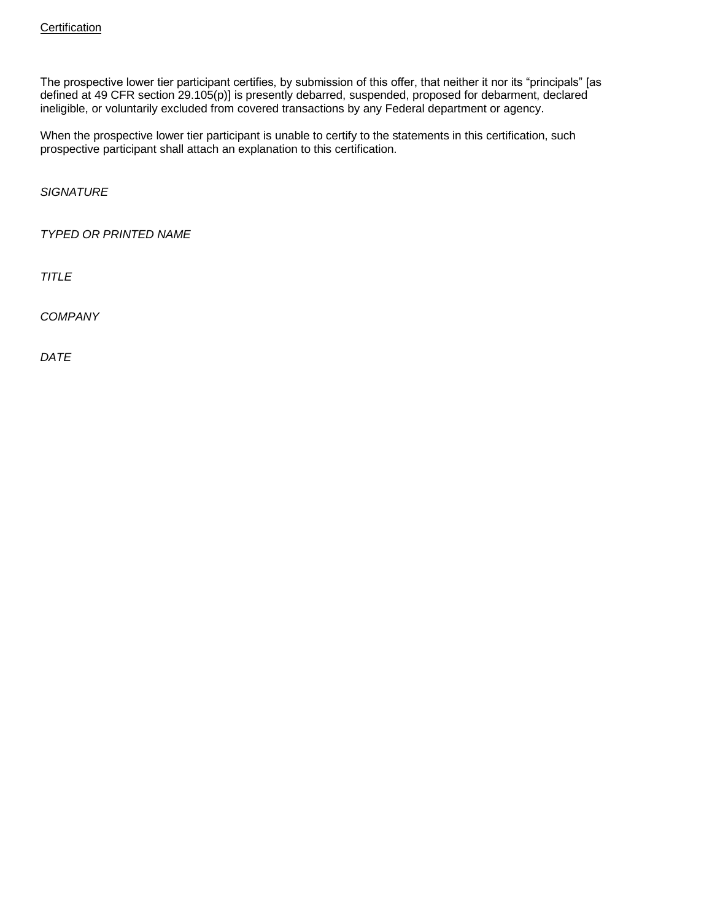The prospective lower tier participant certifies, by submission of this offer, that neither it nor its "principals" [as defined at 49 CFR section 29.105(p)] is presently debarred, suspended, proposed for debarment, declared ineligible, or voluntarily excluded from covered transactions by any Federal department or agency.

When the prospective lower tier participant is unable to certify to the statements in this certification, such prospective participant shall attach an explanation to this certification.

*SIGNATURE*

*TYPED OR PRINTED NAME*

*TITLE*

*COMPANY*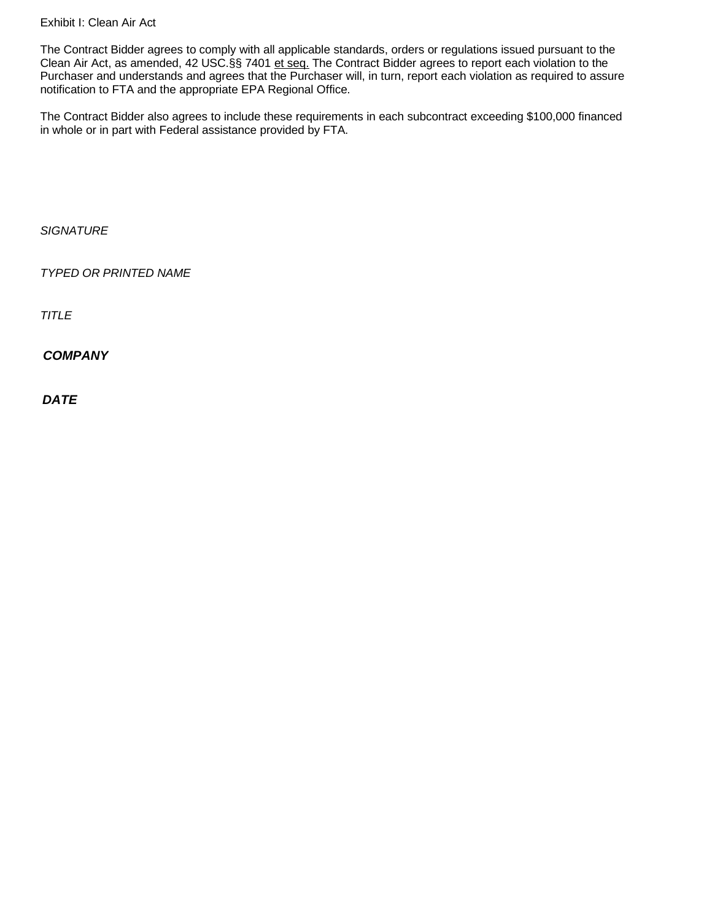Exhibit I: Clean Air Act

The Contract Bidder agrees to comply with all applicable standards, orders or regulations issued pursuant to the Clean Air Act, as amended, 42 USC.§§ 7401 et seq. The Contract Bidder agrees to report each violation to the Purchaser and understands and agrees that the Purchaser will, in turn, report each violation as required to assure notification to FTA and the appropriate EPA Regional Office.

The Contract Bidder also agrees to include these requirements in each subcontract exceeding \$100,000 financed in whole or in part with Federal assistance provided by FTA.

*SIGNATURE*

*TYPED OR PRINTED NAME*

*TITLE*

*COMPANY*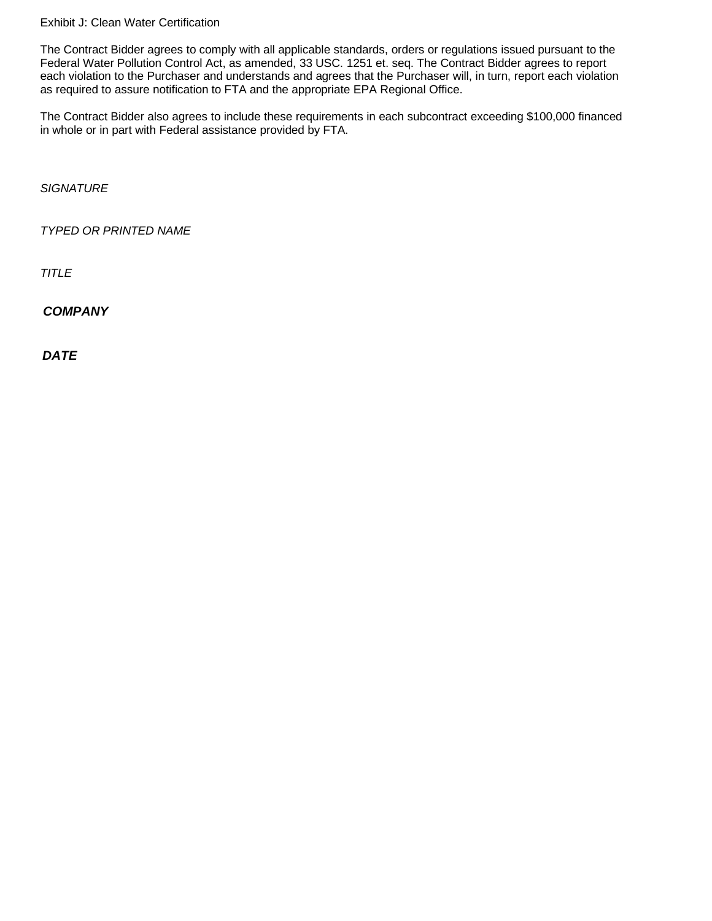Exhibit J: Clean Water Certification

The Contract Bidder agrees to comply with all applicable standards, orders or regulations issued pursuant to the Federal Water Pollution Control Act, as amended, 33 USC. 1251 et. seq. The Contract Bidder agrees to report each violation to the Purchaser and understands and agrees that the Purchaser will, in turn, report each violation as required to assure notification to FTA and the appropriate EPA Regional Office.

The Contract Bidder also agrees to include these requirements in each subcontract exceeding \$100,000 financed in whole or in part with Federal assistance provided by FTA.

*SIGNATURE*

*TYPED OR PRINTED NAME*

*TITLE*

*COMPANY*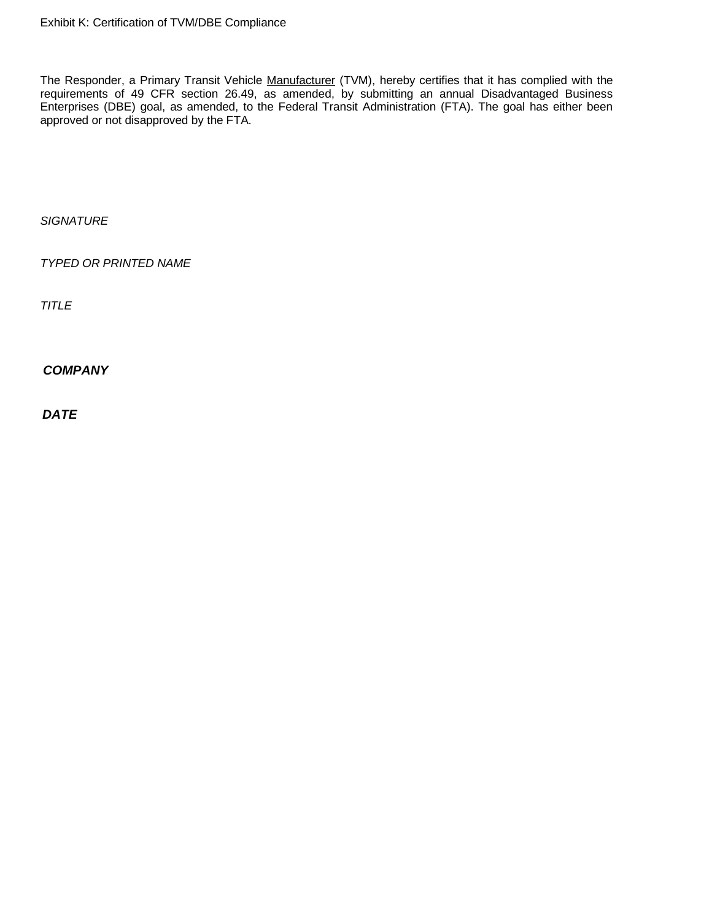The Responder, a Primary Transit Vehicle Manufacturer (TVM), hereby certifies that it has complied with the requirements of 49 CFR section 26.49, as amended, by submitting an annual Disadvantaged Business Enterprises (DBE) goal, as amended, to the Federal Transit Administration (FTA). The goal has either been approved or not disapproved by the FTA.

*SIGNATURE*

*TYPED OR PRINTED NAME*

*TITLE*

*COMPANY*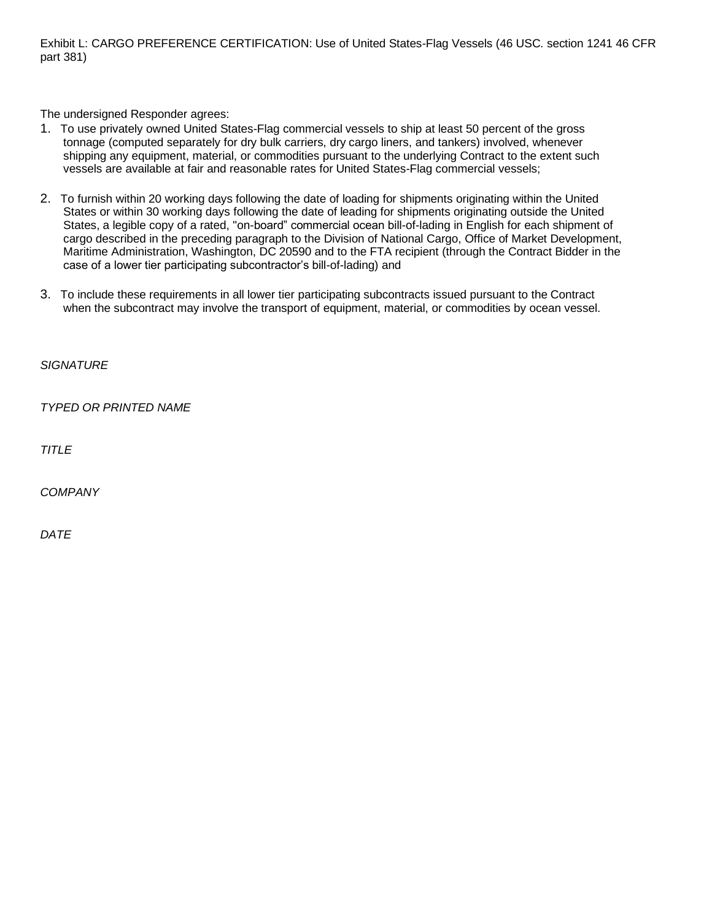Exhibit L: CARGO PREFERENCE CERTIFICATION: Use of United States-Flag Vessels (46 USC. section 1241 46 CFR part 381)

The undersigned Responder agrees:

- 1. To use privately owned United States-Flag commercial vessels to ship at least 50 percent of the gross tonnage (computed separately for dry bulk carriers, dry cargo liners, and tankers) involved, whenever shipping any equipment, material, or commodities pursuant to the underlying Contract to the extent such vessels are available at fair and reasonable rates for United States-Flag commercial vessels;
- 2. To furnish within 20 working days following the date of loading for shipments originating within the United States or within 30 working days following the date of leading for shipments originating outside the United States, a legible copy of a rated, "on-board" commercial ocean bill-of-lading in English for each shipment of cargo described in the preceding paragraph to the Division of National Cargo, Office of Market Development, Maritime Administration, Washington, DC 20590 and to the FTA recipient (through the Contract Bidder in the case of a lower tier participating subcontractor's bill-of-lading) and
- 3. To include these requirements in all lower tier participating subcontracts issued pursuant to the Contract when the subcontract may involve the transport of equipment, material, or commodities by ocean vessel.

*SIGNATURE*

*TYPED OR PRINTED NAME*

*TITLE*

*COMPANY*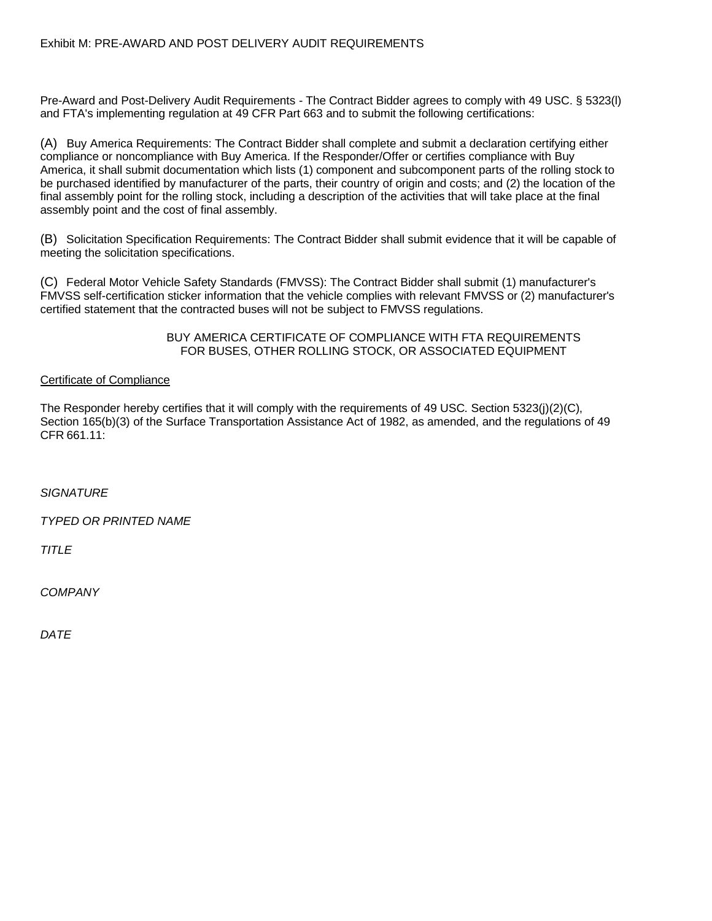Pre-Award and Post-Delivery Audit Requirements - The Contract Bidder agrees to comply with 49 USC. § 5323(l) and FTA's implementing regulation at 49 CFR Part 663 and to submit the following certifications:

(A) Buy America Requirements: The Contract Bidder shall complete and submit a declaration certifying either compliance or noncompliance with Buy America. If the Responder/Offer or certifies compliance with Buy America, it shall submit documentation which lists (1) component and subcomponent parts of the rolling stock to be purchased identified by manufacturer of the parts, their country of origin and costs; and (2) the location of the final assembly point for the rolling stock, including a description of the activities that will take place at the final assembly point and the cost of final assembly.

(B) Solicitation Specification Requirements: The Contract Bidder shall submit evidence that it will be capable of meeting the solicitation specifications.

(C) Federal Motor Vehicle Safety Standards (FMVSS): The Contract Bidder shall submit (1) manufacturer's FMVSS self-certification sticker information that the vehicle complies with relevant FMVSS or (2) manufacturer's certified statement that the contracted buses will not be subject to FMVSS regulations.

> BUY AMERICA CERTIFICATE OF COMPLIANCE WITH FTA REQUIREMENTS FOR BUSES, OTHER ROLLING STOCK, OR ASSOCIATED EQUIPMENT

## Certificate of Compliance

The Responder hereby certifies that it will comply with the requirements of 49 USC. Section 5323(j)(2)(C), Section 165(b)(3) of the Surface Transportation Assistance Act of 1982, as amended, and the regulations of 49 CFR 661.11:

*SIGNATURE*

*TYPED OR PRINTED NAME*

*TITLE*

*COMPANY*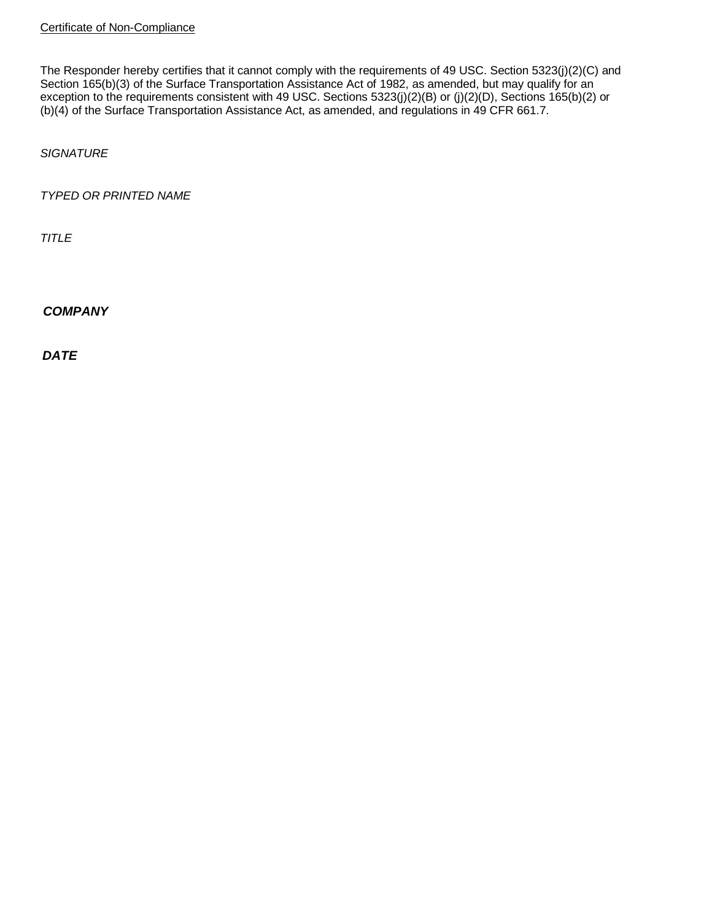The Responder hereby certifies that it cannot comply with the requirements of 49 USC. Section 5323(j)(2)(C) and Section 165(b)(3) of the Surface Transportation Assistance Act of 1982, as amended, but may qualify for an exception to the requirements consistent with 49 USC. Sections 5323(j)(2)(B) or (j)(2)(D), Sections 165(b)(2) or (b)(4) of the Surface Transportation Assistance Act, as amended, and regulations in 49 CFR 661.7.

*SIGNATURE*

*TYPED OR PRINTED NAME*

*TITLE*

*COMPANY*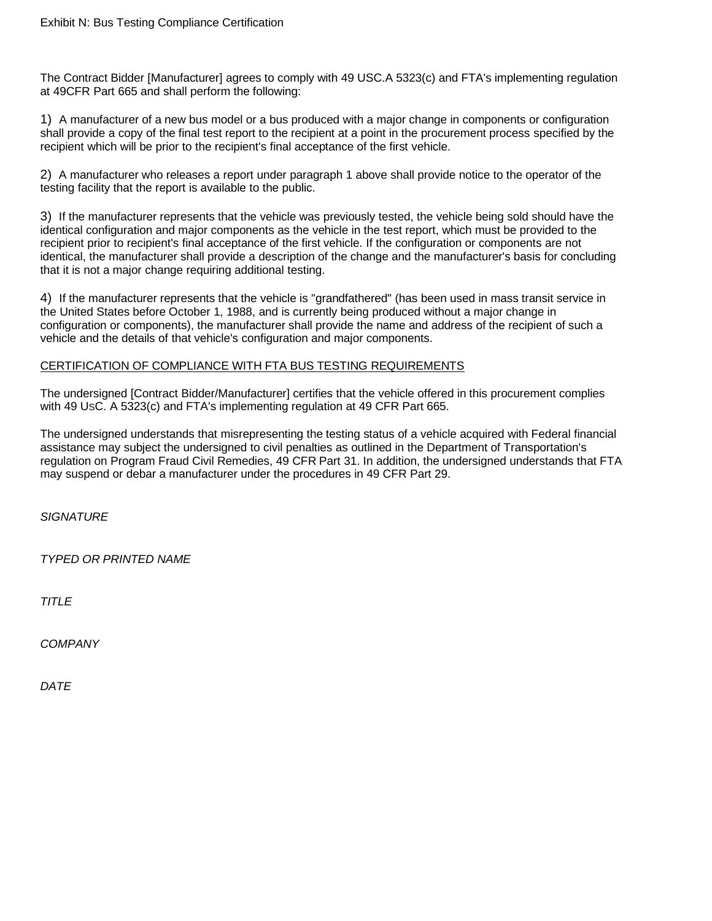The Contract Bidder [Manufacturer] agrees to comply with 49 USC.A 5323(c) and FTA's implementing regulation at 49CFR Part 665 and shall perform the following:

1) A manufacturer of a new bus model or a bus produced with a major change in components or configuration shall provide a copy of the final test report to the recipient at a point in the procurement process specified by the recipient which will be prior to the recipient's final acceptance of the first vehicle.

2) A manufacturer who releases a report under paragraph 1 above shall provide notice to the operator of the testing facility that the report is available to the public.

3) If the manufacturer represents that the vehicle was previously tested, the vehicle being sold should have the identical configuration and major components as the vehicle in the test report, which must be provided to the recipient prior to recipient's final acceptance of the first vehicle. If the configuration or components are not identical, the manufacturer shall provide a description of the change and the manufacturer's basis for concluding that it is not a major change requiring additional testing.

4) If the manufacturer represents that the vehicle is "grandfathered" (has been used in mass transit service in the United States before October 1, 1988, and is currently being produced without a major change in configuration or components), the manufacturer shall provide the name and address of the recipient of such a vehicle and the details of that vehicle's configuration and major components.

## CERTIFICATION OF COMPLIANCE WITH FTA BUS TESTING REQUIREMENTS

The undersigned [Contract Bidder/Manufacturer] certifies that the vehicle offered in this procurement complies with 49 USC. A 5323(c) and FTA's implementing regulation at 49 CFR Part 665.

The undersigned understands that misrepresenting the testing status of a vehicle acquired with Federal financial assistance may subject the undersigned to civil penalties as outlined in the Department of Transportation's regulation on Program Fraud Civil Remedies, 49 CFR Part 31. In addition, the undersigned understands that FTA may suspend or debar a manufacturer under the procedures in 49 CFR Part 29.

*SIGNATURE*

*TYPED OR PRINTED NAME*

*TITLE*

*COMPANY*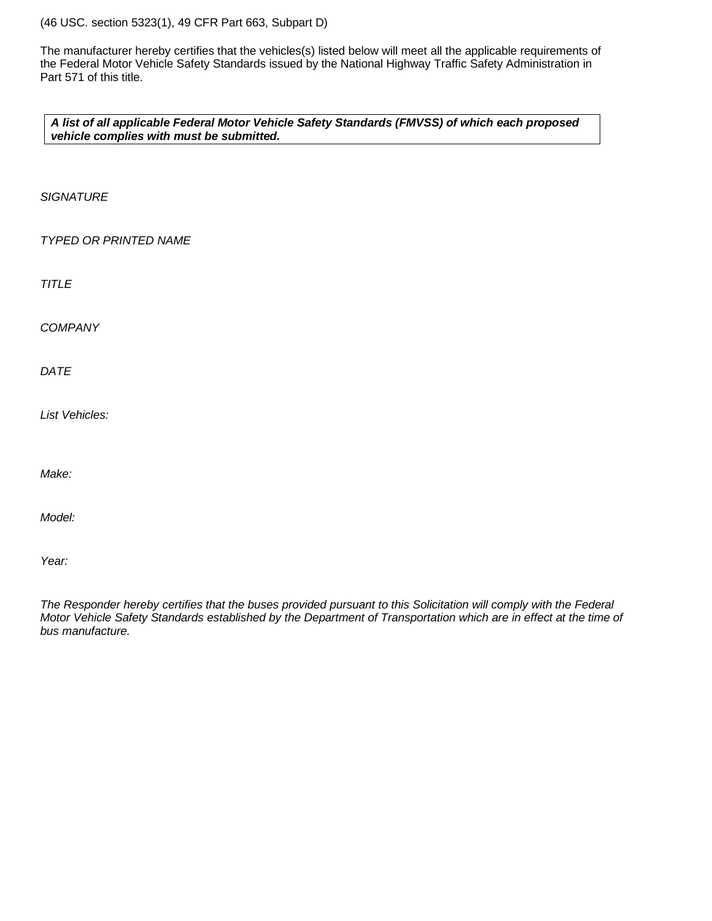(46 USC. section 5323(1), 49 CFR Part 663, Subpart D)

The manufacturer hereby certifies that the vehicles(s) listed below will meet all the applicable requirements of the Federal Motor Vehicle Safety Standards issued by the National Highway Traffic Safety Administration in Part 571 of this title.

*A list of all applicable Federal Motor Vehicle Safety Standards (FMVSS) of which each proposed vehicle complies with must be submitted.*

*SIGNATURE*

*TYPED OR PRINTED NAME*

*TITLE*

*COMPANY*

*DATE*

*List Vehicles:*

*Make:*

*Model:*

*Year:*

*The Responder hereby certifies that the buses provided pursuant to this Solicitation will comply with the Federal Motor Vehicle Safety Standards established by the Department of Transportation which are in effect at the time of bus manufacture.*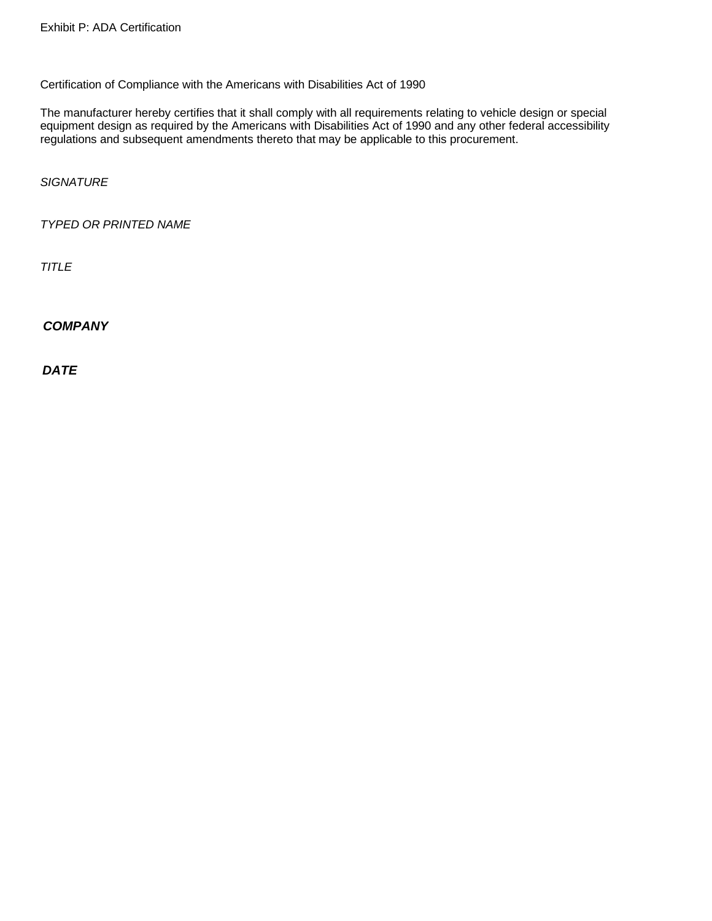Certification of Compliance with the Americans with Disabilities Act of 1990

The manufacturer hereby certifies that it shall comply with all requirements relating to vehicle design or special equipment design as required by the Americans with Disabilities Act of 1990 and any other federal accessibility regulations and subsequent amendments thereto that may be applicable to this procurement.

*SIGNATURE*

*TYPED OR PRINTED NAME*

*TITLE*

*COMPANY*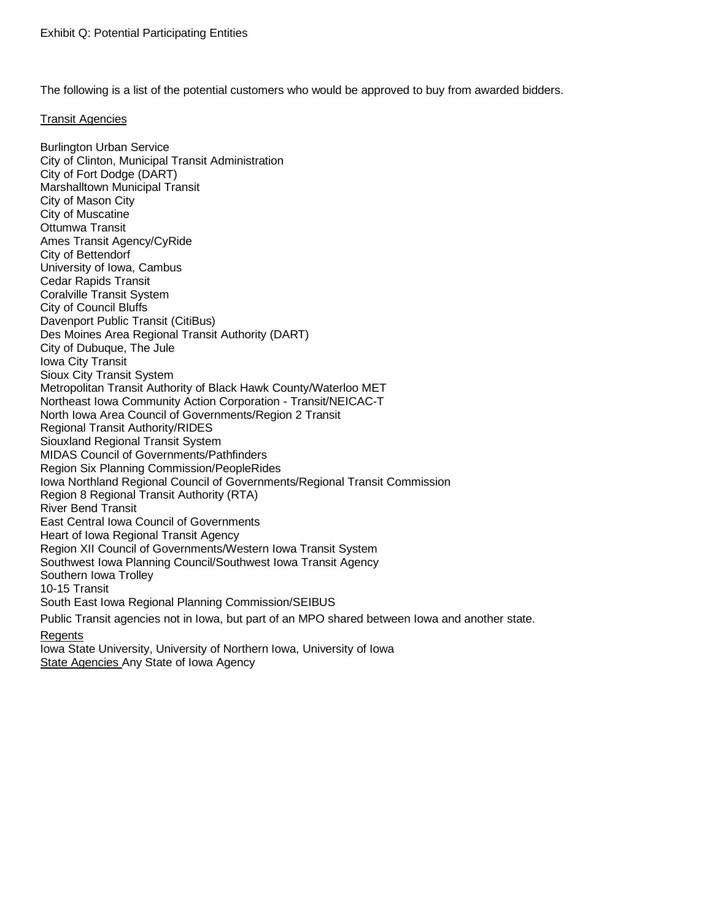The following is a list of the potential customers who would be approved to buy from awarded bidders.

#### Transit Agencies

Burlington Urban Service City of Clinton, Municipal Transit Administration City of Fort Dodge (DART) Marshalltown Municipal Transit City of Mason City City of Muscatine Ottumwa Transit Ames Transit Agency/CyRide City of Bettendorf University of Iowa, Cambus Cedar Rapids Transit Coralville Transit System City of Council Bluffs Davenport Public Transit (CitiBus) Des Moines Area Regional Transit Authority (DART) City of Dubuque, The Jule Iowa City Transit Sioux City Transit System Metropolitan Transit Authority of Black Hawk County/Waterloo MET Northeast Iowa Community Action Corporation - Transit/NEICAC-T North Iowa Area Council of Governments/Region 2 Transit Regional Transit Authority/RIDES Siouxland Regional Transit System MIDAS Council of Governments/Pathfinders Region Six Planning Commission/PeopleRides Iowa Northland Regional Council of Governments/Regional Transit Commission Region 8 Regional Transit Authority (RTA) River Bend Transit East Central Iowa Council of Governments Heart of Iowa Regional Transit Agency Region XII Council of Governments/Western Iowa Transit System Southwest Iowa Planning Council/Southwest Iowa Transit Agency Southern Iowa Trolley 10-15 Transit South East Iowa Regional Planning Commission/SEIBUS Public Transit agencies not in Iowa, but part of an MPO shared between Iowa and another state. **Regents** Iowa State University, University of Northern Iowa, University of Iowa

State Agencies Any State of Iowa Agency